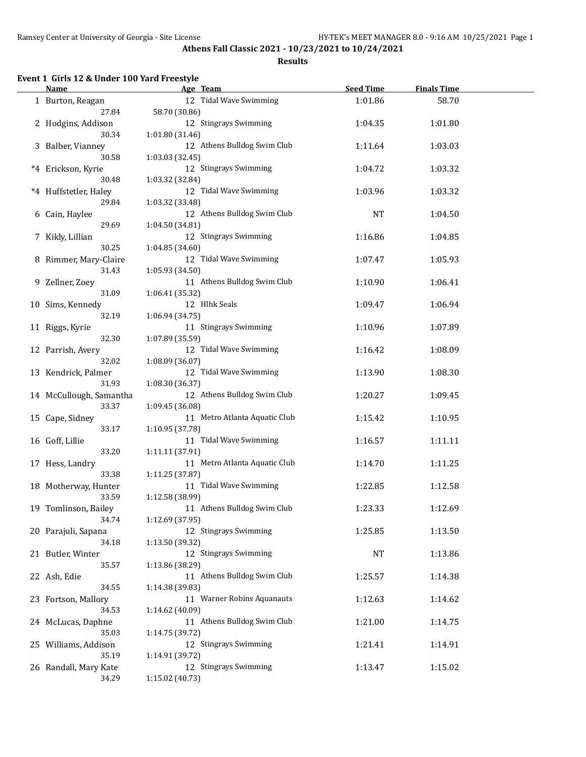#### **Results**

# **Event 1 Girls 12 & Under 100 Yard Freestyle**

| Name                           | Age Team                                  | <b>Seed Time</b> | <b>Finals Time</b> |  |
|--------------------------------|-------------------------------------------|------------------|--------------------|--|
| 1 Burton, Reagan               | 12 Tidal Wave Swimming                    | 1:01.86          | 58.70              |  |
| 27.84                          | 58.70 (30.86)                             |                  |                    |  |
| 2 Hodgins, Addison<br>30.34    | 12 Stingrays Swimming<br>1:01.80 (31.46)  | 1:04.35          | 1:01.80            |  |
| 3 Balber, Vianney              | 12 Athens Bulldog Swim Club               | 1:11.64          | 1:03.03            |  |
| 30.58                          | 1:03.03 (32.45)                           |                  |                    |  |
| *4 Erickson, Kyrie             | 12 Stingrays Swimming                     | 1:04.72          | 1:03.32            |  |
| 30.48                          | 1:03.32 (32.84)                           |                  |                    |  |
| *4 Huffstetler, Haley          | 12 Tidal Wave Swimming                    | 1:03.96          | 1:03.32            |  |
| 29.84                          | 1:03.32 (33.48)                           |                  |                    |  |
| 6 Cain, Haylee                 | 12 Athens Bulldog Swim Club               | <b>NT</b>        | 1:04.50            |  |
| 29.69                          | 1:04.50 (34.81)                           |                  |                    |  |
| 7 Kikly, Lillian               | 12 Stingrays Swimming                     | 1:16.86          | 1:04.85            |  |
| 30.25                          | 1:04.85 (34.60)                           |                  |                    |  |
| 8 Rimmer, Mary-Claire          | 12 Tidal Wave Swimming                    | 1:07.47          | 1:05.93            |  |
| 31.43                          | 1:05.93 (34.50)                           |                  |                    |  |
| 9 Zellner, Zoey                | 11 Athens Bulldog Swim Club               | 1:10.90          | 1:06.41            |  |
| 31.09<br>10 Sims, Kennedy      | 1:06.41 (35.32)<br>12 Hlhk Seals          | 1:09.47          | 1:06.94            |  |
| 32.19                          | 1:06.94 (34.75)                           |                  |                    |  |
| 11 Riggs, Kyrie                | 11 Stingrays Swimming                     | 1:10.96          | 1:07.89            |  |
| 32.30                          | 1:07.89 (35.59)                           |                  |                    |  |
| 12 Parrish, Avery              | 12 Tidal Wave Swimming                    | 1:16.42          | 1:08.09            |  |
| 32.02                          | 1:08.09 (36.07)                           |                  |                    |  |
| 13 Kendrick, Palmer            | 12 Tidal Wave Swimming                    | 1:13.90          | 1:08.30            |  |
| 31.93                          | 1:08.30 (36.37)                           |                  |                    |  |
| 14 McCullough, Samantha        | 12 Athens Bulldog Swim Club               | 1:20.27          | 1:09.45            |  |
| 33.37                          | 1:09.45 (36.08)                           |                  |                    |  |
| 15 Cape, Sidney                | 11 Metro Atlanta Aquatic Club             | 1:15.42          | 1:10.95            |  |
| 33.17                          | 1:10.95 (37.78)                           |                  |                    |  |
| 16 Goff, Lillie                | 11 Tidal Wave Swimming                    | 1:16.57          | 1:11.11            |  |
| 33.20                          | 1:11.11 (37.91)                           |                  |                    |  |
| 17 Hess, Landry<br>33.38       | 11 Metro Atlanta Aquatic Club             | 1:14.70          | 1:11.25            |  |
|                                | 1:11.25 (37.87)<br>11 Tidal Wave Swimming | 1:22.85          |                    |  |
| 18 Motherway, Hunter<br>33.59  | 1:12.58 (38.99)                           |                  | 1:12.58            |  |
| 19 Tomlinson, Bailey           | 11 Athens Bulldog Swim Club               | 1:23.33          | 1:12.69            |  |
| 34.74                          | 1:12.69 (37.95)                           |                  |                    |  |
| 20 Parajuli, Sapana            | 12 Stingrays Swimming                     | 1:25.85          | 1:13.50            |  |
| 34.18                          | 1:13.50 (39.32)                           |                  |                    |  |
| 21 Butler, Winter              | 12 Stingrays Swimming                     | <b>NT</b>        | 1:13.86            |  |
| 35.57                          | 1:13.86 (38.29)                           |                  |                    |  |
| 22 Ash, Edie                   | 11 Athens Bulldog Swim Club               | 1:25.57          | 1:14.38            |  |
| 34.55                          | 1:14.38 (39.83)                           |                  |                    |  |
| 23 Fortson, Mallory            | 11 Warner Robins Aquanauts                | 1:12.63          | 1:14.62            |  |
| 34.53                          | 1:14.62 (40.09)                           |                  |                    |  |
| 24 McLucas, Daphne             | 11 Athens Bulldog Swim Club               | 1:21.00          | 1:14.75            |  |
| 35.03                          | 1:14.75 (39.72)                           |                  |                    |  |
| 25 Williams, Addison           | 12 Stingrays Swimming                     | 1:21.41          | 1:14.91            |  |
| 35.19<br>26 Randall, Mary Kate | 1:14.91 (39.72)<br>12 Stingrays Swimming  | 1:13.47          | 1:15.02            |  |
| 34.29                          | 1:15.02 (40.73)                           |                  |                    |  |
|                                |                                           |                  |                    |  |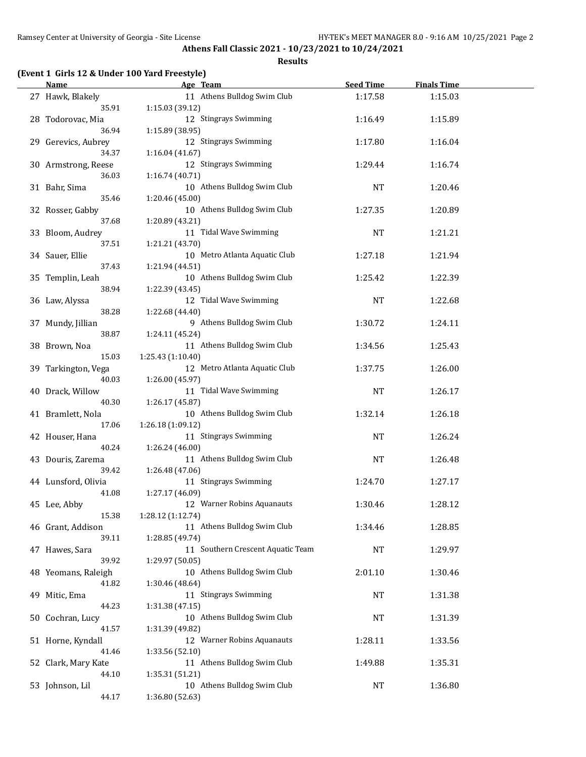#### **Results**

# **(Event 1 Girls 12 & Under 100 Yard Freestyle)**

| Name                       | Age Team                                       | <b>Seed Time</b> | <b>Finals Time</b> |  |
|----------------------------|------------------------------------------------|------------------|--------------------|--|
| 27 Hawk, Blakely           | 11 Athens Bulldog Swim Club                    | 1:17.58          | 1:15.03            |  |
| 35.91                      | 1:15.03 (39.12)                                |                  |                    |  |
| 28 Todorovac, Mia          | 12 Stingrays Swimming                          | 1:16.49          | 1:15.89            |  |
| 36.94                      | 1:15.89 (38.95)                                |                  |                    |  |
| 29 Gerevics, Aubrey        | 12 Stingrays Swimming                          | 1:17.80          | 1:16.04            |  |
| 34.37                      | 1:16.04(41.67)                                 |                  |                    |  |
| 30 Armstrong, Reese        | 12 Stingrays Swimming                          | 1:29.44          | 1:16.74            |  |
| 36.03                      | 1:16.74 (40.71)<br>10 Athens Bulldog Swim Club |                  |                    |  |
| 31 Bahr, Sima<br>35.46     | 1:20.46 (45.00)                                | NT               | 1:20.46            |  |
| 32 Rosser, Gabby           | 10 Athens Bulldog Swim Club                    | 1:27.35          | 1:20.89            |  |
| 37.68                      | 1:20.89 (43.21)                                |                  |                    |  |
| 33 Bloom, Audrey           | 11 Tidal Wave Swimming                         | <b>NT</b>        | 1:21.21            |  |
| 37.51                      | 1:21.21 (43.70)                                |                  |                    |  |
| 34 Sauer, Ellie            | 10 Metro Atlanta Aquatic Club                  | 1:27.18          | 1:21.94            |  |
| 37.43                      | 1:21.94 (44.51)                                |                  |                    |  |
| 35 Templin, Leah           | 10 Athens Bulldog Swim Club                    | 1:25.42          | 1:22.39            |  |
| 38.94                      | 1:22.39 (43.45)                                |                  |                    |  |
| 36 Law, Alyssa             | 12 Tidal Wave Swimming                         | <b>NT</b>        | 1:22.68            |  |
| 38.28                      | 1:22.68 (44.40)                                |                  |                    |  |
| 37 Mundy, Jillian          | 9 Athens Bulldog Swim Club                     | 1:30.72          | 1:24.11            |  |
| 38.87                      | 1:24.11 (45.24)<br>11 Athens Bulldog Swim Club |                  |                    |  |
| 38 Brown, Noa<br>15.03     | 1:25.43 (1:10.40)                              | 1:34.56          | 1:25.43            |  |
| 39 Tarkington, Vega        | 12 Metro Atlanta Aquatic Club                  | 1:37.75          | 1:26.00            |  |
| 40.03                      | 1:26.00 (45.97)                                |                  |                    |  |
| 40 Drack, Willow           | 11 Tidal Wave Swimming                         | <b>NT</b>        | 1:26.17            |  |
| 40.30                      | 1:26.17 (45.87)                                |                  |                    |  |
| 41 Bramlett, Nola          | 10 Athens Bulldog Swim Club                    | 1:32.14          | 1:26.18            |  |
| 17.06                      | 1:26.18 (1:09.12)                              |                  |                    |  |
| 42 Houser, Hana            | 11 Stingrays Swimming                          | NT               | 1:26.24            |  |
| 40.24                      | 1:26.24 (46.00)                                |                  |                    |  |
| 43 Douris, Zarema<br>39.42 | 11 Athens Bulldog Swim Club                    | NT               | 1:26.48            |  |
| 44 Lunsford, Olivia        | 1:26.48 (47.06)<br>11 Stingrays Swimming       | 1:24.70          | 1:27.17            |  |
| 41.08                      | 1:27.17 (46.09)                                |                  |                    |  |
| 45 Lee, Abby               | 12 Warner Robins Aquanauts                     | 1:30.46          | 1:28.12            |  |
| 15.38                      | 1:28.12 (1:12.74)                              |                  |                    |  |
| 46 Grant, Addison          | 11 Athens Bulldog Swim Club                    | 1:34.46          | 1:28.85            |  |
| 39.11                      | 1:28.85 (49.74)                                |                  |                    |  |
| 47 Hawes, Sara             | 11 Southern Crescent Aquatic Team              | <b>NT</b>        | 1:29.97            |  |
| 39.92                      | 1:29.97 (50.05)                                |                  |                    |  |
| 48 Yeomans, Raleigh        | 10 Athens Bulldog Swim Club                    | 2:01.10          | 1:30.46            |  |
| 41.82                      | 1:30.46 (48.64)                                |                  |                    |  |
| 49 Mitic, Ema<br>44.23     | 11 Stingrays Swimming                          | NT               | 1:31.38            |  |
| 50 Cochran, Lucy           | 1:31.38 (47.15)<br>10 Athens Bulldog Swim Club | <b>NT</b>        | 1:31.39            |  |
| 41.57                      | 1:31.39 (49.82)                                |                  |                    |  |
| 51 Horne, Kyndall          | 12 Warner Robins Aquanauts                     | 1:28.11          | 1:33.56            |  |
| 41.46                      | 1:33.56 (52.10)                                |                  |                    |  |
| 52 Clark, Mary Kate        | 11 Athens Bulldog Swim Club                    | 1:49.88          | 1:35.31            |  |
| 44.10                      | 1:35.31 (51.21)                                |                  |                    |  |
| 53 Johnson, Lil            | 10 Athens Bulldog Swim Club                    | NT               | 1:36.80            |  |
| 44.17                      | 1:36.80 (52.63)                                |                  |                    |  |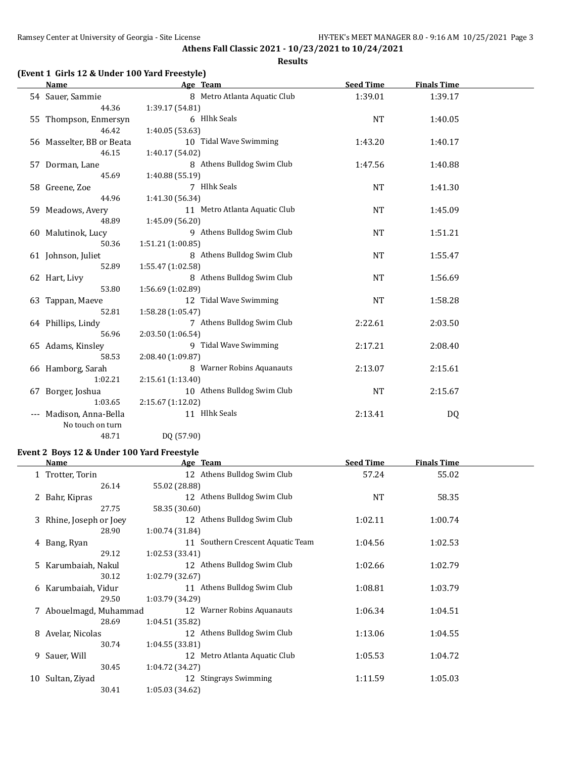#### **Results**

# **(Event 1 Girls 12 & Under 100 Yard Freestyle)**

| Name                      | Age Team          |                               | <b>Seed Time</b> | <b>Finals Time</b> |  |
|---------------------------|-------------------|-------------------------------|------------------|--------------------|--|
| 54 Sauer, Sammie          |                   | 8 Metro Atlanta Aquatic Club  | 1:39.01          | 1:39.17            |  |
| 44.36                     | 1:39.17 (54.81)   |                               |                  |                    |  |
| 55 Thompson, Enmersyn     |                   | 6 Hlhk Seals                  | $\rm{NT}$        | 1:40.05            |  |
| 46.42                     | 1:40.05 (53.63)   |                               |                  |                    |  |
| 56 Masselter, BB or Beata |                   | 10 Tidal Wave Swimming        | 1:43.20          | 1:40.17            |  |
| 46.15                     | 1:40.17 (54.02)   |                               |                  |                    |  |
| 57 Dorman, Lane           |                   | 8 Athens Bulldog Swim Club    | 1:47.56          | 1:40.88            |  |
| 45.69                     | 1:40.88 (55.19)   |                               |                  |                    |  |
| 58 Greene, Zoe            |                   | 7 Hlhk Seals                  | <b>NT</b>        | 1:41.30            |  |
| 44.96                     | 1:41.30 (56.34)   |                               |                  |                    |  |
| 59 Meadows, Avery         |                   | 11 Metro Atlanta Aquatic Club | <b>NT</b>        | 1:45.09            |  |
| 48.89                     | 1:45.09 (56.20)   |                               |                  |                    |  |
| 60 Malutinok, Lucy        |                   | 9 Athens Bulldog Swim Club    | <b>NT</b>        | 1:51.21            |  |
| 50.36                     | 1:51.21 (1:00.85) |                               |                  |                    |  |
| 61 Johnson, Juliet        |                   | 8 Athens Bulldog Swim Club    | <b>NT</b>        | 1:55.47            |  |
| 52.89                     | 1:55.47 (1:02.58) |                               |                  |                    |  |
| 62 Hart, Livy             |                   | 8 Athens Bulldog Swim Club    | <b>NT</b>        | 1:56.69            |  |
| 53.80                     | 1:56.69 (1:02.89) |                               |                  |                    |  |
| 63 Tappan, Maeve          |                   | 12 Tidal Wave Swimming        | <b>NT</b>        | 1:58.28            |  |
| 52.81                     | 1:58.28 (1:05.47) |                               |                  |                    |  |
| 64 Phillips, Lindy        |                   | 7 Athens Bulldog Swim Club    | 2:22.61          | 2:03.50            |  |
| 56.96                     | 2:03.50 (1:06.54) |                               |                  |                    |  |
| 65 Adams, Kinsley         |                   | 9 Tidal Wave Swimming         | 2:17.21          | 2:08.40            |  |
| 58.53                     | 2:08.40 (1:09.87) |                               |                  |                    |  |
| 66 Hamborg, Sarah         |                   | 8 Warner Robins Aquanauts     | 2:13.07          | 2:15.61            |  |
| 1:02.21                   | 2:15.61 (1:13.40) |                               |                  |                    |  |
| 67 Borger, Joshua         |                   | 10 Athens Bulldog Swim Club   | NT               | 2:15.67            |  |
| 1:03.65                   | 2:15.67(1:12.02)  |                               |                  |                    |  |
| Madison, Anna-Bella       |                   | 11 Hlhk Seals                 | 2:13.41          | DQ                 |  |
| No touch on turn          |                   |                               |                  |                    |  |
| 48.71                     | DQ (57.90)        |                               |                  |                    |  |

# **Event 2 Boys 12 & Under 100 Yard Freestyle**

|    | <b>Name</b>             | Age Team                          | <b>Seed Time</b> | <b>Finals Time</b> |  |
|----|-------------------------|-----------------------------------|------------------|--------------------|--|
|    | 1 Trotter, Torin        | 12 Athens Bulldog Swim Club       | 57.24            | 55.02              |  |
|    | 26.14                   | 55.02 (28.88)                     |                  |                    |  |
|    | 2 Bahr, Kipras          | 12 Athens Bulldog Swim Club       | <b>NT</b>        | 58.35              |  |
|    | 27.75                   | 58.35 (30.60)                     |                  |                    |  |
|    | 3 Rhine, Joseph or Joey | 12 Athens Bulldog Swim Club       | 1:02.11          | 1:00.74            |  |
|    | 28.90                   | 1:00.74(31.84)                    |                  |                    |  |
|    | 4 Bang, Ryan            | 11 Southern Crescent Aquatic Team | 1:04.56          | 1:02.53            |  |
|    | 29.12                   | 1:02.53(33.41)                    |                  |                    |  |
|    | 5 Karumbaiah, Nakul     | 12 Athens Bulldog Swim Club       | 1:02.66          | 1:02.79            |  |
|    | 30.12                   | 1:02.79 (32.67)                   |                  |                    |  |
|    | 6 Karumbaiah, Vidur     | 11 Athens Bulldog Swim Club       | 1:08.81          | 1:03.79            |  |
|    | 29.50                   | 1:03.79 (34.29)                   |                  |                    |  |
|    | 7 Abouelmagd, Muhammad  | 12 Warner Robins Aquanauts        | 1:06.34          | 1:04.51            |  |
|    | 28.69                   | 1:04.51(35.82)                    |                  |                    |  |
|    | 8 Avelar, Nicolas       | 12 Athens Bulldog Swim Club       | 1:13.06          | 1:04.55            |  |
|    | 30.74                   | 1:04.55(33.81)                    |                  |                    |  |
| 9. | Sauer, Will             | 12 Metro Atlanta Aquatic Club     | 1:05.53          | 1:04.72            |  |
|    | 30.45                   | 1:04.72 (34.27)                   |                  |                    |  |
| 10 | Sultan, Ziyad           | 12 Stingrays Swimming             | 1:11.59          | 1:05.03            |  |
|    | 30.41                   | 1:05.03 (34.62)                   |                  |                    |  |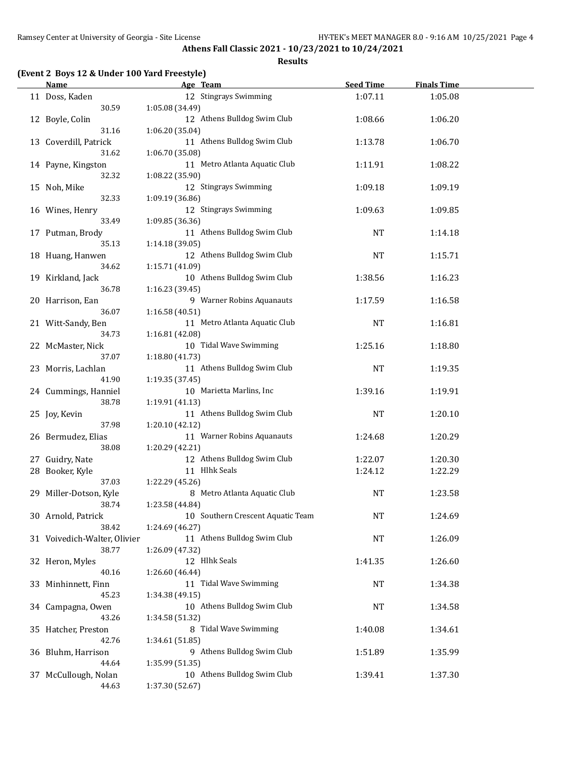#### **Results**

# **(Event 2 Boys 12 & Under 100 Yard Freestyle)**

| <b>Name</b>                  | Age Team                          | <b>Seed Time</b> | <b>Finals Time</b> |  |
|------------------------------|-----------------------------------|------------------|--------------------|--|
| 11 Doss, Kaden               | 12 Stingrays Swimming             | 1:07.11          | 1:05.08            |  |
| 30.59                        | 1:05.08 (34.49)                   |                  |                    |  |
| 12 Boyle, Colin              | 12 Athens Bulldog Swim Club       | 1:08.66          | 1:06.20            |  |
| 31.16                        | 1:06.20 (35.04)                   |                  |                    |  |
| 13 Coverdill, Patrick        | 11 Athens Bulldog Swim Club       | 1:13.78          | 1:06.70            |  |
| 31.62                        | 1:06.70 (35.08)                   |                  |                    |  |
| 14 Payne, Kingston           | 11 Metro Atlanta Aquatic Club     | 1:11.91          | 1:08.22            |  |
| 32.32                        | 1:08.22 (35.90)                   |                  |                    |  |
| 15 Noh, Mike                 | 12 Stingrays Swimming             | 1:09.18          | 1:09.19            |  |
| 32.33                        | 1:09.19 (36.86)                   |                  |                    |  |
| 16 Wines, Henry              | 12 Stingrays Swimming             | 1:09.63          | 1:09.85            |  |
| 33.49                        | 1:09.85 (36.36)                   |                  |                    |  |
| 17 Putman, Brody             | 11 Athens Bulldog Swim Club       | NT               | 1:14.18            |  |
| 35.13                        | 1:14.18 (39.05)                   |                  |                    |  |
| 18 Huang, Hanwen             | 12 Athens Bulldog Swim Club       | <b>NT</b>        | 1:15.71            |  |
| 34.62                        | 1:15.71 (41.09)                   |                  |                    |  |
| 19 Kirkland, Jack            | 10 Athens Bulldog Swim Club       | 1:38.56          | 1:16.23            |  |
| 36.78                        | 1:16.23 (39.45)                   |                  |                    |  |
| 20 Harrison, Ean             | 9 Warner Robins Aquanauts         | 1:17.59          | 1:16.58            |  |
| 36.07                        | 1:16.58 (40.51)                   |                  |                    |  |
| 21 Witt-Sandy, Ben           | 11 Metro Atlanta Aquatic Club     | <b>NT</b>        | 1:16.81            |  |
| 34.73                        | 1:16.81 (42.08)                   |                  |                    |  |
| 22 McMaster, Nick            | 10 Tidal Wave Swimming            | 1:25.16          | 1:18.80            |  |
| 37.07                        | 1:18.80 (41.73)                   |                  |                    |  |
| 23 Morris, Lachlan           | 11 Athens Bulldog Swim Club       | <b>NT</b>        | 1:19.35            |  |
| 41.90                        | 1:19.35 (37.45)                   |                  |                    |  |
| 24 Cummings, Hanniel         | 10 Marietta Marlins, Inc          | 1:39.16          | 1:19.91            |  |
| 38.78                        | 1:19.91 (41.13)                   |                  |                    |  |
| 25 Joy, Kevin                | 11 Athens Bulldog Swim Club       | <b>NT</b>        | 1:20.10            |  |
| 37.98                        | 1:20.10 (42.12)                   |                  |                    |  |
| 26 Bermudez, Elias           | 11 Warner Robins Aquanauts        | 1:24.68          | 1:20.29            |  |
| 38.08                        | 1:20.29 (42.21)                   |                  |                    |  |
| 27 Guidry, Nate              | 12 Athens Bulldog Swim Club       | 1:22.07          | 1:20.30            |  |
| 28 Booker, Kyle              | 11 Hlhk Seals                     | 1:24.12          | 1:22.29            |  |
| 37.03                        | 1:22.29 (45.26)                   |                  |                    |  |
| 29 Miller-Dotson, Kyle       | 8 Metro Atlanta Aquatic Club      | <b>NT</b>        | 1:23.58            |  |
| 38.74                        | 1:23.58 (44.84)                   |                  |                    |  |
| 30 Arnold, Patrick           | 10 Southern Crescent Aquatic Team | <b>NT</b>        | 1:24.69            |  |
| 38.42                        | 1:24.69 (46.27)                   |                  |                    |  |
| 31 Voivedich-Walter, Olivier | 11 Athens Bulldog Swim Club       | NT               | 1:26.09            |  |
| 38.77                        | 1:26.09 (47.32)                   |                  |                    |  |
| 32 Heron, Myles              | 12 Hlhk Seals                     | 1:41.35          | 1:26.60            |  |
| 40.16                        | 1:26.60 (46.44)                   |                  |                    |  |
| 33 Minhinnett, Finn          | 11 Tidal Wave Swimming            | NT               | 1:34.38            |  |
| 45.23                        | 1:34.38 (49.15)                   |                  |                    |  |
| 34 Campagna, Owen            | 10 Athens Bulldog Swim Club       | NT               | 1:34.58            |  |
| 43.26                        | 1:34.58 (51.32)                   |                  |                    |  |
| 35 Hatcher, Preston          | 8 Tidal Wave Swimming             | 1:40.08          | 1:34.61            |  |
| 42.76                        | 1:34.61 (51.85)                   |                  |                    |  |
| 36 Bluhm, Harrison           | 9 Athens Bulldog Swim Club        | 1:51.89          | 1:35.99            |  |
| 44.64                        | 1:35.99 (51.35)                   |                  |                    |  |
| 37 McCullough, Nolan         | 10 Athens Bulldog Swim Club       | 1:39.41          | 1:37.30            |  |
| 44.63                        | 1:37.30 (52.67)                   |                  |                    |  |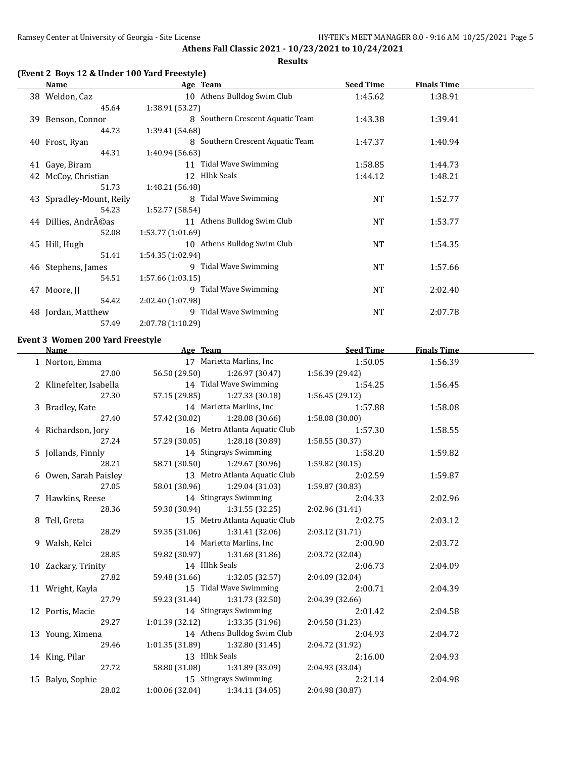#### **Results**

# **(Event 2 Boys 12 & Under 100 Yard Freestyle)**

|    | <b>Name</b>              | Age Team                         | <b>Seed Time</b> | <b>Finals Time</b> |  |
|----|--------------------------|----------------------------------|------------------|--------------------|--|
|    | 38 Weldon, Caz           | 10 Athens Bulldog Swim Club      | 1:45.62          | 1:38.91            |  |
|    | 45.64                    | 1:38.91 (53.27)                  |                  |                    |  |
|    | 39 Benson, Connor        | 8 Southern Crescent Aquatic Team | 1:43.38          | 1:39.41            |  |
|    | 44.73                    | 1:39.41 (54.68)                  |                  |                    |  |
|    | 40 Frost, Ryan           | 8 Southern Crescent Aquatic Team | 1:47.37          | 1:40.94            |  |
|    | 44.31                    | 1:40.94 (56.63)                  |                  |                    |  |
|    | 41 Gaye, Biram           | 11 Tidal Wave Swimming           | 1:58.85          | 1:44.73            |  |
| 42 | McCoy, Christian         | 12 Hlhk Seals                    | 1:44.12          | 1:48.21            |  |
|    | 51.73                    | 1:48.21 (56.48)                  |                  |                    |  |
|    | 43 Spradley-Mount, Reily | 8 Tidal Wave Swimming            | NT               | 1:52.77            |  |
|    | 54.23                    | 1:52.77 (58.54)                  |                  |                    |  |
|    | 44 Dillies, AndrA©as     | 11 Athens Bulldog Swim Club      | <b>NT</b>        | 1:53.77            |  |
|    | 52.08                    | 1:53.77 (1:01.69)                |                  |                    |  |
|    | 45 Hill, Hugh            | 10 Athens Bulldog Swim Club      | NT               | 1:54.35            |  |
|    | 51.41                    | 1:54.35 (1:02.94)                |                  |                    |  |
|    | 46 Stephens, James       | 9 Tidal Wave Swimming            | <b>NT</b>        | 1:57.66            |  |
|    | 54.51                    | 1:57.66(1:03.15)                 |                  |                    |  |
| 47 | Moore, JJ                | 9 Tidal Wave Swimming            | NT               | 2:02.40            |  |
|    | 54.42                    | 2:02.40 (1:07.98)                |                  |                    |  |
|    | 48 Jordan, Matthew       | 9 Tidal Wave Swimming            | <b>NT</b>        | 2:07.78            |  |
|    | 57.49                    | 2:07.78 (1:10.29)                |                  |                    |  |

# **Event 3 Women 200 Yard Freestyle**

| <b>Name</b>             | Age Team                          |                                               | <b>Seed Time</b> | <b>Finals Time</b> |  |
|-------------------------|-----------------------------------|-----------------------------------------------|------------------|--------------------|--|
| 1 Norton, Emma          |                                   | 17 Marietta Marlins, Inc                      | 1:50.05          | 1:56.39            |  |
| 27.00                   |                                   | 56.50 (29.50) 1:26.97 (30.47) 1:56.39 (29.42) |                  |                    |  |
| 2 Klinefelter, Isabella |                                   | 14 Tidal Wave Swimming                        | 1:54.25          | 1:56.45            |  |
| 27.30                   |                                   | 57.15 (29.85) 1:27.33 (30.18)                 | 1:56.45 (29.12)  |                    |  |
| 3 Bradley, Kate         | 14 Marietta Marlins, Inc          |                                               | 1:57.88          | 1:58.08            |  |
| 27.40                   |                                   | 57.42 (30.02) 1:28.08 (30.66)                 | 1:58.08 (30.00)  |                    |  |
| 4 Richardson, Jory      |                                   | 16 Metro Atlanta Aquatic Club                 | 1:57.30          | 1:58.55            |  |
| 27.24                   |                                   | 57.29 (30.05) 1:28.18 (30.89)                 | 1:58.55 (30.37)  |                    |  |
| 5 Jollands, Finnly      |                                   | 14 Stingrays Swimming                         | 1:58.20          | 1:59.82            |  |
| 28.21                   |                                   | 58.71 (30.50) 1:29.67 (30.96)                 | 1:59.82(30.15)   |                    |  |
| 6 Owen, Sarah Paisley   |                                   | 13 Metro Atlanta Aquatic Club                 | 2:02.59          | 1:59.87            |  |
| 27.05                   |                                   | 58.01 (30.96) 1:29.04 (31.03)                 | 1:59.87 (30.83)  |                    |  |
| 7 Hawkins, Reese        |                                   | 14 Stingrays Swimming                         | 2:04.33          | 2:02.96            |  |
| 28.36                   |                                   | 59.30 (30.94) 1:31.55 (32.25)                 | 2:02.96 (31.41)  |                    |  |
| 8 Tell, Greta           |                                   | 15 Metro Atlanta Aquatic Club                 | 2:02.75          | 2:03.12            |  |
| 28.29                   |                                   | 59.35 (31.06) 1:31.41 (32.06)                 | 2:03.12 (31.71)  |                    |  |
| 9 Walsh, Kelci          |                                   | 14 Marietta Marlins, Inc                      | 2:00.90          | 2:03.72            |  |
| 28.85                   |                                   | 59.82 (30.97) 1:31.68 (31.86)                 | 2:03.72 (32.04)  |                    |  |
| 10 Zackary, Trinity     | 14 Hlhk Seals                     |                                               | 2:06.73          | 2:04.09            |  |
| 27.82                   |                                   | 59.48 (31.66) 1:32.05 (32.57)                 | 2:04.09 (32.04)  |                    |  |
| 11 Wright, Kayla        |                                   | 15 Tidal Wave Swimming                        | 2:00.71          | 2:04.39            |  |
| 27.79                   |                                   | 59.23 (31.44) 1:31.73 (32.50)                 | 2:04.39 (32.66)  |                    |  |
| 12 Portis, Macie        |                                   | 14 Stingrays Swimming                         | 2:01.42          | 2:04.58            |  |
| 29.27                   |                                   | $1:01.39$ $(32.12)$ $1:33.35$ $(31.96)$       | 2:04.58(31.23)   |                    |  |
| 13 Young, Ximena        |                                   | 14 Athens Bulldog Swim Club                   | 2:04.93          | 2:04.72            |  |
| 29.46                   |                                   | $1:01.35(31.89)$ $1:32.80(31.45)$             | 2:04.72 (31.92)  |                    |  |
| 14 King, Pilar          | 13 Hlhk Seals                     |                                               | 2:16.00          | 2:04.93            |  |
|                         |                                   | 27.72 58.80 (31.08) 1:31.89 (33.09)           | 2:04.93 (33.04)  |                    |  |
| 15 Balyo, Sophie        |                                   | 15 Stingrays Swimming                         | 2:21.14          | 2:04.98            |  |
| 28.02                   | $1:00.06(32.04)$ $1:34.11(34.05)$ |                                               | 2:04.98 (30.87)  |                    |  |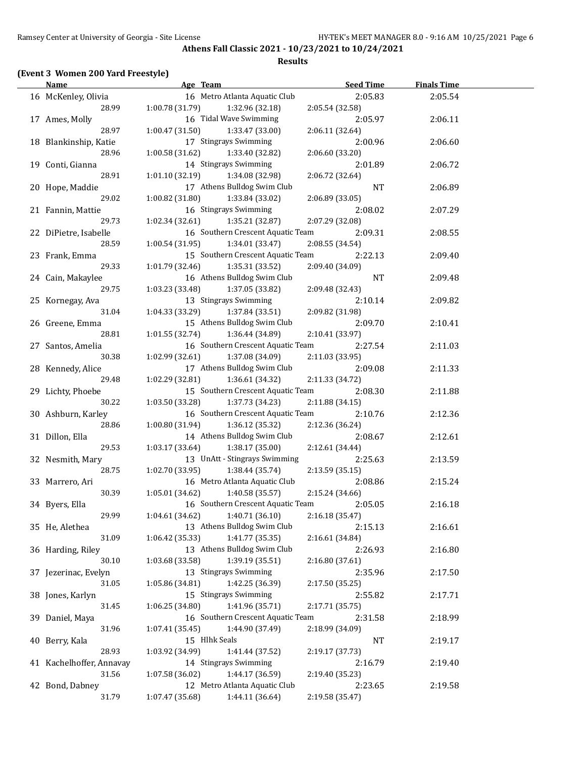### **Results**

# **(Event 3 Women 200 Yard Freestyle)**

| <b>Name</b>              | Age Team                           | <b>Seed Time</b> | <b>Finals Time</b> |  |
|--------------------------|------------------------------------|------------------|--------------------|--|
| 16 McKenley, Olivia      | 16 Metro Atlanta Aquatic Club      | 2:05.83          | 2:05.54            |  |
| 28.99                    | 1:00.78 (31.79)<br>1:32.96 (32.18) | 2:05.54 (32.58)  |                    |  |
| 17 Ames, Molly           | 16 Tidal Wave Swimming             | 2:05.97          | 2:06.11            |  |
| 28.97                    | 1:00.47(31.50)<br>1:33.47 (33.00)  | 2:06.11 (32.64)  |                    |  |
| 18 Blankinship, Katie    | 17 Stingrays Swimming              | 2:00.96          | 2:06.60            |  |
| 28.96                    | 1:00.58(31.62)<br>1:33.40 (32.82)  | 2:06.60 (33.20)  |                    |  |
| 19 Conti, Gianna         | 14 Stingrays Swimming              | 2:01.89          | 2:06.72            |  |
| 28.91                    | 1:01.10(32.19)<br>1:34.08 (32.98)  | 2:06.72 (32.64)  |                    |  |
| 20 Hope, Maddie          | 17 Athens Bulldog Swim Club        | <b>NT</b>        | 2:06.89            |  |
| 29.02                    | 1:00.82(31.80)<br>1:33.84 (33.02)  | 2:06.89 (33.05)  |                    |  |
| 21 Fannin, Mattie        | 16 Stingrays Swimming              | 2:08.02          | 2:07.29            |  |
| 29.73                    | 1:02.34(32.61)<br>1:35.21 (32.87)  | 2:07.29 (32.08)  |                    |  |
| 22 DiPietre, Isabelle    | 16 Southern Crescent Aquatic Team  | 2:09.31          | 2:08.55            |  |
| 28.59                    | 1:00.54(31.95)<br>1:34.01 (33.47)  | 2:08.55 (34.54)  |                    |  |
| 23 Frank, Emma           | 15 Southern Crescent Aquatic Team  | 2:22.13          | 2:09.40            |  |
| 29.33                    | 1:01.79(32.46)<br>1:35.31 (33.52)  | 2:09.40 (34.09)  |                    |  |
| 24 Cain, Makaylee        | 16 Athens Bulldog Swim Club        | <b>NT</b>        | 2:09.48            |  |
| 29.75                    | 1:03.23 (33.48)<br>1:37.05 (33.82) | 2:09.48 (32.43)  |                    |  |
| 25 Kornegay, Ava         | 13 Stingrays Swimming              | 2:10.14          | 2:09.82            |  |
| 31.04                    | 1:04.33(33.29)<br>1:37.84 (33.51)  | 2:09.82 (31.98)  |                    |  |
| 26 Greene, Emma          | 15 Athens Bulldog Swim Club        | 2:09.70          | 2:10.41            |  |
| 28.81                    | 1:01.55(32.74)<br>1:36.44 (34.89)  | 2:10.41 (33.97)  |                    |  |
| 27 Santos, Amelia        | 16 Southern Crescent Aquatic Team  | 2:27.54          | 2:11.03            |  |
| 30.38                    | 1:02.99(32.61)<br>1:37.08 (34.09)  | 2:11.03 (33.95)  |                    |  |
| 28 Kennedy, Alice        | 17 Athens Bulldog Swim Club        | 2:09.08          | 2:11.33            |  |
| 29.48                    | 1:02.29(32.81)<br>1:36.61 (34.32)  | 2:11.33 (34.72)  |                    |  |
| 29 Lichty, Phoebe        | 15 Southern Crescent Aquatic Team  | 2:08.30          | 2:11.88            |  |
| 30.22                    | 1:03.50(33.28)<br>1:37.73 (34.23)  | 2:11.88 (34.15)  |                    |  |
| 30 Ashburn, Karley       | 16 Southern Crescent Aquatic Team  | 2:10.76          | 2:12.36            |  |
| 28.86                    | 1:36.12 (35.32)<br>1:00.80(31.94)  | 2:12.36 (36.24)  |                    |  |
| 31 Dillon, Ella          | 14 Athens Bulldog Swim Club        | 2:08.67          | 2:12.61            |  |
| 29.53                    | 1:03.17(33.64)<br>1:38.17 (35.00)  | 2:12.61 (34.44)  |                    |  |
| 32 Nesmith, Mary         | 13 UnAtt - Stingrays Swimming      | 2:25.63          | 2:13.59            |  |
| 28.75                    | 1:02.70(33.95)<br>1:38.44 (35.74)  | 2:13.59 (35.15)  |                    |  |
| 33 Marrero, Ari          | 16 Metro Atlanta Aquatic Club      | 2:08.86          | 2:15.24            |  |
| 30.39                    | 1:40.58 (35.57)<br>1:05.01(34.62)  | 2:15.24 (34.66)  |                    |  |
| 34 Byers, Ella           | 16 Southern Crescent Aquatic Team  | 2:05.05          | 2:16.18            |  |
| 29.99                    | 1:04.61 (34.62)<br>1:40.71 (36.10) | 2:16.18 (35.47)  |                    |  |
| 35 He, Alethea           | 13 Athens Bulldog Swim Club        | 2:15.13          | 2:16.61            |  |
| 31.09                    | 1:06.42 (35.33)<br>1:41.77 (35.35) | 2:16.61 (34.84)  |                    |  |
|                          | 13 Athens Bulldog Swim Club        | 2:26.93          | 2:16.80            |  |
| 36 Harding, Riley        | 1:39.19 (35.51)<br>1:03.68 (33.58) |                  |                    |  |
| 30.10                    | 13 Stingrays Swimming              | 2:16.80 (37.61)  |                    |  |
| 37 Jezerinac, Evelyn     |                                    | 2:35.96          | 2:17.50            |  |
| 31.05                    | 1:05.86 (34.81)<br>1:42.25 (36.39) | 2:17.50 (35.25)  |                    |  |
| 38 Jones, Karlyn         | 15 Stingrays Swimming              | 2:55.82          | 2:17.71            |  |
| 31.45                    | 1:41.96 (35.71)<br>1:06.25 (34.80) | 2:17.71 (35.75)  |                    |  |
| 39 Daniel, Maya          | 16 Southern Crescent Aquatic Team  | 2:31.58          | 2:18.99            |  |
| 31.96                    | 1:44.90 (37.49)<br>1:07.41 (35.45) | 2:18.99 (34.09)  |                    |  |
| 40 Berry, Kala           | 15 Hlhk Seals                      | <b>NT</b>        | 2:19.17            |  |
| 28.93                    | 1:03.92 (34.99)<br>1:41.44 (37.52) | 2:19.17 (37.73)  |                    |  |
| 41 Kachelhoffer, Annavay | 14 Stingrays Swimming              | 2:16.79          | 2:19.40            |  |
| 31.56                    | 1:44.17 (36.59)<br>1:07.58 (36.02) | 2:19.40 (35.23)  |                    |  |
| 42 Bond, Dabney          | 12 Metro Atlanta Aquatic Club      | 2:23.65          | 2:19.58            |  |
| 31.79                    | 1:07.47 (35.68)<br>1:44.11 (36.64) | 2:19.58 (35.47)  |                    |  |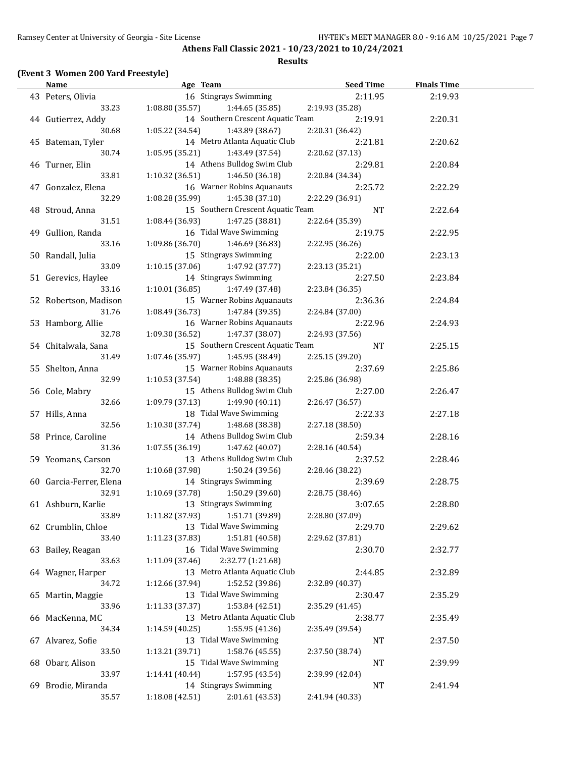**Athens Fall Classic 2021 - 10/23/2021 to 10/24/2021 Results**

# **(Event 3 Women 200 Yard Freestyle)**

| <b>Name</b>             | Age Team                             | <b>Seed Time</b> | <b>Finals Time</b> |  |
|-------------------------|--------------------------------------|------------------|--------------------|--|
| 43 Peters, Olivia       | 16 Stingrays Swimming                | 2:11.95          | 2:19.93            |  |
| 33.23                   | 1:08.80(35.57)<br>1:44.65(35.85)     | 2:19.93 (35.28)  |                    |  |
| 44 Gutierrez, Addy      | 14 Southern Crescent Aquatic Team    | 2:19.91          | 2:20.31            |  |
| 30.68                   | 1:05.22 (34.54)<br>1:43.89 (38.67)   | 2:20.31 (36.42)  |                    |  |
| 45 Bateman, Tyler       | 14 Metro Atlanta Aquatic Club        | 2:21.81          | 2:20.62            |  |
| 30.74                   | 1:05.95 (35.21)<br>1:43.49 (37.54)   | 2:20.62 (37.13)  |                    |  |
| 46 Turner, Elin         | 14 Athens Bulldog Swim Club          | 2:29.81          | 2:20.84            |  |
| 33.81                   | 1:10.32(36.51)<br>1:46.50 (36.18)    | 2:20.84 (34.34)  |                    |  |
| 47 Gonzalez, Elena      | 16 Warner Robins Aquanauts           | 2:25.72          | 2:22.29            |  |
| 32.29                   | 1:08.28 (35.99)<br>1:45.38 (37.10)   | 2:22.29 (36.91)  |                    |  |
| 48 Stroud, Anna         | 15 Southern Crescent Aquatic Team    | NT               | 2:22.64            |  |
| 31.51                   | 1:08.44(36.93)<br>1:47.25 (38.81)    | 2:22.64 (35.39)  |                    |  |
| 49 Gullion, Randa       | 16 Tidal Wave Swimming               | 2:19.75          | 2:22.95            |  |
| 33.16                   | 1:09.86 (36.70)<br>1:46.69 (36.83)   | 2:22.95 (36.26)  |                    |  |
| 50 Randall, Julia       | 15 Stingrays Swimming                | 2:22.00          | 2:23.13            |  |
| 33.09                   | 1:10.15(37.06)<br>1:47.92 (37.77)    | 2:23.13 (35.21)  |                    |  |
| 51 Gerevics, Haylee     | 14 Stingrays Swimming                | 2:27.50          |                    |  |
| 33.16                   | 1:10.01(36.85)<br>1:47.49 (37.48)    | 2:23.84 (36.35)  | 2:23.84            |  |
|                         |                                      |                  |                    |  |
| 52 Robertson, Madison   | 15 Warner Robins Aquanauts           | 2:36.36          | 2:24.84            |  |
| 31.76                   | 1:08.49(36.73)<br>1:47.84 (39.35)    | 2:24.84 (37.00)  |                    |  |
| 53 Hamborg, Allie       | 16 Warner Robins Aquanauts           | 2:22.96          | 2:24.93            |  |
| 32.78                   | 1:09.30(36.52)<br>1:47.37 (38.07)    | 2:24.93 (37.56)  |                    |  |
| 54 Chitalwala, Sana     | 15 Southern Crescent Aquatic Team    | <b>NT</b>        | 2:25.15            |  |
| 31.49                   | 1:07.46(35.97)<br>1:45.95 (38.49)    | 2:25.15 (39.20)  |                    |  |
| 55 Shelton, Anna        | 15 Warner Robins Aquanauts           | 2:37.69          | 2:25.86            |  |
| 32.99                   | 1:10.53(37.54)<br>1:48.88 (38.35)    | 2:25.86 (36.98)  |                    |  |
| 56 Cole, Mabry          | 15 Athens Bulldog Swim Club          | 2:27.00          | 2:26.47            |  |
| 32.66                   | 1:09.79(37.13)<br>1:49.90 (40.11)    | 2:26.47 (36.57)  |                    |  |
| 57 Hills, Anna          | 18 Tidal Wave Swimming               | 2:22.33          | 2:27.18            |  |
| 32.56                   | 1:10.30 (37.74)<br>1:48.68 (38.38)   | 2:27.18 (38.50)  |                    |  |
| 58 Prince, Caroline     | 14 Athens Bulldog Swim Club          | 2:59.34          | 2:28.16            |  |
| 31.36                   | 1:07.55(36.19)<br>1:47.62 (40.07)    | 2:28.16 (40.54)  |                    |  |
| 59 Yeomans, Carson      | 13 Athens Bulldog Swim Club          | 2:37.52          | 2:28.46            |  |
| 32.70                   | 1:10.68 (37.98)<br>1:50.24 (39.56)   | 2:28.46 (38.22)  |                    |  |
| 60 Garcia-Ferrer, Elena | 14 Stingrays Swimming                | 2:39.69          | 2:28.75            |  |
| 32.91                   | 1:50.29 (39.60)<br>1:10.69 (37.78)   | 2:28.75 (38.46)  |                    |  |
| 61 Ashburn, Karlie      | 13 Stingrays Swimming                | 3:07.65          | 2:28.80            |  |
| 33.89                   | 1:11.82 (37.93)<br>1:51.71 (39.89)   | 2:28.80 (37.09)  |                    |  |
| 62 Crumblin, Chloe      | 13 Tidal Wave Swimming               | 2:29.70          | 2:29.62            |  |
| 33.40                   | 1:11.23 (37.83)<br>1:51.81 (40.58)   | 2:29.62 (37.81)  |                    |  |
| 63 Bailey, Reagan       | 16 Tidal Wave Swimming               | 2:30.70          | 2:32.77            |  |
| 33.63                   | 2:32.77 (1:21.68)<br>1:11.09 (37.46) |                  |                    |  |
| 64 Wagner, Harper       | 13 Metro Atlanta Aquatic Club        | 2:44.85          | 2:32.89            |  |
| 34.72                   | 1:52.52 (39.86)<br>1:12.66 (37.94)   | 2:32.89 (40.37)  |                    |  |
| 65 Martin, Maggie       | 13 Tidal Wave Swimming               | 2:30.47          | 2:35.29            |  |
| 33.96                   | 1:53.84 (42.51)<br>1:11.33 (37.37)   | 2:35.29 (41.45)  |                    |  |
| 66 MacKenna, MC         | 13 Metro Atlanta Aquatic Club        | 2:38.77          | 2:35.49            |  |
| 34.34                   | 1:55.95 (41.36)<br>1:14.59 (40.25)   | 2:35.49 (39.54)  |                    |  |
| 67 Alvarez, Sofie       | 13 Tidal Wave Swimming               | $\rm{NT}$        | 2:37.50            |  |
| 33.50                   | 1:58.76 (45.55)<br>1:13.21 (39.71)   | 2:37.50 (38.74)  |                    |  |
| 68 Obarr, Alison        | 15 Tidal Wave Swimming               | NT               | 2:39.99            |  |
| 33.97                   | 1:57.95 (43.54)<br>1:14.41 (40.44)   | 2:39.99 (42.04)  |                    |  |
| 69 Brodie, Miranda      | 14 Stingrays Swimming                | NT               | 2:41.94            |  |
| 35.57                   | 2:01.61 (43.53)<br>1:18.08 (42.51)   | 2:41.94 (40.33)  |                    |  |
|                         |                                      |                  |                    |  |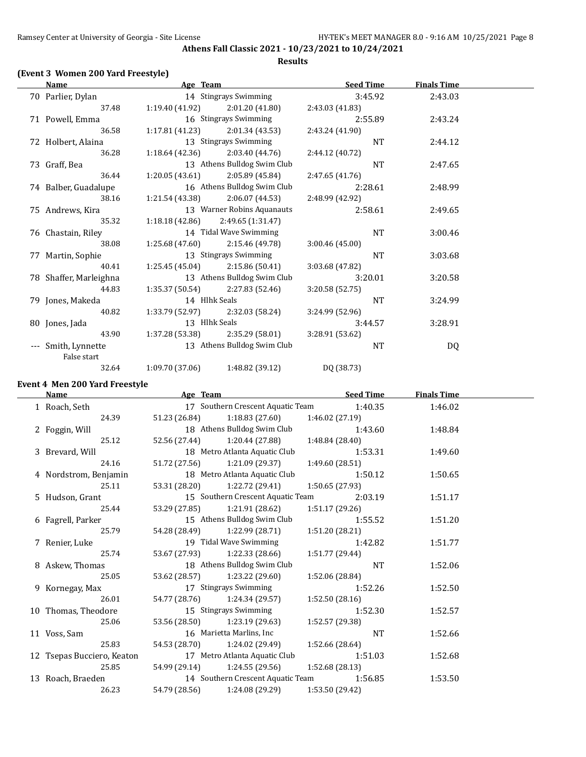**Athens Fall Classic 2021 - 10/23/2021 to 10/24/2021 Results**

# **(Event 3 Women 200 Yard Freestyle)**

| <b>Name</b>            | Age Team        |                             | <b>Seed Time</b> | <b>Finals Time</b> |  |
|------------------------|-----------------|-----------------------------|------------------|--------------------|--|
| 70 Parlier, Dylan      |                 | 14 Stingrays Swimming       | 3:45.92          | 2:43.03            |  |
| 37.48                  | 1:19.40 (41.92) | 2:01.20 (41.80)             | 2:43.03 (41.83)  |                    |  |
| 71 Powell, Emma        |                 | 16 Stingrays Swimming       | 2:55.89          | 2:43.24            |  |
| 36.58                  | 1:17.81 (41.23) | 2:01.34 (43.53)             | 2:43.24 (41.90)  |                    |  |
| 72 Holbert, Alaina     |                 | 13 Stingrays Swimming       | NT               | 2:44.12            |  |
| 36.28                  | 1:18.64 (42.36) | 2:03.40 (44.76)             | 2:44.12 (40.72)  |                    |  |
| 73 Graff, Bea          |                 | 13 Athens Bulldog Swim Club | <b>NT</b>        | 2:47.65            |  |
| 36.44                  | 1:20.05(43.61)  | 2:05.89 (45.84)             | 2:47.65 (41.76)  |                    |  |
| 74 Balber, Guadalupe   |                 | 16 Athens Bulldog Swim Club | 2:28.61          | 2:48.99            |  |
| 38.16                  | 1:21.54 (43.38) | 2:06.07(44.53)              | 2:48.99 (42.92)  |                    |  |
| 75 Andrews, Kira       |                 | 13 Warner Robins Aquanauts  | 2:58.61          | 2:49.65            |  |
| 35.32                  | 1:18.18 (42.86) | 2:49.65(1:31.47)            |                  |                    |  |
| 76 Chastain, Riley     |                 | 14 Tidal Wave Swimming      | <b>NT</b>        | 3:00.46            |  |
| 38.08                  | 1:25.68(47.60)  | 2:15.46 (49.78)             | 3:00.46(45.00)   |                    |  |
| 77 Martin, Sophie      |                 | 13 Stingrays Swimming       | <b>NT</b>        | 3:03.68            |  |
| 40.41                  | 1:25.45 (45.04) | 2:15.86 (50.41)             | 3:03.68 (47.82)  |                    |  |
| 78 Shaffer, Marleighna |                 | 13 Athens Bulldog Swim Club | 3:20.01          | 3:20.58            |  |
| 44.83                  | 1:35.37 (50.54) | 2:27.83 (52.46)             | 3:20.58 (52.75)  |                    |  |
| 79 Jones, Makeda       |                 | 14 Hlhk Seals               | <b>NT</b>        | 3:24.99            |  |
| 40.82                  | 1:33.79 (52.97) | 2:32.03 (58.24)             | 3:24.99 (52.96)  |                    |  |
| 80 Jones, Jada         |                 | 13 Hlhk Seals               | 3:44.57          | 3:28.91            |  |
| 43.90                  | 1:37.28 (53.38) | 2:35.29 (58.01)             | 3:28.91 (53.62)  |                    |  |
| Smith, Lynnette        |                 | 13 Athens Bulldog Swim Club | NT               | DQ                 |  |
| False start            |                 |                             |                  |                    |  |
| 32.64                  | 1:09.70 (37.06) | 1:48.82 (39.12)             | DQ (38.73)       |                    |  |

# **Event 4 Men 200 Yard Freestyle**

| <b>Name</b>                | Age Team |                                   | <b>Seed Time</b>                          | <b>Finals Time</b> |  |
|----------------------------|----------|-----------------------------------|-------------------------------------------|--------------------|--|
| 1 Roach, Seth              |          |                                   | 17 Southern Crescent Aquatic Team 1:40.35 | 1:46.02            |  |
| 24.39                      |          | 51.23 (26.84) 1:18.83 (27.60)     | 1:46.02 (27.19)                           |                    |  |
| 2 Foggin, Will             |          | 18 Athens Bulldog Swim Club       | 1:43.60                                   | 1:48.84            |  |
| 25.12                      |          | 52.56 (27.44) 1:20.44 (27.88)     | 1:48.84 (28.40)                           |                    |  |
| 3 Brevard, Will            |          | 18 Metro Atlanta Aquatic Club     | 1:53.31                                   | 1:49.60            |  |
| 24.16                      |          | 51.72 (27.56) 1:21.09 (29.37)     | 1:49.60(28.51)                            |                    |  |
| 4 Nordstrom, Benjamin      |          | 18 Metro Atlanta Aquatic Club     | 1:50.12                                   | 1:50.65            |  |
| 25.11                      |          | 53.31 (28.20) 1:22.72 (29.41)     | 1:50.65(27.93)                            |                    |  |
| 5 Hudson, Grant            |          | 15 Southern Crescent Aquatic Team | 2:03.19                                   | 1:51.17            |  |
| 25.44                      |          | 53.29 (27.85) 1:21.91 (28.62)     | 1:51.17(29.26)                            |                    |  |
| 6 Fagrell, Parker          |          | 15 Athens Bulldog Swim Club       | 1:55.52                                   | 1:51.20            |  |
| 25.79                      |          | 54.28 (28.49) 1:22.99 (28.71)     | 1:51.20(28.21)                            |                    |  |
| 7 Renier, Luke             |          | 19 Tidal Wave Swimming            | 1:42.82                                   | 1:51.77            |  |
| 25.74                      |          | 53.67 (27.93) 1:22.33 (28.66)     | 1:51.77 (29.44)                           |                    |  |
| 8 Askew, Thomas            |          | 18 Athens Bulldog Swim Club       | <b>NT</b>                                 | 1:52.06            |  |
| 25.05                      |          | 53.62 (28.57) 1:23.22 (29.60)     | 1:52.06 (28.84)                           |                    |  |
| 9 Kornegay, Max            |          | 17 Stingrays Swimming             | 1:52.26                                   | 1:52.50            |  |
| 26.01                      |          | 54.77 (28.76) 1:24.34 (29.57)     | 1:52.50(28.16)                            |                    |  |
| 10 Thomas, Theodore        |          | 15 Stingrays Swimming             | 1:52.30                                   | 1:52.57            |  |
| 25.06                      |          | 53.56 (28.50) 1:23.19 (29.63)     | 1:52.57 (29.38)                           |                    |  |
| 11 Voss, Sam               |          | 16 Marietta Marlins, Inc          | <b>NT</b>                                 | 1:52.66            |  |
| 25.83                      |          | 54.53 (28.70) 1:24.02 (29.49)     | 1:52.66 (28.64)                           |                    |  |
| 12 Tsepas Bucciero, Keaton |          | 17 Metro Atlanta Aquatic Club     | 1:51.03                                   | 1:52.68            |  |
| 25.85                      |          | 54.99 (29.14) 1:24.55 (29.56)     | 1:52.68(28.13)                            |                    |  |
| 13 Roach, Braeden          |          | 14 Southern Crescent Aquatic Team | 1:56.85                                   | 1:53.50            |  |
| 26.23                      |          | 54.79 (28.56) 1:24.08 (29.29)     | 1:53.50 (29.42)                           |                    |  |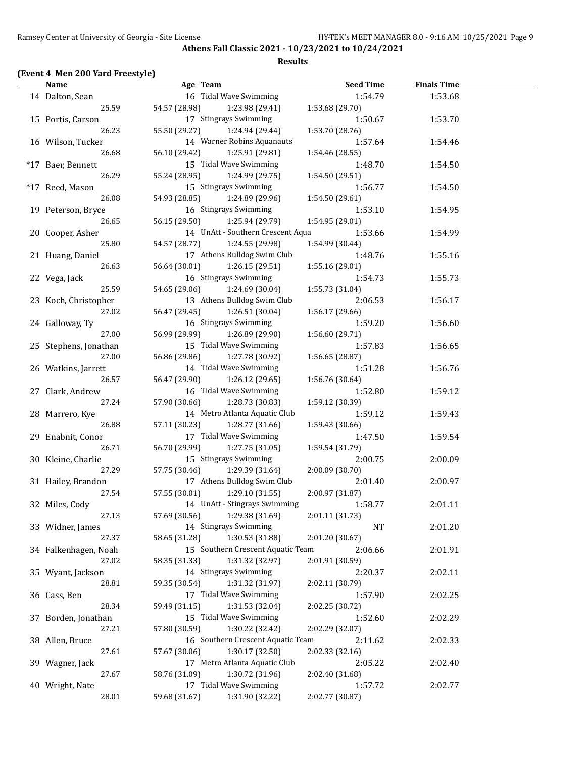### **Results**

# **(Event 4 Men 200 Yard Freestyle)**

| <b>Name</b>           | Age Team                          | <b>Seed Time</b> | <b>Finals Time</b> |  |
|-----------------------|-----------------------------------|------------------|--------------------|--|
| 14 Dalton, Sean       | 16 Tidal Wave Swimming            | 1:54.79          | 1:53.68            |  |
| 25.59                 | 54.57 (28.98)<br>1:23.98 (29.41)  | 1:53.68 (29.70)  |                    |  |
| 15 Portis, Carson     | 17 Stingrays Swimming             | 1:50.67          | 1:53.70            |  |
| 26.23                 | 55.50 (29.27)<br>1:24.94 (29.44)  | 1:53.70 (28.76)  |                    |  |
| 16 Wilson, Tucker     | 14 Warner Robins Aquanauts        | 1:57.64          | 1:54.46            |  |
| 26.68                 | 56.10 (29.42)<br>1:25.91 (29.81)  | 1:54.46 (28.55)  |                    |  |
| *17 Baer, Bennett     | 15 Tidal Wave Swimming            | 1:48.70          | 1:54.50            |  |
| 26.29                 | 55.24 (28.95)<br>1:24.99 (29.75)  | 1:54.50 (29.51)  |                    |  |
| *17 Reed, Mason       | 15 Stingrays Swimming             | 1:56.77          | 1:54.50            |  |
| 26.08                 | 54.93 (28.85)<br>1:24.89 (29.96)  | 1:54.50 (29.61)  |                    |  |
|                       | 16 Stingrays Swimming             |                  |                    |  |
| 19 Peterson, Bryce    |                                   | 1:53.10          | 1:54.95            |  |
| 26.65                 | 56.15 (29.50)<br>1:25.94 (29.79)  | 1:54.95 (29.01)  |                    |  |
| 20 Cooper, Asher      | 14 UnAtt - Southern Crescent Aqua | 1:53.66          | 1:54.99            |  |
| 25.80                 | 54.57 (28.77)<br>1:24.55 (29.98)  | 1:54.99 (30.44)  |                    |  |
| 21 Huang, Daniel      | 17 Athens Bulldog Swim Club       | 1:48.76          | 1:55.16            |  |
| 26.63                 | 56.64 (30.01)<br>1:26.15 (29.51)  | 1:55.16 (29.01)  |                    |  |
| 22 Vega, Jack         | 16 Stingrays Swimming             | 1:54.73          | 1:55.73            |  |
| 25.59                 | 54.65 (29.06)<br>1:24.69 (30.04)  | 1:55.73 (31.04)  |                    |  |
| 23 Koch, Christopher  | 13 Athens Bulldog Swim Club       | 2:06.53          | 1:56.17            |  |
| 27.02                 | 1:26.51 (30.04)<br>56.47 (29.45)  | 1:56.17 (29.66)  |                    |  |
| 24 Galloway, Ty       | 16 Stingrays Swimming             | 1:59.20          | 1:56.60            |  |
| 27.00                 | 56.99 (29.99)<br>1:26.89 (29.90)  | 1:56.60 (29.71)  |                    |  |
| 25 Stephens, Jonathan | 15 Tidal Wave Swimming            | 1:57.83          | 1:56.65            |  |
| 27.00                 | 56.86 (29.86)<br>1:27.78 (30.92)  | 1:56.65 (28.87)  |                    |  |
| 26 Watkins, Jarrett   | 14 Tidal Wave Swimming            | 1:51.28          | 1:56.76            |  |
| 26.57                 | 56.47 (29.90)<br>1:26.12 (29.65)  | 1:56.76 (30.64)  |                    |  |
| 27 Clark, Andrew      | 16 Tidal Wave Swimming            | 1:52.80          | 1:59.12            |  |
| 27.24                 | 1:28.73 (30.83)<br>57.90 (30.66)  | 1:59.12 (30.39)  |                    |  |
| 28 Marrero, Kye       | 14 Metro Atlanta Aquatic Club     | 1:59.12          | 1:59.43            |  |
| 26.88                 | 57.11 (30.23)<br>1:28.77 (31.66)  | 1:59.43 (30.66)  |                    |  |
| 29 Enabnit, Conor     | 17 Tidal Wave Swimming            | 1:47.50          | 1:59.54            |  |
| 26.71                 | 1:27.75 (31.05)<br>56.70 (29.99)  | 1:59.54 (31.79)  |                    |  |
| 30 Kleine, Charlie    | 15 Stingrays Swimming             | 2:00.75          | 2:00.09            |  |
| 27.29                 | 57.75 (30.46)<br>1:29.39 (31.64)  | 2:00.09 (30.70)  |                    |  |
| 31 Hailey, Brandon    | 17 Athens Bulldog Swim Club       | 2:01.40          | 2:00.97            |  |
| 27.54                 | 1:29.10 (31.55)<br>57.55 (30.01)  | 2:00.97 (31.87)  |                    |  |
| 32 Miles, Cody        | 14 UnAtt - Stingrays Swimming     | 1:58.77          | 2:01.11            |  |
| 27.13                 | 57.69 (30.56)<br>1:29.38 (31.69)  | 2:01.11 (31.73)  |                    |  |
| 33 Widner, James      | 14 Stingrays Swimming             | <b>NT</b>        | 2:01.20            |  |
| 27.37                 | 1:30.53 (31.88)<br>58.65 (31.28)  | 2:01.20 (30.67)  |                    |  |
| 34 Falkenhagen, Noah  | 15 Southern Crescent Aquatic Team | 2:06.66          | 2:01.91            |  |
| 27.02                 | 58.35 (31.33)<br>1:31.32 (32.97)  | 2:01.91 (30.59)  |                    |  |
| 35 Wyant, Jackson     | 14 Stingrays Swimming             | 2:20.37          | 2:02.11            |  |
| 28.81                 | 1:31.32 (31.97)<br>59.35 (30.54)  | 2:02.11 (30.79)  |                    |  |
| 36 Cass, Ben          | 17 Tidal Wave Swimming            | 1:57.90          | 2:02.25            |  |
| 28.34                 | 59.49 (31.15)<br>1:31.53 (32.04)  | 2:02.25 (30.72)  |                    |  |
| 37 Borden, Jonathan   | 15 Tidal Wave Swimming            | 1:52.60          | 2:02.29            |  |
| 27.21                 | 57.80 (30.59)<br>1:30.22 (32.42)  | 2:02.29 (32.07)  |                    |  |
| 38 Allen, Bruce       | 16 Southern Crescent Aquatic Team | 2:11.62          | 2:02.33            |  |
| 27.61                 | 1:30.17 (32.50)<br>57.67 (30.06)  | 2:02.33 (32.16)  |                    |  |
| 39 Wagner, Jack       | 17 Metro Atlanta Aquatic Club     | 2:05.22          | 2:02.40            |  |
| 27.67                 | 1:30.72 (31.96)<br>58.76 (31.09)  | 2:02.40 (31.68)  |                    |  |
| 40 Wright, Nate       | 17 Tidal Wave Swimming            | 1:57.72          | 2:02.77            |  |
| 28.01                 | 59.68 (31.67)<br>1:31.90 (32.22)  |                  |                    |  |
|                       |                                   | 2:02.77 (30.87)  |                    |  |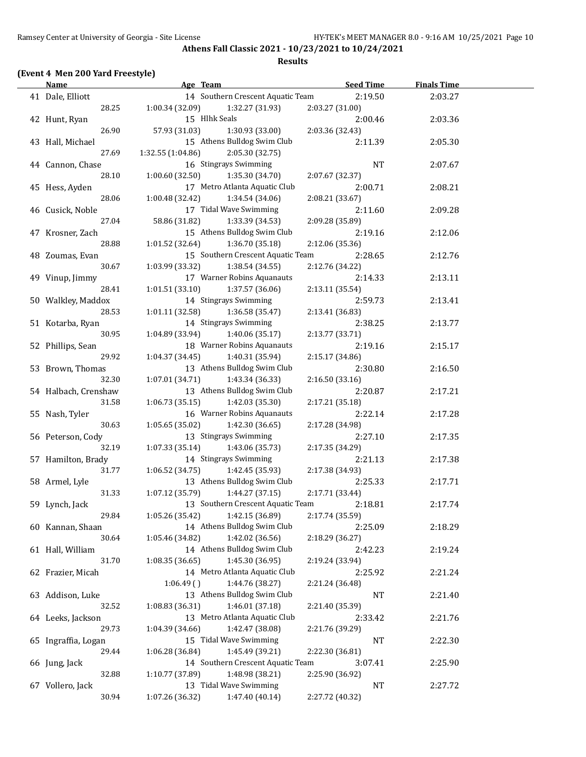**Athens Fall Classic 2021 - 10/23/2021 to 10/24/2021 Results**

#### **(Event 4 Men 200 Yard Freestyle)**

### **Age Team Age Commentary <b>Seed Time Finals Time** 41 Dale, Elliott 14 Southern Crescent Aquatic Team 2:19.50 2:03.27 28.25 1:00.34 (32.09) 1:32.27 (31.93) 2:03.27 (31.00) 42 Hunt, Ryan 15 Hlhk Seals 2:00.46 2:03.36 26.90 57.93 (31.03) 1:30.93 (33.00) 2:03.36 (32.43) 43 Hall, Michael 15 Athens Bulldog Swim Club 2:11.39 2:05.30 27.69 1:32.55 (1:04.86) 2:05.30 (32.75) 44 Cannon, Chase 2:07.67 and 16 Stingrays Swimming 2:07.67 and NT 2:07.67 28.10 1:00.60 (32.50) 1:35.30 (34.70) 2:07.67 (32.37) 45 Hess, Ayden 17 Metro Atlanta Aquatic Club 2:00.71 2:08.21 28.06 1:00.48 (32.42) 1:34.54 (34.06) 2:08.21 (33.67) 46 Cusick, Noble 17 Tidal Wave Swimming 2:11.60 2:09.28 27.04 58.86 (31.82) 1:33.39 (34.53) 2:09.28 (35.89) 47 Krosner, Zach 15 Athens Bulldog Swim Club 2:19.16 2:12.06 28.88 1:01.52 (32.64) 1:36.70 (35.18) 2:12.06 (35.36) 48 Zoumas, Evan 15 Southern Crescent Aquatic Team 2:28.65 2:12.76 30.67 1:03.99 (33.32) 1:38.54 (34.55) 2:12.76 (34.22) 49 Vinup, Jimmy 17 Warner Robins Aquanauts 2:14.33 2:13.11 28.41 1:01.51 (33.10) 1:37.57 (36.06) 2:13.11 (35.54) 50 Walkley, Maddox 14 Stingrays Swimming 2:59.73 2:13.41 28.53 1:01.11 (32.58) 1:36.58 (35.47) 2:13.41 (36.83) 51 Kotarba, Ryan 14 Stingrays Swimming 2:38.25 2:13.77 30.95 1:04.89 (33.94) 1:40.06 (35.17) 2:13.77 (33.71) 52 Phillips, Sean 18 Warner Robins Aquanauts 2:19.16 2:15.17 29.92 1:04.37 (34.45) 1:40.31 (35.94) 2:15.17 (34.86) 53 Brown, Thomas 13 Athens Bulldog Swim Club 2:30.80 2:16.50 32.30 1:07.01 (34.71) 1:43.34 (36.33) 2:16.50 (33.16) 54 Halbach, Crenshaw 13 Athens Bulldog Swim Club 2:20.87 2:17.21 31.58 1:06.73 (35.15) 1:42.03 (35.30) 2:17.21 (35.18) 55 Nash, Tyler 16 Warner Robins Aquanauts 2:22.14 2:17.28 30.63 1:05.65 (35.02) 1:42.30 (36.65) 2:17.28 (34.98) 56 Peterson, Cody 13 Stingrays Swimming 2:27.10 2:17.35 32.19 1:07.33 (35.14) 1:43.06 (35.73) 2:17.35 (34.29) 57 Hamilton, Brady 14 Stingrays Swimming 2:21.13 2:17.38 31.77 1:06.52 (34.75) 1:42.45 (35.93) 2:17.38 (34.93) 58 Armel, Lyle 13 Athens Bulldog Swim Club 2:25.33 2:17.71 31.33 1:07.12 (35.79) 1:44.27 (37.15) 2:17.71 (33.44) 59 Lynch, Jack 13 Southern Crescent Aquatic Team 2:18.81 2:17.74 29.84 1:05.26 (35.42) 1:42.15 (36.89) 2:17.74 (35.59) 60 Kannan, Shaan 14 Athens Bulldog Swim Club 2:25.09 2:18.29 30.64 1:05.46 (34.82) 1:42.02 (36.56) 2:18.29 (36.27) 61 Hall, William 14 Athens Bulldog Swim Club 2:42.23 2:19.24 31.70 1:08.35 (36.65) 1:45.30 (36.95) 2:19.24 (33.94) 62 Frazier, Micah 14 Metro Atlanta Aquatic Club 2:25.92 2:21.24 1:06.49 ( ) 1:44.76 (38.27) 2:21.24 (36.48) 63 Addison, Luke 13 Athens Bulldog Swim Club NT 2:21.40 32.52 1:08.83 (36.31) 1:46.01 (37.18) 2:21.40 (35.39) 64 Leeks, Jackson 13 Metro Atlanta Aquatic Club 2:33.42 2:21.76 29.73 1:04.39 (34.66) 1:42.47 (38.08) 2:21.76 (39.29) 65 Ingraffia, Logan 15 Tidal Wave Swimming 15 NT 2:22.30 29.44 1:06.28 (36.84) 1:45.49 (39.21) 2:22.30 (36.81) 66 Jung, Jack 14 Southern Crescent Aquatic Team 3:07.41 2:25.90 32.88 1:10.77 (37.89) 1:48.98 (38.21) 2:25.90 (36.92) 67 Vollero, Jack 13 Tidal Wave Swimming NT 2:27.72 30.94 1:07.26 (36.32) 1:47.40 (40.14) 2:27.72 (40.32)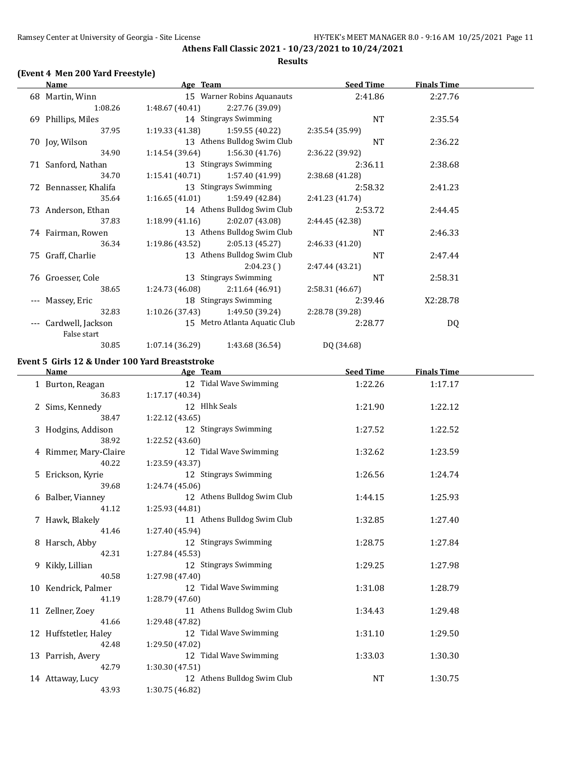**Athens Fall Classic 2021 - 10/23/2021 to 10/24/2021 Results**

# **(Event 4 Men 200 Yard Freestyle)**

| Name                       |                 |                 | <b>Seed Time</b>                                                                                                                                                                                                                                                                                                                                   | <u>Finals Time</u> |  |
|----------------------------|-----------------|-----------------|----------------------------------------------------------------------------------------------------------------------------------------------------------------------------------------------------------------------------------------------------------------------------------------------------------------------------------------------------|--------------------|--|
| 68 Martin, Winn            |                 |                 | 2:41.86                                                                                                                                                                                                                                                                                                                                            | 2:27.76            |  |
| 1:08.26                    | 1:48.67(40.41)  | 2:27.76 (39.09) |                                                                                                                                                                                                                                                                                                                                                    |                    |  |
| 69 Phillips, Miles         |                 |                 | NT                                                                                                                                                                                                                                                                                                                                                 | 2:35.54            |  |
| 37.95                      | 1:19.33(41.38)  | 1:59.55(40.22)  | 2:35.54 (35.99)                                                                                                                                                                                                                                                                                                                                    |                    |  |
| 70 Joy, Wilson             |                 |                 | <b>NT</b>                                                                                                                                                                                                                                                                                                                                          | 2:36.22            |  |
| 34.90                      | 1:14.54(39.64)  | 1:56.30(41.76)  | 2:36.22 (39.92)                                                                                                                                                                                                                                                                                                                                    |                    |  |
| 71 Sanford, Nathan         |                 |                 | 2:36.11                                                                                                                                                                                                                                                                                                                                            | 2:38.68            |  |
| 34.70                      | 1:15.41(40.71)  | 1:57.40 (41.99) | 2:38.68 (41.28)                                                                                                                                                                                                                                                                                                                                    |                    |  |
| 72 Bennasser, Khalifa      |                 |                 | 2:58.32                                                                                                                                                                                                                                                                                                                                            | 2:41.23            |  |
| 35.64                      |                 | 1:59.49 (42.84) | 2:41.23 (41.74)                                                                                                                                                                                                                                                                                                                                    |                    |  |
| 73 Anderson, Ethan         |                 |                 | 2:53.72                                                                                                                                                                                                                                                                                                                                            | 2:44.45            |  |
| 37.83                      | 1:18.99(41.16)  | 2:02.07 (43.08) | 2:44.45 (42.38)                                                                                                                                                                                                                                                                                                                                    |                    |  |
| 74 Fairman, Rowen          |                 |                 | NT                                                                                                                                                                                                                                                                                                                                                 | 2:46.33            |  |
| 36.34                      | 1:19.86(43.52)  | 2:05.13(45.27)  | 2:46.33(41.20)                                                                                                                                                                                                                                                                                                                                     |                    |  |
| 75 Graff, Charlie          |                 |                 | <b>NT</b>                                                                                                                                                                                                                                                                                                                                          | 2:47.44            |  |
|                            |                 | 2:04.23()       | 2:47.44 (43.21)                                                                                                                                                                                                                                                                                                                                    |                    |  |
| 76 Groesser, Cole          |                 |                 | NT                                                                                                                                                                                                                                                                                                                                                 | 2:58.31            |  |
| 38.65                      | 1:24.73 (46.08) | 2:11.64 (46.91) | 2:58.31 (46.67)                                                                                                                                                                                                                                                                                                                                    |                    |  |
| Massey, Eric               |                 |                 | 2:39.46                                                                                                                                                                                                                                                                                                                                            | X2:28.78           |  |
| 32.83                      | 1:10.26(37.43)  | 1:49.50 (39.24) | 2:28.78 (39.28)                                                                                                                                                                                                                                                                                                                                    |                    |  |
| Cardwell, Jackson<br>$---$ |                 |                 | 2:28.77                                                                                                                                                                                                                                                                                                                                            | DQ                 |  |
| False start                |                 |                 |                                                                                                                                                                                                                                                                                                                                                    |                    |  |
| 30.85                      | 1:07.14 (36.29) | 1:43.68 (36.54) | DQ (34.68)                                                                                                                                                                                                                                                                                                                                         |                    |  |
|                            |                 |                 | Age Team<br>15 Warner Robins Aquanauts<br>14 Stingrays Swimming<br>13 Athens Bulldog Swim Club<br>13 Stingrays Swimming<br>13 Stingrays Swimming<br>1:16.65(41.01)<br>14 Athens Bulldog Swim Club<br>13 Athens Bulldog Swim Club<br>13 Athens Bulldog Swim Club<br>13 Stingrays Swimming<br>18 Stingrays Swimming<br>15 Metro Atlanta Aquatic Club |                    |  |

# **Event 5 Girls 12 & Under 100 Yard Breaststroke**

| Name                  | Age Team                    | <b>Seed Time</b> | <b>Finals Time</b> |  |
|-----------------------|-----------------------------|------------------|--------------------|--|
| 1 Burton, Reagan      | 12 Tidal Wave Swimming      | 1:22.26          | 1:17.17            |  |
| 36.83                 | 1:17.17(40.34)              |                  |                    |  |
| 2 Sims, Kennedy       | 12 Hlhk Seals               | 1:21.90          | 1:22.12            |  |
| 38.47                 | 1:22.12(43.65)              |                  |                    |  |
| 3 Hodgins, Addison    | 12 Stingrays Swimming       | 1:27.52          | 1:22.52            |  |
| 38.92                 | 1:22.52 (43.60)             |                  |                    |  |
| 4 Rimmer, Mary-Claire | 12 Tidal Wave Swimming      | 1:32.62          | 1:23.59            |  |
| 40.22                 | 1:23.59 (43.37)             |                  |                    |  |
| 5 Erickson, Kyrie     | 12 Stingrays Swimming       | 1:26.56          | 1:24.74            |  |
| 39.68                 | 1:24.74 (45.06)             |                  |                    |  |
| 6 Balber, Vianney     | 12 Athens Bulldog Swim Club | 1:44.15          | 1:25.93            |  |
| 41.12                 | 1:25.93 (44.81)             |                  |                    |  |
| 7 Hawk, Blakely       | 11 Athens Bulldog Swim Club | 1:32.85          | 1:27.40            |  |
| 41.46                 | 1:27.40 (45.94)             |                  |                    |  |
| 8 Harsch, Abby        | 12 Stingrays Swimming       | 1:28.75          | 1:27.84            |  |
| 42.31                 | 1:27.84 (45.53)             |                  |                    |  |
| 9 Kikly, Lillian      | 12 Stingrays Swimming       | 1:29.25          | 1:27.98            |  |
| 40.58                 | 1:27.98 (47.40)             |                  |                    |  |
| 10 Kendrick, Palmer   | 12 Tidal Wave Swimming      | 1:31.08          | 1:28.79            |  |
| 41.19                 | 1:28.79 (47.60)             |                  |                    |  |
| 11 Zellner, Zoey      | 11 Athens Bulldog Swim Club | 1:34.43          | 1:29.48            |  |
| 41.66                 | 1:29.48 (47.82)             |                  |                    |  |
| 12 Huffstetler, Haley | 12 Tidal Wave Swimming      | 1:31.10          | 1:29.50            |  |
| 42.48                 | 1:29.50 (47.02)             |                  |                    |  |
| 13 Parrish, Avery     | 12 Tidal Wave Swimming      | 1:33.03          | 1:30.30            |  |
| 42.79                 | 1:30.30(47.51)              |                  |                    |  |
| 14 Attaway, Lucy      | 12 Athens Bulldog Swim Club | NT               | 1:30.75            |  |
| 43.93                 | 1:30.75 (46.82)             |                  |                    |  |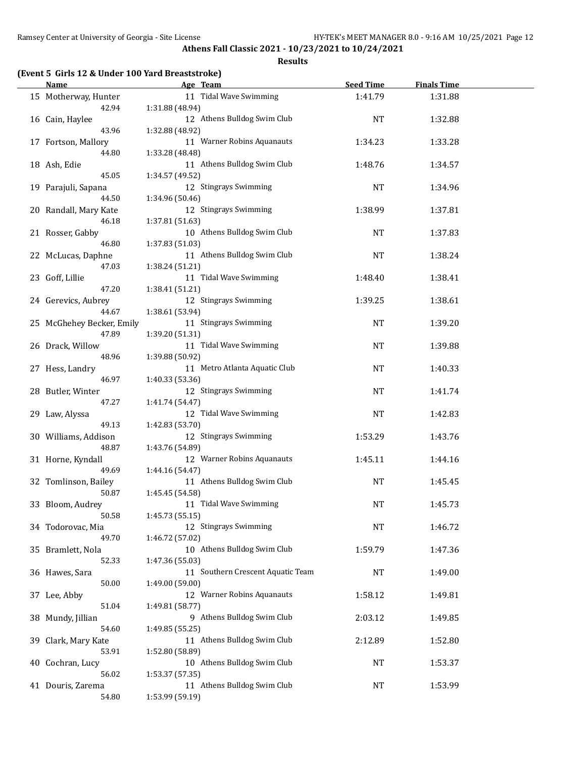#### **Results**

# **(Event 5 Girls 12 & Under 100 Yard Breaststroke)**

| Name                      | Age Team                                       | <b>Seed Time</b> | <b>Finals Time</b> |  |
|---------------------------|------------------------------------------------|------------------|--------------------|--|
| 15 Motherway, Hunter      | 11 Tidal Wave Swimming                         | 1:41.79          | 1:31.88            |  |
| 42.94                     | 1:31.88 (48.94)                                |                  |                    |  |
| 16 Cain, Haylee           | 12 Athens Bulldog Swim Club                    | <b>NT</b>        | 1:32.88            |  |
| 43.96                     | 1:32.88 (48.92)                                |                  |                    |  |
| 17 Fortson, Mallory       | 11 Warner Robins Aquanauts                     | 1:34.23          | 1:33.28            |  |
| 44.80                     | 1:33.28 (48.48)                                |                  |                    |  |
| 18 Ash, Edie              | 11 Athens Bulldog Swim Club                    | 1:48.76          | 1:34.57            |  |
| 45.05                     | 1:34.57 (49.52)                                |                  |                    |  |
| 19 Parajuli, Sapana       | 12 Stingrays Swimming                          | <b>NT</b>        | 1:34.96            |  |
| 44.50                     | 1:34.96 (50.46)                                |                  |                    |  |
|                           |                                                |                  |                    |  |
| 20 Randall, Mary Kate     | 12 Stingrays Swimming                          | 1:38.99          | 1:37.81            |  |
| 46.18                     | 1:37.81 (51.63)                                |                  |                    |  |
| 21 Rosser, Gabby          | 10 Athens Bulldog Swim Club                    | NT               | 1:37.83            |  |
| 46.80                     | 1:37.83 (51.03)                                |                  |                    |  |
| 22 McLucas, Daphne        | 11 Athens Bulldog Swim Club                    | NT               | 1:38.24            |  |
| 47.03                     | 1:38.24 (51.21)                                |                  |                    |  |
| 23 Goff, Lillie           | 11 Tidal Wave Swimming                         | 1:48.40          | 1:38.41            |  |
| 47.20                     | 1:38.41 (51.21)                                |                  |                    |  |
| 24 Gerevics, Aubrey       | 12 Stingrays Swimming                          | 1:39.25          | 1:38.61            |  |
| 44.67                     | 1:38.61 (53.94)                                |                  |                    |  |
| 25 McGhehey Becker, Emily | 11 Stingrays Swimming                          | <b>NT</b>        | 1:39.20            |  |
| 47.89                     | 1:39.20 (51.31)                                |                  |                    |  |
| 26 Drack, Willow          | 11 Tidal Wave Swimming                         | <b>NT</b>        | 1:39.88            |  |
| 48.96                     | 1:39.88 (50.92)                                |                  |                    |  |
| 27 Hess, Landry           | 11 Metro Atlanta Aquatic Club                  | NT               | 1:40.33            |  |
| 46.97                     | 1:40.33 (53.36)                                |                  |                    |  |
| 28 Butler, Winter         | 12 Stingrays Swimming                          | <b>NT</b>        | 1:41.74            |  |
| 47.27                     | 1:41.74 (54.47)                                |                  |                    |  |
| 29 Law, Alyssa            | 12 Tidal Wave Swimming                         | <b>NT</b>        | 1:42.83            |  |
| 49.13                     | 1:42.83 (53.70)                                |                  |                    |  |
| 30 Williams, Addison      | 12 Stingrays Swimming                          | 1:53.29          | 1:43.76            |  |
| 48.87                     | 1:43.76 (54.89)                                |                  |                    |  |
| 31 Horne, Kyndall         | 12 Warner Robins Aquanauts                     | 1:45.11          | 1:44.16            |  |
| 49.69                     | 1:44.16 (54.47)                                |                  |                    |  |
| 32 Tomlinson, Bailey      | 11 Athens Bulldog Swim Club                    | NT               | 1:45.45            |  |
| 50.87                     | 1:45.45 (54.58)                                |                  |                    |  |
| 33 Bloom, Audrey          | 11 Tidal Wave Swimming                         | NT               |                    |  |
| 50.58                     | 1:45.73 (55.15)                                |                  | 1:45.73            |  |
| 34 Todorovac, Mia         | 12 Stingrays Swimming                          | <b>NT</b>        | 1:46.72            |  |
| 49.70                     |                                                |                  |                    |  |
|                           | 1:46.72 (57.02)<br>10 Athens Bulldog Swim Club |                  |                    |  |
| 35 Bramlett, Nola         |                                                | 1:59.79          | 1:47.36            |  |
| 52.33                     | 1:47.36 (55.03)                                |                  |                    |  |
| 36 Hawes, Sara            | 11 Southern Crescent Aquatic Team              | NT               | 1:49.00            |  |
| 50.00                     | 1:49.00 (59.00)                                |                  |                    |  |
| 37 Lee, Abby              | 12 Warner Robins Aquanauts                     | 1:58.12          | 1:49.81            |  |
| 51.04                     | 1:49.81 (58.77)                                |                  |                    |  |
| 38 Mundy, Jillian         | 9 Athens Bulldog Swim Club                     | 2:03.12          | 1:49.85            |  |
| 54.60                     | 1:49.85 (55.25)                                |                  |                    |  |
| 39 Clark, Mary Kate       | 11 Athens Bulldog Swim Club                    | 2:12.89          | 1:52.80            |  |
| 53.91                     | 1:52.80 (58.89)                                |                  |                    |  |
| 40 Cochran, Lucy          | 10 Athens Bulldog Swim Club                    | NT               | 1:53.37            |  |
| 56.02                     | 1:53.37 (57.35)                                |                  |                    |  |
| 41 Douris, Zarema         | 11 Athens Bulldog Swim Club                    | NT               | 1:53.99            |  |
| 54.80                     | 1:53.99 (59.19)                                |                  |                    |  |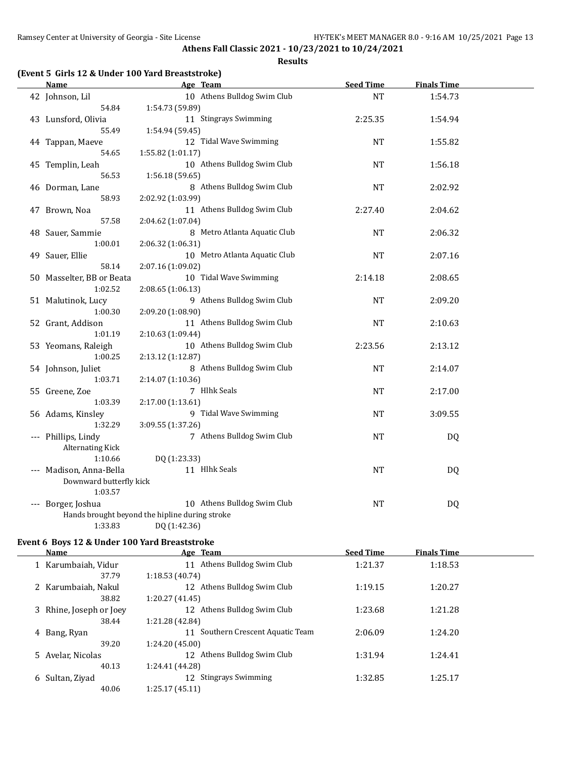#### **Results**

# **(Event 5 Girls 12 & Under 100 Yard Breaststroke)**

| <b>Name</b>                   | Age Team                                         | <b>Seed Time</b> | <b>Finals Time</b> |  |
|-------------------------------|--------------------------------------------------|------------------|--------------------|--|
| 42 Johnson, Lil               | 10 Athens Bulldog Swim Club                      | <b>NT</b>        | 1:54.73            |  |
| 54.84                         | 1:54.73 (59.89)                                  |                  |                    |  |
| 43 Lunsford, Olivia           | 11 Stingrays Swimming                            | 2:25.35          | 1:54.94            |  |
| 55.49                         | 1:54.94 (59.45)                                  |                  |                    |  |
| 44 Tappan, Maeve              | 12 Tidal Wave Swimming                           | <b>NT</b>        | 1:55.82            |  |
| 54.65                         | 1:55.82 (1:01.17)                                |                  |                    |  |
| 45 Templin, Leah              | 10 Athens Bulldog Swim Club                      | <b>NT</b>        | 1:56.18            |  |
| 56.53                         | 1:56.18 (59.65)                                  |                  |                    |  |
| 46 Dorman, Lane               | 8 Athens Bulldog Swim Club                       | <b>NT</b>        | 2:02.92            |  |
| 58.93                         | 2:02.92 (1:03.99)                                |                  |                    |  |
| 47 Brown, Noa                 | 11 Athens Bulldog Swim Club                      | 2:27.40          | 2:04.62            |  |
| 57.58                         | 2:04.62 (1:07.04)                                |                  |                    |  |
| 48 Sauer, Sammie              | 8 Metro Atlanta Aquatic Club                     | <b>NT</b>        | 2:06.32            |  |
| 1:00.01                       | 2:06.32 (1:06.31)                                |                  |                    |  |
| 49 Sauer, Ellie               | 10 Metro Atlanta Aquatic Club                    | <b>NT</b>        | 2:07.16            |  |
| 58.14                         | 2:07.16 (1:09.02)                                |                  |                    |  |
| 50 Masselter, BB or Beata     | 10 Tidal Wave Swimming                           | 2:14.18          | 2:08.65            |  |
| 1:02.52                       | 2:08.65 (1:06.13)                                |                  |                    |  |
| 51 Malutinok, Lucy<br>1:00.30 | 9 Athens Bulldog Swim Club                       | <b>NT</b>        | 2:09.20            |  |
|                               | 2:09.20 (1:08.90)<br>11 Athens Bulldog Swim Club |                  |                    |  |
| 52 Grant, Addison<br>1:01.19  | 2:10.63 (1:09.44)                                | <b>NT</b>        | 2:10.63            |  |
| 53 Yeomans, Raleigh           | 10 Athens Bulldog Swim Club                      | 2:23.56          | 2:13.12            |  |
| 1:00.25                       | 2:13.12 (1:12.87)                                |                  |                    |  |
| 54 Johnson, Juliet            | 8 Athens Bulldog Swim Club                       | <b>NT</b>        | 2:14.07            |  |
| 1:03.71                       | 2:14.07 (1:10.36)                                |                  |                    |  |
| 55 Greene, Zoe                | 7 Hlhk Seals                                     | <b>NT</b>        | 2:17.00            |  |
| 1:03.39                       | 2:17.00 (1:13.61)                                |                  |                    |  |
| 56 Adams, Kinsley             | 9 Tidal Wave Swimming                            | NT               | 3:09.55            |  |
| 1:32.29                       | 3:09.55 (1:37.26)                                |                  |                    |  |
| --- Phillips, Lindy           | 7 Athens Bulldog Swim Club                       | <b>NT</b>        | <b>DQ</b>          |  |
| <b>Alternating Kick</b>       |                                                  |                  |                    |  |
| 1:10.66                       | DQ (1:23.33)                                     |                  |                    |  |
| --- Madison, Anna-Bella       | 11 Hlhk Seals                                    | NT               | DQ                 |  |
| Downward butterfly kick       |                                                  |                  |                    |  |
| 1:03.57                       |                                                  |                  |                    |  |
| --- Borger, Joshua            | 10 Athens Bulldog Swim Club                      | NT               | DQ                 |  |
|                               | Hands brought beyond the hipline during stroke   |                  |                    |  |
| 1:33.83                       | DQ (1:42.36)                                     |                  |                    |  |

# **Event 6 Boys 12 & Under 100 Yard Breaststroke**

|    | <b>Name</b>             | Age Team                             | <b>Seed Time</b> | <b>Finals Time</b> |  |
|----|-------------------------|--------------------------------------|------------------|--------------------|--|
|    | Karumbaiah, Vidur       | Athens Bulldog Swim Club<br>11       | 1:21.37          | 1:18.53            |  |
|    | 37.79                   | 1:18.53(40.74)                       |                  |                    |  |
|    | Karumbaiah, Nakul       | Athens Bulldog Swim Club<br>12       | 1:19.15          | 1:20.27            |  |
|    | 38.82                   | 1:20.27 (41.45)                      |                  |                    |  |
|    | 3 Rhine, Joseph or Joey | Athens Bulldog Swim Club<br>12       | 1:23.68          | 1:21.28            |  |
|    | 38.44                   | 1:21.28 (42.84)                      |                  |                    |  |
| 4  | Bang, Ryan              | Southern Crescent Aquatic Team<br>11 | 2:06.09          | 1:24.20            |  |
|    | 39.20                   | 1:24.20 (45.00)                      |                  |                    |  |
| 5. | Avelar, Nicolas         | Athens Bulldog Swim Club<br>12       | 1:31.94          | 1:24.41            |  |
|    | 40.13                   | 1:24.41 (44.28)                      |                  |                    |  |
| 6  | Sultan, Ziyad           | <b>Stingrays Swimming</b><br>12      | 1:32.85          | 1:25.17            |  |
|    | 40.06                   | 1:25.17(45.11)                       |                  |                    |  |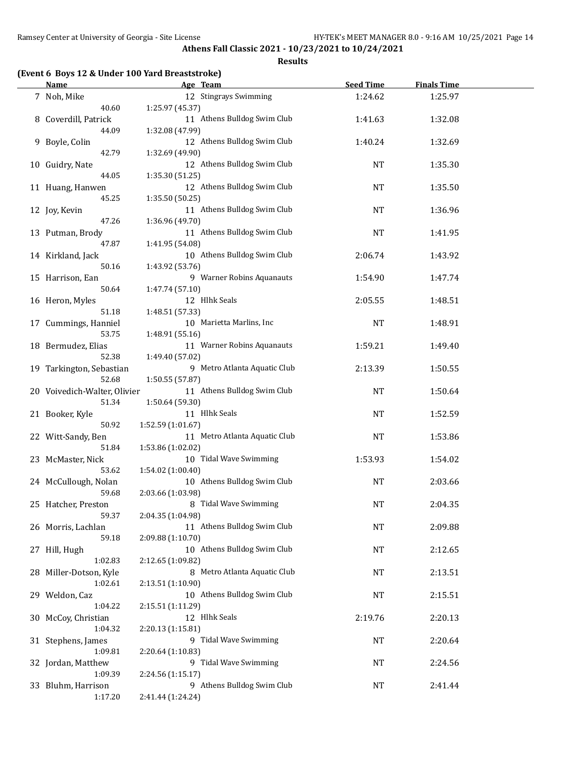#### **Results**

# **(Event 6 Boys 12 & Under 100 Yard Breaststroke)**

| <b>Name</b>                           | Age Team                                           | <b>Seed Time</b> | <b>Finals Time</b> |  |
|---------------------------------------|----------------------------------------------------|------------------|--------------------|--|
| 7 Noh, Mike<br>40.60                  | 12 Stingrays Swimming<br>1:25.97 (45.37)           | 1:24.62          | 1:25.97            |  |
| 8 Coverdill, Patrick<br>44.09         | 11 Athens Bulldog Swim Club<br>1:32.08 (47.99)     | 1:41.63          | 1:32.08            |  |
| 9 Boyle, Colin<br>42.79               | 12 Athens Bulldog Swim Club<br>1:32.69 (49.90)     | 1:40.24          | 1:32.69            |  |
| 10 Guidry, Nate<br>44.05              | 12 Athens Bulldog Swim Club<br>1:35.30 (51.25)     | NT               | 1:35.30            |  |
| 11 Huang, Hanwen<br>45.25             | 12 Athens Bulldog Swim Club<br>1:35.50 (50.25)     | <b>NT</b>        | 1:35.50            |  |
| 12 Joy, Kevin<br>47.26                | 11 Athens Bulldog Swim Club<br>1:36.96 (49.70)     | NT               | 1:36.96            |  |
| 13 Putman, Brody<br>47.87             | 11 Athens Bulldog Swim Club<br>1:41.95 (54.08)     | <b>NT</b>        | 1:41.95            |  |
| 14 Kirkland, Jack<br>50.16            | 10 Athens Bulldog Swim Club<br>1:43.92 (53.76)     | 2:06.74          | 1:43.92            |  |
| 15 Harrison, Ean<br>50.64             | 9 Warner Robins Aquanauts<br>1:47.74 (57.10)       | 1:54.90          | 1:47.74            |  |
| 16 Heron, Myles<br>51.18              | 12 Hlhk Seals<br>1:48.51 (57.33)                   | 2:05.55          | 1:48.51            |  |
| 17 Cummings, Hanniel<br>53.75         | 10 Marietta Marlins, Inc<br>1:48.91 (55.16)        | <b>NT</b>        | 1:48.91            |  |
| 18 Bermudez, Elias<br>52.38           | 11 Warner Robins Aquanauts<br>1:49.40 (57.02)      | 1:59.21          | 1:49.40            |  |
| 19 Tarkington, Sebastian<br>52.68     | 9 Metro Atlanta Aquatic Club<br>1:50.55 (57.87)    | 2:13.39          | 1:50.55            |  |
| 20 Voivedich-Walter, Olivier<br>51.34 | 11 Athens Bulldog Swim Club<br>1:50.64 (59.30)     | NT               | 1:50.64            |  |
| 21 Booker, Kyle<br>50.92              | 11 Hlhk Seals<br>1:52.59 (1:01.67)                 | <b>NT</b>        | 1:52.59            |  |
| 22 Witt-Sandy, Ben<br>51.84           | 11 Metro Atlanta Aquatic Club<br>1:53.86 (1:02.02) | <b>NT</b>        | 1:53.86            |  |
| 23 McMaster, Nick<br>53.62            | 10 Tidal Wave Swimming<br>1:54.02 (1:00.40)        | 1:53.93          | 1:54.02            |  |
| 24 McCullough, Nolan<br>59.68         | 10 Athens Bulldog Swim Club<br>2:03.66 (1:03.98)   | NT               | 2:03.66            |  |
| 25 Hatcher, Preston<br>59.37          | 8 Tidal Wave Swimming<br>2:04.35 (1:04.98)         | <b>NT</b>        | 2:04.35            |  |
| 26 Morris, Lachlan<br>59.18           | 11 Athens Bulldog Swim Club<br>2:09.88 (1:10.70)   | NT               | 2:09.88            |  |
| 27 Hill, Hugh<br>1:02.83              | 10 Athens Bulldog Swim Club<br>2:12.65 (1:09.82)   | NT               | 2:12.65            |  |
| 28 Miller-Dotson, Kyle<br>1:02.61     | 8 Metro Atlanta Aquatic Club<br>2:13.51 (1:10.90)  | NT               | 2:13.51            |  |
| 29 Weldon, Caz<br>1:04.22             | 10 Athens Bulldog Swim Club<br>2:15.51 (1:11.29)   | NT               | 2:15.51            |  |
| 30 McCoy, Christian<br>1:04.32        | 12 Hlhk Seals<br>2:20.13 (1:15.81)                 | 2:19.76          | 2:20.13            |  |
| 31 Stephens, James<br>1:09.81         | 9 Tidal Wave Swimming<br>2:20.64 (1:10.83)         | NT               | 2:20.64            |  |
| 32 Jordan, Matthew<br>1:09.39         | 9 Tidal Wave Swimming<br>2:24.56 (1:15.17)         | NT               | 2:24.56            |  |
| 33 Bluhm, Harrison<br>1:17.20         | 9 Athens Bulldog Swim Club<br>2:41.44 (1:24.24)    | NT               | 2:41.44            |  |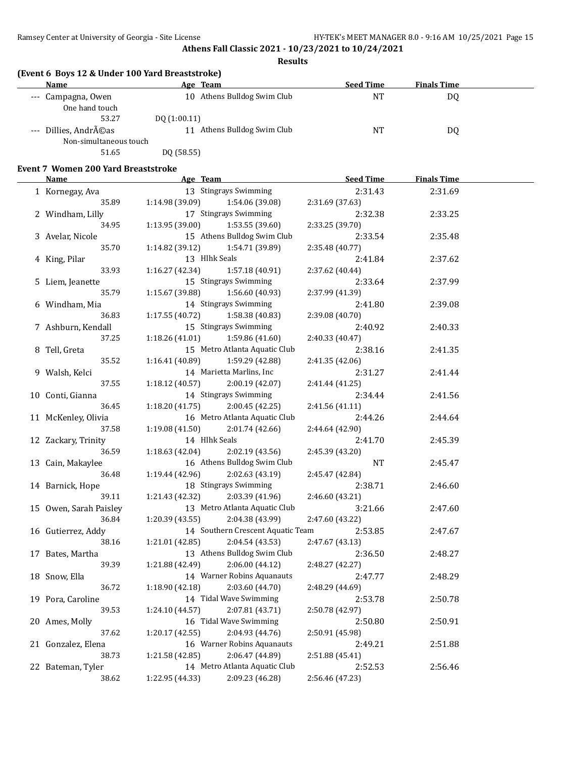#### **Results**

# **(Event 6 Boys 12 & Under 100 Yard Breaststroke)**

| Age Team                    | <b>Seed Time</b> | <b>Finals Time</b> |  |
|-----------------------------|------------------|--------------------|--|
| 10 Athens Bulldog Swim Club | NT               | D <sub>0</sub>     |  |
|                             |                  |                    |  |
| DQ(1:00.11)                 |                  |                    |  |
| 11 Athens Bulldog Swim Club | NT               | DQ                 |  |
| Non-simultaneous touch      |                  |                    |  |
| DQ (58.55)                  |                  |                    |  |
|                             |                  |                    |  |

### **Event 7 Women 200 Yard Breaststroke**

| <b>Name</b>                 | Age Team                                            |                 | <b>Seed Time</b>           | <b>Finals Time</b> |  |
|-----------------------------|-----------------------------------------------------|-----------------|----------------------------|--------------------|--|
| 1 Kornegay, Ava             | 13 Stingrays Swimming                               |                 | 2:31.43                    | 2:31.69            |  |
| 35.89                       | 1:14.98 (39.09)                                     | 1:54.06 (39.08) | 2:31.69 (37.63)            |                    |  |
| 2 Windham, Lilly            | 17 Stingrays Swimming                               |                 | 2:32.38                    | 2:33.25            |  |
| 34.95                       | 1:13.95(39.00)                                      | 1:53.55 (39.60) | 2:33.25 (39.70)            |                    |  |
| 3 Avelar, Nicole            | 15 Athens Bulldog Swim Club                         |                 | 2:33.54                    | 2:35.48            |  |
| 35.70                       | 1:14.82 (39.12)                                     | 1:54.71 (39.89) | 2:35.48 (40.77)            |                    |  |
| 4 King, Pilar               | 13 Hlhk Seals                                       |                 | 2:41.84                    | 2:37.62            |  |
| 33.93                       | 1:16.27 (42.34)                                     | 1:57.18 (40.91) | 2:37.62 (40.44)            |                    |  |
| 5 Liem, Jeanette            | 15 Stingrays Swimming                               |                 | 2:33.64                    | 2:37.99            |  |
| 35.79                       | 1:15.67 (39.88)                                     | 1:56.60 (40.93) | 2:37.99 (41.39)            |                    |  |
| 6 Windham, Mia              | 14 Stingrays Swimming                               |                 | 2:41.80                    | 2:39.08            |  |
| 36.83                       | 1:17.55(40.72)                                      | 1:58.38 (40.83) | 2:39.08 (40.70)            |                    |  |
| 7 Ashburn, Kendall          | 15 Stingrays Swimming                               |                 | 2:40.92                    | 2:40.33            |  |
| 37.25                       | 1:18.26(41.01)                                      | 1:59.86 (41.60) | 2:40.33 (40.47)            |                    |  |
| 8 Tell, Greta               | 15 Metro Atlanta Aquatic Club                       |                 | 2:38.16                    | 2:41.35            |  |
| 35.52                       | 1:16.41(40.89)                                      | 1:59.29 (42.88) | 2:41.35 (42.06)            |                    |  |
| 9 Walsh, Kelci              | 14 Marietta Marlins, Inc                            |                 | 2:31.27                    | 2:41.44            |  |
| 37.55                       | 1:18.12(40.57)                                      | 2:00.19 (42.07) | 2:41.44 (41.25)            |                    |  |
| 10 Conti, Gianna            | 14 Stingrays Swimming                               |                 | 2:34.44                    | 2:41.56            |  |
| 36.45                       | 1:18.20(41.75)                                      | 2:00.45 (42.25) | 2:41.56 (41.11)            |                    |  |
| 11 McKenley, Olivia         | 16 Metro Atlanta Aquatic Club                       |                 | 2:44.26                    | 2:44.64            |  |
| 37.58                       | 1:19.08(41.50)                                      | 2:01.74(42.66)  | 2:44.64 (42.90)            |                    |  |
| 12 Zackary, Trinity         | 14 Hlhk Seals                                       |                 | 2:41.70                    | 2:45.39            |  |
| 36.59                       | 1:18.63 (42.04)                                     | 2:02.19 (43.56) | 2:45.39 (43.20)            |                    |  |
| 13 Cain, Makaylee           | 16 Athens Bulldog Swim Club                         |                 | <b>NT</b>                  | 2:45.47            |  |
| 36.48                       | 1:19.44(42.96)                                      | 2:02.63 (43.19) | 2:45.47 (42.84)            |                    |  |
| 14 Barnick, Hope            | 18 Stingrays Swimming                               |                 | 2:38.71                    | 2:46.60            |  |
| 39.11                       | 1:21.43 (42.32)                                     | 2:03.39 (41.96) | 2:46.60 (43.21)            |                    |  |
| 15 Owen, Sarah Paisley      | 13 Metro Atlanta Aquatic Club                       |                 | 3:21.66                    | 2:47.60            |  |
| 36.84                       | 1:20.39(43.55)                                      | 2:04.38 (43.99) | 2:47.60 (43.22)            |                    |  |
| 16 Gutierrez, Addy<br>38.16 | 14 Southern Crescent Aquatic Team<br>1:21.01(42.85) |                 | 2:53.85                    | 2:47.67            |  |
|                             | 13 Athens Bulldog Swim Club                         | 2:04.54 (43.53) | 2:47.67 (43.13)            |                    |  |
| 17 Bates, Martha<br>39.39   | 1:21.88 (42.49)                                     | 2:06.00 (44.12) | 2:36.50<br>2:48.27 (42.27) | 2:48.27            |  |
|                             | 14 Warner Robins Aquanauts                          |                 | 2:47.77                    | 2:48.29            |  |
| 18 Snow, Ella<br>36.72      | 1:18.90(42.18)                                      | 2:03.60 (44.70) | 2:48.29 (44.69)            |                    |  |
| 19 Pora, Caroline           | 14 Tidal Wave Swimming                              |                 | 2:53.78                    | 2:50.78            |  |
| 39.53                       | 1:24.10 (44.57)                                     | 2:07.81 (43.71) | 2:50.78 (42.97)            |                    |  |
| 20 Ames, Molly              | 16 Tidal Wave Swimming                              |                 | 2:50.80                    | 2:50.91            |  |
| 37.62                       | 1:20.17 (42.55)                                     | 2:04.93 (44.76) | 2:50.91 (45.98)            |                    |  |
| 21 Gonzalez, Elena          | 16 Warner Robins Aquanauts                          |                 | 2:49.21                    | 2:51.88            |  |
| 38.73                       | 1:21.58 (42.85)                                     | 2:06.47 (44.89) | 2:51.88 (45.41)            |                    |  |
| 22 Bateman, Tyler           | 14 Metro Atlanta Aquatic Club                       |                 | 2:52.53                    | 2:56.46            |  |
| 38.62                       | 1:22.95 (44.33)                                     | 2:09.23 (46.28) | 2:56.46 (47.23)            |                    |  |
|                             |                                                     |                 |                            |                    |  |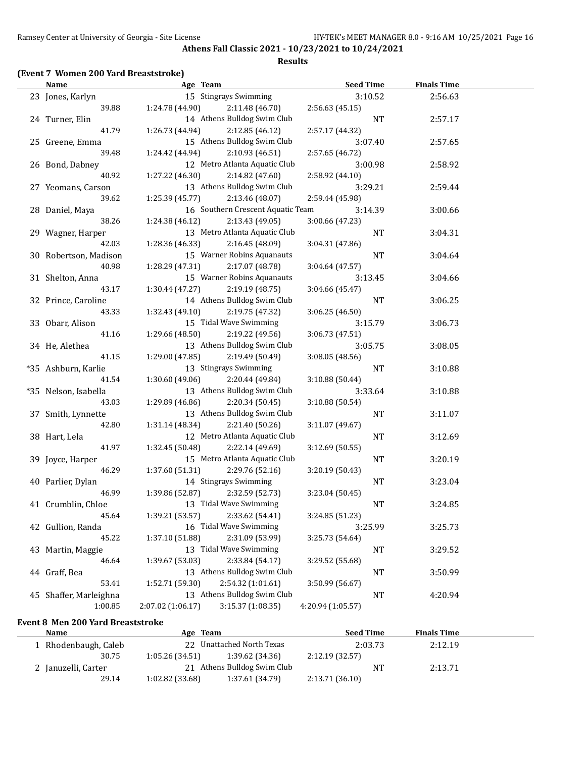#### **Results**

# **(Event 7 Women 200 Yard Breaststroke)**

| <b>Name</b>            | Age Team          |                                   | <b>Seed Time</b>  | <b>Finals Time</b> |  |
|------------------------|-------------------|-----------------------------------|-------------------|--------------------|--|
| 23 Jones, Karlyn       |                   | 15 Stingrays Swimming             | 3:10.52           | 2:56.63            |  |
| 39.88                  | 1:24.78 (44.90)   | 2:11.48 (46.70)                   | 2:56.63(45.15)    |                    |  |
| 24 Turner, Elin        |                   | 14 Athens Bulldog Swim Club       | <b>NT</b>         | 2:57.17            |  |
| 41.79                  | 1:26.73 (44.94)   | 2:12.85 (46.12)                   | 2:57.17 (44.32)   |                    |  |
| 25 Greene, Emma        |                   | 15 Athens Bulldog Swim Club       | 3:07.40           | 2:57.65            |  |
| 39.48                  | 1:24.42 (44.94)   | 2:10.93 (46.51)                   | 2:57.65 (46.72)   |                    |  |
| 26 Bond, Dabney        |                   | 12 Metro Atlanta Aquatic Club     | 3:00.98           | 2:58.92            |  |
| 40.92                  | 1:27.22(46.30)    | 2:14.82 (47.60)                   | 2:58.92 (44.10)   |                    |  |
| 27 Yeomans, Carson     |                   | 13 Athens Bulldog Swim Club       | 3:29.21           | 2:59.44            |  |
| 39.62                  | 1:25.39 (45.77)   | 2:13.46 (48.07)                   | 2:59.44 (45.98)   |                    |  |
| 28 Daniel, Maya        |                   | 16 Southern Crescent Aquatic Team | 3:14.39           | 3:00.66            |  |
| 38.26                  | 1:24.38 (46.12)   | 2:13.43 (49.05)                   | 3:00.66 (47.23)   |                    |  |
| 29 Wagner, Harper      |                   | 13 Metro Atlanta Aquatic Club     | <b>NT</b>         | 3:04.31            |  |
| 42.03                  | 1:28.36 (46.33)   | 2:16.45 (48.09)                   | 3:04.31 (47.86)   |                    |  |
| 30 Robertson, Madison  |                   | 15 Warner Robins Aquanauts        | <b>NT</b>         | 3:04.64            |  |
| 40.98                  | 1:28.29 (47.31)   | 2:17.07 (48.78)                   | 3:04.64 (47.57)   |                    |  |
| 31 Shelton, Anna       |                   | 15 Warner Robins Aquanauts        | 3:13.45           | 3:04.66            |  |
| 43.17                  | 1:30.44(47.27)    | 2:19.19 (48.75)                   | 3:04.66 (45.47)   |                    |  |
| 32 Prince, Caroline    |                   | 14 Athens Bulldog Swim Club       | <b>NT</b>         | 3:06.25            |  |
| 43.33                  | 1:32.43 (49.10)   | 2:19.75 (47.32)                   | 3:06.25 (46.50)   |                    |  |
| 33 Obarr, Alison       |                   | 15 Tidal Wave Swimming            | 3:15.79           | 3:06.73            |  |
| 41.16                  | 1:29.66 (48.50)   | 2:19.22 (49.56)                   | 3:06.73 (47.51)   |                    |  |
| 34 He, Alethea         |                   | 13 Athens Bulldog Swim Club       | 3:05.75           | 3:08.05            |  |
| 41.15                  | 1:29.00 (47.85)   | 2:19.49 (50.49)                   | 3:08.05(48.56)    |                    |  |
| *35 Ashburn, Karlie    |                   | 13 Stingrays Swimming             | <b>NT</b>         | 3:10.88            |  |
| 41.54                  | 1:30.60 (49.06)   | 2:20.44 (49.84)                   | 3:10.88 (50.44)   |                    |  |
| *35 Nelson, Isabella   |                   | 13 Athens Bulldog Swim Club       | 3:33.64           | 3:10.88            |  |
| 43.03                  | 1:29.89 (46.86)   | 2:20.34 (50.45)                   | 3:10.88 (50.54)   |                    |  |
| 37 Smith, Lynnette     |                   | 13 Athens Bulldog Swim Club       | NT                | 3:11.07            |  |
| 42.80                  | 1:31.14 (48.34)   | 2:21.40 (50.26)                   | 3:11.07 (49.67)   |                    |  |
| 38 Hart, Lela          |                   | 12 Metro Atlanta Aquatic Club     | <b>NT</b>         | 3:12.69            |  |
| 41.97                  | 1:32.45 (50.48)   | 2:22.14 (49.69)                   | 3:12.69 (50.55)   |                    |  |
| 39 Joyce, Harper       |                   | 15 Metro Atlanta Aquatic Club     | <b>NT</b>         | 3:20.19            |  |
| 46.29                  | 1:37.60 (51.31)   | 2:29.76 (52.16)                   | 3:20.19 (50.43)   |                    |  |
| 40 Parlier, Dylan      |                   | 14 Stingrays Swimming             | <b>NT</b>         | 3:23.04            |  |
| 46.99                  | 1:39.86 (52.87)   | 2:32.59 (52.73)                   | 3:23.04 (50.45)   |                    |  |
| 41 Crumblin, Chloe     |                   | 13 Tidal Wave Swimming            | NT                | 3:24.85            |  |
| 45.64                  | 1:39.21 (53.57)   | 2:33.62 (54.41)                   | 3:24.85 (51.23)   |                    |  |
| 42 Gullion, Randa      |                   | 16 Tidal Wave Swimming            | 3:25.99           | 3:25.73            |  |
| 45.22                  | 1:37.10 (51.88)   | 2:31.09 (53.99)                   | 3:25.73 (54.64)   |                    |  |
| 43 Martin, Maggie      |                   | 13 Tidal Wave Swimming            | NT                | 3:29.52            |  |
| 46.64                  | 1:39.67 (53.03)   | 2:33.84 (54.17)                   | 3:29.52 (55.68)   |                    |  |
| 44 Graff, Bea          |                   | 13 Athens Bulldog Swim Club       | NT                | 3:50.99            |  |
| 53.41                  | 1:52.71 (59.30)   | 2:54.32 (1:01.61)                 | 3:50.99 (56.67)   |                    |  |
| 45 Shaffer, Marleighna |                   | 13 Athens Bulldog Swim Club       | NT                | 4:20.94            |  |
| 1:00.85                | 2:07.02 (1:06.17) | 3:15.37 (1:08.35)                 | 4:20.94 (1:05.57) |                    |  |

# **Event 8 Men 200 Yard Breaststroke**

| Name                 | Age Team                    |                           | <b>Seed Time</b> | <b>Finals Time</b> |  |
|----------------------|-----------------------------|---------------------------|------------------|--------------------|--|
| 1 Rhodenbaugh, Caleb |                             | 22 Unattached North Texas | 2:03.73          | 2:12.19            |  |
| 30.75                | 1:05.26(34.51)              | 1:39.62 (34.36)           | 2:12.19(32.57)   |                    |  |
| 2 Januzelli, Carter  | 21 Athens Bulldog Swim Club |                           | NT.              | 2:13.71            |  |
| 29.14                | 1:02.82(33.68)              | 1:37.61 (34.79)           | 2:13.71(36.10)   |                    |  |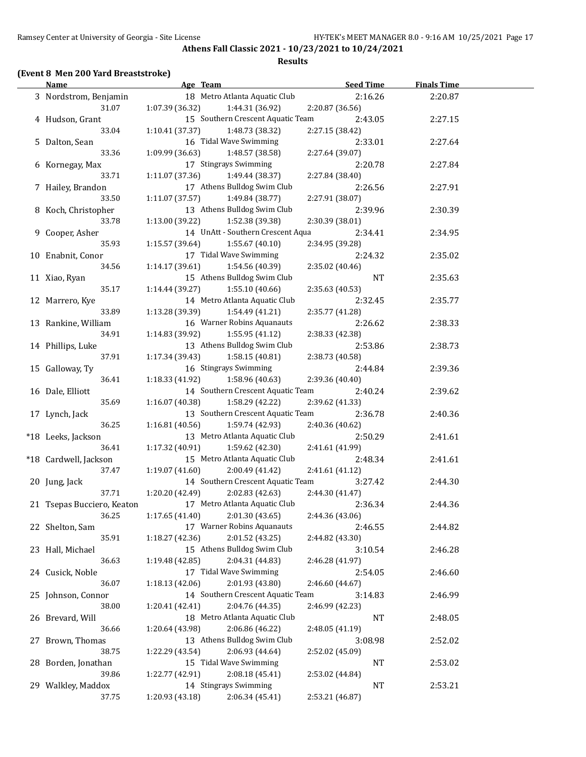#### **Results**

# **(Event 8 Men 200 Yard Breaststroke)**

| <b>Name</b>                | Age Team                           | <b>Seed Time</b> | <b>Finals Time</b> |  |
|----------------------------|------------------------------------|------------------|--------------------|--|
| 3 Nordstrom, Benjamin      | 18 Metro Atlanta Aquatic Club      | 2:16.26          | 2:20.87            |  |
| 31.07                      | 1:07.39(36.32)<br>1:44.31 (36.92)  | 2:20.87 (36.56)  |                    |  |
| 4 Hudson, Grant            | 15 Southern Crescent Aquatic Team  | 2:43.05          | 2:27.15            |  |
| 33.04                      | 1:10.41(37.37)<br>1:48.73 (38.32)  | 2:27.15 (38.42)  |                    |  |
| 5 Dalton, Sean             | 16 Tidal Wave Swimming             | 2:33.01          | 2:27.64            |  |
| 33.36                      | 1:09.99 (36.63)<br>1:48.57 (38.58) | 2:27.64 (39.07)  |                    |  |
| 6 Kornegay, Max            | 17 Stingrays Swimming              | 2:20.78          | 2:27.84            |  |
| 33.71                      | 1:11.07 (37.36)<br>1:49.44 (38.37) | 2:27.84 (38.40)  |                    |  |
| 7 Hailey, Brandon          | 17 Athens Bulldog Swim Club        | 2:26.56          | 2:27.91            |  |
| 33.50                      | 1:11.07(37.57)<br>1:49.84 (38.77)  | 2:27.91 (38.07)  |                    |  |
| 8 Koch, Christopher        | 13 Athens Bulldog Swim Club        | 2:39.96          | 2:30.39            |  |
| 33.78                      | 1:13.00(39.22)<br>1:52.38 (39.38)  | 2:30.39 (38.01)  |                    |  |
| 9 Cooper, Asher            | 14 UnAtt - Southern Crescent Aqua  | 2:34.41          | 2:34.95            |  |
| 35.93                      | 1:15.57(39.64)<br>1:55.67(40.10)   | 2:34.95 (39.28)  |                    |  |
|                            | 17 Tidal Wave Swimming             |                  |                    |  |
| 10 Enabnit, Conor          |                                    | 2:24.32          | 2:35.02            |  |
| 34.56                      | 1:14.17(39.61)<br>1:54.56 (40.39)  | 2:35.02 (40.46)  |                    |  |
| 11 Xiao, Ryan              | 15 Athens Bulldog Swim Club        | <b>NT</b>        | 2:35.63            |  |
| 35.17                      | 1:14.44(39.27)<br>1:55.10 (40.66)  | 2:35.63 (40.53)  |                    |  |
| 12 Marrero, Kye            | 14 Metro Atlanta Aquatic Club      | 2:32.45          | 2:35.77            |  |
| 33.89                      | 1:54.49 (41.21)<br>1:13.28 (39.39) | 2:35.77 (41.28)  |                    |  |
| 13 Rankine, William        | 16 Warner Robins Aquanauts         | 2:26.62          | 2:38.33            |  |
| 34.91                      | 1:14.83(39.92)<br>1:55.95(41.12)   | 2:38.33 (42.38)  |                    |  |
| 14 Phillips, Luke          | 13 Athens Bulldog Swim Club        | 2:53.86          | 2:38.73            |  |
| 37.91                      | 1:58.15 (40.81)<br>1:17.34(39.43)  | 2:38.73 (40.58)  |                    |  |
| 15 Galloway, Ty            | 16 Stingrays Swimming              | 2:44.84          | 2:39.36            |  |
| 36.41                      | 1:18.33(41.92)<br>1:58.96 (40.63)  | 2:39.36 (40.40)  |                    |  |
| 16 Dale, Elliott           | 14 Southern Crescent Aquatic Team  | 2:40.24          | 2:39.62            |  |
| 35.69                      | 1:16.07(40.38)<br>1:58.29 (42.22)  | 2:39.62 (41.33)  |                    |  |
| 17 Lynch, Jack             | 13 Southern Crescent Aquatic Team  | 2:36.78          | 2:40.36            |  |
| 36.25                      | 1:59.74 (42.93)<br>1:16.81(40.56)  | 2:40.36 (40.62)  |                    |  |
| *18 Leeks, Jackson         | 13 Metro Atlanta Aquatic Club      | 2:50.29          | 2:41.61            |  |
| 36.41                      | 1:17.32(40.91)<br>1:59.62 (42.30)  | 2:41.61 (41.99)  |                    |  |
| *18 Cardwell, Jackson      | 15 Metro Atlanta Aquatic Club      | 2:48.34          | 2:41.61            |  |
| 37.47                      | 1:19.07(41.60)<br>2:00.49 (41.42)  | 2:41.61 (41.12)  |                    |  |
| 20 Jung, Jack              | 14 Southern Crescent Aquatic Team  | 3:27.42          | 2:44.30            |  |
| 37.71                      | 1:20.20 (42.49)<br>2:02.83 (42.63) | 2:44.30 (41.47)  |                    |  |
| 21 Tsepas Bucciero, Keaton | 17 Metro Atlanta Aquatic Club      | 2:36.34          | 2:44.36            |  |
| 36.25                      | 1:17.65(41.40)<br>2:01.30 (43.65)  | 2:44.36 (43.06)  |                    |  |
| 22 Shelton, Sam            | 17 Warner Robins Aquanauts         | 2:46.55          | 2:44.82            |  |
| 35.91                      | 1:18.27 (42.36)<br>2:01.52 (43.25) | 2:44.82 (43.30)  |                    |  |
| 23 Hall, Michael           | 15 Athens Bulldog Swim Club        | 3:10.54          | 2:46.28            |  |
| 36.63                      | 2:04.31 (44.83)<br>1:19.48 (42.85) | 2:46.28 (41.97)  |                    |  |
| 24 Cusick, Noble           | 17 Tidal Wave Swimming             | 2:54.05          | 2:46.60            |  |
| 36.07                      | 2:01.93 (43.80)<br>1:18.13(42.06)  | 2:46.60 (44.67)  |                    |  |
| 25 Johnson, Connor         | 14 Southern Crescent Aquatic Team  | 3:14.83          | 2:46.99            |  |
| 38.00                      | 2:04.76 (44.35)<br>1:20.41 (42.41) | 2:46.99 (42.23)  |                    |  |
|                            | 18 Metro Atlanta Aquatic Club      |                  |                    |  |
| 26 Brevard, Will           |                                    | NT               | 2:48.05            |  |
| 36.66                      | 2:06.86 (46.22)<br>1:20.64 (43.98) | 2:48.05 (41.19)  |                    |  |
| 27 Brown, Thomas           | 13 Athens Bulldog Swim Club        | 3:08.98          | 2:52.02            |  |
| 38.75                      | 2:06.93 (44.64)<br>1:22.29 (43.54) | 2:52.02 (45.09)  |                    |  |
| 28 Borden, Jonathan        | 15 Tidal Wave Swimming             | NT               | 2:53.02            |  |
| 39.86                      | 2:08.18 (45.41)<br>1:22.77 (42.91) | 2:53.02 (44.84)  |                    |  |
| 29 Walkley, Maddox         | 14 Stingrays Swimming              | <b>NT</b>        | 2:53.21            |  |
| 37.75                      | 1:20.93 (43.18)<br>2:06.34 (45.41) | 2:53.21 (46.87)  |                    |  |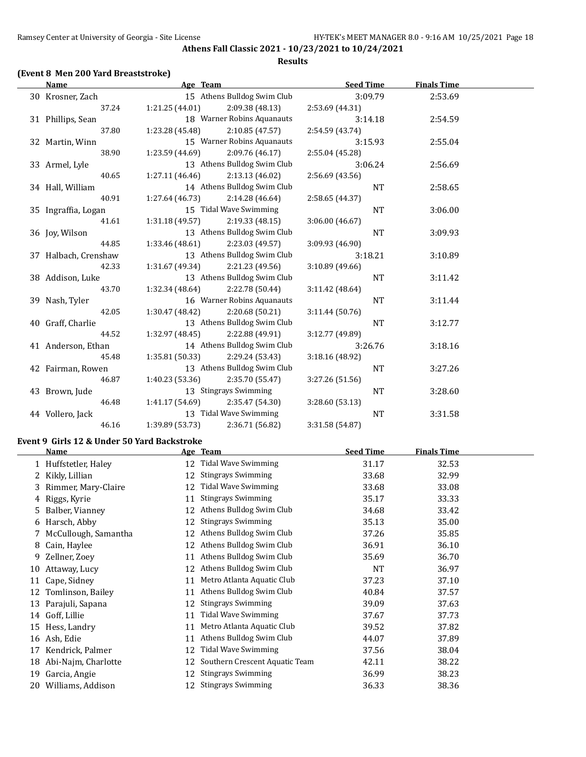**Athens Fall Classic 2021 - 10/23/2021 to 10/24/2021 Results**

# **(Event 8 Men 200 Yard Breaststroke)**

| <b>Name</b>                                 | Age Team                           | <b>Seed Time</b> | <b>Finals Time</b> |  |
|---------------------------------------------|------------------------------------|------------------|--------------------|--|
| 30 Krosner, Zach                            | 15 Athens Bulldog Swim Club        | 3:09.79          | 2:53.69            |  |
| 37.24                                       | 1:21.25 (44.01)<br>2:09.38 (48.13) | 2:53.69 (44.31)  |                    |  |
| 31 Phillips, Sean                           | 18 Warner Robins Aquanauts         | 3:14.18          | 2:54.59            |  |
| 37.80                                       | 2:10.85 (47.57)<br>1:23.28 (45.48) | 2:54.59 (43.74)  |                    |  |
| 32 Martin, Winn                             | 15 Warner Robins Aquanauts         | 3:15.93          | 2:55.04            |  |
| 38.90                                       | 1:23.59 (44.69)<br>2:09.76 (46.17) | 2:55.04 (45.28)  |                    |  |
| 33 Armel, Lyle                              | 13 Athens Bulldog Swim Club        | 3:06.24          | 2:56.69            |  |
| 40.65                                       | 1:27.11(46.46)<br>2:13.13 (46.02)  | 2:56.69 (43.56)  |                    |  |
| 34 Hall, William                            | 14 Athens Bulldog Swim Club        | <b>NT</b>        | 2:58.65            |  |
| 40.91                                       | 1:27.64(46.73)<br>2:14.28 (46.64)  | 2:58.65 (44.37)  |                    |  |
| 35 Ingraffia, Logan                         | 15 Tidal Wave Swimming             | <b>NT</b>        | 3:06.00            |  |
| 41.61                                       | 1:31.18(49.57)<br>2:19.33 (48.15)  | 3:06.00 (46.67)  |                    |  |
| 36 Joy, Wilson                              | 13 Athens Bulldog Swim Club        | <b>NT</b>        | 3:09.93            |  |
| 44.85                                       | 1:33.46 (48.61)<br>2:23.03 (49.57) | 3:09.93 (46.90)  |                    |  |
| 37 Halbach, Crenshaw                        | 13 Athens Bulldog Swim Club        | 3:18.21          | 3:10.89            |  |
| 42.33                                       | 1:31.67 (49.34)<br>2:21.23 (49.56) | 3:10.89 (49.66)  |                    |  |
| 38 Addison, Luke                            | 13 Athens Bulldog Swim Club        | <b>NT</b>        | 3:11.42            |  |
| 43.70                                       | 2:22.78 (50.44)<br>1:32.34 (48.64) | 3:11.42 (48.64)  |                    |  |
| 39 Nash, Tyler                              | 16 Warner Robins Aquanauts         | <b>NT</b>        | 3:11.44            |  |
| 42.05                                       | 1:30.47 (48.42)<br>2:20.68 (50.21) | 3:11.44 (50.76)  |                    |  |
| 40 Graff, Charlie                           | 13 Athens Bulldog Swim Club        | <b>NT</b>        | 3:12.77            |  |
| 44.52                                       | 1:32.97 (48.45)<br>2:22.88 (49.91) | 3:12.77 (49.89)  |                    |  |
| 41 Anderson, Ethan                          | 14 Athens Bulldog Swim Club        | 3:26.76          | 3:18.16            |  |
| 45.48                                       | 1:35.81 (50.33)<br>2:29.24 (53.43) | 3:18.16 (48.92)  |                    |  |
| 42 Fairman, Rowen                           | 13 Athens Bulldog Swim Club        | <b>NT</b>        | 3:27.26            |  |
| 46.87                                       | 1:40.23 (53.36)<br>2:35.70 (55.47) | 3:27.26 (51.56)  |                    |  |
| 43 Brown, Jude                              | 13 Stingrays Swimming              | NT               | 3:28.60            |  |
| 46.48                                       | 1:41.17 (54.69)<br>2:35.47 (54.30) | 3:28.60 (53.13)  |                    |  |
| 44 Vollero, Jack                            | 13 Tidal Wave Swimming             | <b>NT</b>        | 3:31.58            |  |
| 46.16                                       | 1:39.89 (53.73)<br>2:36.71 (56.82) | 3:31.58 (54.87)  |                    |  |
| Event 9 Girls 12 & Under 50 Yard Backstroke |                                    |                  |                    |  |
| <b>Name</b>                                 | Age Team                           | <b>Seed Time</b> | <b>Finals Time</b> |  |
| 1 Huffstetler, Haley                        | 12 Tidal Wave Swimming             | 31.17            | 32.53              |  |
| 2 Kikly, Lillian                            | 12 Stingrays Swimming              | 33.68            | 32.99              |  |
| 3 Rimmer, Mary-Claire                       | 12 Tidal Wave Swimming             | 33.68            | 33.08              |  |
| 4 Riggs, Kyrie                              | 11 Stingrays Swimming              | 35.17            | 33.33              |  |
| 5 Balber, Vianney                           | 12 Athens Bulldog Swim Club        | 34.68            | 33.42              |  |
|                                             |                                    |                  |                    |  |

|    | Dalbel, Vidility       |    | 12 Ruichs Dundog Swim Grup     | J4.UO | 99.TL |
|----|------------------------|----|--------------------------------|-------|-------|
| 6  | Harsch, Abby           | 12 | <b>Stingrays Swimming</b>      | 35.13 | 35.00 |
|    | 7 McCullough, Samantha | 12 | Athens Bulldog Swim Club       | 37.26 | 35.85 |
| 8  | Cain, Haylee           | 12 | Athens Bulldog Swim Club       | 36.91 | 36.10 |
| 9  | Zellner, Zoev          | 11 | Athens Bulldog Swim Club       | 35.69 | 36.70 |
| 10 | Attaway, Lucy          | 12 | Athens Bulldog Swim Club       | NT    | 36.97 |
|    | 11 Cape, Sidney        | 11 | Metro Atlanta Aquatic Club     | 37.23 | 37.10 |
|    | 12 Tomlinson, Bailey   | 11 | Athens Bulldog Swim Club       | 40.84 | 37.57 |
|    | 13 Parajuli, Sapana    | 12 | <b>Stingrays Swimming</b>      | 39.09 | 37.63 |
| 14 | Goff, Lillie           | 11 | Tidal Wave Swimming            | 37.67 | 37.73 |
|    | 15 Hess, Landry        | 11 | Metro Atlanta Aquatic Club     | 39.52 | 37.82 |
| 16 | Ash, Edie              | 11 | Athens Bulldog Swim Club       | 44.07 | 37.89 |
| 17 | Kendrick, Palmer       | 12 | Tidal Wave Swimming            | 37.56 | 38.04 |
| 18 | Abi-Najm, Charlotte    | 12 | Southern Crescent Aquatic Team | 42.11 | 38.22 |
| 19 | Garcia, Angie          | 12 | <b>Stingrays Swimming</b>      | 36.99 | 38.23 |
| 20 | Williams, Addison      | 12 | <b>Stingrays Swimming</b>      | 36.33 | 38.36 |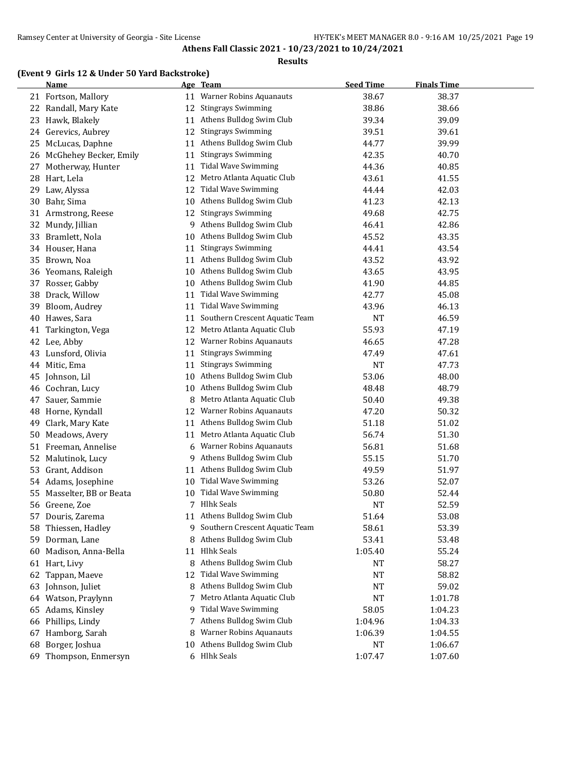#### **Results**

# **(Event 9 Girls 12 & Under 50 Yard Backstroke)**

|    | <b>Name</b>            |    | Age Team                       | <b>Seed Time</b> | <b>Finals Time</b> |  |
|----|------------------------|----|--------------------------------|------------------|--------------------|--|
|    | 21 Fortson, Mallory    | 11 | <b>Warner Robins Aquanauts</b> | 38.67            | 38.37              |  |
|    | 22 Randall, Mary Kate  | 12 | <b>Stingrays Swimming</b>      | 38.86            | 38.66              |  |
| 23 | Hawk, Blakely          | 11 | Athens Bulldog Swim Club       | 39.34            | 39.09              |  |
| 24 | Gerevics, Aubrey       | 12 | <b>Stingrays Swimming</b>      | 39.51            | 39.61              |  |
| 25 | McLucas, Daphne        | 11 | Athens Bulldog Swim Club       | 44.77            | 39.99              |  |
| 26 | McGhehey Becker, Emily | 11 | <b>Stingrays Swimming</b>      | 42.35            | 40.70              |  |
| 27 | Motherway, Hunter      | 11 | <b>Tidal Wave Swimming</b>     | 44.36            | 40.85              |  |
| 28 | Hart, Lela             | 12 | Metro Atlanta Aquatic Club     | 43.61            | 41.55              |  |
| 29 | Law, Alyssa            | 12 | <b>Tidal Wave Swimming</b>     | 44.44            | 42.03              |  |
| 30 | Bahr, Sima             | 10 | Athens Bulldog Swim Club       | 41.23            | 42.13              |  |
| 31 | Armstrong, Reese       | 12 | <b>Stingrays Swimming</b>      | 49.68            | 42.75              |  |
| 32 | Mundy, Jillian         | 9  | Athens Bulldog Swim Club       | 46.41            | 42.86              |  |
| 33 | Bramlett, Nola         | 10 | Athens Bulldog Swim Club       | 45.52            | 43.35              |  |
|    | 34 Houser, Hana        | 11 | <b>Stingrays Swimming</b>      | 44.41            | 43.54              |  |
| 35 | Brown, Noa             | 11 | Athens Bulldog Swim Club       | 43.52            | 43.92              |  |
| 36 | Yeomans, Raleigh       | 10 | Athens Bulldog Swim Club       | 43.65            | 43.95              |  |
| 37 | Rosser, Gabby          | 10 | Athens Bulldog Swim Club       | 41.90            | 44.85              |  |
| 38 | Drack, Willow          | 11 | <b>Tidal Wave Swimming</b>     | 42.77            | 45.08              |  |
| 39 | Bloom, Audrey          | 11 | <b>Tidal Wave Swimming</b>     | 43.96            | 46.13              |  |
| 40 | Hawes, Sara            | 11 | Southern Crescent Aquatic Team | <b>NT</b>        | 46.59              |  |
| 41 | Tarkington, Vega       | 12 | Metro Atlanta Aquatic Club     | 55.93            | 47.19              |  |
| 42 | Lee, Abby              | 12 | <b>Warner Robins Aquanauts</b> | 46.65            | 47.28              |  |
| 43 | Lunsford, Olivia       | 11 | <b>Stingrays Swimming</b>      | 47.49            | 47.61              |  |
| 44 | Mitic, Ema             | 11 | <b>Stingrays Swimming</b>      | <b>NT</b>        | 47.73              |  |
| 45 | Johnson, Lil           | 10 | Athens Bulldog Swim Club       | 53.06            | 48.00              |  |
| 46 | Cochran, Lucy          | 10 | Athens Bulldog Swim Club       | 48.48            | 48.79              |  |
| 47 | Sauer, Sammie          | 8  | Metro Atlanta Aquatic Club     | 50.40            | 49.38              |  |
|    | 48 Horne, Kyndall      | 12 | Warner Robins Aquanauts        | 47.20            | 50.32              |  |
| 49 | Clark, Mary Kate       | 11 | Athens Bulldog Swim Club       | 51.18            | 51.02              |  |
| 50 | Meadows, Avery         | 11 | Metro Atlanta Aquatic Club     | 56.74            | 51.30              |  |
|    | 51 Freeman, Annelise   | 6  | <b>Warner Robins Aquanauts</b> | 56.81            | 51.68              |  |
| 52 | Malutinok, Lucy        | 9  | Athens Bulldog Swim Club       | 55.15            | 51.70              |  |
| 53 | Grant, Addison         | 11 | Athens Bulldog Swim Club       | 49.59            | 51.97              |  |
| 54 | Adams, Josephine       | 10 | Tidal Wave Swimming            | 53.26            | 52.07              |  |
| 55 | Masselter, BB or Beata | 10 | <b>Tidal Wave Swimming</b>     | 50.80            | 52.44              |  |
| 56 | Greene, Zoe            | 7  | <b>Hlhk Seals</b>              | <b>NT</b>        | 52.59              |  |
| 57 | Douris, Zarema         |    | 11 Athens Bulldog Swim Club    | 51.64            | 53.08              |  |
| 58 | Thiessen, Hadley       | 9  | Southern Crescent Aquatic Team | 58.61            | 53.39              |  |
| 59 | Dorman, Lane           | 8  | Athens Bulldog Swim Club       | 53.41            | 53.48              |  |
| 60 | Madison, Anna-Bella    |    | 11 Hlhk Seals                  | 1:05.40          | 55.24              |  |
| 61 | Hart, Livy             | 8  | Athens Bulldog Swim Club       | NT               | 58.27              |  |
| 62 | Tappan, Maeve          | 12 | <b>Tidal Wave Swimming</b>     | NT               | 58.82              |  |
| 63 | Johnson, Juliet        | 8  | Athens Bulldog Swim Club       | <b>NT</b>        | 59.02              |  |
|    | 64 Watson, Praylynn    |    | Metro Atlanta Aquatic Club     | <b>NT</b>        | 1:01.78            |  |
| 65 | Adams, Kinsley         | 9. | <b>Tidal Wave Swimming</b>     | 58.05            | 1:04.23            |  |
| 66 | Phillips, Lindy        | 7. | Athens Bulldog Swim Club       | 1:04.96          | 1:04.33            |  |
| 67 | Hamborg, Sarah         | 8  | <b>Warner Robins Aquanauts</b> | 1:06.39          | 1:04.55            |  |
| 68 | Borger, Joshua         | 10 | Athens Bulldog Swim Club       | NT               | 1:06.67            |  |
| 69 | Thompson, Enmersyn     |    | 6 Hlhk Seals                   | 1:07.47          | 1:07.60            |  |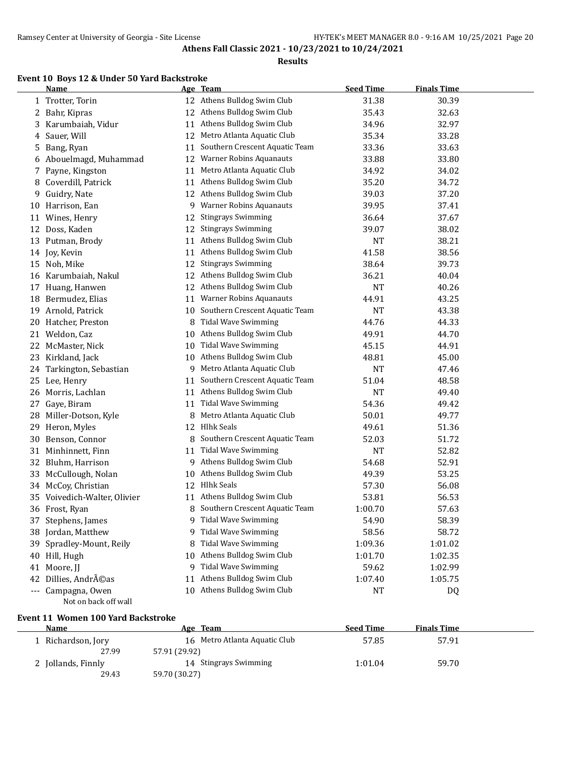#### **Results**

# **Event 10 Boys 12 & Under 50 Yard Backstroke**

|    | <b>Name</b>               |    | Age Team                       | <b>Seed Time</b> | <b>Finals Time</b> |  |
|----|---------------------------|----|--------------------------------|------------------|--------------------|--|
|    | 1 Trotter, Torin          |    | 12 Athens Bulldog Swim Club    | 31.38            | 30.39              |  |
| 2  | Bahr, Kipras              |    | 12 Athens Bulldog Swim Club    | 35.43            | 32.63              |  |
| 3  | Karumbaiah, Vidur         |    | 11 Athens Bulldog Swim Club    | 34.96            | 32.97              |  |
| 4  | Sauer, Will               | 12 | Metro Atlanta Aquatic Club     | 35.34            | 33.28              |  |
| 5  | Bang, Ryan                | 11 | Southern Crescent Aquatic Team | 33.36            | 33.63              |  |
| 6  | Abouelmagd, Muhammad      | 12 | <b>Warner Robins Aquanauts</b> | 33.88            | 33.80              |  |
| 7  | Payne, Kingston           | 11 | Metro Atlanta Aquatic Club     | 34.92            | 34.02              |  |
| 8  | Coverdill, Patrick        | 11 | Athens Bulldog Swim Club       | 35.20            | 34.72              |  |
| 9  | Guidry, Nate              |    | 12 Athens Bulldog Swim Club    | 39.03            | 37.20              |  |
|    | 10 Harrison, Ean          | 9  | <b>Warner Robins Aquanauts</b> | 39.95            | 37.41              |  |
| 11 | Wines, Henry              | 12 | <b>Stingrays Swimming</b>      | 36.64            | 37.67              |  |
| 12 | Doss, Kaden               | 12 | <b>Stingrays Swimming</b>      | 39.07            | 38.02              |  |
| 13 | Putman, Brody             | 11 | Athens Bulldog Swim Club       | <b>NT</b>        | 38.21              |  |
|    | 14 Joy, Kevin             | 11 | Athens Bulldog Swim Club       | 41.58            | 38.56              |  |
| 15 | Noh, Mike                 | 12 | <b>Stingrays Swimming</b>      | 38.64            | 39.73              |  |
| 16 | Karumbaiah, Nakul         | 12 | Athens Bulldog Swim Club       | 36.21            | 40.04              |  |
| 17 | Huang, Hanwen             | 12 | Athens Bulldog Swim Club       | <b>NT</b>        | 40.26              |  |
| 18 | Bermudez, Elias           | 11 | <b>Warner Robins Aquanauts</b> | 44.91            | 43.25              |  |
| 19 | Arnold, Patrick           | 10 | Southern Crescent Aquatic Team | <b>NT</b>        | 43.38              |  |
| 20 | Hatcher, Preston          | 8  | <b>Tidal Wave Swimming</b>     | 44.76            | 44.33              |  |
|    | 21 Weldon, Caz            | 10 | Athens Bulldog Swim Club       | 49.91            | 44.70              |  |
| 22 | McMaster, Nick            | 10 | <b>Tidal Wave Swimming</b>     | 45.15            | 44.91              |  |
| 23 | Kirkland, Jack            | 10 | Athens Bulldog Swim Club       | 48.81            | 45.00              |  |
| 24 | Tarkington, Sebastian     | 9  | Metro Atlanta Aquatic Club     | <b>NT</b>        | 47.46              |  |
| 25 | Lee, Henry                | 11 | Southern Crescent Aquatic Team | 51.04            | 48.58              |  |
| 26 | Morris, Lachlan           |    | 11 Athens Bulldog Swim Club    | <b>NT</b>        | 49.40              |  |
| 27 | Gaye, Biram               | 11 | <b>Tidal Wave Swimming</b>     | 54.36            | 49.42              |  |
| 28 | Miller-Dotson, Kyle       | 8  | Metro Atlanta Aquatic Club     | 50.01            | 49.77              |  |
| 29 | Heron, Myles              | 12 | <b>Hlhk Seals</b>              | 49.61            | 51.36              |  |
| 30 | Benson, Connor            | 8  | Southern Crescent Aquatic Team | 52.03            | 51.72              |  |
| 31 | Minhinnett, Finn          | 11 | <b>Tidal Wave Swimming</b>     | <b>NT</b>        | 52.82              |  |
| 32 | Bluhm, Harrison           | 9  | Athens Bulldog Swim Club       | 54.68            | 52.91              |  |
| 33 | McCullough, Nolan         | 10 | Athens Bulldog Swim Club       | 49.39            | 53.25              |  |
| 34 | McCoy, Christian          | 12 | <b>Hlhk Seals</b>              | 57.30            | 56.08              |  |
| 35 | Voivedich-Walter, Olivier |    | 11 Athens Bulldog Swim Club    | 53.81            | 56.53              |  |
|    | 36 Frost, Ryan            | 8  | Southern Crescent Aquatic Team | 1:00.70          | 57.63              |  |
|    | 37 Stephens, James        | 9  | <b>Tidal Wave Swimming</b>     | 54.90            | 58.39              |  |
|    | 38 Jordan, Matthew        | 9  | <b>Tidal Wave Swimming</b>     | 58.56            | 58.72              |  |
| 39 | Spradley-Mount, Reily     | 8  | <b>Tidal Wave Swimming</b>     | 1:09.36          | 1:01.02            |  |
|    | 40 Hill, Hugh             | 10 | Athens Bulldog Swim Club       | 1:01.70          | 1:02.35            |  |
|    | 41 Moore, JJ              | 9  | <b>Tidal Wave Swimming</b>     | 59.62            | 1:02.99            |  |
| 42 | Dillies, Andréas          | 11 | Athens Bulldog Swim Club       | 1:07.40          | 1:05.75            |  |
|    | --- Campagna, Owen        |    | 10 Athens Bulldog Swim Club    | <b>NT</b>        | DQ                 |  |
|    | Not on back off wall      |    |                                |                  |                    |  |

### **Event 11 Women 100 Yard Backstroke**

| Name               | <b>Team</b><br>Age            | <b>Seed Time</b> | <b>Finals Time</b> |  |
|--------------------|-------------------------------|------------------|--------------------|--|
| 1 Richardson, Jory | 16 Metro Atlanta Aquatic Club | 57.85            | 57.91              |  |
| 27.99              | 57.91 (29.92)                 |                  |                    |  |
| 2 Jollands, Finnly | 14 Stingrays Swimming         | 1:01.04          | 59.70              |  |
| 29.43              | 59.70 (30.27)                 |                  |                    |  |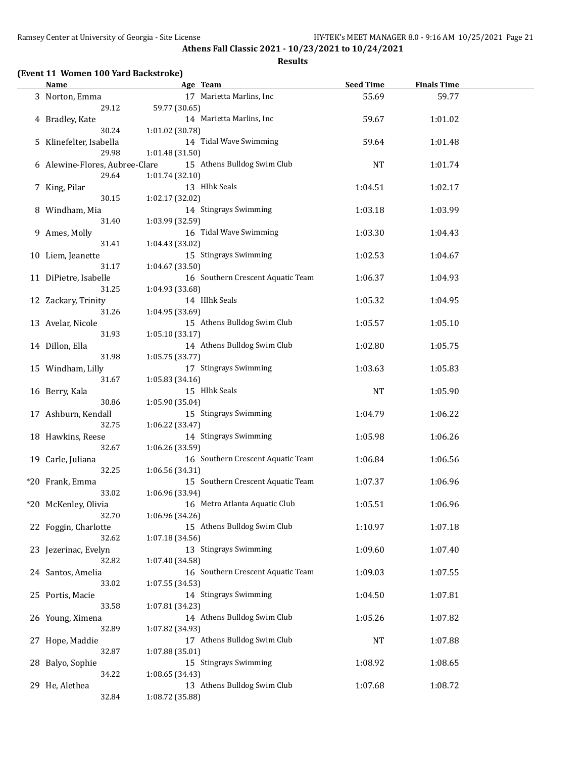# **Results**

|  |  |  | (Event 11 Women 100 Yard Backstroke) |
|--|--|--|--------------------------------------|
|--|--|--|--------------------------------------|

| <b>Name</b>                             | Age Team                                             | <b>Seed Time</b> | <b>Finals Time</b> |  |
|-----------------------------------------|------------------------------------------------------|------------------|--------------------|--|
| 3 Norton, Emma<br>29.12                 | 17 Marietta Marlins, Inc<br>59.77 (30.65)            | 55.69            | 59.77              |  |
| 4 Bradley, Kate                         | 14 Marietta Marlins, Inc                             | 59.67            | 1:01.02            |  |
| 30.24<br>5 Klinefelter, Isabella        | 1:01.02 (30.78)<br>14 Tidal Wave Swimming            | 59.64            | 1:01.48            |  |
| 29.98                                   | 1:01.48 (31.50)                                      |                  |                    |  |
| 6 Alewine-Flores, Aubree-Clare<br>29.64 | 15 Athens Bulldog Swim Club<br>1:01.74 (32.10)       | <b>NT</b>        | 1:01.74            |  |
| 7 King, Pilar<br>30.15                  | 13 Hlhk Seals<br>1:02.17 (32.02)                     | 1:04.51          | 1:02.17            |  |
| 8 Windham, Mia                          | 14 Stingrays Swimming                                | 1:03.18          | 1:03.99            |  |
| 31.40<br>9 Ames, Molly                  | 1:03.99 (32.59)<br>16 Tidal Wave Swimming            | 1:03.30          | 1:04.43            |  |
| 31.41                                   | 1:04.43 (33.02)                                      |                  |                    |  |
| 10 Liem, Jeanette<br>31.17              | 15 Stingrays Swimming<br>1:04.67 (33.50)             | 1:02.53          | 1:04.67            |  |
| 11 DiPietre, Isabelle<br>31.25          | 16 Southern Crescent Aquatic Team<br>1:04.93 (33.68) | 1:06.37          | 1:04.93            |  |
| 12 Zackary, Trinity                     | 14 Hlhk Seals                                        | 1:05.32          | 1:04.95            |  |
| 31.26<br>13 Avelar, Nicole              | 1:04.95 (33.69)<br>15 Athens Bulldog Swim Club       | 1:05.57          | 1:05.10            |  |
| 31.93<br>14 Dillon, Ella                | 1:05.10 (33.17)<br>14 Athens Bulldog Swim Club       | 1:02.80          | 1:05.75            |  |
| 31.98                                   | 1:05.75 (33.77)                                      |                  |                    |  |
| 15 Windham, Lilly<br>31.67              | 17 Stingrays Swimming<br>1:05.83 (34.16)             | 1:03.63          | 1:05.83            |  |
| 16 Berry, Kala                          | 15 Hlhk Seals                                        | <b>NT</b>        | 1:05.90            |  |
| 30.86<br>17 Ashburn, Kendall            | 1:05.90 (35.04)<br>15 Stingrays Swimming             | 1:04.79          | 1:06.22            |  |
| 32.75<br>18 Hawkins, Reese              | 1:06.22 (33.47)<br>14 Stingrays Swimming             | 1:05.98          | 1:06.26            |  |
| 32.67                                   | 1:06.26 (33.59)                                      |                  |                    |  |
| 19 Carle, Juliana<br>32.25              | 16 Southern Crescent Aquatic Team<br>1:06.56 (34.31) | 1:06.84          | 1:06.56            |  |
| *20 Frank, Emma<br>33.02                | 15 Southern Crescent Aquatic Team<br>1:06.96 (33.94) | 1:07.37          | 1:06.96            |  |
| *20 McKenley, Olivia<br>32.70           | 16 Metro Atlanta Aquatic Club<br>1:06.96 (34.26)     | 1:05.51          | 1:06.96            |  |
| 22 Foggin, Charlotte                    | 15 Athens Bulldog Swim Club                          | 1:10.97          | 1:07.18            |  |
| 32.62<br>23 Jezerinac, Evelyn           | 1:07.18(34.56)<br>13 Stingrays Swimming              | 1:09.60          | 1:07.40            |  |
| 32.82<br>24 Santos, Amelia              | 1:07.40 (34.58)<br>16 Southern Crescent Aquatic Team | 1:09.03          | 1:07.55            |  |
| 33.02<br>25 Portis, Macie               | 1:07.55(34.53)<br>14 Stingrays Swimming              | 1:04.50          | 1:07.81            |  |
| 33.58                                   | 1:07.81 (34.23)                                      |                  |                    |  |
| 26 Young, Ximena<br>32.89               | 14 Athens Bulldog Swim Club<br>1:07.82 (34.93)       | 1:05.26          | 1:07.82            |  |
| 27 Hope, Maddie<br>32.87                | 17 Athens Bulldog Swim Club<br>1:07.88 (35.01)       | NT               | 1:07.88            |  |
| 28 Balyo, Sophie                        | 15 Stingrays Swimming                                | 1:08.92          | 1:08.65            |  |
| 34.22                                   | 1:08.65 (34.43)                                      |                  |                    |  |
| 29 He, Alethea<br>32.84                 | 13 Athens Bulldog Swim Club<br>1:08.72 (35.88)       | 1:07.68          | 1:08.72            |  |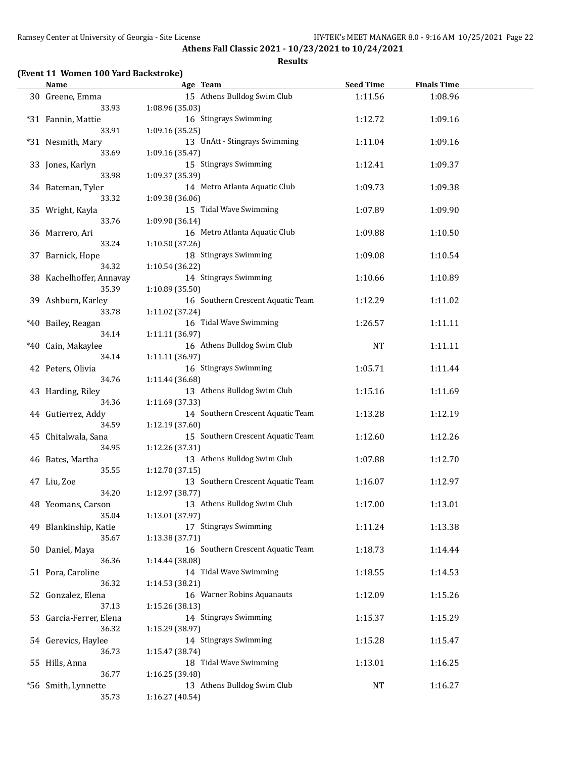### **Results**

| <b>Name</b>                      |                 | Age Team                          | <b>Seed Time</b> | <b>Finals Time</b> |  |
|----------------------------------|-----------------|-----------------------------------|------------------|--------------------|--|
| 30 Greene, Emma<br>33.93         | 1:08.96 (35.03) | 15 Athens Bulldog Swim Club       | 1:11.56          | 1:08.96            |  |
| *31 Fannin, Mattie               |                 | 16 Stingrays Swimming             | 1:12.72          | 1:09.16            |  |
| 33.91<br>*31 Nesmith, Mary       | 1:09.16 (35.25) | 13 UnAtt - Stingrays Swimming     | 1:11.04          | 1:09.16            |  |
| 33.69<br>33 Jones, Karlyn        | 1:09.16 (35.47) | 15 Stingrays Swimming             | 1:12.41          | 1:09.37            |  |
| 33.98<br>34 Bateman, Tyler       | 1:09.37 (35.39) | 14 Metro Atlanta Aquatic Club     | 1:09.73          | 1:09.38            |  |
| 33.32                            | 1:09.38 (36.06) |                                   |                  |                    |  |
| 35 Wright, Kayla<br>33.76        | 1:09.90 (36.14) | 15 Tidal Wave Swimming            | 1:07.89          | 1:09.90            |  |
| 36 Marrero, Ari<br>33.24         | 1:10.50 (37.26) | 16 Metro Atlanta Aquatic Club     | 1:09.88          | 1:10.50            |  |
| 37 Barnick, Hope<br>34.32        | 1:10.54 (36.22) | 18 Stingrays Swimming             | 1:09.08          | 1:10.54            |  |
| 38 Kachelhoffer, Annavay         |                 | 14 Stingrays Swimming             | 1:10.66          | 1:10.89            |  |
| 35.39<br>39 Ashburn, Karley      | 1:10.89 (35.50) | 16 Southern Crescent Aquatic Team | 1:12.29          | 1:11.02            |  |
| 33.78<br>*40 Bailey, Reagan      | 1:11.02 (37.24) | 16 Tidal Wave Swimming            | 1:26.57          | 1:11.11            |  |
| 34.14<br>*40 Cain, Makaylee      | 1:11.11 (36.97) | 16 Athens Bulldog Swim Club       | <b>NT</b>        | 1:11.11            |  |
| 34.14<br>42 Peters, Olivia       | 1:11.11 (36.97) | 16 Stingrays Swimming             | 1:05.71          | 1:11.44            |  |
| 34.76                            | 1:11.44 (36.68) |                                   |                  |                    |  |
| 43 Harding, Riley<br>34.36       | 1:11.69 (37.33) | 13 Athens Bulldog Swim Club       | 1:15.16          | 1:11.69            |  |
| 44 Gutierrez, Addy<br>34.59      | 1:12.19 (37.60) | 14 Southern Crescent Aquatic Team | 1:13.28          | 1:12.19            |  |
| 45 Chitalwala, Sana<br>34.95     | 1:12.26 (37.31) | 15 Southern Crescent Aquatic Team | 1:12.60          | 1:12.26            |  |
| 46 Bates, Martha                 |                 | 13 Athens Bulldog Swim Club       | 1:07.88          | 1:12.70            |  |
| 35.55<br>47 Liu, Zoe             | 1:12.70 (37.15) | 13 Southern Crescent Aquatic Team | 1:16.07          | 1:12.97            |  |
| 34.20<br>48 Yeomans, Carson      | 1:12.97 (38.77) | 13 Athens Bulldog Swim Club       | 1:17.00          | 1:13.01            |  |
| 35.04<br>49 Blankinship, Katie   | 1:13.01 (37.97) | 17 Stingrays Swimming             | 1:11.24          | 1:13.38            |  |
| 35.67<br>50 Daniel, Maya         | 1:13.38 (37.71) | 16 Southern Crescent Aquatic Team | 1:18.73          | 1:14.44            |  |
| 36.36                            | 1:14.44 (38.08) |                                   |                  |                    |  |
| 51 Pora, Caroline<br>36.32       | 1:14.53 (38.21) | 14 Tidal Wave Swimming            | 1:18.55          | 1:14.53            |  |
| 52 Gonzalez, Elena<br>37.13      | 1:15.26 (38.13) | 16 Warner Robins Aquanauts        | 1:12.09          | 1:15.26            |  |
| 53 Garcia-Ferrer, Elena<br>36.32 | 1:15.29 (38.97) | 14 Stingrays Swimming             | 1:15.37          | 1:15.29            |  |
| 54 Gerevics, Haylee              |                 | 14 Stingrays Swimming             | 1:15.28          | 1:15.47            |  |
| 36.73<br>55 Hills, Anna          | 1:15.47 (38.74) | 18 Tidal Wave Swimming            | 1:13.01          | 1:16.25            |  |
| 36.77                            | 1:16.25 (39.48) |                                   |                  |                    |  |
| *56 Smith, Lynnette<br>35.73     | 1:16.27 (40.54) | 13 Athens Bulldog Swim Club       | <b>NT</b>        | 1:16.27            |  |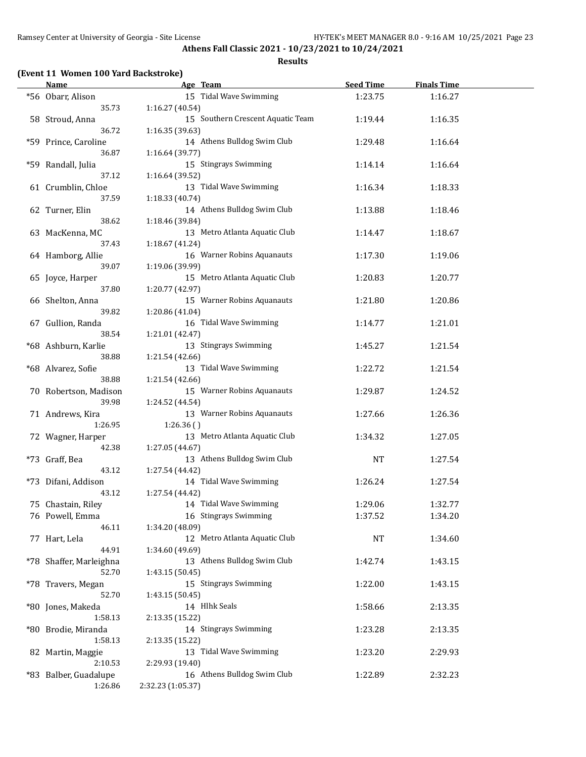#### **Results**

# **(Event 11 Women 100 Yard Backstroke)**

| <b>Name</b>             | Age Team                          | <b>Seed Time</b> | <b>Finals Time</b> |  |
|-------------------------|-----------------------------------|------------------|--------------------|--|
| *56 Obarr, Alison       | 15 Tidal Wave Swimming            | 1:23.75          | 1:16.27            |  |
| 35.73                   | 1:16.27 (40.54)                   |                  |                    |  |
| 58 Stroud, Anna         | 15 Southern Crescent Aquatic Team | 1:19.44          | 1:16.35            |  |
| 36.72                   | 1:16.35 (39.63)                   |                  |                    |  |
| *59 Prince, Caroline    | 14 Athens Bulldog Swim Club       | 1:29.48          | 1:16.64            |  |
| 36.87                   |                                   |                  |                    |  |
|                         | 1:16.64 (39.77)                   |                  |                    |  |
| *59 Randall, Julia      | 15 Stingrays Swimming             | 1:14.14          | 1:16.64            |  |
| 37.12                   | 1:16.64 (39.52)                   |                  |                    |  |
| 61 Crumblin, Chloe      | 13 Tidal Wave Swimming            | 1:16.34          | 1:18.33            |  |
| 37.59                   | 1:18.33 (40.74)                   |                  |                    |  |
| 62 Turner, Elin         | 14 Athens Bulldog Swim Club       | 1:13.88          | 1:18.46            |  |
| 38.62                   | 1:18.46 (39.84)                   |                  |                    |  |
| 63 MacKenna, MC         | 13 Metro Atlanta Aquatic Club     | 1:14.47          | 1:18.67            |  |
| 37.43                   | 1:18.67 (41.24)                   |                  |                    |  |
| 64 Hamborg, Allie       | 16 Warner Robins Aquanauts        | 1:17.30          | 1:19.06            |  |
| 39.07                   | 1:19.06 (39.99)                   |                  |                    |  |
| 65 Joyce, Harper        | 15 Metro Atlanta Aquatic Club     | 1:20.83          | 1:20.77            |  |
| 37.80                   | 1:20.77 (42.97)                   |                  |                    |  |
| 66 Shelton, Anna        | 15 Warner Robins Aquanauts        | 1:21.80          | 1:20.86            |  |
| 39.82                   |                                   |                  |                    |  |
|                         | 1:20.86 (41.04)                   |                  |                    |  |
| 67 Gullion, Randa       | 16 Tidal Wave Swimming            | 1:14.77          | 1:21.01            |  |
| 38.54                   | 1:21.01 (42.47)                   |                  |                    |  |
| *68 Ashburn, Karlie     | 13 Stingrays Swimming             | 1:45.27          | 1:21.54            |  |
| 38.88                   | 1:21.54 (42.66)                   |                  |                    |  |
| *68 Alvarez, Sofie      | 13 Tidal Wave Swimming            | 1:22.72          | 1:21.54            |  |
| 38.88                   | 1:21.54 (42.66)                   |                  |                    |  |
| 70 Robertson, Madison   | 15 Warner Robins Aquanauts        | 1:29.87          | 1:24.52            |  |
| 39.98                   | 1:24.52 (44.54)                   |                  |                    |  |
| 71 Andrews, Kira        | 13 Warner Robins Aquanauts        | 1:27.66          | 1:26.36            |  |
| 1:26.95                 | 1:26.36()                         |                  |                    |  |
| 72 Wagner, Harper       | 13 Metro Atlanta Aquatic Club     | 1:34.32          | 1:27.05            |  |
| 42.38                   | 1:27.05 (44.67)                   |                  |                    |  |
| *73 Graff, Bea          | 13 Athens Bulldog Swim Club       | <b>NT</b>        | 1:27.54            |  |
| 43.12                   | 1:27.54 (44.42)                   |                  |                    |  |
| *73 Difani, Addison     | 14 Tidal Wave Swimming            | 1:26.24          | 1:27.54            |  |
|                         |                                   |                  |                    |  |
| 43.12                   | 1:27.54 (44.42)                   |                  |                    |  |
| 75 Chastain, Riley      | 14 Tidal Wave Swimming            | 1:29.06          | 1:32.77            |  |
| 76 Powell, Emma         | 16 Stingrays Swimming             | 1:37.52          | 1:34.20            |  |
| 46.11                   | 1:34.20 (48.09)                   |                  |                    |  |
| 77 Hart, Lela           | 12 Metro Atlanta Aquatic Club     | NT               | 1:34.60            |  |
| 44.91                   | 1:34.60 (49.69)                   |                  |                    |  |
| *78 Shaffer, Marleighna | 13 Athens Bulldog Swim Club       | 1:42.74          | 1:43.15            |  |
| 52.70                   | 1:43.15 (50.45)                   |                  |                    |  |
| *78 Travers, Megan      | 15 Stingrays Swimming             | 1:22.00          | 1:43.15            |  |
| 52.70                   | 1:43.15 (50.45)                   |                  |                    |  |
| *80 Jones, Makeda       | 14 Hlhk Seals                     | 1:58.66          | 2:13.35            |  |
| 1:58.13                 | 2:13.35 (15.22)                   |                  |                    |  |
| *80 Brodie, Miranda     | 14 Stingrays Swimming             | 1:23.28          | 2:13.35            |  |
| 1:58.13                 | 2:13.35 (15.22)                   |                  |                    |  |
| 82 Martin, Maggie       | 13 Tidal Wave Swimming            | 1:23.20          | 2:29.93            |  |
| 2:10.53                 | 2:29.93 (19.40)                   |                  |                    |  |
|                         | 16 Athens Bulldog Swim Club       | 1:22.89          | 2:32.23            |  |
| *83 Balber, Guadalupe   |                                   |                  |                    |  |
| 1:26.86                 | 2:32.23 (1:05.37)                 |                  |                    |  |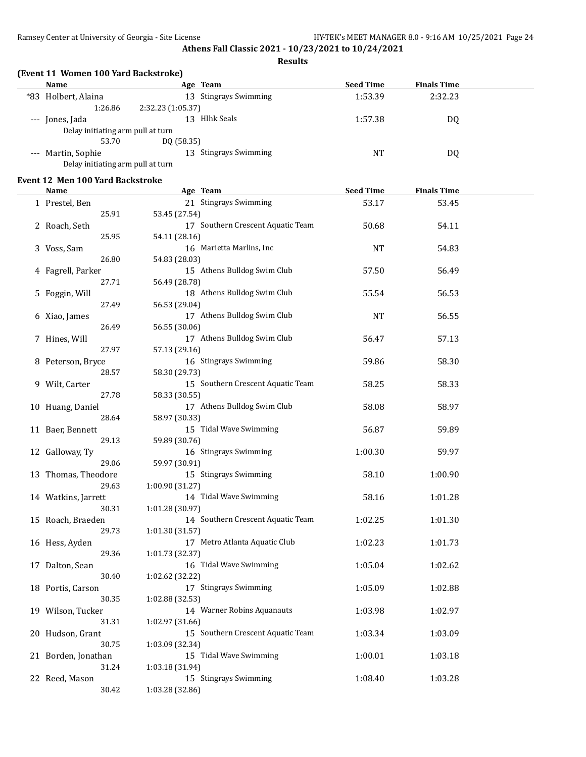**Results**

# **(Event 11 Women 100 Yard Backstroke)**

| Name                              | Age Team                         | <b>Seed Time</b> | <b>Finals Time</b> |  |
|-----------------------------------|----------------------------------|------------------|--------------------|--|
| *83 Holbert, Alaina               | <b>Stingrays Swimming</b><br>13. | 1:53.39          | 2:32.23            |  |
| 1:26.86                           | 2:32.23 (1:05.37)                |                  |                    |  |
| --- Jones, Jada                   | Hlhk Seals<br>13                 | 1:57.38          | DQ                 |  |
| Delay initiating arm pull at turn |                                  |                  |                    |  |
| 53.70                             | DO (58.35)                       |                  |                    |  |
| --- Martin, Sophie                | <b>Stingrays Swimming</b><br>13. | NT               | DQ                 |  |
| Delay initiating arm pull at turn |                                  |                  |                    |  |

### **Event 12 Men 100 Yard Backstroke**

| <b>Name</b>                  | Age Team                                      | <b>Seed Time</b> | <b>Finals Time</b> |  |
|------------------------------|-----------------------------------------------|------------------|--------------------|--|
| 1 Prestel, Ben               | 21 Stingrays Swimming                         | 53.17            | 53.45              |  |
| 25.91                        | 53.45 (27.54)                                 |                  |                    |  |
| 2 Roach, Seth                | 17 Southern Crescent Aquatic Team             | 50.68            | 54.11              |  |
| 25.95                        | 54.11 (28.16)                                 |                  |                    |  |
| 3 Voss, Sam                  | 16 Marietta Marlins, Inc                      | <b>NT</b>        | 54.83              |  |
| 26.80                        | 54.83 (28.03)                                 |                  |                    |  |
| 4 Fagrell, Parker            | 15 Athens Bulldog Swim Club                   | 57.50            | 56.49              |  |
| 27.71                        | 56.49 (28.78)                                 |                  |                    |  |
| 5 Foggin, Will               | 18 Athens Bulldog Swim Club                   | 55.54            | 56.53              |  |
| 27.49                        | 56.53 (29.04)                                 |                  |                    |  |
| 6 Xiao, James                | 17 Athens Bulldog Swim Club                   | <b>NT</b>        | 56.55              |  |
| 26.49                        | 56.55 (30.06)                                 |                  |                    |  |
| 7 Hines, Will                | 17 Athens Bulldog Swim Club                   | 56.47            | 57.13              |  |
| 27.97                        | 57.13 (29.16)                                 |                  |                    |  |
| 8 Peterson, Bryce            | 16 Stingrays Swimming                         | 59.86            | 58.30              |  |
| 28.57                        | 58.30 (29.73)                                 |                  |                    |  |
| 9 Wilt, Carter               | 15 Southern Crescent Aquatic Team             | 58.25            | 58.33              |  |
| 27.78                        | 58.33 (30.55)                                 |                  |                    |  |
| 10 Huang, Daniel             | 17 Athens Bulldog Swim Club                   | 58.08            | 58.97              |  |
| 28.64                        | 58.97 (30.33)                                 |                  |                    |  |
| 11 Baer, Bennett             | 15 Tidal Wave Swimming                        | 56.87            | 59.89              |  |
| 29.13                        | 59.89 (30.76)                                 |                  |                    |  |
| 12 Galloway, Ty              | 16 Stingrays Swimming                         | 1:00.30          | 59.97              |  |
| 29.06                        | 59.97 (30.91)                                 |                  |                    |  |
| 13 Thomas, Theodore          | 15 Stingrays Swimming                         | 58.10            | 1:00.90            |  |
| 29.63                        | 1:00.90 (31.27)                               |                  |                    |  |
| 14 Watkins, Jarrett          | 14 Tidal Wave Swimming                        | 58.16            | 1:01.28            |  |
| 30.31                        | 1:01.28 (30.97)                               |                  |                    |  |
| 15 Roach, Braeden            | 14 Southern Crescent Aquatic Team             | 1:02.25          | 1:01.30            |  |
| 29.73                        | 1:01.30 (31.57)                               |                  |                    |  |
| 16 Hess, Ayden               | 17 Metro Atlanta Aquatic Club                 | 1:02.23          | 1:01.73            |  |
| 29.36                        | 1:01.73 (32.37)                               |                  |                    |  |
| 17 Dalton, Sean              | 16 Tidal Wave Swimming                        | 1:05.04          | 1:02.62            |  |
| 30.40                        | 1:02.62 (32.22)                               |                  |                    |  |
| 18 Portis, Carson            | 17 Stingrays Swimming                         | 1:05.09          | 1:02.88            |  |
| 30.35                        | 1:02.88 (32.53)<br>14 Warner Robins Aquanauts |                  |                    |  |
| 19 Wilson, Tucker<br>31.31   | 1:02.97 (31.66)                               | 1:03.98          | 1:02.97            |  |
|                              | 15 Southern Crescent Aquatic Team             |                  |                    |  |
| 20 Hudson, Grant             | 1:03.09 (32.34)                               | 1:03.34          | 1:03.09            |  |
| 30.75<br>21 Borden, Jonathan | 15 Tidal Wave Swimming                        | 1:00.01          | 1:03.18            |  |
| 31.24                        | 1:03.18 (31.94)                               |                  |                    |  |
| 22 Reed, Mason               | 15 Stingrays Swimming                         | 1:08.40          | 1:03.28            |  |
|                              |                                               |                  |                    |  |
| 30.42                        | 1:03.28 (32.86)                               |                  |                    |  |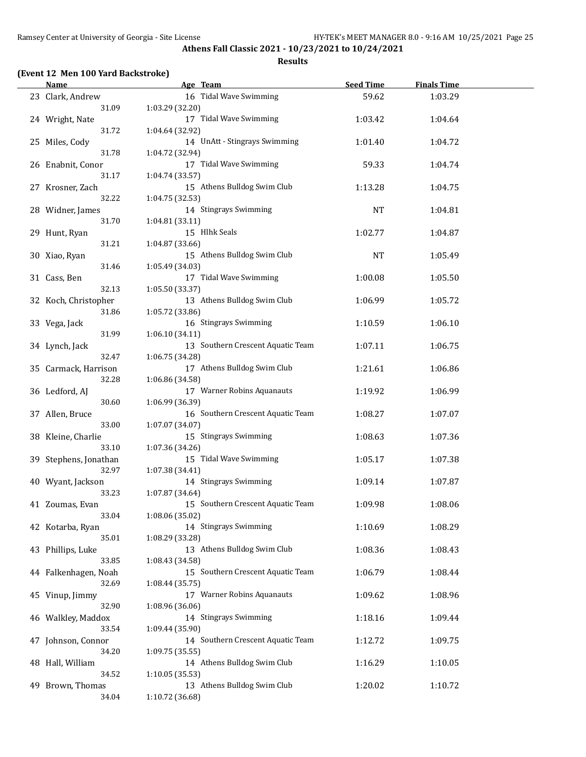#### **Results**

# **(Event 12 Men 100 Yard Backstroke)**

| <b>Name</b>           | Age Team                                      | <b>Seed Time</b> | <b>Finals Time</b> |  |
|-----------------------|-----------------------------------------------|------------------|--------------------|--|
| 23 Clark, Andrew      | 16 Tidal Wave Swimming                        | 59.62            | 1:03.29            |  |
| 31.09                 | 1:03.29 (32.20)                               |                  |                    |  |
| 24 Wright, Nate       | 17 Tidal Wave Swimming                        | 1:03.42          | 1:04.64            |  |
| 31.72                 | 1:04.64 (32.92)                               |                  |                    |  |
| 25 Miles, Cody        | 14 UnAtt - Stingrays Swimming                 | 1:01.40          | 1:04.72            |  |
| 31.78                 | 1:04.72 (32.94)                               |                  |                    |  |
| 26 Enabnit, Conor     | 17 Tidal Wave Swimming                        | 59.33            | 1:04.74            |  |
| 31.17                 |                                               |                  |                    |  |
|                       | 1:04.74 (33.57)                               |                  |                    |  |
| 27 Krosner, Zach      | 15 Athens Bulldog Swim Club                   | 1:13.28          | 1:04.75            |  |
| 32.22                 | 1:04.75 (32.53)                               |                  |                    |  |
| 28 Widner, James      | 14 Stingrays Swimming                         | NT               | 1:04.81            |  |
| 31.70                 | 1:04.81 (33.11)                               |                  |                    |  |
| 29 Hunt, Ryan         | 15 Hlhk Seals                                 | 1:02.77          | 1:04.87            |  |
| 31.21                 | 1:04.87 (33.66)                               |                  |                    |  |
| 30 Xiao, Ryan         | 15 Athens Bulldog Swim Club                   | <b>NT</b>        | 1:05.49            |  |
| 31.46                 | 1:05.49 (34.03)                               |                  |                    |  |
| 31 Cass, Ben          | 17 Tidal Wave Swimming                        | 1:00.08          | 1:05.50            |  |
| 32.13                 | 1:05.50 (33.37)                               |                  |                    |  |
| 32 Koch, Christopher  | 13 Athens Bulldog Swim Club                   | 1:06.99          | 1:05.72            |  |
| 31.86                 | 1:05.72 (33.86)                               |                  |                    |  |
| 33 Vega, Jack         | 16 Stingrays Swimming                         | 1:10.59          | 1:06.10            |  |
| 31.99                 | 1:06.10(34.11)                                |                  |                    |  |
| 34 Lynch, Jack        | 13 Southern Crescent Aquatic Team             | 1:07.11          | 1:06.75            |  |
| 32.47                 | 1:06.75 (34.28)                               |                  |                    |  |
| 35 Carmack, Harrison  | 17 Athens Bulldog Swim Club                   | 1:21.61          | 1:06.86            |  |
| 32.28                 | 1:06.86 (34.58)                               |                  |                    |  |
| 36 Ledford, AJ        | 17 Warner Robins Aquanauts                    | 1:19.92          | 1:06.99            |  |
| 30.60                 | 1:06.99 (36.39)                               |                  |                    |  |
|                       | 16 Southern Crescent Aquatic Team             |                  |                    |  |
| 37 Allen, Bruce       |                                               | 1:08.27          | 1:07.07            |  |
| 33.00                 | 1:07.07 (34.07)                               |                  |                    |  |
| 38 Kleine, Charlie    | 15 Stingrays Swimming                         | 1:08.63          | 1:07.36            |  |
| 33.10                 | 1:07.36 (34.26)                               |                  |                    |  |
| 39 Stephens, Jonathan | 15 Tidal Wave Swimming                        | 1:05.17          | 1:07.38            |  |
| 32.97                 | 1:07.38 (34.41)                               |                  |                    |  |
| 40 Wyant, Jackson     | 14 Stingrays Swimming                         | 1:09.14          | 1:07.87            |  |
| 33.23                 | 1:07.87 (34.64)                               |                  |                    |  |
| 41 Zoumas, Evan       | 15 Southern Crescent Aquatic Team             | 1:09.98          | 1:08.06            |  |
| 33.04                 | 1:08.06 (35.02)                               |                  |                    |  |
| 42 Kotarba, Ryan      | 14 Stingrays Swimming                         | 1:10.69          | 1:08.29            |  |
| 35.01                 | 1:08.29 (33.28)                               |                  |                    |  |
| 43 Phillips, Luke     | 13 Athens Bulldog Swim Club                   | 1:08.36          | 1:08.43            |  |
| 33.85                 | 1:08.43 (34.58)                               |                  |                    |  |
| 44 Falkenhagen, Noah  | 15 Southern Crescent Aquatic Team             | 1:06.79          | 1:08.44            |  |
| 32.69                 | 1:08.44 (35.75)                               |                  |                    |  |
| 45 Vinup, Jimmy       | 17 Warner Robins Aquanauts                    | 1:09.62          | 1:08.96            |  |
| 32.90                 | 1:08.96 (36.06)                               |                  |                    |  |
| 46 Walkley, Maddox    | 14 Stingrays Swimming                         | 1:18.16          | 1:09.44            |  |
| 33.54                 | 1:09.44 (35.90)                               |                  |                    |  |
| 47 Johnson, Connor    | 14 Southern Crescent Aquatic Team             | 1:12.72          | 1:09.75            |  |
| 34.20                 | 1:09.75 (35.55)                               |                  |                    |  |
| 48 Hall, William      | 14 Athens Bulldog Swim Club                   | 1:16.29          | 1:10.05            |  |
| 34.52                 |                                               |                  |                    |  |
|                       | 1:10.05(35.53)<br>13 Athens Bulldog Swim Club |                  |                    |  |
| 49 Brown, Thomas      |                                               | 1:20.02          | 1:10.72            |  |
| 34.04                 | 1:10.72 (36.68)                               |                  |                    |  |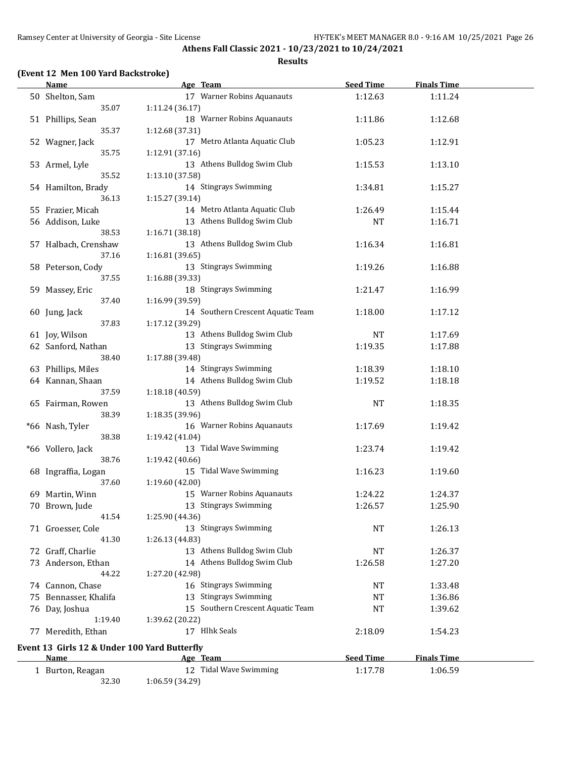#### **Results**

# **(Event 12 Men 100 Yard Backstroke)**

|    | <b>Name</b>                                          | Age Team                                             | <b>Seed Time</b> | <b>Finals Time</b> |  |
|----|------------------------------------------------------|------------------------------------------------------|------------------|--------------------|--|
|    | 50 Shelton, Sam                                      | 17 Warner Robins Aquanauts                           | 1:12.63          | 1:11.24            |  |
|    | 35.07                                                | 1:11.24 (36.17)                                      |                  |                    |  |
|    | 51 Phillips, Sean                                    | 18 Warner Robins Aquanauts                           | 1:11.86          | 1:12.68            |  |
|    | 35.37                                                | 1:12.68 (37.31)                                      |                  |                    |  |
|    | 52 Wagner, Jack                                      | 17 Metro Atlanta Aquatic Club                        | 1:05.23          | 1:12.91            |  |
|    | 35.75                                                | 1:12.91 (37.16)                                      |                  |                    |  |
|    | 53 Armel, Lyle                                       | 13 Athens Bulldog Swim Club                          | 1:15.53          | 1:13.10            |  |
|    | 35.52                                                | 1:13.10 (37.58)                                      |                  |                    |  |
|    | 54 Hamilton, Brady                                   | 14 Stingrays Swimming                                | 1:34.81          | 1:15.27            |  |
|    | 36.13                                                | 1:15.27 (39.14)                                      |                  |                    |  |
|    | 55 Frazier, Micah                                    | 14 Metro Atlanta Aquatic Club                        | 1:26.49          | 1:15.44            |  |
|    | 56 Addison, Luke                                     | 13 Athens Bulldog Swim Club                          | <b>NT</b>        | 1:16.71            |  |
|    | 38.53                                                | 1:16.71 (38.18)                                      |                  |                    |  |
|    | 57 Halbach, Crenshaw                                 | 13 Athens Bulldog Swim Club                          | 1:16.34          | 1:16.81            |  |
|    | 37.16                                                | 1:16.81 (39.65)                                      |                  |                    |  |
|    | 58 Peterson, Cody                                    | 13 Stingrays Swimming                                | 1:19.26          | 1:16.88            |  |
|    | 37.55                                                | 1:16.88 (39.33)                                      |                  |                    |  |
|    | 59 Massey, Eric                                      | 18 Stingrays Swimming                                | 1:21.47          | 1:16.99            |  |
|    | 37.40                                                | 1:16.99 (39.59)                                      |                  |                    |  |
|    | 60 Jung, Jack                                        | 14 Southern Crescent Aquatic Team                    | 1:18.00          | 1:17.12            |  |
|    | 37.83                                                | 1:17.12 (39.29)                                      |                  |                    |  |
|    | 61 Joy, Wilson                                       | 13 Athens Bulldog Swim Club<br>13 Stingrays Swimming | <b>NT</b>        | 1:17.69            |  |
|    | 62 Sanford, Nathan                                   |                                                      | 1:19.35          | 1:17.88            |  |
|    | 38.40                                                | 1:17.88 (39.48)<br>14 Stingrays Swimming             |                  |                    |  |
|    | 63 Phillips, Miles                                   | 14 Athens Bulldog Swim Club                          | 1:18.39          | 1:18.10            |  |
|    | 64 Kannan, Shaan<br>37.59                            |                                                      | 1:19.52          | 1:18.18            |  |
|    |                                                      | 1:18.18 (40.59)<br>13 Athens Bulldog Swim Club       |                  |                    |  |
|    | 65 Fairman, Rowen<br>38.39                           | 1:18.35 (39.96)                                      | <b>NT</b>        | 1:18.35            |  |
|    | *66 Nash, Tyler                                      | 16 Warner Robins Aquanauts                           | 1:17.69          | 1:19.42            |  |
|    | 38.38                                                | 1:19.42 (41.04)                                      |                  |                    |  |
|    | *66 Vollero, Jack                                    | 13 Tidal Wave Swimming                               | 1:23.74          | 1:19.42            |  |
|    | 38.76                                                | 1:19.42 (40.66)                                      |                  |                    |  |
|    | 68 Ingraffia, Logan                                  | 15 Tidal Wave Swimming                               | 1:16.23          | 1:19.60            |  |
|    | 37.60                                                | 1:19.60 (42.00)                                      |                  |                    |  |
|    | 69 Martin, Winn                                      | 15 Warner Robins Aquanauts                           | 1:24.22          | 1:24.37            |  |
|    | 70 Brown, Jude                                       | 13 Stingrays Swimming                                | 1:26.57          | 1:25.90            |  |
|    | 41.54                                                | 1:25.90 (44.36)                                      |                  |                    |  |
|    | 71 Groesser, Cole                                    | 13 Stingrays Swimming                                | NT               | 1:26.13            |  |
|    | 41.30                                                | 1:26.13 (44.83)                                      |                  |                    |  |
|    | 72 Graff, Charlie                                    | 13 Athens Bulldog Swim Club                          | <b>NT</b>        | 1:26.37            |  |
|    | 73 Anderson, Ethan                                   | 14 Athens Bulldog Swim Club                          | 1:26.58          | 1:27.20            |  |
|    | 44.22                                                | 1:27.20 (42.98)                                      |                  |                    |  |
|    | 74 Cannon, Chase                                     | 16 Stingrays Swimming                                | NT               | 1:33.48            |  |
| 75 | Bennasser, Khalifa                                   | 13 Stingrays Swimming                                | <b>NT</b>        | 1:36.86            |  |
|    | 76 Day, Joshua                                       | 15 Southern Crescent Aquatic Team                    | <b>NT</b>        | 1:39.62            |  |
|    | 1:19.40                                              | 1:39.62 (20.22)                                      |                  |                    |  |
|    | 77 Meredith, Ethan                                   | 17 Hlhk Seals                                        | 2:18.09          | 1:54.23            |  |
|    |                                                      |                                                      |                  |                    |  |
|    | Event 13 Girls 12 & Under 100 Yard Butterfly<br>Name |                                                      | <b>Seed Time</b> | <b>Finals Time</b> |  |
|    |                                                      | <u>Age Team</u><br>12 Tidal Wave Swimming            | 1:17.78          | 1:06.59            |  |
|    | 1 Burton, Reagan<br>32.30                            | 1:06.59 (34.29)                                      |                  |                    |  |
|    |                                                      |                                                      |                  |                    |  |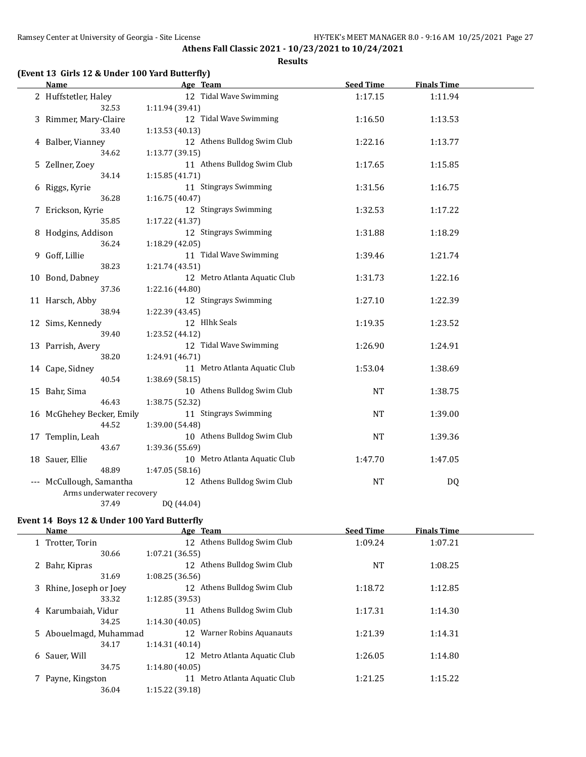**Athens Fall Classic 2021 - 10/23/2021 to 10/24/2021 Results**

# **(Event 13 Girls 12 & Under 100 Yard Butterfly)**

| Name                                                 | Age Team        |                               | <b>Seed Time</b> | <b>Finals Time</b> |  |
|------------------------------------------------------|-----------------|-------------------------------|------------------|--------------------|--|
| 2 Huffstetler, Haley                                 |                 | 12 Tidal Wave Swimming        | 1:17.15          | 1:11.94            |  |
| 32.53                                                | 1:11.94 (39.41) |                               |                  |                    |  |
| 3 Rimmer, Mary-Claire                                |                 | 12 Tidal Wave Swimming        | 1:16.50          | 1:13.53            |  |
| 33.40                                                | 1:13.53 (40.13) |                               |                  |                    |  |
| 4 Balber, Vianney                                    |                 | 12 Athens Bulldog Swim Club   | 1:22.16          | 1:13.77            |  |
| 34.62                                                | 1:13.77 (39.15) |                               |                  |                    |  |
| 5 Zellner, Zoey                                      |                 | 11 Athens Bulldog Swim Club   | 1:17.65          | 1:15.85            |  |
| 34.14                                                | 1:15.85(41.71)  |                               |                  |                    |  |
| 6 Riggs, Kyrie                                       |                 | 11 Stingrays Swimming         | 1:31.56          | 1:16.75            |  |
| 36.28                                                | 1:16.75 (40.47) |                               |                  |                    |  |
| 7 Erickson, Kyrie                                    |                 | 12 Stingrays Swimming         | 1:32.53          | 1:17.22            |  |
| 35.85                                                | 1:17.22 (41.37) |                               |                  |                    |  |
| 8 Hodgins, Addison                                   |                 | 12 Stingrays Swimming         | 1:31.88          | 1:18.29            |  |
| 36.24                                                | 1:18.29 (42.05) |                               |                  |                    |  |
| 9 Goff, Lillie                                       |                 | 11 Tidal Wave Swimming        | 1:39.46          | 1:21.74            |  |
| 38.23                                                | 1:21.74 (43.51) |                               |                  |                    |  |
| 10 Bond, Dabney                                      |                 | 12 Metro Atlanta Aquatic Club | 1:31.73          | 1:22.16            |  |
| 37.36                                                | 1:22.16 (44.80) |                               |                  |                    |  |
| 11 Harsch, Abby                                      |                 | 12 Stingrays Swimming         | 1:27.10          | 1:22.39            |  |
| 38.94                                                | 1:22.39 (43.45) |                               |                  |                    |  |
| 12 Sims, Kennedy                                     |                 | 12 Hlhk Seals                 | 1:19.35          | 1:23.52            |  |
| 39.40                                                | 1:23.52 (44.12) |                               |                  |                    |  |
| 13 Parrish, Avery                                    |                 | 12 Tidal Wave Swimming        | 1:26.90          | 1:24.91            |  |
| 38.20                                                | 1:24.91 (46.71) |                               |                  |                    |  |
| 14 Cape, Sidney                                      |                 | 11 Metro Atlanta Aquatic Club | 1:53.04          | 1:38.69            |  |
| 40.54                                                | 1:38.69 (58.15) |                               |                  |                    |  |
| 15 Bahr, Sima                                        |                 | 10 Athens Bulldog Swim Club   | <b>NT</b>        | 1:38.75            |  |
| 46.43                                                | 1:38.75 (52.32) |                               |                  |                    |  |
| 16 McGhehey Becker, Emily                            |                 | 11 Stingrays Swimming         | <b>NT</b>        | 1:39.00            |  |
| 44.52                                                | 1:39.00 (54.48) |                               |                  |                    |  |
| 17 Templin, Leah                                     |                 | 10 Athens Bulldog Swim Club   | <b>NT</b>        | 1:39.36            |  |
| 43.67                                                | 1:39.36 (55.69) |                               |                  |                    |  |
| 18 Sauer, Ellie<br>48.89                             |                 | 10 Metro Atlanta Aquatic Club | 1:47.70          | 1:47.05            |  |
|                                                      | 1:47.05 (58.16) | 12 Athens Bulldog Swim Club   |                  |                    |  |
| --- McCullough, Samantha<br>Arms underwater recovery |                 |                               | <b>NT</b>        | DQ                 |  |
| 37.49                                                | DQ (44.04)      |                               |                  |                    |  |
|                                                      |                 |                               |                  |                    |  |

# **Event 14 Boys 12 & Under 100 Yard Butterfly**

 $\overline{a}$ 

|   | Name                    | Age Team                         | <b>Seed Time</b> | <b>Finals Time</b> |  |
|---|-------------------------|----------------------------------|------------------|--------------------|--|
| 1 | Trotter, Torin          | 12 Athens Bulldog Swim Club      | 1:09.24          | 1:07.21            |  |
|   | 30.66                   | 1:07.21(36.55)                   |                  |                    |  |
|   | 2 Bahr, Kipras          | Athens Bulldog Swim Club<br>12   | <b>NT</b>        | 1:08.25            |  |
|   | 31.69                   | 1:08.25(36.56)                   |                  |                    |  |
|   | 3 Rhine, Joseph or Joey | 12 Athens Bulldog Swim Club      | 1:18.72          | 1:12.85            |  |
|   | 33.32                   | 1:12.85(39.53)                   |                  |                    |  |
|   | 4 Karumbaiah, Vidur     | 11 Athens Bulldog Swim Club      | 1:17.31          | 1:14.30            |  |
|   | 34.25                   | 1:14.30(40.05)                   |                  |                    |  |
|   | 5 Abouelmagd, Muhammad  | 12 Warner Robins Aquanauts       | 1:21.39          | 1:14.31            |  |
|   | 34.17                   | 1:14.31(40.14)                   |                  |                    |  |
|   | 6 Sauer, Will           | Metro Atlanta Aquatic Club<br>12 | 1:26.05          | 1:14.80            |  |
|   | 34.75                   | 1:14.80(40.05)                   |                  |                    |  |
|   | Payne, Kingston         | Metro Atlanta Aquatic Club<br>11 | 1:21.25          | 1:15.22            |  |
|   | 36.04                   | 1:15.22(39.18)                   |                  |                    |  |
|   |                         |                                  |                  |                    |  |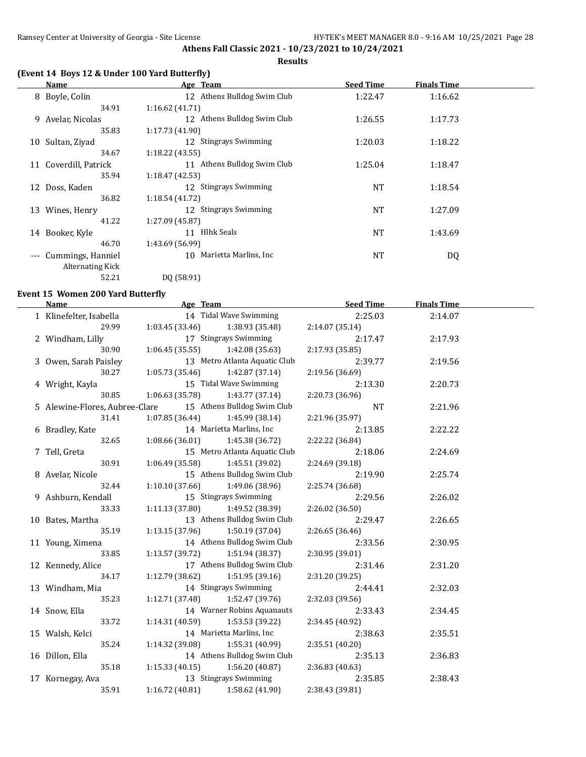#### **Results**

# **(Event 14 Boys 12 & Under 100 Yard Butterfly)**

|       | Name                  | Age Team                    | <b>Seed Time</b> | <b>Finals Time</b> |  |
|-------|-----------------------|-----------------------------|------------------|--------------------|--|
|       | 8 Boyle, Colin        | 12 Athens Bulldog Swim Club | 1:22.47          | 1:16.62            |  |
|       | 34.91                 | 1:16.62(41.71)              |                  |                    |  |
| 9.    | Avelar, Nicolas       | 12 Athens Bulldog Swim Club | 1:26.55          | 1:17.73            |  |
|       | 35.83                 | 1:17.73(41.90)              |                  |                    |  |
| 10    | Sultan, Ziyad         | 12 Stingrays Swimming       | 1:20.03          | 1:18.22            |  |
|       | 34.67                 | 1:18.22(43.55)              |                  |                    |  |
|       | 11 Coverdill, Patrick | 11 Athens Bulldog Swim Club | 1:25.04          | 1:18.47            |  |
|       | 35.94                 | 1:18.47(42.53)              |                  |                    |  |
| 12    | Doss, Kaden           | 12 Stingrays Swimming       | <b>NT</b>        | 1:18.54            |  |
|       | 36.82                 | 1:18.54(41.72)              |                  |                    |  |
| 13    | Wines, Henry          | 12 Stingrays Swimming       | <b>NT</b>        | 1:27.09            |  |
|       | 41.22                 | 1:27.09 (45.87)             |                  |                    |  |
| 14    | Booker, Kyle          | Hlhk Seals<br>11            | <b>NT</b>        | 1:43.69            |  |
|       | 46.70                 | 1:43.69 (56.99)             |                  |                    |  |
| $---$ | Cummings, Hanniel     | 10 Marietta Marlins, Inc.   | <b>NT</b>        | DQ                 |  |
|       | Alternating Kick      |                             |                  |                    |  |
|       | 52.21                 | DQ (58.91)                  |                  |                    |  |

### **Event 15 Women 200 Yard Butterfly**

 $\equiv$ 

| Name                           | Age Team                            |                               | <b>Seed Time</b> | <b>Finals Time</b> |  |
|--------------------------------|-------------------------------------|-------------------------------|------------------|--------------------|--|
| 1 Klinefelter, Isabella        |                                     | 14 Tidal Wave Swimming        | 2:25.03          | 2:14.07            |  |
| 29.99                          | 1:03.45(33.46)                      | 1:38.93 (35.48)               | 2:14.07 (35.14)  |                    |  |
| 2 Windham, Lilly               |                                     | 17 Stingrays Swimming         | 2:17.47          | 2:17.93            |  |
| 30.90                          | 1:06.45(35.55)                      | 1:42.08(35.63)                | 2:17.93 (35.85)  |                    |  |
| 3 Owen, Sarah Paisley          |                                     | 13 Metro Atlanta Aquatic Club | 2:39.77          | 2:19.56            |  |
| 30.27                          | 1:05.73(35.46)                      | 1:42.87 (37.14)               | 2:19.56 (36.69)  |                    |  |
| 4 Wright, Kayla                |                                     | 15 Tidal Wave Swimming        | 2:13.30          | 2:20.73            |  |
| 30.85                          | 1:06.63(35.78)                      | 1:43.77 (37.14)               | 2:20.73 (36.96)  |                    |  |
| 5 Alewine-Flores, Aubree-Clare |                                     | 15 Athens Bulldog Swim Club   | <b>NT</b>        | 2:21.96            |  |
| 31.41                          | 1:07.85(36.44)                      | 1:45.99 (38.14)               | 2:21.96 (35.97)  |                    |  |
| 6 Bradley, Kate                |                                     | 14 Marietta Marlins, Inc      | 2:13.85          | 2:22.22            |  |
| 32.65                          | 1:08.66(36.01)                      | 1:45.38 (36.72)               | 2:22.22 (36.84)  |                    |  |
| 7 Tell, Greta                  |                                     | 15 Metro Atlanta Aquatic Club | 2:18.06          | 2:24.69            |  |
| 30.91                          | 1:06.49(35.58)                      | 1:45.51 (39.02)               | 2:24.69 (39.18)  |                    |  |
| 8 Avelar, Nicole               |                                     | 15 Athens Bulldog Swim Club   | 2:19.90          | 2:25.74            |  |
| 32.44                          | 1:10.10(37.66)                      | 1:49.06 (38.96)               | 2:25.74 (36.68)  |                    |  |
| 9 Ashburn, Kendall             |                                     | 15 Stingrays Swimming         | 2:29.56          | 2:26.02            |  |
| 33.33                          | 1:11.13 (37.80)                     | 1:49.52 (38.39)               | 2:26.02 (36.50)  |                    |  |
| 10 Bates, Martha               |                                     | 13 Athens Bulldog Swim Club   | 2:29.47          | 2:26.65            |  |
| 35.19                          | 1:13.15 (37.96)                     | 1:50.19 (37.04)               | 2:26.65(36.46)   |                    |  |
| 11 Young, Ximena               |                                     | 14 Athens Bulldog Swim Club   | 2:33.56          | 2:30.95            |  |
| 33.85                          | 1:13.57(39.72)                      | 1:51.94 (38.37)               | 2:30.95 (39.01)  |                    |  |
| 12 Kennedy, Alice              |                                     | 17 Athens Bulldog Swim Club   | 2:31.46          | 2:31.20            |  |
| 34.17                          | $1:12.79$ (38.62) $1:51.95$ (39.16) |                               | 2:31.20 (39.25)  |                    |  |
| 13 Windham, Mia                |                                     | 14 Stingrays Swimming         | 2:44.41          | 2:32.03            |  |
| 35.23                          | 1:12.71(37.48)                      | 1:52.47 (39.76)               | 2:32.03 (39.56)  |                    |  |
| 14 Snow, Ella                  |                                     | 14 Warner Robins Aquanauts    | 2:33.43          | 2:34.45            |  |
| 33.72                          | 1:14.31(40.59)                      | 1:53.53 (39.22)               | 2:34.45 (40.92)  |                    |  |
| 15 Walsh, Kelci                |                                     | 14 Marietta Marlins, Inc      | 2:38.63          | 2:35.51            |  |
| 35.24                          | 1:14.32 (39.08)                     | 1:55.31 (40.99)               | 2:35.51 (40.20)  |                    |  |
| 16 Dillon, Ella                |                                     | 14 Athens Bulldog Swim Club   | 2:35.13          | 2:36.83            |  |
| 35.18                          | 1:15.33(40.15)                      | 1:56.20(40.87)                | 2:36.83 (40.63)  |                    |  |
| 17 Kornegay, Ava               |                                     | 13 Stingrays Swimming         | 2:35.85          | 2:38.43            |  |
| 35.91                          | 1:16.72 (40.81)                     | 1:58.62 (41.90)               | 2:38.43 (39.81)  |                    |  |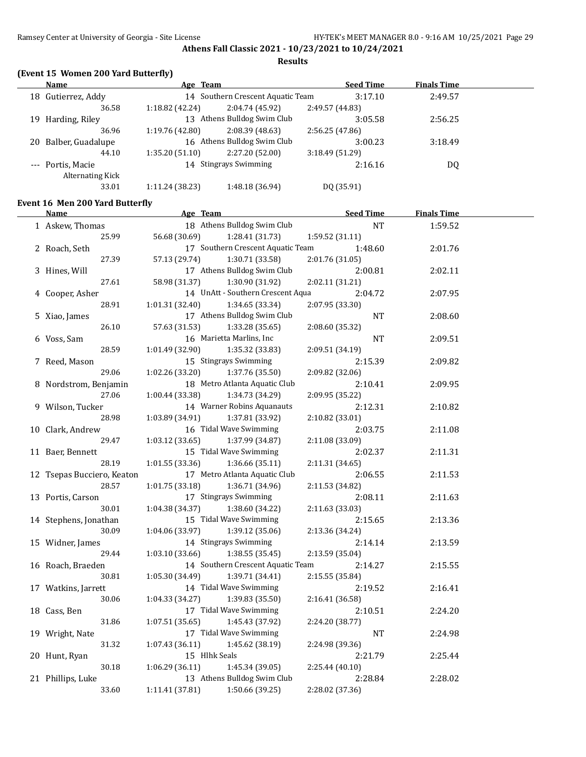**Athens Fall Classic 2021 - 10/23/2021 to 10/24/2021 Results**

# **(Event 15 Women 200 Yard Butterfly)**

|     | Name              | Age Team        |                                   | <b>Seed Time</b> | <b>Finals Time</b> |  |
|-----|-------------------|-----------------|-----------------------------------|------------------|--------------------|--|
| 18  | Gutierrez, Addy   |                 | 14 Southern Crescent Aquatic Team | 3:17.10          | 2:49.57            |  |
|     | 36.58             | 1:18.82 (42.24) | 2:04.74 (45.92)                   | 2:49.57 (44.83)  |                    |  |
| 19. | Harding, Riley    |                 | 13 Athens Bulldog Swim Club       | 3:05.58          | 2:56.25            |  |
|     | 36.96             | 1:19.76 (42.80) | 2:08.39(48.63)                    | 2:56.25 (47.86)  |                    |  |
| 20. | Balber, Guadalupe |                 | 16 Athens Bulldog Swim Club       | 3:00.23          | 3:18.49            |  |
|     | 44.10             | 1:35.20(51.10)  | 2:27.20 (52.00)                   | 3:18.49 (51.29)  |                    |  |
|     | --- Portis, Macie |                 | 14 Stingrays Swimming             | 2:16.16          | DQ                 |  |
|     | Alternating Kick  |                 |                                   |                  |                    |  |
|     | 33.01             | 1:11.24 (38.23) | 1:48.18 (36.94)                   | DQ (35.91)       |                    |  |

### **Event 16 Men 200 Yard Butterfly**

| <u>Name</u>                | Age Team                           | <b>Seed Time</b> | <b>Finals Time</b> |  |
|----------------------------|------------------------------------|------------------|--------------------|--|
| 1 Askew, Thomas            | 18 Athens Bulldog Swim Club        | <b>NT</b>        | 1:59.52            |  |
| 25.99                      | 56.68 (30.69)<br>1:28.41 (31.73)   | 1:59.52 (31.11)  |                    |  |
| 2 Roach, Seth              | 17 Southern Crescent Aquatic Team  | 1:48.60          | 2:01.76            |  |
| 27.39                      | 57.13 (29.74)<br>1:30.71 (33.58)   | 2:01.76 (31.05)  |                    |  |
| 3 Hines, Will              | 17 Athens Bulldog Swim Club        | 2:00.81          | 2:02.11            |  |
| 27.61                      | 58.98 (31.37)<br>1:30.90 (31.92)   | 2:02.11 (31.21)  |                    |  |
| 4 Cooper, Asher            | 14 UnAtt - Southern Crescent Aqua  | 2:04.72          | 2:07.95            |  |
| 28.91                      | 1:01.31(32.40)<br>1:34.65 (33.34)  | 2:07.95 (33.30)  |                    |  |
| 5 Xiao, James              | 17 Athens Bulldog Swim Club        | NT               | 2:08.60            |  |
| 26.10                      | 57.63 (31.53)<br>1:33.28 (35.65)   | 2:08.60 (35.32)  |                    |  |
| 6 Voss, Sam                | 16 Marietta Marlins, Inc           | <b>NT</b>        | 2:09.51            |  |
| 28.59                      | 1:01.49(32.90)<br>1:35.32 (33.83)  | 2:09.51 (34.19)  |                    |  |
| 7 Reed, Mason              | 15 Stingrays Swimming              | 2:15.39          | 2:09.82            |  |
| 29.06                      | 1:02.26(33.20)<br>1:37.76 (35.50)  | 2:09.82 (32.06)  |                    |  |
| 8 Nordstrom, Benjamin      | 18 Metro Atlanta Aquatic Club      | 2:10.41          | 2:09.95            |  |
| 27.06                      | 1:00.44 (33.38)<br>1:34.73 (34.29) | 2:09.95 (35.22)  |                    |  |
| 9 Wilson, Tucker           | 14 Warner Robins Aquanauts         | 2:12.31          | 2:10.82            |  |
| 28.98                      | 1:03.89 (34.91)<br>1:37.81 (33.92) | 2:10.82 (33.01)  |                    |  |
| 10 Clark, Andrew           | 16 Tidal Wave Swimming             | 2:03.75          | 2:11.08            |  |
| 29.47                      | 1:03.12 (33.65)<br>1:37.99 (34.87) | 2:11.08 (33.09)  |                    |  |
| 11 Baer, Bennett           | 15 Tidal Wave Swimming             | 2:02.37          | 2:11.31            |  |
| 28.19                      | 1:01.55(33.36)<br>1:36.66(35.11)   | 2:11.31 (34.65)  |                    |  |
| 12 Tsepas Bucciero, Keaton | 17 Metro Atlanta Aquatic Club      | 2:06.55          | 2:11.53            |  |
| 28.57                      | 1:01.75(33.18)<br>1:36.71 (34.96)  | 2:11.53 (34.82)  |                    |  |
| 13 Portis, Carson          | 17 Stingrays Swimming              | 2:08.11          | 2:11.63            |  |
| 30.01                      | 1:04.38 (34.37)<br>1:38.60 (34.22) | 2:11.63 (33.03)  |                    |  |
| 14 Stephens, Jonathan      | 15 Tidal Wave Swimming             | 2:15.65          | 2:13.36            |  |
| 30.09                      | 1:04.06 (33.97)<br>1:39.12 (35.06) | 2:13.36 (34.24)  |                    |  |
| 15 Widner, James           | 14 Stingrays Swimming              | 2:14.14          | 2:13.59            |  |
| 29.44                      | 1:03.10 (33.66)<br>1:38.55 (35.45) | 2:13.59 (35.04)  |                    |  |
| 16 Roach, Braeden          | 14 Southern Crescent Aquatic Team  | 2:14.27          | 2:15.55            |  |
| 30.81                      | 1:05.30(34.49)<br>1:39.71 (34.41)  | 2:15.55 (35.84)  |                    |  |
| 17 Watkins, Jarrett        | 14 Tidal Wave Swimming             | 2:19.52          | 2:16.41            |  |
| 30.06                      | 1:04.33 (34.27)<br>1:39.83 (35.50) | 2:16.41 (36.58)  |                    |  |
| 18 Cass, Ben               | 17 Tidal Wave Swimming             | 2:10.51          | 2:24.20            |  |
| 31.86                      | 1:07.51 (35.65)<br>1:45.43 (37.92) | 2:24.20 (38.77)  |                    |  |
| 19 Wright, Nate            | 17 Tidal Wave Swimming             | <b>NT</b>        | 2:24.98            |  |
| 31.32                      | 1:07.43 (36.11)<br>1:45.62 (38.19) | 2:24.98 (39.36)  |                    |  |
| 20 Hunt, Ryan              | 15 Hlhk Seals                      | 2:21.79          | 2:25.44            |  |
| 30.18                      | 1:45.34 (39.05)<br>1:06.29(36.11)  | 2:25.44 (40.10)  |                    |  |
| 21 Phillips, Luke          | 13 Athens Bulldog Swim Club        | 2:28.84          | 2:28.02            |  |
| 33.60                      | 1:11.41 (37.81)<br>1:50.66 (39.25) | 2:28.02 (37.36)  |                    |  |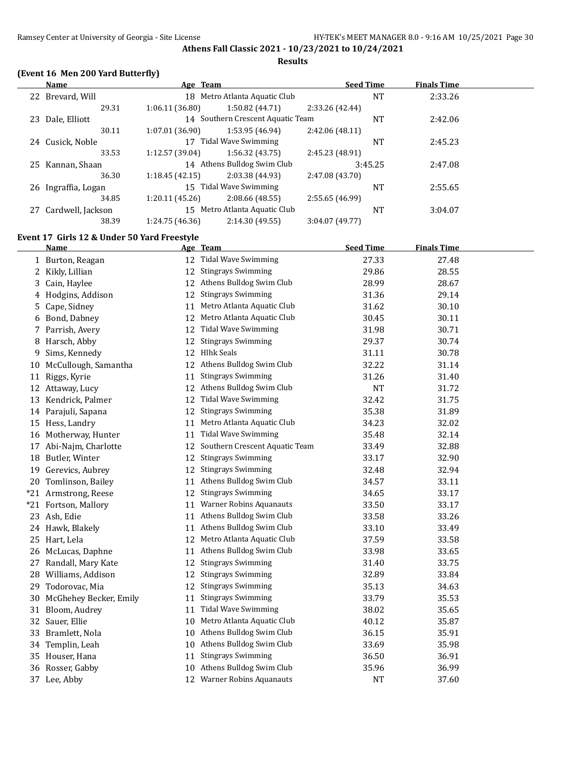#### **Results**

# **(Event 16 Men 200 Yard Butterfly)**

|    | Name                 | Age Team        |                                   | <b>Seed Time</b> | <b>Finals Time</b> |         |
|----|----------------------|-----------------|-----------------------------------|------------------|--------------------|---------|
|    | 22 Brevard, Will     |                 | 18 Metro Atlanta Aquatic Club     | NT               |                    | 2:33.26 |
|    | 29.31                | 1:06.11(36.80)  | 1:50.82 (44.71)                   | 2:33.26 (42.44)  |                    |         |
| 23 | Dale, Elliott        |                 | 14 Southern Crescent Aquatic Team | NT               |                    | 2:42.06 |
|    | 30.11                | 1:07.01(36.90)  | 1:53.95 (46.94)                   | 2:42.06(48.11)   |                    |         |
|    | 24 Cusick, Noble     | 17              | Tidal Wave Swimming               | <b>NT</b>        |                    | 2:45.23 |
|    | 33.53                | 1:12.57 (39.04) | 1:56.32(43.75)                    | 2:45.23 (48.91)  |                    |         |
|    | 25 Kannan, Shaan     |                 | 14 Athens Bulldog Swim Club       | 3:45.25          |                    | 2:47.08 |
|    | 36.30                | 1:18.45(42.15)  | 2:03.38 (44.93)                   | 2:47.08 (43.70)  |                    |         |
|    | 26 Ingraffia, Logan  |                 | 15 Tidal Wave Swimming            | <b>NT</b>        |                    | 2:55.65 |
|    | 34.85                | 1:20.11(45.26)  | 2:08.66(48.55)                    | 2:55.65 (46.99)  |                    |         |
|    | 27 Cardwell, Jackson | 15              | Metro Atlanta Aquatic Club        | <b>NT</b>        |                    | 3:04.07 |
|    | 38.39                | 1:24.75 (46.36) | 2:14.30 (49.55)                   | 3:04.07 (49.77)  |                    |         |
|    |                      |                 |                                   |                  |                    |         |

# **Event 17 Girls 12 & Under 50 Yard Freestyle**

|       | <b>Name</b>            |    | Age Team                       | <b>Seed Time</b> | <b>Finals Time</b> |
|-------|------------------------|----|--------------------------------|------------------|--------------------|
|       | 1 Burton, Reagan       |    | 12 Tidal Wave Swimming         | 27.33            | 27.48              |
| 2     | Kikly, Lillian         | 12 | <b>Stingrays Swimming</b>      | 29.86            | 28.55              |
| 3     | Cain, Haylee           | 12 | Athens Bulldog Swim Club       | 28.99            | 28.67              |
| 4     | Hodgins, Addison       | 12 | <b>Stingrays Swimming</b>      | 31.36            | 29.14              |
| 5     | Cape, Sidney           | 11 | Metro Atlanta Aquatic Club     | 31.62            | 30.10              |
| 6     | Bond, Dabney           | 12 | Metro Atlanta Aquatic Club     | 30.45            | 30.11              |
| 7     | Parrish, Avery         | 12 | <b>Tidal Wave Swimming</b>     | 31.98            | 30.71              |
| 8     | Harsch, Abby           | 12 | <b>Stingrays Swimming</b>      | 29.37            | 30.74              |
| 9     | Sims, Kennedy          | 12 | <b>Hlhk Seals</b>              | 31.11            | 30.78              |
| 10    | McCullough, Samantha   | 12 | Athens Bulldog Swim Club       | 32.22            | 31.14              |
| 11    | Riggs, Kyrie           | 11 | <b>Stingrays Swimming</b>      | 31.26            | 31.40              |
|       | 12 Attaway, Lucy       | 12 | Athens Bulldog Swim Club       | <b>NT</b>        | 31.72              |
| 13    | Kendrick, Palmer       | 12 | <b>Tidal Wave Swimming</b>     | 32.42            | 31.75              |
|       | 14 Parajuli, Sapana    | 12 | <b>Stingrays Swimming</b>      | 35.38            | 31.89              |
|       | 15 Hess, Landry        | 11 | Metro Atlanta Aquatic Club     | 34.23            | 32.02              |
|       | 16 Motherway, Hunter   | 11 | <b>Tidal Wave Swimming</b>     | 35.48            | 32.14              |
| 17    | Abi-Najm, Charlotte    | 12 | Southern Crescent Aquatic Team | 33.49            | 32.88              |
| 18    | Butler, Winter         | 12 | <b>Stingrays Swimming</b>      | 33.17            | 32.90              |
| 19    | Gerevics, Aubrey       | 12 | <b>Stingrays Swimming</b>      | 32.48            | 32.94              |
| 20    | Tomlinson, Bailey      | 11 | Athens Bulldog Swim Club       | 34.57            | 33.11              |
|       | *21 Armstrong, Reese   | 12 | <b>Stingrays Swimming</b>      | 34.65            | 33.17              |
| $*21$ | Fortson, Mallory       | 11 | <b>Warner Robins Aquanauts</b> | 33.50            | 33.17              |
| 23    | Ash, Edie              | 11 | Athens Bulldog Swim Club       | 33.58            | 33.26              |
|       | 24 Hawk, Blakely       | 11 | Athens Bulldog Swim Club       | 33.10            | 33.49              |
|       | 25 Hart, Lela          | 12 | Metro Atlanta Aquatic Club     | 37.59            | 33.58              |
|       | 26 McLucas, Daphne     | 11 | Athens Bulldog Swim Club       | 33.98            | 33.65              |
| 27    | Randall, Mary Kate     | 12 | <b>Stingrays Swimming</b>      | 31.40            | 33.75              |
| 28    | Williams, Addison      | 12 | <b>Stingrays Swimming</b>      | 32.89            | 33.84              |
| 29    | Todorovac, Mia         | 12 | <b>Stingrays Swimming</b>      | 35.13            | 34.63              |
| 30    | McGhehey Becker, Emily | 11 | <b>Stingrays Swimming</b>      | 33.79            | 35.53              |
|       | 31 Bloom, Audrey       | 11 | <b>Tidal Wave Swimming</b>     | 38.02            | 35.65              |
| 32    | Sauer, Ellie           | 10 | Metro Atlanta Aquatic Club     | 40.12            | 35.87              |
| 33    | Bramlett, Nola         | 10 | Athens Bulldog Swim Club       | 36.15            | 35.91              |
| 34    | Templin, Leah          |    | 10 Athens Bulldog Swim Club    | 33.69            | 35.98              |
|       | 35 Houser, Hana        | 11 | <b>Stingrays Swimming</b>      | 36.50            | 36.91              |
|       | 36 Rosser, Gabby       |    | 10 Athens Bulldog Swim Club    | 35.96            | 36.99              |
|       | 37 Lee, Abby           |    | 12 Warner Robins Aquanauts     | <b>NT</b>        | 37.60              |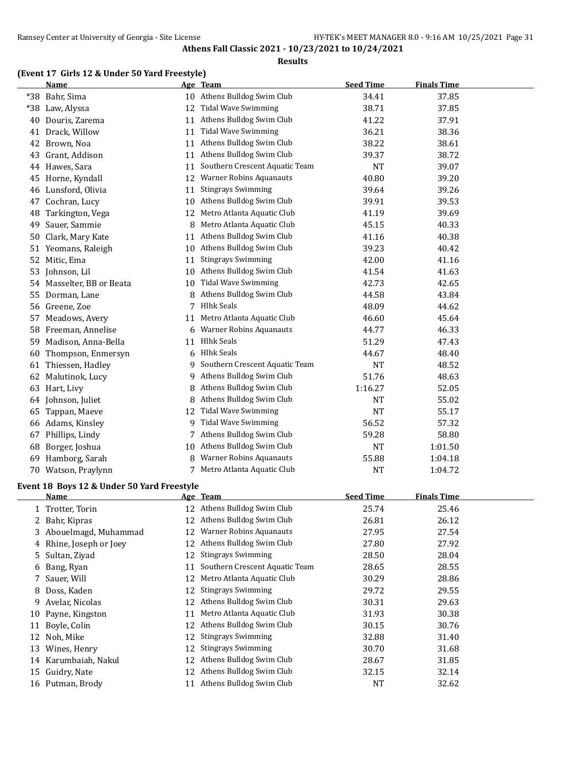#### **Results**

# **(Event 17 Girls 12 & Under 50 Yard Freestyle)**

|    | <b>Name</b>                                |    | Age Team                                                      | <b>Seed Time</b> | <b>Finals Time</b> |  |
|----|--------------------------------------------|----|---------------------------------------------------------------|------------------|--------------------|--|
|    | *38 Bahr, Sima                             |    | 10 Athens Bulldog Swim Club                                   | 34.41            | 37.85              |  |
|    | *38 Law, Alyssa                            | 12 | <b>Tidal Wave Swimming</b>                                    | 38.71            | 37.85              |  |
| 40 | Douris, Zarema                             | 11 | Athens Bulldog Swim Club                                      | 41.22            | 37.91              |  |
|    | 41 Drack, Willow                           | 11 | <b>Tidal Wave Swimming</b>                                    | 36.21            | 38.36              |  |
|    | 42 Brown, Noa                              | 11 | Athens Bulldog Swim Club                                      | 38.22            | 38.61              |  |
|    | 43 Grant, Addison                          | 11 | Athens Bulldog Swim Club                                      | 39.37            | 38.72              |  |
|    | 44 Hawes, Sara                             | 11 | Southern Crescent Aquatic Team                                | NT               | 39.07              |  |
|    | 45 Horne, Kyndall                          | 12 | <b>Warner Robins Aquanauts</b>                                | 40.80            | 39.20              |  |
|    | 46 Lunsford, Olivia                        | 11 | <b>Stingrays Swimming</b>                                     | 39.64            | 39.26              |  |
|    | 47 Cochran, Lucy                           | 10 | Athens Bulldog Swim Club                                      | 39.91            | 39.53              |  |
| 48 | Tarkington, Vega                           | 12 | Metro Atlanta Aquatic Club                                    | 41.19            | 39.69              |  |
| 49 | Sauer, Sammie                              | 8  | Metro Atlanta Aquatic Club                                    | 45.15            | 40.33              |  |
| 50 | Clark, Mary Kate                           | 11 | Athens Bulldog Swim Club                                      | 41.16            | 40.38              |  |
|    | 51 Yeomans, Raleigh                        | 10 | Athens Bulldog Swim Club                                      | 39.23            | 40.42              |  |
|    | 52 Mitic, Ema                              | 11 | <b>Stingrays Swimming</b>                                     | 42.00            | 41.16              |  |
| 53 | Johnson, Lil                               | 10 | Athens Bulldog Swim Club                                      | 41.54            | 41.63              |  |
|    | 54 Masselter, BB or Beata                  | 10 | <b>Tidal Wave Swimming</b>                                    | 42.73            | 42.65              |  |
| 55 | Dorman, Lane                               | 8  | Athens Bulldog Swim Club                                      | 44.58            | 43.84              |  |
|    | 56 Greene, Zoe                             | 7  | <b>Hlhk Seals</b>                                             | 48.09            | 44.62              |  |
|    | Meadows, Avery                             | 11 | Metro Atlanta Aquatic Club                                    | 46.60            | 45.64              |  |
| 57 | 58 Freeman, Annelise                       | 6  | <b>Warner Robins Aquanauts</b>                                | 44.77            | 46.33              |  |
|    |                                            | 11 | <b>Hlhk Seals</b>                                             |                  |                    |  |
| 59 | Madison, Anna-Bella                        |    | <b>Hlhk Seals</b>                                             | 51.29            | 47.43              |  |
| 60 | Thompson, Enmersyn                         | 6  | Southern Crescent Aquatic Team                                | 44.67            | 48.40              |  |
|    | 61 Thiessen, Hadley                        | 9  |                                                               | NT               | 48.52              |  |
|    | 62 Malutinok, Lucy                         | 9  | Athens Bulldog Swim Club                                      | 51.76            | 48.63              |  |
| 63 | Hart, Livy                                 | 8  | Athens Bulldog Swim Club                                      | 1:16.27          | 52.05              |  |
|    | 64 Johnson, Juliet                         | 8  | Athens Bulldog Swim Club                                      | <b>NT</b>        | 55.02              |  |
| 65 | Tappan, Maeve                              | 12 | <b>Tidal Wave Swimming</b>                                    | <b>NT</b>        | 55.17              |  |
|    | 66 Adams, Kinsley                          | 9  | Tidal Wave Swimming                                           | 56.52            | 57.32              |  |
| 67 | Phillips, Lindy                            | 7  | Athens Bulldog Swim Club                                      | 59.28            | 58.80              |  |
| 68 | Borger, Joshua                             | 10 | Athens Bulldog Swim Club                                      | <b>NT</b>        | 1:01.50            |  |
| 69 | Hamborg, Sarah                             | 8  | <b>Warner Robins Aquanauts</b>                                | 55.88            | 1:04.18            |  |
|    | 70 Watson, Praylynn                        |    | 7 Metro Atlanta Aquatic Club                                  | <b>NT</b>        | 1:04.72            |  |
|    | Event 18 Boys 12 & Under 50 Yard Freestyle |    |                                                               |                  |                    |  |
|    | <b>Name</b>                                |    | Age Team<br>12 Athens Bulldog Swim Club                       | <b>Seed Time</b> | <b>Finals Time</b> |  |
|    | Trotter, Torin                             |    |                                                               | 25.74            | 25.46              |  |
|    | 2 Bahr, Kipras                             |    | 12 Athens Bulldog Swim Club<br><b>Warner Robins Aquanauts</b> | 26.81            | 26.12              |  |
| 3  | Abouelmagd, Muhammad                       | 12 |                                                               | 27.95            | 27.54              |  |
|    | 4 Rhine, Joseph or Joey                    | 12 | Athens Bulldog Swim Club                                      | 27.80            | 27.92              |  |
| 5. | Sultan, Ziyad                              | 12 | <b>Stingrays Swimming</b>                                     | 28.50            | 28.04              |  |
| 6  | Bang, Ryan                                 | 11 | Southern Crescent Aquatic Team                                | 28.65            | 28.55              |  |
| 7  | Sauer, Will                                | 12 | Metro Atlanta Aquatic Club                                    | 30.29            | 28.86              |  |
| 8  | Doss, Kaden                                | 12 | <b>Stingrays Swimming</b>                                     | 29.72            | 29.55              |  |
| 9  | Avelar, Nicolas                            | 12 | Athens Bulldog Swim Club                                      | 30.31            | 29.63              |  |
| 10 | Payne, Kingston                            | 11 | Metro Atlanta Aquatic Club                                    | 31.93            | 30.38              |  |
| 11 | Boyle, Colin                               | 12 | Athens Bulldog Swim Club                                      | 30.15            | 30.76              |  |
|    | 12 Noh, Mike                               | 12 | <b>Stingrays Swimming</b>                                     | 32.88            | 31.40              |  |
| 13 | Wines, Henry                               | 12 | <b>Stingrays Swimming</b>                                     | 30.70            | 31.68              |  |
|    | 14 Karumbaiah, Nakul                       | 12 | Athens Bulldog Swim Club                                      | 28.67            | 31.85              |  |
|    | 15 Guidry, Nate                            | 12 | Athens Bulldog Swim Club                                      | 32.15            | 32.14              |  |
|    | 16 Putman, Brody                           |    | 11 Athens Bulldog Swim Club                                   | <b>NT</b>        | 32.62              |  |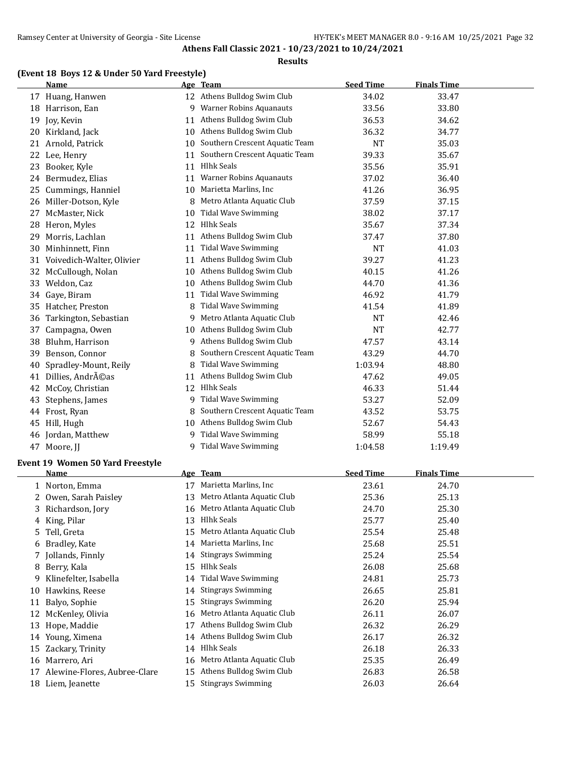#### **Results**

# **(Event 18 Boys 12 & Under 50 Yard Freestyle)**

|    | <b>Name</b>               |    | Age Team                       | <b>Seed Time</b> | <b>Finals Time</b> |  |
|----|---------------------------|----|--------------------------------|------------------|--------------------|--|
|    | 17 Huang, Hanwen          |    | 12 Athens Bulldog Swim Club    | 34.02            | 33.47              |  |
|    | 18 Harrison, Ean          | 9  | <b>Warner Robins Aquanauts</b> | 33.56            | 33.80              |  |
| 19 | Joy, Kevin                | 11 | Athens Bulldog Swim Club       | 36.53            | 34.62              |  |
| 20 | Kirkland, Jack            |    | 10 Athens Bulldog Swim Club    | 36.32            | 34.77              |  |
| 21 | Arnold, Patrick           | 10 | Southern Crescent Aquatic Team | <b>NT</b>        | 35.03              |  |
| 22 | Lee, Henry                | 11 | Southern Crescent Aquatic Team | 39.33            | 35.67              |  |
| 23 | Booker, Kyle              | 11 | <b>Hlhk Seals</b>              | 35.56            | 35.91              |  |
|    | 24 Bermudez, Elias        | 11 | <b>Warner Robins Aquanauts</b> | 37.02            | 36.40              |  |
| 25 | Cummings, Hanniel         | 10 | Marietta Marlins, Inc          | 41.26            | 36.95              |  |
| 26 | Miller-Dotson, Kyle       | 8  | Metro Atlanta Aquatic Club     | 37.59            | 37.15              |  |
| 27 | McMaster, Nick            | 10 | <b>Tidal Wave Swimming</b>     | 38.02            | 37.17              |  |
| 28 | Heron, Myles              | 12 | <b>Hlhk Seals</b>              | 35.67            | 37.34              |  |
| 29 | Morris, Lachlan           | 11 | Athens Bulldog Swim Club       | 37.47            | 37.80              |  |
| 30 | Minhinnett, Finn          | 11 | <b>Tidal Wave Swimming</b>     | <b>NT</b>        | 41.03              |  |
| 31 | Voivedich-Walter, Olivier | 11 | Athens Bulldog Swim Club       | 39.27            | 41.23              |  |
| 32 | McCullough, Nolan         | 10 | Athens Bulldog Swim Club       | 40.15            | 41.26              |  |
| 33 | Weldon, Caz               | 10 | Athens Bulldog Swim Club       | 44.70            | 41.36              |  |
| 34 | Gaye, Biram               | 11 | <b>Tidal Wave Swimming</b>     | 46.92            | 41.79              |  |
| 35 | Hatcher, Preston          | 8  | <b>Tidal Wave Swimming</b>     | 41.54            | 41.89              |  |
| 36 | Tarkington, Sebastian     | 9  | Metro Atlanta Aquatic Club     | <b>NT</b>        | 42.46              |  |
| 37 | Campagna, Owen            |    | 10 Athens Bulldog Swim Club    | <b>NT</b>        | 42.77              |  |
| 38 | Bluhm, Harrison           | 9  | Athens Bulldog Swim Club       | 47.57            | 43.14              |  |
| 39 | Benson, Connor            | 8  | Southern Crescent Aquatic Team | 43.29            | 44.70              |  |
| 40 | Spradley-Mount, Reily     | 8  | <b>Tidal Wave Swimming</b>     | 1:03.94          | 48.80              |  |
| 41 | Dillies, Andréas          | 11 | Athens Bulldog Swim Club       | 47.62            | 49.05              |  |
| 42 | McCoy, Christian          | 12 | <b>Hlhk Seals</b>              | 46.33            | 51.44              |  |
| 43 | Stephens, James           | 9  | <b>Tidal Wave Swimming</b>     | 53.27            | 52.09              |  |
| 44 | Frost, Ryan               | 8  | Southern Crescent Aquatic Team | 43.52            | 53.75              |  |
| 45 | Hill, Hugh                |    | 10 Athens Bulldog Swim Club    | 52.67            | 54.43              |  |
|    | 46 Jordan, Matthew        | 9  | <b>Tidal Wave Swimming</b>     | 58.99            | 55.18              |  |
|    | 47 Moore, JJ              | 9  | <b>Tidal Wave Swimming</b>     | 1:04.58          | 1:19.49            |  |
|    |                           |    |                                |                  |                    |  |

# **Event 19 Women 50 Yard Freestyle**

|    | Name                         |    | Age Team                   | <b>Seed Time</b> | <b>Finals Time</b> |  |
|----|------------------------------|----|----------------------------|------------------|--------------------|--|
|    | 1 Norton, Emma               | 17 | Marietta Marlins, Inc.     | 23.61            | 24.70              |  |
|    | 2 Owen, Sarah Paisley        | 13 | Metro Atlanta Aquatic Club | 25.36            | 25.13              |  |
|    | 3 Richardson, Jory           | 16 | Metro Atlanta Aquatic Club | 24.70            | 25.30              |  |
|    | 4 King, Pilar                | 13 | Hlhk Seals                 | 25.77            | 25.40              |  |
|    | 5 Tell, Greta                | 15 | Metro Atlanta Aquatic Club | 25.54            | 25.48              |  |
| 6. | Bradley, Kate                | 14 | Marietta Marlins, Inc      | 25.68            | 25.51              |  |
|    | 7 Jollands, Finnly           | 14 | <b>Stingrays Swimming</b>  | 25.24            | 25.54              |  |
| 8  | Berry, Kala                  | 15 | Hlhk Seals                 | 26.08            | 25.68              |  |
|    | Klinefelter, Isabella        | 14 | <b>Tidal Wave Swimming</b> | 24.81            | 25.73              |  |
| 10 | Hawkins, Reese               | 14 | <b>Stingrays Swimming</b>  | 26.65            | 25.81              |  |
| 11 | Balyo, Sophie                | 15 | <b>Stingrays Swimming</b>  | 26.20            | 25.94              |  |
| 12 | McKenley, Olivia             | 16 | Metro Atlanta Aquatic Club | 26.11            | 26.07              |  |
| 13 | Hope, Maddie                 | 17 | Athens Bulldog Swim Club   | 26.32            | 26.29              |  |
| 14 | Young, Ximena                | 14 | Athens Bulldog Swim Club   | 26.17            | 26.32              |  |
| 15 | Zackary, Trinity             | 14 | Hlhk Seals                 | 26.18            | 26.33              |  |
| 16 | Marrero, Ari                 | 16 | Metro Atlanta Aquatic Club | 25.35            | 26.49              |  |
| 17 | Alewine-Flores, Aubree-Clare | 15 | Athens Bulldog Swim Club   | 26.83            | 26.58              |  |
| 18 | Liem, Jeanette               | 15 | <b>Stingrays Swimming</b>  | 26.03            | 26.64              |  |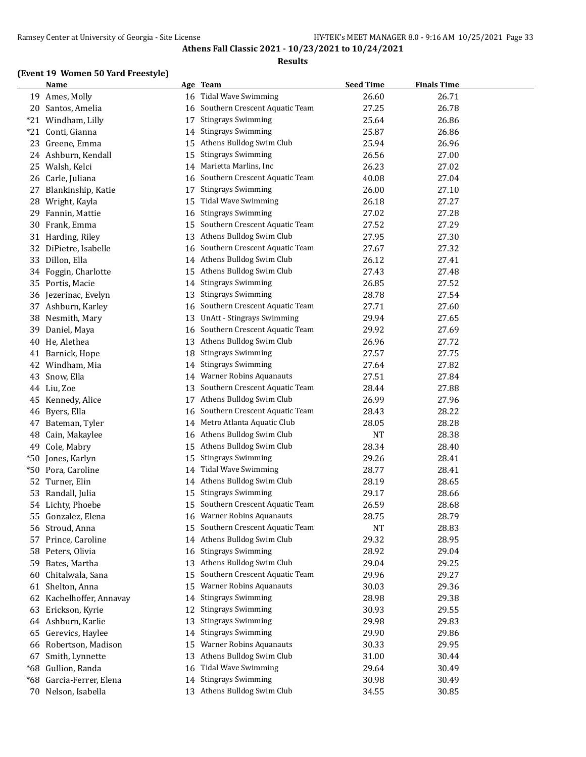#### **Results**

# **(Event 19 Women 50 Yard Freestyle)**

|       | <b>Name</b>           | <u>Age</u> | <b>Team</b>                       | <b>Seed Time</b> | <b>Finals Time</b> |
|-------|-----------------------|------------|-----------------------------------|------------------|--------------------|
|       | 19 Ames, Molly        | 16         | <b>Tidal Wave Swimming</b>        | 26.60            | 26.71              |
| 20    | Santos, Amelia        | 16         | Southern Crescent Aquatic Team    | 27.25            | 26.78              |
|       | *21 Windham, Lilly    | 17         | <b>Stingrays Swimming</b>         | 25.64            | 26.86              |
| $*21$ | Conti, Gianna         | 14         | <b>Stingrays Swimming</b>         | 25.87            | 26.86              |
|       | 23 Greene, Emma       | 15         | Athens Bulldog Swim Club          | 25.94            | 26.96              |
|       | 24 Ashburn, Kendall   | 15         | <b>Stingrays Swimming</b>         | 26.56            | 27.00              |
| 25    | Walsh, Kelci          | 14         | Marietta Marlins, Inc             | 26.23            | 27.02              |
| 26    | Carle, Juliana        | 16         | Southern Crescent Aquatic Team    | 40.08            | 27.04              |
| 27    | Blankinship, Katie    | 17         | <b>Stingrays Swimming</b>         | 26.00            | 27.10              |
| 28    | Wright, Kayla         | 15         | <b>Tidal Wave Swimming</b>        | 26.18            | 27.27              |
| 29    | Fannin, Mattie        | 16         | <b>Stingrays Swimming</b>         | 27.02            | 27.28              |
| 30    | Frank, Emma           | 15         | Southern Crescent Aquatic Team    | 27.52            | 27.29              |
| 31    | Harding, Riley        | 13         | Athens Bulldog Swim Club          | 27.95            | 27.30              |
| 32    | DiPietre, Isabelle    | 16         | Southern Crescent Aquatic Team    | 27.67            | 27.32              |
| 33    | Dillon, Ella          | 14         | Athens Bulldog Swim Club          | 26.12            | 27.41              |
| 34    | Foggin, Charlotte     | 15         | Athens Bulldog Swim Club          | 27.43            | 27.48              |
| 35    | Portis, Macie         | 14         | <b>Stingrays Swimming</b>         | 26.85            | 27.52              |
| 36    | Jezerinac, Evelyn     | 13         | <b>Stingrays Swimming</b>         | 28.78            | 27.54              |
| 37    | Ashburn, Karley       | 16         | Southern Crescent Aquatic Team    | 27.71            | 27.60              |
| 38    | Nesmith, Mary         | 13         | <b>UnAtt - Stingrays Swimming</b> | 29.94            | 27.65              |
| 39    | Daniel, Maya          | 16         | Southern Crescent Aquatic Team    | 29.92            | 27.69              |
| 40    | He, Alethea           | 13         | Athens Bulldog Swim Club          | 26.96            | 27.72              |
|       | 41 Barnick, Hope      | 18         | <b>Stingrays Swimming</b>         | 27.57            | 27.75              |
| 42    | Windham, Mia          | 14         | <b>Stingrays Swimming</b>         | 27.64            | 27.82              |
| 43    | Snow, Ella            | 14         | Warner Robins Aquanauts           | 27.51            | 27.84              |
| 44    | Liu, Zoe              | 13         | Southern Crescent Aquatic Team    | 28.44            | 27.88              |
| 45    | Kennedy, Alice        | 17         | Athens Bulldog Swim Club          | 26.99            | 27.96              |
| 46    | Byers, Ella           | 16         | Southern Crescent Aquatic Team    | 28.43            | 28.22              |
| 47    | Bateman, Tyler        | 14         | Metro Atlanta Aquatic Club        | 28.05            | 28.28              |
| 48    | Cain, Makaylee        | 16         | Athens Bulldog Swim Club          | <b>NT</b>        | 28.38              |
| 49    | Cole, Mabry           | 15         | Athens Bulldog Swim Club          | 28.34            | 28.40              |
| $*50$ | Jones, Karlyn         | 15         | <b>Stingrays Swimming</b>         | 29.26            | 28.41              |
| *50   | Pora, Caroline        | 14         | <b>Tidal Wave Swimming</b>        | 28.77            | 28.41              |
| 52    | Turner, Elin          | 14         | Athens Bulldog Swim Club          | 28.19            | 28.65              |
| 53    | Randall, Julia        | 15         | <b>Stingrays Swimming</b>         | 29.17            | 28.66              |
|       | 54 Lichty, Phoebe     | 15         | Southern Crescent Aquatic Team    | 26.59            | 28.68              |
|       | 55 Gonzalez, Elena    | 16         | <b>Warner Robins Aquanauts</b>    | 28.75            | 28.79              |
| 56    | Stroud, Anna          | 15         | Southern Crescent Aquatic Team    | <b>NT</b>        | 28.83              |
| 57    | Prince, Caroline      | 14         | Athens Bulldog Swim Club          | 29.32            | 28.95              |
| 58    | Peters, Olivia        | 16         | <b>Stingrays Swimming</b>         | 28.92            | 29.04              |
| 59    | Bates, Martha         | 13         | Athens Bulldog Swim Club          | 29.04            | 29.25              |
| 60    | Chitalwala, Sana      | 15         | Southern Crescent Aquatic Team    | 29.96            | 29.27              |
| 61    | Shelton, Anna         | 15         | <b>Warner Robins Aquanauts</b>    | 30.03            | 29.36              |
| 62    | Kachelhoffer, Annavay | 14         | <b>Stingrays Swimming</b>         | 28.98            | 29.38              |
| 63    | Erickson, Kyrie       | 12         | <b>Stingrays Swimming</b>         | 30.93            | 29.55              |
|       | 64 Ashburn, Karlie    | 13         | <b>Stingrays Swimming</b>         | 29.98            | 29.83              |
| 65    | Gerevics, Haylee      | 14         | <b>Stingrays Swimming</b>         | 29.90            | 29.86              |
| 66    | Robertson, Madison    | 15         | <b>Warner Robins Aquanauts</b>    | 30.33            | 29.95              |
| 67    | Smith, Lynnette       | 13         | Athens Bulldog Swim Club          | 31.00            | 30.44              |
| $*68$ | Gullion, Randa        | 16         | <b>Tidal Wave Swimming</b>        | 29.64            | 30.49              |
| $*68$ | Garcia-Ferrer, Elena  | 14         | <b>Stingrays Swimming</b>         | 30.98            | 30.49              |
|       | 70 Nelson, Isabella   | 13         | Athens Bulldog Swim Club          | 34.55            | 30.85              |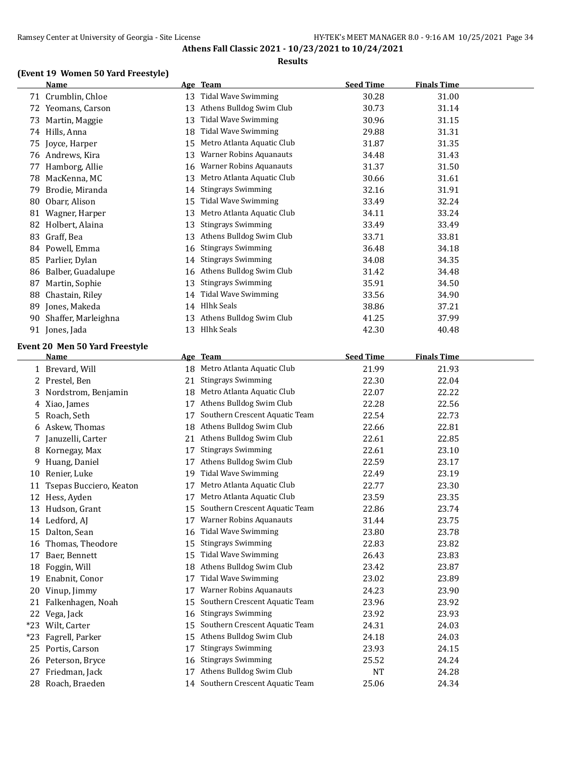#### **Results**

# **(Event 19 Women 50 Yard Freestyle)**

|     | <b>Name</b>                    | <u>Age</u> | <b>Team</b>                       | <b>Seed Time</b> | <b>Finals Time</b> |  |
|-----|--------------------------------|------------|-----------------------------------|------------------|--------------------|--|
|     | 71 Crumblin, Chloe             | 13         | <b>Tidal Wave Swimming</b>        | 30.28            | 31.00              |  |
|     | 72 Yeomans, Carson             | 13         | Athens Bulldog Swim Club          | 30.73            | 31.14              |  |
| 73. | Martin, Maggie                 | 13         | <b>Tidal Wave Swimming</b>        | 30.96            | 31.15              |  |
|     | 74 Hills, Anna                 | 18         | <b>Tidal Wave Swimming</b>        | 29.88            | 31.31              |  |
|     | 75 Joyce, Harper               | 15         | Metro Atlanta Aquatic Club        | 31.87            | 31.35              |  |
|     | 76 Andrews, Kira               | 13         | <b>Warner Robins Aquanauts</b>    | 34.48            | 31.43              |  |
| 77  | Hamborg, Allie                 | 16         | Warner Robins Aquanauts           | 31.37            | 31.50              |  |
| 78  | MacKenna, MC                   | 13         | Metro Atlanta Aquatic Club        | 30.66            | 31.61              |  |
| 79  | Brodie, Miranda                | 14         | <b>Stingrays Swimming</b>         | 32.16            | 31.91              |  |
| 80  | Obarr, Alison                  | 15         | <b>Tidal Wave Swimming</b>        | 33.49            | 32.24              |  |
|     | 81 Wagner, Harper              | 13         | Metro Atlanta Aquatic Club        | 34.11            | 33.24              |  |
|     | 82 Holbert, Alaina             | 13         | <b>Stingrays Swimming</b>         | 33.49            | 33.49              |  |
| 83  | Graff, Bea                     | 13         | Athens Bulldog Swim Club          | 33.71            | 33.81              |  |
|     | 84 Powell, Emma                | 16         | <b>Stingrays Swimming</b>         | 36.48            | 34.18              |  |
|     | 85 Parlier, Dylan              | 14         | <b>Stingrays Swimming</b>         | 34.08            | 34.35              |  |
| 86  | Balber, Guadalupe              | 16         | Athens Bulldog Swim Club          | 31.42            | 34.48              |  |
| 87  | Martin, Sophie                 | 13         | <b>Stingrays Swimming</b>         | 35.91            | 34.50              |  |
| 88  | Chastain, Riley                | 14         | <b>Tidal Wave Swimming</b>        | 33.56            | 34.90              |  |
| 89  | Jones, Makeda                  |            | 14 Hlhk Seals                     | 38.86            | 37.21              |  |
| 90  | Shaffer, Marleighna            | 13         | Athens Bulldog Swim Club          | 41.25            | 37.99              |  |
|     | 91 Jones, Jada                 |            | 13 Hlhk Seals                     | 42.30            | 40.48              |  |
|     | Event 20 Men 50 Yard Freestyle |            |                                   |                  |                    |  |
|     | <u>Name</u>                    |            | Age Team                          | <b>Seed Time</b> | <b>Finals Time</b> |  |
|     | 1 Brevard, Will                | 18         | Metro Atlanta Aquatic Club        | 21.99            | 21.93              |  |
| 2   | Prestel, Ben                   | 21         | <b>Stingrays Swimming</b>         | 22.30            | 22.04              |  |
| 3   | Nordstrom, Benjamin            | 18         | Metro Atlanta Aquatic Club        | 22.07            | 22.22              |  |
| 4   | Xiao, James                    | 17         | Athens Bulldog Swim Club          | 22.28            | 22.56              |  |
| 5   | Roach, Seth                    | 17         | Southern Crescent Aquatic Team    | 22.54            | 22.73              |  |
| 6   | Askew, Thomas                  | 18         | Athens Bulldog Swim Club          | 22.66            | 22.81              |  |
| 7   | Januzelli, Carter              | 21         | Athens Bulldog Swim Club          | 22.61            | 22.85              |  |
| 8   | Kornegay, Max                  | 17         | <b>Stingrays Swimming</b>         | 22.61            | 23.10              |  |
| 9   | Huang, Daniel                  | 17         | Athens Bulldog Swim Club          | 22.59            | 23.17              |  |
| 10  | Renier, Luke                   | 19         | <b>Tidal Wave Swimming</b>        | 22.49            | 23.19              |  |
| 11  | Tsepas Bucciero, Keaton        | 17         | Metro Atlanta Aquatic Club        | 22.77            | 23.30              |  |
|     | 12 Hess, Ayden                 |            | 17 Metro Atlanta Aquatic Club     | 23.59            | 23.35              |  |
|     | 13 Hudson, Grant               |            | 15 Southern Crescent Aquatic Team | 22.86            | 23.74              |  |
|     | 14 Ledford, AJ                 |            | 17 Warner Robins Aquanauts        | 31.44            | 23.75              |  |
|     | 15 Dalton, Sean                | 16         | <b>Tidal Wave Swimming</b>        | 23.80            | 23.78              |  |
| 16  | Thomas, Theodore               | 15         | <b>Stingrays Swimming</b>         | 22.83            | 23.82              |  |
| 17  | Baer, Bennett                  | 15         | <b>Tidal Wave Swimming</b>        | 26.43            | 23.83              |  |
| 18  | Foggin, Will                   | 18         | Athens Bulldog Swim Club          | 23.42            | 23.87              |  |
| 19  | Enabnit, Conor                 | 17         | <b>Tidal Wave Swimming</b>        | 23.02            | 23.89              |  |
| 20  | Vinup, Jimmy                   | 17         | <b>Warner Robins Aquanauts</b>    | 24.23            | 23.90              |  |
|     | 21 Falkenhagen, Noah           | 15         | Southern Crescent Aquatic Team    | 23.96            | 23.92              |  |
|     | 22 Vega, Jack                  | 16         | <b>Stingrays Swimming</b>         | 23.92            | 23.93              |  |
|     | *23 Wilt, Carter               | 15         | Southern Crescent Aquatic Team    | 24.31            | 24.03              |  |
|     | *23 Fagrell, Parker            | 15         | Athens Bulldog Swim Club          | 24.18            | 24.03              |  |
|     | 25 Portis, Carson              | 17         | <b>Stingrays Swimming</b>         | 23.93            | 24.15              |  |
| 26  | Peterson, Bryce                | 16         | <b>Stingrays Swimming</b>         | 25.52            | 24.24              |  |
|     | 27 Friedman, Jack              | 17         | Athens Bulldog Swim Club          | NT               | 24.28              |  |
|     | 28 Roach, Braeden              |            | 14 Southern Crescent Aquatic Team | 25.06            | 24.34              |  |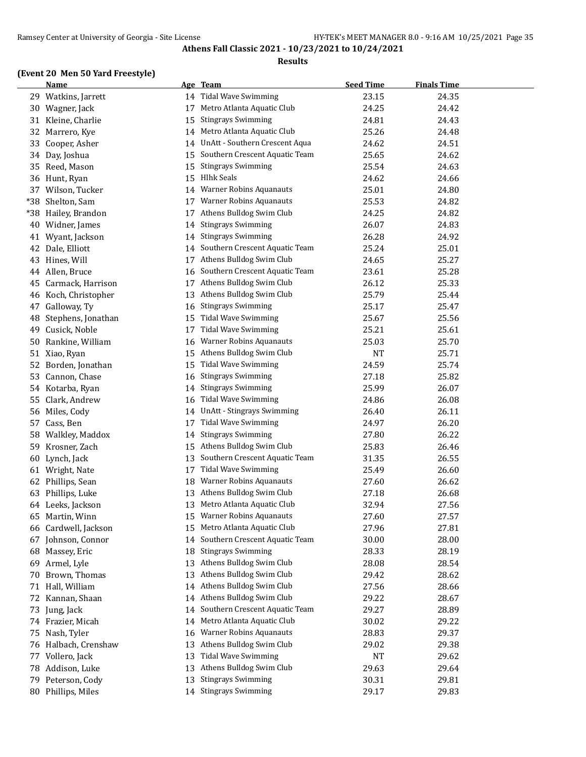#### **Results**

# **(Event 20 Men 50 Yard Freestyle)**

|       | <b>Name</b>          | <u>Age</u> | <b>Team</b>                    | <b>Seed Time</b> | <b>Finals Time</b> |  |
|-------|----------------------|------------|--------------------------------|------------------|--------------------|--|
| 29    | Watkins, Jarrett     | 14         | Tidal Wave Swimming            | 23.15            | 24.35              |  |
| 30    | Wagner, Jack         | 17         | Metro Atlanta Aquatic Club     | 24.25            | 24.42              |  |
| 31    | Kleine, Charlie      | 15         | <b>Stingrays Swimming</b>      | 24.81            | 24.43              |  |
| 32    | Marrero, Kye         | 14         | Metro Atlanta Aquatic Club     | 25.26            | 24.48              |  |
| 33    | Cooper, Asher        | 14         | UnAtt - Southern Crescent Aqua | 24.62            | 24.51              |  |
| 34    | Day, Joshua          | 15         | Southern Crescent Aquatic Team | 25.65            | 24.62              |  |
| 35    | Reed, Mason          | 15         | <b>Stingrays Swimming</b>      | 25.54            | 24.63              |  |
|       | 36 Hunt, Ryan        | 15         | <b>Hlhk Seals</b>              | 24.62            | 24.66              |  |
| 37    | Wilson, Tucker       | 14         | Warner Robins Aquanauts        | 25.01            | 24.80              |  |
| $*38$ | Shelton, Sam         | 17         | Warner Robins Aquanauts        | 25.53            | 24.82              |  |
| *38   | Hailey, Brandon      | 17         | Athens Bulldog Swim Club       | 24.25            | 24.82              |  |
| 40    | Widner, James        | 14         | <b>Stingrays Swimming</b>      | 26.07            | 24.83              |  |
| 41    | Wyant, Jackson       | 14         | <b>Stingrays Swimming</b>      | 26.28            | 24.92              |  |
| 42    | Dale, Elliott        | 14         | Southern Crescent Aquatic Team | 25.24            | 25.01              |  |
| 43    | Hines, Will          | 17         | Athens Bulldog Swim Club       | 24.65            | 25.27              |  |
| 44    | Allen, Bruce         | 16         | Southern Crescent Aquatic Team | 23.61            | 25.28              |  |
| 45    | Carmack, Harrison    | 17         | Athens Bulldog Swim Club       | 26.12            | 25.33              |  |
| 46    | Koch, Christopher    | 13         | Athens Bulldog Swim Club       | 25.79            | 25.44              |  |
| 47    | Galloway, Ty         | 16         | <b>Stingrays Swimming</b>      | 25.17            | 25.47              |  |
| 48    | Stephens, Jonathan   | 15         | <b>Tidal Wave Swimming</b>     | 25.67            | 25.56              |  |
| 49    | Cusick, Noble        | 17         | <b>Tidal Wave Swimming</b>     | 25.21            | 25.61              |  |
| 50    | Rankine, William     | 16         | <b>Warner Robins Aquanauts</b> | 25.03            | 25.70              |  |
| 51    | Xiao, Ryan           | 15         | Athens Bulldog Swim Club       | <b>NT</b>        | 25.71              |  |
| 52    | Borden, Jonathan     | 15         | <b>Tidal Wave Swimming</b>     | 24.59            | 25.74              |  |
| 53    | Cannon, Chase        | 16         | <b>Stingrays Swimming</b>      | 27.18            | 25.82              |  |
| 54    | Kotarba, Ryan        | 14         | <b>Stingrays Swimming</b>      | 25.99            | 26.07              |  |
| 55    | Clark, Andrew        | 16         | <b>Tidal Wave Swimming</b>     | 24.86            | 26.08              |  |
| 56    | Miles, Cody          | 14         | UnAtt - Stingrays Swimming     | 26.40            | 26.11              |  |
| 57    | Cass, Ben            | 17         | <b>Tidal Wave Swimming</b>     | 24.97            | 26.20              |  |
| 58    | Walkley, Maddox      | 14         | <b>Stingrays Swimming</b>      | 27.80            | 26.22              |  |
| 59    | Krosner, Zach        | 15         | Athens Bulldog Swim Club       | 25.83            | 26.46              |  |
| 60    | Lynch, Jack          | 13         | Southern Crescent Aquatic Team | 31.35            | 26.55              |  |
| 61    | Wright, Nate         | 17         | <b>Tidal Wave Swimming</b>     | 25.49            | 26.60              |  |
| 62    | Phillips, Sean       | 18         | <b>Warner Robins Aquanauts</b> | 27.60            | 26.62              |  |
| 63    | Phillips, Luke       | 13         | Athens Bulldog Swim Club       | 27.18            | 26.68              |  |
|       | 64 Leeks, Jackson    | 13         | Metro Atlanta Aquatic Club     | 32.94            | 27.56              |  |
|       | 65 Martin, Winn      | 15         | <b>Warner Robins Aquanauts</b> | 27.60            | 27.57              |  |
|       | 66 Cardwell, Jackson | 15         | Metro Atlanta Aquatic Club     | 27.96            | 27.81              |  |
|       | 67 Johnson, Connor   | 14         | Southern Crescent Aquatic Team | 30.00            | 28.00              |  |
| 68    | Massey, Eric         | 18         | <b>Stingrays Swimming</b>      | 28.33            | 28.19              |  |
| 69    | Armel, Lyle          | 13         | Athens Bulldog Swim Club       | 28.08            | 28.54              |  |
| 70    | Brown, Thomas        | 13         | Athens Bulldog Swim Club       | 29.42            | 28.62              |  |
| 71    | Hall, William        | 14         | Athens Bulldog Swim Club       | 27.56            | 28.66              |  |
| 72    | Kannan, Shaan        | 14         | Athens Bulldog Swim Club       | 29.22            | 28.67              |  |
| 73    | Jung, Jack           | 14         | Southern Crescent Aquatic Team | 29.27            | 28.89              |  |
| 74    | Frazier, Micah       | 14         | Metro Atlanta Aquatic Club     | 30.02            | 29.22              |  |
| 75    | Nash, Tyler          | 16         | <b>Warner Robins Aquanauts</b> | 28.83            | 29.37              |  |
|       | 76 Halbach, Crenshaw | 13         | Athens Bulldog Swim Club       | 29.02            | 29.38              |  |
| 77    | Vollero, Jack        | 13         | <b>Tidal Wave Swimming</b>     | <b>NT</b>        | 29.62              |  |
| 78    | Addison, Luke        | 13         | Athens Bulldog Swim Club       | 29.63            | 29.64              |  |
| 79    | Peterson, Cody       | 13         | <b>Stingrays Swimming</b>      | 30.31            | 29.81              |  |
|       | 80 Phillips, Miles   |            | 14 Stingrays Swimming          | 29.17            | 29.83              |  |
|       |                      |            |                                |                  |                    |  |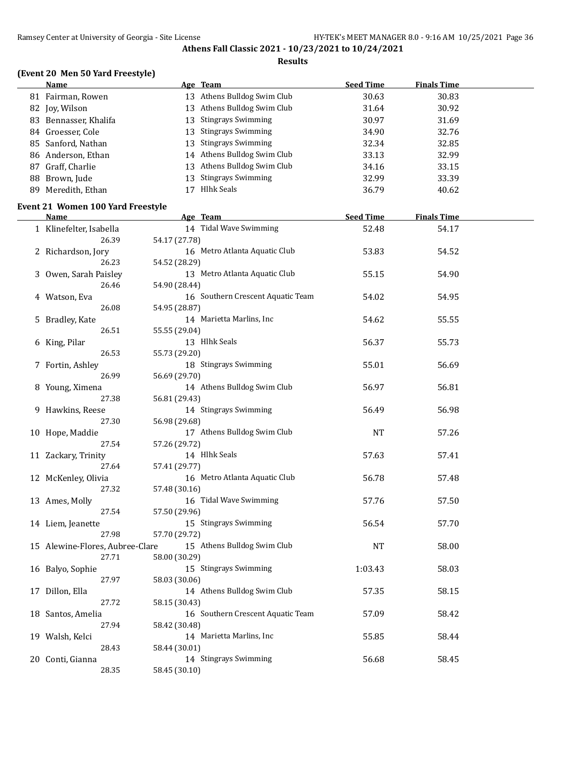#### **Results**

# **(Event 20 Men 50 Yard Freestyle)**

| <b>Name</b>                       |               | Age Team                          | <b>Seed Time</b> | <b>Finals Time</b> |  |
|-----------------------------------|---------------|-----------------------------------|------------------|--------------------|--|
| 81 Fairman, Rowen                 |               | 13 Athens Bulldog Swim Club       | 30.63            | 30.83              |  |
| 82 Joy, Wilson                    |               | 13 Athens Bulldog Swim Club       | 31.64            | 30.92              |  |
| 83 Bennasser, Khalifa             |               | 13 Stingrays Swimming             | 30.97            | 31.69              |  |
| 84 Groesser, Cole                 |               | 13 Stingrays Swimming             | 34.90            | 32.76              |  |
| 85 Sanford, Nathan                |               | 13 Stingrays Swimming             | 32.34            | 32.85              |  |
| 86 Anderson, Ethan                |               | 14 Athens Bulldog Swim Club       | 33.13            | 32.99              |  |
|                                   |               |                                   |                  |                    |  |
| 87 Graff, Charlie                 |               | 13 Athens Bulldog Swim Club       | 34.16            | 33.15              |  |
| 88 Brown, Jude                    |               | 13 Stingrays Swimming             | 32.99            | 33.39              |  |
| 89 Meredith, Ethan                |               | 17 Hlhk Seals                     | 36.79            | 40.62              |  |
| Event 21 Women 100 Yard Freestyle |               |                                   |                  |                    |  |
| <b>Name</b>                       |               | Age Team                          | <b>Seed Time</b> | <b>Finals Time</b> |  |
| 1 Klinefelter, Isabella           |               | 14 Tidal Wave Swimming            | 52.48            | 54.17              |  |
| 26.39                             | 54.17 (27.78) |                                   |                  |                    |  |
| 2 Richardson, Jory                |               | 16 Metro Atlanta Aquatic Club     | 53.83            | 54.52              |  |
| 26.23                             | 54.52 (28.29) |                                   |                  |                    |  |
| 3 Owen, Sarah Paisley             |               | 13 Metro Atlanta Aquatic Club     | 55.15            | 54.90              |  |
| 26.46                             |               |                                   |                  |                    |  |
|                                   | 54.90 (28.44) | 16 Southern Crescent Aquatic Team |                  |                    |  |
| 4 Watson, Eva                     |               |                                   | 54.02            | 54.95              |  |
| 26.08                             | 54.95 (28.87) |                                   |                  |                    |  |
| 5 Bradley, Kate                   |               | 14 Marietta Marlins, Inc          | 54.62            | 55.55              |  |
| 26.51                             | 55.55 (29.04) |                                   |                  |                    |  |
| 6 King, Pilar                     |               | 13 Hlhk Seals                     | 56.37            | 55.73              |  |
| 26.53                             | 55.73 (29.20) |                                   |                  |                    |  |
| 7 Fortin, Ashley                  |               | 18 Stingrays Swimming             | 55.01            | 56.69              |  |
| 26.99                             | 56.69 (29.70) |                                   |                  |                    |  |
| 8 Young, Ximena                   |               | 14 Athens Bulldog Swim Club       | 56.97            | 56.81              |  |
| 27.38                             | 56.81 (29.43) |                                   |                  |                    |  |
| 9 Hawkins, Reese                  |               | 14 Stingrays Swimming             | 56.49            | 56.98              |  |
| 27.30                             | 56.98 (29.68) |                                   |                  |                    |  |
| 10 Hope, Maddie                   |               | 17 Athens Bulldog Swim Club       | NT               | 57.26              |  |
| 27.54                             | 57.26 (29.72) |                                   |                  |                    |  |
| 11 Zackary, Trinity               |               | 14 Hlhk Seals                     | 57.63            | 57.41              |  |
| 27.64                             | 57.41 (29.77) |                                   |                  |                    |  |
| 12 McKenley, Olivia               |               | 16 Metro Atlanta Aquatic Club     | 56.78            | 57.48              |  |
| 27.32                             | 57.48 (30.16) |                                   |                  |                    |  |
| 13 Ames, Molly                    |               | 16 Tidal Wave Swimming            | 57.76            | 57.50              |  |
| 27.54                             | 57.50 (29.96) |                                   |                  |                    |  |
| 14 Liem, Jeanette                 |               | 15 Stingrays Swimming             | 56.54            | 57.70              |  |
| 27.98                             | 57.70 (29.72) |                                   |                  |                    |  |
| 15 Alewine-Flores, Aubree-Clare   |               | 15 Athens Bulldog Swim Club       | <b>NT</b>        | 58.00              |  |
|                                   |               |                                   |                  |                    |  |
| 27.71                             | 58.00 (30.29) |                                   |                  |                    |  |
| 16 Balyo, Sophie                  |               | 15 Stingrays Swimming             | 1:03.43          | 58.03              |  |
| 27.97                             | 58.03 (30.06) |                                   |                  |                    |  |
| 17 Dillon, Ella                   |               | 14 Athens Bulldog Swim Club       | 57.35            | 58.15              |  |
| 27.72                             | 58.15 (30.43) |                                   |                  |                    |  |
| 18 Santos, Amelia                 |               | 16 Southern Crescent Aquatic Team | 57.09            | 58.42              |  |
| 27.94                             | 58.42 (30.48) |                                   |                  |                    |  |
| 19 Walsh, Kelci                   |               | 14 Marietta Marlins, Inc          | 55.85            | 58.44              |  |
| 28.43                             | 58.44 (30.01) |                                   |                  |                    |  |
| 20 Conti, Gianna                  |               | 14 Stingrays Swimming             | 56.68            | 58.45              |  |
| 28.35                             | 58.45 (30.10) |                                   |                  |                    |  |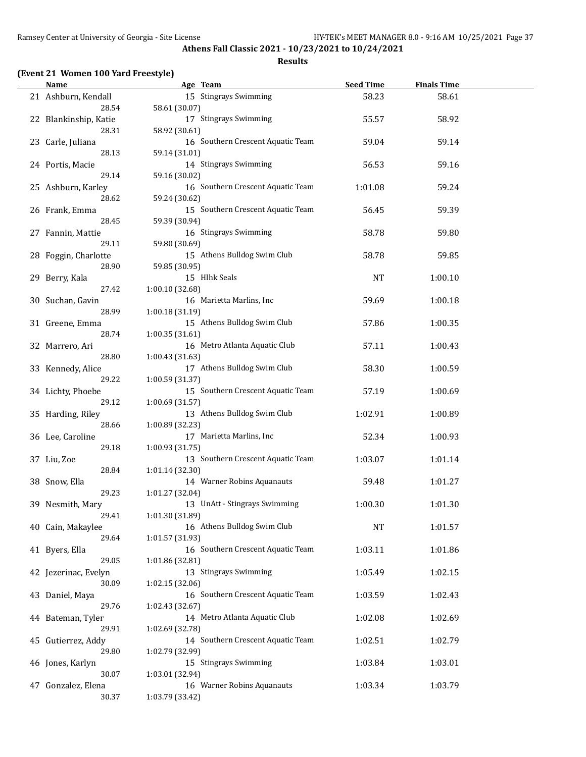#### **Results**

### **(Event 21 Women 100 Yard Freestyle)**

| <b>Name</b>                   | Age Team                                             | <b>Seed Time</b> | <b>Finals Time</b> |  |
|-------------------------------|------------------------------------------------------|------------------|--------------------|--|
| 21 Ashburn, Kendall<br>28.54  | 15 Stingrays Swimming<br>58.61 (30.07)               | 58.23            | 58.61              |  |
| 22 Blankinship, Katie         | 17 Stingrays Swimming                                | 55.57            | 58.92              |  |
| 28.31<br>23 Carle, Juliana    | 58.92 (30.61)<br>16 Southern Crescent Aquatic Team   | 59.04            | 59.14              |  |
| 28.13<br>24 Portis, Macie     | 59.14 (31.01)<br>14 Stingrays Swimming               | 56.53            | 59.16              |  |
| 29.14                         | 59.16 (30.02)                                        |                  |                    |  |
| 25 Ashburn, Karley<br>28.62   | 16 Southern Crescent Aquatic Team<br>59.24 (30.62)   | 1:01.08          | 59.24              |  |
| 26 Frank, Emma<br>28.45       | 15 Southern Crescent Aquatic Team<br>59.39 (30.94)   | 56.45            | 59.39              |  |
| 27 Fannin, Mattie<br>29.11    | 16 Stingrays Swimming<br>59.80 (30.69)               | 58.78            | 59.80              |  |
| 28 Foggin, Charlotte<br>28.90 | 15 Athens Bulldog Swim Club<br>59.85 (30.95)         | 58.78            | 59.85              |  |
| 29 Berry, Kala                | 15 Hlhk Seals                                        | NT               | 1:00.10            |  |
| 27.42<br>30 Suchan, Gavin     | 1:00.10 (32.68)<br>16 Marietta Marlins, Inc          | 59.69            | 1:00.18            |  |
| 28.99<br>31 Greene, Emma      | 1:00.18 (31.19)<br>15 Athens Bulldog Swim Club       | 57.86            | 1:00.35            |  |
| 28.74<br>32 Marrero, Ari      | 1:00.35 (31.61)<br>16 Metro Atlanta Aquatic Club     | 57.11            | 1:00.43            |  |
| 28.80                         | 1:00.43 (31.63)                                      |                  |                    |  |
| 33 Kennedy, Alice<br>29.22    | 17 Athens Bulldog Swim Club<br>1:00.59 (31.37)       | 58.30            | 1:00.59            |  |
| 34 Lichty, Phoebe<br>29.12    | 15 Southern Crescent Aquatic Team<br>1:00.69 (31.57) | 57.19            | 1:00.69            |  |
| 35 Harding, Riley<br>28.66    | 13 Athens Bulldog Swim Club<br>1:00.89 (32.23)       | 1:02.91          | 1:00.89            |  |
| 36 Lee, Caroline<br>29.18     | 17 Marietta Marlins, Inc<br>1:00.93 (31.75)          | 52.34            | 1:00.93            |  |
| 37 Liu, Zoe                   | 13 Southern Crescent Aquatic Team                    | 1:03.07          | 1:01.14            |  |
| 28.84<br>38 Snow, Ella        | 1:01.14 (32.30)<br>14 Warner Robins Aquanauts        | 59.48            | 1:01.27            |  |
| 29.23<br>39 Nesmith, Mary     | 1:01.27 (32.04)<br>13 UnAtt - Stingrays Swimming     | 1:00.30          | 1:01.30            |  |
| 29.41<br>40 Cain, Makaylee    | 1:01.30 (31.89)<br>16 Athens Bulldog Swim Club       | <b>NT</b>        | 1:01.57            |  |
| 29.64                         | 1:01.57 (31.93)<br>16 Southern Crescent Aquatic Team |                  |                    |  |
| 41 Byers, Ella<br>29.05       | 1:01.86 (32.81)                                      | 1:03.11          | 1:01.86            |  |
| 42 Jezerinac, Evelyn<br>30.09 | 13 Stingrays Swimming<br>1:02.15 (32.06)             | 1:05.49          | 1:02.15            |  |
| 43 Daniel, Maya<br>29.76      | 16 Southern Crescent Aquatic Team<br>1:02.43 (32.67) | 1:03.59          | 1:02.43            |  |
| 44 Bateman, Tyler<br>29.91    | 14 Metro Atlanta Aquatic Club<br>1:02.69 (32.78)     | 1:02.08          | 1:02.69            |  |
| 45 Gutierrez, Addy            | 14 Southern Crescent Aquatic Team                    | 1:02.51          | 1:02.79            |  |
| 29.80<br>46 Jones, Karlyn     | 1:02.79 (32.99)<br>15 Stingrays Swimming             | 1:03.84          | 1:03.01            |  |
| 30.07                         | 1:03.01 (32.94)<br>16 Warner Robins Aquanauts        |                  |                    |  |
| 47 Gonzalez, Elena<br>30.37   | 1:03.79 (33.42)                                      | 1:03.34          | 1:03.79            |  |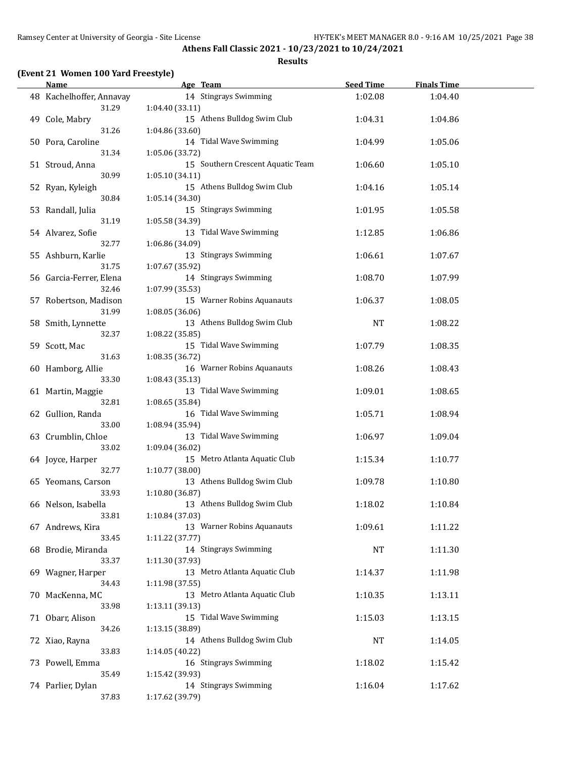#### **Results**

### **(Event 21 Women 100 Yard Freestyle)**

| <b>Name</b>              | Age Team                          | <b>Seed Time</b> | <b>Finals Time</b> |  |
|--------------------------|-----------------------------------|------------------|--------------------|--|
| 48 Kachelhoffer, Annavay | 14 Stingrays Swimming             | 1:02.08          | 1:04.40            |  |
| 31.29                    | 1:04.40 (33.11)                   |                  |                    |  |
| 49 Cole, Mabry           | 15 Athens Bulldog Swim Club       | 1:04.31          | 1:04.86            |  |
| 31.26                    | 1:04.86 (33.60)                   |                  |                    |  |
| 50 Pora, Caroline        | 14 Tidal Wave Swimming            | 1:04.99          | 1:05.06            |  |
| 31.34                    | 1:05.06 (33.72)                   |                  |                    |  |
| 51 Stroud, Anna          | 15 Southern Crescent Aquatic Team | 1:06.60          | 1:05.10            |  |
|                          |                                   |                  |                    |  |
| 30.99                    | 1:05.10(34.11)                    |                  |                    |  |
| 52 Ryan, Kyleigh         | 15 Athens Bulldog Swim Club       | 1:04.16          | 1:05.14            |  |
| 30.84                    | 1:05.14 (34.30)                   |                  |                    |  |
| 53 Randall, Julia        | 15 Stingrays Swimming             | 1:01.95          | 1:05.58            |  |
| 31.19                    | 1:05.58 (34.39)                   |                  |                    |  |
| 54 Alvarez, Sofie        | 13 Tidal Wave Swimming            | 1:12.85          | 1:06.86            |  |
| 32.77                    | 1:06.86 (34.09)                   |                  |                    |  |
| 55 Ashburn, Karlie       | 13 Stingrays Swimming             | 1:06.61          | 1:07.67            |  |
| 31.75                    | 1:07.67 (35.92)                   |                  |                    |  |
| 56 Garcia-Ferrer, Elena  | 14 Stingrays Swimming             | 1:08.70          | 1:07.99            |  |
| 32.46                    | 1:07.99 (35.53)                   |                  |                    |  |
| 57 Robertson, Madison    | 15 Warner Robins Aquanauts        | 1:06.37          | 1:08.05            |  |
| 31.99                    | 1:08.05 (36.06)                   |                  |                    |  |
| 58 Smith, Lynnette       | 13 Athens Bulldog Swim Club       | NT               | 1:08.22            |  |
| 32.37                    | 1:08.22 (35.85)                   |                  |                    |  |
| 59 Scott, Mac            | 15 Tidal Wave Swimming            | 1:07.79          | 1:08.35            |  |
| 31.63                    | 1:08.35 (36.72)                   |                  |                    |  |
| 60 Hamborg, Allie        | 16 Warner Robins Aquanauts        | 1:08.26          | 1:08.43            |  |
| 33.30                    |                                   |                  |                    |  |
|                          | 1:08.43 (35.13)                   |                  |                    |  |
| 61 Martin, Maggie        | 13 Tidal Wave Swimming            | 1:09.01          | 1:08.65            |  |
| 32.81                    | 1:08.65 (35.84)                   |                  |                    |  |
| 62 Gullion, Randa        | 16 Tidal Wave Swimming            | 1:05.71          | 1:08.94            |  |
| 33.00                    | 1:08.94 (35.94)                   |                  |                    |  |
| 63 Crumblin, Chloe       | 13 Tidal Wave Swimming            | 1:06.97          | 1:09.04            |  |
| 33.02                    | 1:09.04 (36.02)                   |                  |                    |  |
| 64 Joyce, Harper         | 15 Metro Atlanta Aquatic Club     | 1:15.34          | 1:10.77            |  |
| 32.77                    | 1:10.77 (38.00)                   |                  |                    |  |
| 65 Yeomans, Carson       | 13 Athens Bulldog Swim Club       | 1:09.78          | 1:10.80            |  |
| 33.93                    | 1:10.80 (36.87)                   |                  |                    |  |
| 66 Nelson, Isabella      | 13 Athens Bulldog Swim Club       | 1:18.02          | 1:10.84            |  |
| 33.81                    | 1:10.84 (37.03)                   |                  |                    |  |
| 67 Andrews, Kira         | 13 Warner Robins Aquanauts        | 1:09.61          | 1:11.22            |  |
| 33.45                    | 1:11.22 (37.77)                   |                  |                    |  |
| 68 Brodie, Miranda       | 14 Stingrays Swimming             | $\rm{NT}$        | 1:11.30            |  |
| 33.37                    | 1:11.30 (37.93)                   |                  |                    |  |
| 69 Wagner, Harper        | 13 Metro Atlanta Aquatic Club     | 1:14.37          | 1:11.98            |  |
| 34.43                    | 1:11.98 (37.55)                   |                  |                    |  |
| 70 MacKenna, MC          | 13 Metro Atlanta Aquatic Club     | 1:10.35          | 1:13.11            |  |
| 33.98                    | 1:13.11 (39.13)                   |                  |                    |  |
|                          |                                   |                  |                    |  |
| 71 Obarr, Alison         | 15 Tidal Wave Swimming            | 1:15.03          | 1:13.15            |  |
| 34.26                    | 1:13.15 (38.89)                   |                  |                    |  |
| 72 Xiao, Rayna           | 14 Athens Bulldog Swim Club       | NT               | 1:14.05            |  |
| 33.83                    | 1:14.05 (40.22)                   |                  |                    |  |
| 73 Powell, Emma          | 16 Stingrays Swimming             | 1:18.02          | 1:15.42            |  |
| 35.49                    | 1:15.42 (39.93)                   |                  |                    |  |
| 74 Parlier, Dylan        | 14 Stingrays Swimming             | 1:16.04          | 1:17.62            |  |
| 37.83                    | 1:17.62 (39.79)                   |                  |                    |  |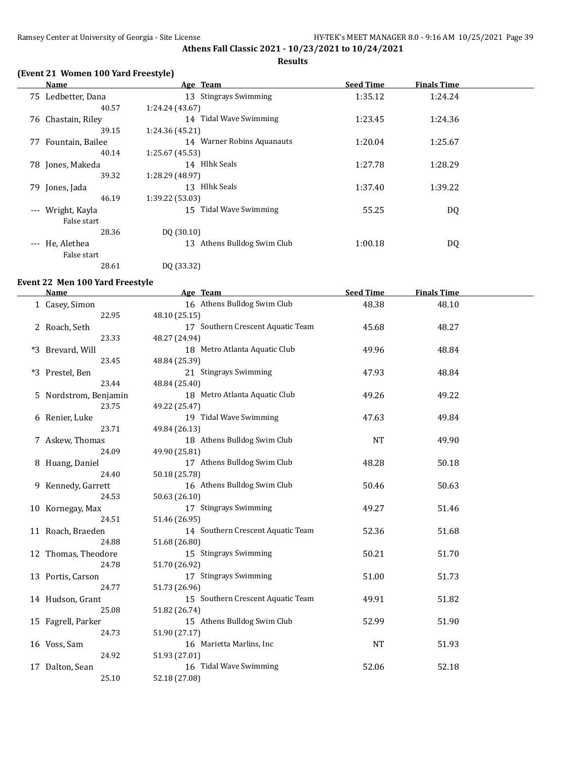#### **Results**

### **(Event 21 Women 100 Yard Freestyle)**

|          | Name               | Age Team                    | <b>Seed Time</b> | <b>Finals Time</b> |  |
|----------|--------------------|-----------------------------|------------------|--------------------|--|
|          | 75 Ledbetter, Dana | 13 Stingrays Swimming       | 1:35.12          | 1:24.24            |  |
|          | 40.57              | 1:24.24(43.67)              |                  |                    |  |
| 76       | Chastain, Riley    | 14 Tidal Wave Swimming      | 1:23.45          | 1:24.36            |  |
|          | 39.15              | 1:24.36 (45.21)             |                  |                    |  |
| 77       | Fountain, Bailee   | 14 Warner Robins Aquanauts  | 1:20.04          | 1:25.67            |  |
|          | 40.14              | 1:25.67(45.53)              |                  |                    |  |
|          | 78 Jones, Makeda   | 14 Hlhk Seals               | 1:27.78          | 1:28.29            |  |
|          | 39.32              | 1:28.29 (48.97)             |                  |                    |  |
|          | 79 Jones, Jada     | 13 Hlhk Seals               | 1:37.40          | 1:39.22            |  |
|          | 46.19              | 1:39.22 (53.03)             |                  |                    |  |
| $\cdots$ | Wright, Kayla      | 15 Tidal Wave Swimming      | 55.25            | DQ                 |  |
|          | False start        |                             |                  |                    |  |
|          | 28.36              | DQ (30.10)                  |                  |                    |  |
|          | --- He, Alethea    | 13 Athens Bulldog Swim Club | 1:00.18          | DQ                 |  |
|          | False start        |                             |                  |                    |  |
|          | 28.61              | DQ (33.32)                  |                  |                    |  |

# **Event 22 Men 100 Yard Freestyle**

| <b>Name</b>           | Age Team                          | <b>Seed Time</b> | <b>Finals Time</b> |  |
|-----------------------|-----------------------------------|------------------|--------------------|--|
| 1 Casey, Simon        | 16 Athens Bulldog Swim Club       | 48.38            | 48.10              |  |
| 22.95                 | 48.10 (25.15)                     |                  |                    |  |
| 2 Roach, Seth         | 17 Southern Crescent Aquatic Team | 45.68            | 48.27              |  |
| 23.33                 | 48.27 (24.94)                     |                  |                    |  |
| *3 Brevard, Will      | 18 Metro Atlanta Aquatic Club     | 49.96            | 48.84              |  |
| 23.45                 | 48.84 (25.39)                     |                  |                    |  |
| *3 Prestel, Ben       | 21 Stingrays Swimming             | 47.93            | 48.84              |  |
| 23.44                 | 48.84 (25.40)                     |                  |                    |  |
| 5 Nordstrom, Benjamin | 18 Metro Atlanta Aquatic Club     | 49.26            | 49.22              |  |
| 23.75                 | 49.22 (25.47)                     |                  |                    |  |
| 6 Renier, Luke        | 19 Tidal Wave Swimming            | 47.63            | 49.84              |  |
| 23.71                 | 49.84 (26.13)                     |                  |                    |  |
| 7 Askew, Thomas       | 18 Athens Bulldog Swim Club       | <b>NT</b>        | 49.90              |  |
| 24.09                 | 49.90 (25.81)                     |                  |                    |  |
| 8 Huang, Daniel       | 17 Athens Bulldog Swim Club       | 48.28            | 50.18              |  |
| 24.40                 | 50.18 (25.78)                     |                  |                    |  |
| 9 Kennedy, Garrett    | 16 Athens Bulldog Swim Club       | 50.46            | 50.63              |  |
| 24.53                 | 50.63 (26.10)                     |                  |                    |  |
| 10 Kornegay, Max      | 17 Stingrays Swimming             | 49.27            | 51.46              |  |
| 24.51                 | 51.46 (26.95)                     |                  |                    |  |
| 11 Roach, Braeden     | 14 Southern Crescent Aquatic Team | 52.36            | 51.68              |  |
| 24.88                 | 51.68 (26.80)                     |                  |                    |  |
| 12 Thomas, Theodore   | 15 Stingrays Swimming             | 50.21            | 51.70              |  |
| 24.78                 | 51.70 (26.92)                     |                  |                    |  |
| 13 Portis, Carson     | 17 Stingrays Swimming             | 51.00            | 51.73              |  |
| 24.77                 | 51.73 (26.96)                     |                  |                    |  |
| 14 Hudson, Grant      | 15 Southern Crescent Aquatic Team | 49.91            | 51.82              |  |
| 25.08                 | 51.82 (26.74)                     |                  |                    |  |
| 15 Fagrell, Parker    | 15 Athens Bulldog Swim Club       | 52.99            | 51.90              |  |
| 24.73                 | 51.90 (27.17)                     |                  |                    |  |
| 16 Voss, Sam          | 16 Marietta Marlins, Inc          | <b>NT</b>        | 51.93              |  |
| 24.92                 | 51.93 (27.01)                     |                  |                    |  |
| 17 Dalton, Sean       | 16 Tidal Wave Swimming            | 52.06            | 52.18              |  |
| 25.10                 | 52.18 (27.08)                     |                  |                    |  |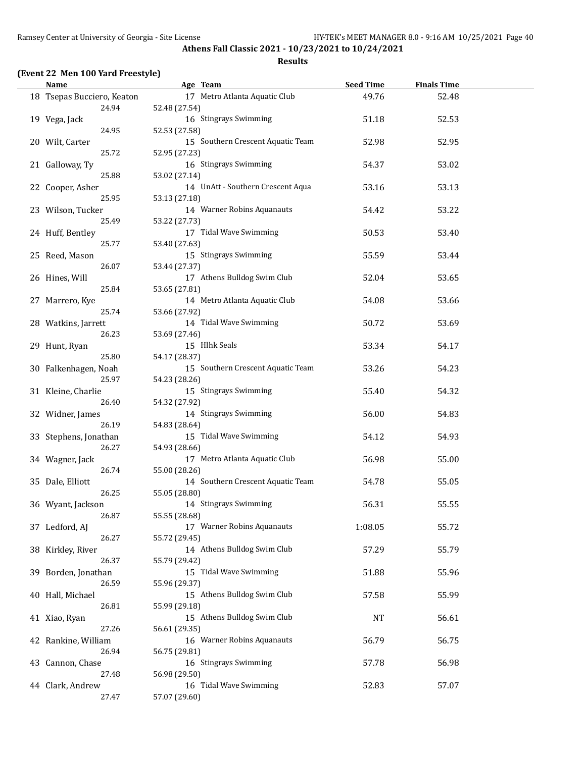#### **Results**

### **(Event 22 Men 100 Yard Freestyle)**

| <b>Name</b>                         | Age Team                                           | <b>Seed Time</b> | <b>Finals Time</b> |  |
|-------------------------------------|----------------------------------------------------|------------------|--------------------|--|
| 18 Tsepas Bucciero, Keaton<br>24.94 | 17 Metro Atlanta Aquatic Club<br>52.48 (27.54)     | 49.76            | 52.48              |  |
| 19 Vega, Jack<br>24.95              | 16 Stingrays Swimming<br>52.53 (27.58)             | 51.18            | 52.53              |  |
| 20 Wilt, Carter                     | 15 Southern Crescent Aquatic Team                  | 52.98            | 52.95              |  |
| 25.72<br>21 Galloway, Ty            | 52.95 (27.23)<br>16 Stingrays Swimming             | 54.37            | 53.02              |  |
| 25.88<br>22 Cooper, Asher           | 53.02 (27.14)<br>14 UnAtt - Southern Crescent Aqua | 53.16            | 53.13              |  |
| 25.95<br>23 Wilson, Tucker          | 53.13 (27.18)<br>14 Warner Robins Aquanauts        | 54.42            | 53.22              |  |
| 25.49<br>24 Huff, Bentley           | 53.22 (27.73)<br>17 Tidal Wave Swimming            | 50.53            | 53.40              |  |
| 25.77<br>25 Reed, Mason             | 53.40 (27.63)<br>15 Stingrays Swimming             | 55.59            | 53.44              |  |
| 26.07<br>26 Hines, Will             | 53.44 (27.37)<br>17 Athens Bulldog Swim Club       | 52.04            | 53.65              |  |
| 25.84<br>27 Marrero, Kye            | 53.65 (27.81)<br>14 Metro Atlanta Aquatic Club     | 54.08            | 53.66              |  |
| 25.74                               | 53.66 (27.92)                                      |                  |                    |  |
| 28 Watkins, Jarrett<br>26.23        | 14 Tidal Wave Swimming<br>53.69 (27.46)            | 50.72            | 53.69              |  |
| 29 Hunt, Ryan<br>25.80              | 15 Hlhk Seals<br>54.17 (28.37)                     | 53.34            | 54.17              |  |
| 30 Falkenhagen, Noah<br>25.97       | 15 Southern Crescent Aquatic Team<br>54.23 (28.26) | 53.26            | 54.23              |  |
| 31 Kleine, Charlie<br>26.40         | 15 Stingrays Swimming<br>54.32 (27.92)             | 55.40            | 54.32              |  |
| 32 Widner, James<br>26.19           | 14 Stingrays Swimming<br>54.83 (28.64)             | 56.00            | 54.83              |  |
| 33 Stephens, Jonathan<br>26.27      | 15 Tidal Wave Swimming<br>54.93 (28.66)            | 54.12            | 54.93              |  |
| 34 Wagner, Jack<br>26.74            | 17 Metro Atlanta Aquatic Club<br>55.00 (28.26)     | 56.98            | 55.00              |  |
| 35 Dale, Elliott<br>26.25           | 14 Southern Crescent Aquatic Team<br>55.05 (28.80) | 54.78            | 55.05              |  |
| 36 Wyant, Jackson                   | 14 Stingrays Swimming                              | 56.31            | 55.55              |  |
| 26.87<br>37 Ledford, AJ             | 55.55 (28.68)<br>17 Warner Robins Aquanauts        | 1:08.05          | 55.72              |  |
| 26.27<br>38 Kirkley, River          | 55.72 (29.45)<br>14 Athens Bulldog Swim Club       | 57.29            | 55.79              |  |
| 26.37<br>39 Borden, Jonathan        | 55.79 (29.42)<br>15 Tidal Wave Swimming            | 51.88            | 55.96              |  |
| 26.59<br>40 Hall, Michael           | 55.96 (29.37)<br>15 Athens Bulldog Swim Club       | 57.58            | 55.99              |  |
| 26.81<br>41 Xiao, Ryan              | 55.99 (29.18)<br>15 Athens Bulldog Swim Club       | <b>NT</b>        | 56.61              |  |
| 27.26<br>42 Rankine, William        | 56.61 (29.35)<br>16 Warner Robins Aquanauts        | 56.79            | 56.75              |  |
| 26.94<br>43 Cannon, Chase           | 56.75 (29.81)<br>16 Stingrays Swimming             | 57.78            | 56.98              |  |
| 27.48<br>44 Clark, Andrew           | 56.98 (29.50)<br>16 Tidal Wave Swimming            | 52.83            | 57.07              |  |
| 27.47                               | 57.07 (29.60)                                      |                  |                    |  |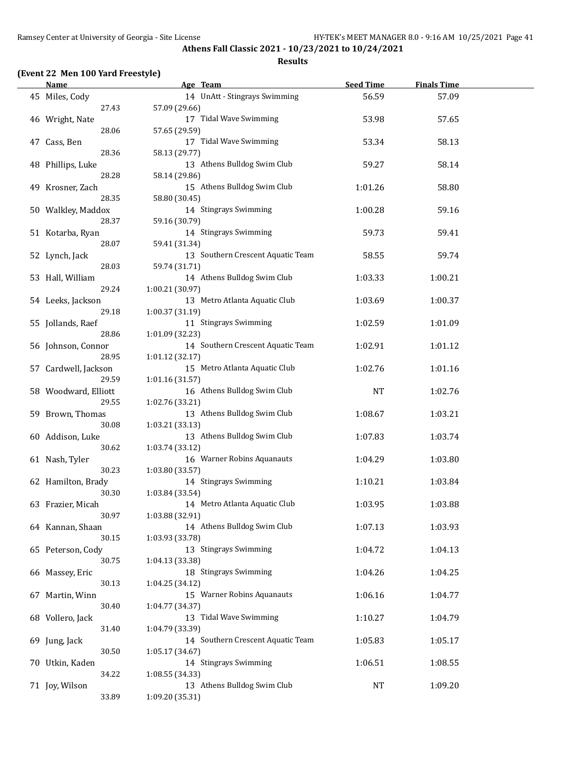#### **Results**

### **(Event 22 Men 100 Yard Freestyle)**

| Name                 | Age Team                          | <b>Seed Time</b> | <b>Finals Time</b> |  |
|----------------------|-----------------------------------|------------------|--------------------|--|
| 45 Miles, Cody       | 14 UnAtt - Stingrays Swimming     | 56.59            | 57.09              |  |
| 27.43                | 57.09 (29.66)                     |                  |                    |  |
| 46 Wright, Nate      | 17 Tidal Wave Swimming            | 53.98            | 57.65              |  |
| 28.06                | 57.65 (29.59)                     |                  |                    |  |
| 47 Cass, Ben         | 17 Tidal Wave Swimming            | 53.34            | 58.13              |  |
| 28.36                | 58.13 (29.77)                     |                  |                    |  |
|                      | 13 Athens Bulldog Swim Club       | 59.27            | 58.14              |  |
| 48 Phillips, Luke    |                                   |                  |                    |  |
| 28.28                | 58.14 (29.86)                     |                  |                    |  |
| 49 Krosner, Zach     | 15 Athens Bulldog Swim Club       | 1:01.26          | 58.80              |  |
| 28.35                | 58.80 (30.45)                     |                  |                    |  |
| 50 Walkley, Maddox   | 14 Stingrays Swimming             | 1:00.28          | 59.16              |  |
| 28.37                | 59.16 (30.79)                     |                  |                    |  |
| 51 Kotarba, Ryan     | 14 Stingrays Swimming             | 59.73            | 59.41              |  |
| 28.07                | 59.41 (31.34)                     |                  |                    |  |
| 52 Lynch, Jack       | 13 Southern Crescent Aquatic Team | 58.55            | 59.74              |  |
| 28.03                | 59.74 (31.71)                     |                  |                    |  |
| 53 Hall, William     | 14 Athens Bulldog Swim Club       | 1:03.33          | 1:00.21            |  |
| 29.24                | 1:00.21 (30.97)                   |                  |                    |  |
| 54 Leeks, Jackson    | 13 Metro Atlanta Aquatic Club     | 1:03.69          | 1:00.37            |  |
| 29.18                | 1:00.37 (31.19)                   |                  |                    |  |
| 55 Jollands, Raef    | 11 Stingrays Swimming             | 1:02.59          | 1:01.09            |  |
| 28.86                | 1:01.09 (32.23)                   |                  |                    |  |
| 56 Johnson, Connor   | 14 Southern Crescent Aquatic Team | 1:02.91          | 1:01.12            |  |
| 28.95                | 1:01.12 (32.17)                   |                  |                    |  |
| 57 Cardwell, Jackson | 15 Metro Atlanta Aquatic Club     | 1:02.76          | 1:01.16            |  |
| 29.59                | 1:01.16 (31.57)                   |                  |                    |  |
|                      |                                   |                  |                    |  |
| 58 Woodward, Elliott | 16 Athens Bulldog Swim Club       | NT               | 1:02.76            |  |
| 29.55                | 1:02.76 (33.21)                   |                  |                    |  |
| 59 Brown, Thomas     | 13 Athens Bulldog Swim Club       | 1:08.67          | 1:03.21            |  |
| 30.08                | 1:03.21 (33.13)                   |                  |                    |  |
| 60 Addison, Luke     | 13 Athens Bulldog Swim Club       | 1:07.83          | 1:03.74            |  |
| 30.62                | 1:03.74 (33.12)                   |                  |                    |  |
| 61 Nash, Tyler       | 16 Warner Robins Aquanauts        | 1:04.29          | 1:03.80            |  |
| 30.23                | 1:03.80 (33.57)                   |                  |                    |  |
| 62 Hamilton, Brady   | 14 Stingrays Swimming             | 1:10.21          | 1:03.84            |  |
| 30.30                | 1:03.84 (33.54)                   |                  |                    |  |
| 63 Frazier, Micah    | 14 Metro Atlanta Aquatic Club     | 1:03.95          | 1:03.88            |  |
| 30.97                | 1:03.88 (32.91)                   |                  |                    |  |
| 64 Kannan, Shaan     | 14 Athens Bulldog Swim Club       | 1:07.13          | 1:03.93            |  |
| 30.15                | 1:03.93 (33.78)                   |                  |                    |  |
| 65 Peterson, Cody    | 13 Stingrays Swimming             | 1:04.72          | 1:04.13            |  |
| 30.75                | 1:04.13 (33.38)                   |                  |                    |  |
| 66 Massey, Eric      | 18 Stingrays Swimming             | 1:04.26          | 1:04.25            |  |
| 30.13                | 1:04.25 (34.12)                   |                  |                    |  |
| 67 Martin, Winn      | 15 Warner Robins Aquanauts        | 1:06.16          | 1:04.77            |  |
| 30.40                | 1:04.77 (34.37)                   |                  |                    |  |
|                      |                                   |                  |                    |  |
| 68 Vollero, Jack     | 13 Tidal Wave Swimming            | 1:10.27          | 1:04.79            |  |
| 31.40                | 1:04.79 (33.39)                   |                  |                    |  |
| 69 Jung, Jack        | 14 Southern Crescent Aquatic Team | 1:05.83          | 1:05.17            |  |
| 30.50                | 1:05.17 (34.67)                   |                  |                    |  |
| 70 Utkin, Kaden      | 14 Stingrays Swimming             | 1:06.51          | 1:08.55            |  |
| 34.22                | 1:08.55 (34.33)                   |                  |                    |  |
| 71 Joy, Wilson       | 13 Athens Bulldog Swim Club       | NT               | 1:09.20            |  |
| 33.89                | 1:09.20 (35.31)                   |                  |                    |  |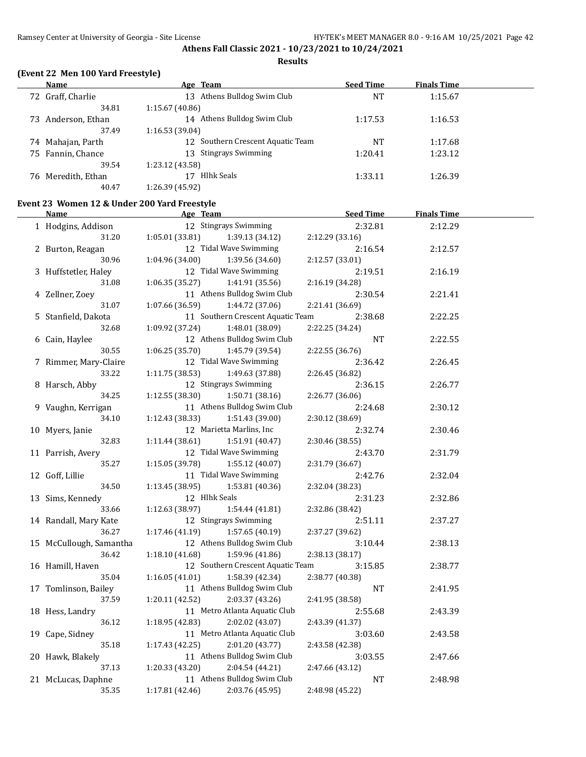### **Results**

### **(Event 22 Men 100 Yard Freestyle)**

 $\overline{a}$ 

|    | Name               | Age Team                       | <b>Seed Time</b> | <b>Finals Time</b> |  |
|----|--------------------|--------------------------------|------------------|--------------------|--|
|    | 72 Graff, Charlie  | Athens Bulldog Swim Club<br>13 | NT               | 1:15.67            |  |
|    | 34.81              | 1:15.67(40.86)                 |                  |                    |  |
| 73 | Anderson, Ethan    | Athens Bulldog Swim Club<br>14 | 1:17.53          | 1:16.53            |  |
|    | 37.49              | 1:16.53(39.04)                 |                  |                    |  |
|    | 74 Mahajan, Parth  | Southern Crescent Aquatic Team | NT               | 1:17.68            |  |
|    | 75 Fannin, Chance  | 13 Stingrays Swimming          | 1:20.41          | 1:23.12            |  |
|    | 39.54              | 1:23.12 (43.58)                |                  |                    |  |
|    | 76 Meredith, Ethan | <b>Hlhk Seals</b>              | 1:33.11          | 1:26.39            |  |
|    | 40.47              | 1:26.39 (45.92)                |                  |                    |  |

### **Event 23 Women 12 & Under 200 Yard Freestyle**

| <u>Name</u>             | Age Team        |                                   | <b>Seed Time</b> | <b>Finals Time</b> |  |
|-------------------------|-----------------|-----------------------------------|------------------|--------------------|--|
| 1 Hodgins, Addison      |                 | 12 Stingrays Swimming             | 2:32.81          | 2:12.29            |  |
| 31.20                   | 1:05.01 (33.81) | 1:39.13 (34.12)                   | 2:12.29 (33.16)  |                    |  |
| 2 Burton, Reagan        |                 | 12 Tidal Wave Swimming            | 2:16.54          | 2:12.57            |  |
| 30.96                   | 1:04.96 (34.00) | 1:39.56 (34.60)                   | 2:12.57 (33.01)  |                    |  |
| 3 Huffstetler, Haley    |                 | 12 Tidal Wave Swimming            | 2:19.51          | 2:16.19            |  |
| 31.08                   | 1:06.35(35.27)  | 1:41.91 (35.56)                   | 2:16.19 (34.28)  |                    |  |
| 4 Zellner, Zoey         |                 | 11 Athens Bulldog Swim Club       | 2:30.54          | 2:21.41            |  |
| $31.07\,$               | 1:07.66 (36.59) | 1:44.72 (37.06)                   | 2:21.41 (36.69)  |                    |  |
| 5 Stanfield, Dakota     |                 | 11 Southern Crescent Aquatic Team | 2:38.68          | 2:22.25            |  |
| 32.68                   | 1:09.92 (37.24) | 1:48.01 (38.09)                   | 2:22.25 (34.24)  |                    |  |
| 6 Cain, Haylee          |                 | 12 Athens Bulldog Swim Club       | <b>NT</b>        | 2:22.55            |  |
| 30.55                   | 1:06.25 (35.70) | 1:45.79 (39.54)                   | 2:22.55 (36.76)  |                    |  |
| 7 Rimmer, Mary-Claire   |                 | 12 Tidal Wave Swimming            | 2:36.42          | 2:26.45            |  |
| 33.22                   | 1:11.75 (38.53) | 1:49.63 (37.88)                   | 2:26.45 (36.82)  |                    |  |
| 8 Harsch, Abby          |                 | 12 Stingrays Swimming             | 2:36.15          | 2:26.77            |  |
| 34.25                   | 1:12.55(38.30)  | 1:50.71(38.16)                    | 2:26.77 (36.06)  |                    |  |
| 9 Vaughn, Kerrigan      |                 | 11 Athens Bulldog Swim Club       | 2:24.68          | 2:30.12            |  |
| 34.10                   | 1:12.43 (38.33) | 1:51.43 (39.00)                   | 2:30.12 (38.69)  |                    |  |
| 10 Myers, Janie         |                 | 12 Marietta Marlins, Inc.         | 2:32.74          | 2:30.46            |  |
| 32.83                   | 1:11.44 (38.61) | 1:51.91 (40.47)                   | 2:30.46 (38.55)  |                    |  |
| 11 Parrish, Avery       |                 | 12 Tidal Wave Swimming            | 2:43.70          | 2:31.79            |  |
| 35.27                   | 1:15.05 (39.78) | 1:55.12 (40.07)                   | 2:31.79 (36.67)  |                    |  |
| 12 Goff, Lillie         |                 | 11 Tidal Wave Swimming            | 2:42.76          | 2:32.04            |  |
| 34.50                   | 1:13.45(38.95)  | 1:53.81 (40.36)                   | 2:32.04 (38.23)  |                    |  |
| 13 Sims, Kennedy        | 12 Hlhk Seals   |                                   | 2:31.23          | 2:32.86            |  |
| 33.66                   | 1:12.63 (38.97) | 1:54.44 (41.81)                   | 2:32.86 (38.42)  |                    |  |
| 14 Randall, Mary Kate   |                 | 12 Stingrays Swimming             | 2:51.11          | 2:37.27            |  |
| 36.27                   | 1:17.46 (41.19) | 1:57.65 (40.19)                   | 2:37.27 (39.62)  |                    |  |
| 15 McCullough, Samantha |                 | 12 Athens Bulldog Swim Club       | 3:10.44          | 2:38.13            |  |
| 36.42                   | 1:18.10 (41.68) | 1:59.96 (41.86)                   | 2:38.13 (38.17)  |                    |  |
| 16 Hamill, Haven        |                 | 12 Southern Crescent Aquatic Team | 3:15.85          | 2:38.77            |  |
| 35.04                   | 1:16.05(41.01)  | 1:58.39 (42.34)                   | 2:38.77 (40.38)  |                    |  |
| 17 Tomlinson, Bailey    |                 | 11 Athens Bulldog Swim Club       | <b>NT</b>        | 2:41.95            |  |
| 37.59                   | 1:20.11 (42.52) | 2:03.37 (43.26)                   | 2:41.95 (38.58)  |                    |  |
| 18 Hess, Landry         |                 | 11 Metro Atlanta Aquatic Club     | 2:55.68          | 2:43.39            |  |
| 36.12                   | 1:18.95 (42.83) | 2:02.02 (43.07)                   | 2:43.39 (41.37)  |                    |  |
| 19 Cape, Sidney         |                 | 11 Metro Atlanta Aquatic Club     | 3:03.60          | 2:43.58            |  |
| 35.18                   | 1:17.43 (42.25) | 2:01.20 (43.77)                   | 2:43.58 (42.38)  |                    |  |
| 20 Hawk, Blakely        |                 | 11 Athens Bulldog Swim Club       | 3:03.55          | 2:47.66            |  |
| 37.13                   | 1:20.33 (43.20) | 2:04.54 (44.21)                   | 2:47.66 (43.12)  |                    |  |
| 21 McLucas, Daphne      |                 | 11 Athens Bulldog Swim Club       | <b>NT</b>        | 2:48.98            |  |
| 35.35                   | 1:17.81 (42.46) | 2:03.76 (45.95)                   | 2:48.98 (45.22)  |                    |  |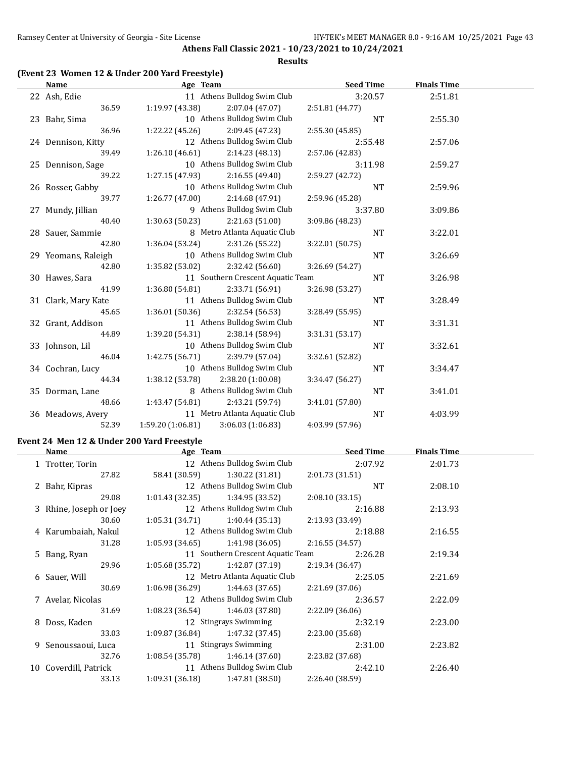#### **Results**

### **(Event 23 Women 12 & Under 200 Yard Freestyle)**

| Name                | Age Team                          |                                   | <b>Seed Time</b> |           | <b>Finals Time</b> |  |
|---------------------|-----------------------------------|-----------------------------------|------------------|-----------|--------------------|--|
| 22 Ash, Edie        |                                   | 11 Athens Bulldog Swim Club       |                  | 3:20.57   | 2:51.81            |  |
| 36.59               | 1:19.97(43.38)                    | 2:07.04(47.07)                    | 2:51.81 (44.77)  |           |                    |  |
| 23 Bahr, Sima       |                                   | 10 Athens Bulldog Swim Club       |                  | <b>NT</b> | 2:55.30            |  |
| 36.96               | 1:22.22 (45.26)                   | 2:09.45 (47.23)                   | 2:55.30 (45.85)  |           |                    |  |
| 24 Dennison, Kitty  |                                   | 12 Athens Bulldog Swim Club       |                  | 2:55.48   | 2:57.06            |  |
| 39.49               | 1:26.10(46.61)                    | 2:14.23 (48.13)                   | 2:57.06 (42.83)  |           |                    |  |
| 25 Dennison, Sage   |                                   | 10 Athens Bulldog Swim Club       |                  | 3:11.98   | 2:59.27            |  |
| 39.22               | 1:27.15(47.93)                    | 2:16.55(49.40)                    | 2:59.27 (42.72)  |           |                    |  |
| 26 Rosser, Gabby    |                                   | 10 Athens Bulldog Swim Club       |                  | <b>NT</b> | 2:59.96            |  |
| 39.77               | 1:26.77(47.00)                    | 2:14.68(47.91)                    | 2:59.96 (45.28)  |           |                    |  |
| 27 Mundy, Jillian   |                                   | 9 Athens Bulldog Swim Club        |                  | 3:37.80   | 3:09.86            |  |
| 40.40               | 1:30.63(50.23)                    | 2:21.63(51.00)                    | 3:09.86 (48.23)  |           |                    |  |
| 28 Sauer, Sammie    |                                   | 8 Metro Atlanta Aquatic Club      |                  | NT        | 3:22.01            |  |
| 42.80               | 1:36.04 (53.24)                   | 2:31.26 (55.22)                   | 3:22.01 (50.75)  |           |                    |  |
| 29 Yeomans, Raleigh |                                   | 10 Athens Bulldog Swim Club       |                  | <b>NT</b> | 3:26.69            |  |
| 42.80               | 1:35.82 (53.02)                   | 2:32.42(56.60)                    | 3:26.69 (54.27)  |           |                    |  |
| 30 Hawes, Sara      |                                   | 11 Southern Crescent Aquatic Team |                  | <b>NT</b> | 3:26.98            |  |
| 41.99               | 1:36.80(54.81)                    | 2:33.71 (56.91)                   | 3:26.98 (53.27)  |           |                    |  |
| 31 Clark, Mary Kate |                                   | 11 Athens Bulldog Swim Club       |                  | NT        | 3:28.49            |  |
| 45.65               | 1:36.01(50.36)                    | 2:32.54 (56.53)                   | 3:28.49 (55.95)  |           |                    |  |
| 32 Grant, Addison   |                                   | 11 Athens Bulldog Swim Club       |                  | <b>NT</b> | 3:31.31            |  |
| 44.89               | 1:39.20 (54.31)                   | 2:38.14 (58.94)                   | 3:31.31 (53.17)  |           |                    |  |
| 33 Johnson, Lil     |                                   | 10 Athens Bulldog Swim Club       |                  | NT        | 3:32.61            |  |
| 46.04               | 1:42.75(56.71)                    | 2:39.79 (57.04)                   | 3:32.61 (52.82)  |           |                    |  |
| 34 Cochran, Lucy    |                                   | 10 Athens Bulldog Swim Club       |                  | <b>NT</b> | 3:34.47            |  |
| 44.34               | 1:38.12 (53.78) 2:38.20 (1:00.08) |                                   | 3:34.47 (56.27)  |           |                    |  |
| 35 Dorman, Lane     |                                   | 8 Athens Bulldog Swim Club        |                  | NT        | 3:41.01            |  |
| 48.66               | 1:43.47 (54.81)                   | 2:43.21 (59.74)                   | 3:41.01 (57.80)  |           |                    |  |
| 36 Meadows, Avery   |                                   | 11 Metro Atlanta Aquatic Club     |                  | NT        | 4:03.99            |  |
| 52.39               | 1:59.20 (1:06.81)                 | 3:06.03(1:06.83)                  | 4:03.99 (57.96)  |           |                    |  |

### **Event 24 Men 12 & Under 200 Yard Freestyle**

| Name                    | Age Team        |                                   | <b>Seed Time</b> | <b>Finals Time</b> |  |
|-------------------------|-----------------|-----------------------------------|------------------|--------------------|--|
| 1 Trotter, Torin        |                 | 12 Athens Bulldog Swim Club       | 2:07.92          | 2:01.73            |  |
| 27.82                   | 58.41 (30.59)   | 1:30.22 (31.81)                   | 2:01.73(31.51)   |                    |  |
| 2 Bahr, Kipras          |                 | 12 Athens Bulldog Swim Club       | <b>NT</b>        | 2:08.10            |  |
| 29.08                   | 1:01.43 (32.35) | 1:34.95 (33.52)                   | 2:08.10(33.15)   |                    |  |
| 3 Rhine, Joseph or Joey |                 | 12 Athens Bulldog Swim Club       | 2:16.88          | 2:13.93            |  |
| 30.60                   | 1:05.31(34.71)  | 1:40.44 (35.13)                   | 2:13.93 (33.49)  |                    |  |
| 4 Karumbaiah, Nakul     |                 | 12 Athens Bulldog Swim Club       | 2:18.88          | 2:16.55            |  |
| 31.28                   | 1:05.93(34.65)  | 1:41.98 (36.05)                   | 2:16.55 (34.57)  |                    |  |
| 5 Bang, Ryan            |                 | 11 Southern Crescent Aquatic Team | 2:26.28          | 2:19.34            |  |
| 29.96                   | 1:05.68 (35.72) | 1:42.87 (37.19)                   | 2:19.34 (36.47)  |                    |  |
| 6 Sauer, Will           |                 | 12 Metro Atlanta Aquatic Club     | 2:25.05          | 2:21.69            |  |
| 30.69                   | 1:06.98 (36.29) | 1:44.63 (37.65)                   | 2:21.69(37.06)   |                    |  |
| 7 Avelar, Nicolas       |                 | 12 Athens Bulldog Swim Club       | 2:36.57          | 2:22.09            |  |
| 31.69                   |                 | $1:08.23(36.54)$ $1:46.03(37.80)$ | 2:22.09 (36.06)  |                    |  |
| 8 Doss, Kaden           |                 | 12 Stingrays Swimming             | 2:32.19          | 2:23.00            |  |
| 33.03                   | 1:09.87 (36.84) | 1:47.32 (37.45)                   | 2:23.00 (35.68)  |                    |  |
| 9 Senoussaoui, Luca     |                 | 11 Stingrays Swimming             | 2:31.00          | 2:23.82            |  |
| 32.76                   | 1:08.54 (35.78) | 1:46.14 (37.60)                   | 2:23.82 (37.68)  |                    |  |
| 10 Coverdill, Patrick   |                 | 11 Athens Bulldog Swim Club       | 2:42.10          | 2:26.40            |  |
| 33.13                   | 1:09.31 (36.18) | 1:47.81 (38.50)                   | 2:26.40 (38.59)  |                    |  |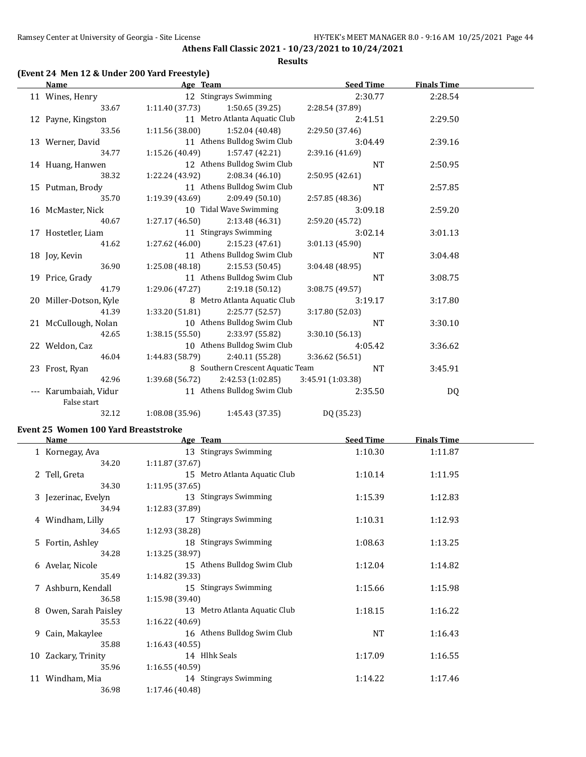#### **Results**

### **(Event 24 Men 12 & Under 200 Yard Freestyle)**

| <b>Name</b>                          | Age Team                            |                                  | <b>Seed Time</b> | <b>Finals Time</b> |  |
|--------------------------------------|-------------------------------------|----------------------------------|------------------|--------------------|--|
| 11 Wines, Henry                      |                                     | 12 Stingrays Swimming            | 2:30.77          | 2:28.54            |  |
| 33.67                                | $1:11.40(37.73)$ $1:50.65(39.25)$   |                                  | 2:28.54 (37.89)  |                    |  |
| 12 Payne, Kingston                   |                                     | 11 Metro Atlanta Aquatic Club    | 2:41.51          | 2:29.50            |  |
| 33.56                                | $1:11.56(38.00)$ $1:52.04(40.48)$   |                                  | 2:29.50 (37.46)  |                    |  |
| 13 Werner, David                     |                                     | 11 Athens Bulldog Swim Club      | 3:04.49          | 2:39.16            |  |
| 34.77                                | $1:15.26(40.49)$ $1:57.47(42.21)$   |                                  | 2:39.16 (41.69)  |                    |  |
| 14 Huang, Hanwen                     |                                     | 12 Athens Bulldog Swim Club      | <b>NT</b>        | 2:50.95            |  |
| 38.32                                | $1:22.24(43.92)$ $2:08.34(46.10)$   |                                  | 2:50.95(42.61)   |                    |  |
| 15 Putman, Brody                     |                                     | 11 Athens Bulldog Swim Club      | <b>NT</b>        | 2:57.85            |  |
| 35.70                                | $1:19.39(43.69)$ $2:09.49(50.10)$   |                                  | 2:57.85 (48.36)  |                    |  |
| 16 McMaster, Nick                    |                                     | 10 Tidal Wave Swimming           | 3:09.18          | 2:59.20            |  |
| 40.67                                | 1:27.17(46.50)                      | 2:13.48(46.31)                   | 2:59.20 (45.72)  |                    |  |
| 17 Hostetler, Liam                   |                                     | 11 Stingrays Swimming            | 3:02.14          | 3:01.13            |  |
| 41.62                                | $1:27.62$ (46.00) $2:15.23$ (47.61) |                                  | 3:01.13 (45.90)  |                    |  |
| 18 Joy, Kevin                        |                                     | 11 Athens Bulldog Swim Club      | <b>NT</b>        | 3:04.48            |  |
| 36.90                                | 1:25.08 (48.18)                     | 2:15.53(50.45)                   | 3:04.48 (48.95)  |                    |  |
| 19 Price, Grady                      |                                     | 11 Athens Bulldog Swim Club      | NT               | 3:08.75            |  |
| 41.79                                | 1:29.06 (47.27)                     | 2:19.18(50.12)                   | 3:08.75 (49.57)  |                    |  |
| 20 Miller-Dotson, Kyle               |                                     | 8 Metro Atlanta Aquatic Club     | 3:19.17          | 3:17.80            |  |
| 41.39                                | 1:33.20 (51.81)                     | 2:25.77 (52.57)                  | 3:17.80 (52.03)  |                    |  |
| 21 McCullough, Nolan                 |                                     | 10 Athens Bulldog Swim Club      | $\rm{NT}$        | 3:30.10            |  |
| 42.65                                | $1:38.15(55.50)$ $2:33.97(55.82)$   |                                  | 3:30.10(56.13)   |                    |  |
| 22 Weldon, Caz                       |                                     | 10 Athens Bulldog Swim Club      | 4:05.42          | 3:36.62            |  |
| 46.04                                | 1:44.83 (58.79)                     | 2:40.11(55.28)                   | 3:36.62 (56.51)  |                    |  |
| 23 Frost, Ryan                       |                                     | 8 Southern Crescent Aquatic Team | <b>NT</b>        | 3:45.91            |  |
| 42.96                                | 1:39.68 (56.72)                     | 2:42.53 (1:02.85)                | 3:45.91(1:03.38) |                    |  |
| --- Karumbaiah, Vidur<br>False start |                                     | 11 Athens Bulldog Swim Club      | 2:35.50          | DQ                 |  |
| 32.12                                | 1:08.08 (35.96)                     | 1:45.43 (37.35)                  | DQ (35.23)       |                    |  |

#### **Event 25 Women 100 Yard Breaststroke**

|    | Name                  | Age Team                      | <b>Seed Time</b> | <b>Finals Time</b> |  |
|----|-----------------------|-------------------------------|------------------|--------------------|--|
|    | 1 Kornegay, Ava       | 13 Stingrays Swimming         | 1:10.30          | 1:11.87            |  |
|    | 34.20                 | 1:11.87(37.67)                |                  |                    |  |
|    | 2 Tell, Greta         | 15 Metro Atlanta Aquatic Club | 1:10.14          | 1:11.95            |  |
|    | 34.30                 | 1:11.95(37.65)                |                  |                    |  |
|    | 3 Jezerinac, Evelyn   | 13 Stingrays Swimming         | 1:15.39          | 1:12.83            |  |
|    | 34.94                 | 1:12.83 (37.89)               |                  |                    |  |
|    | 4 Windham, Lilly      | 17 Stingrays Swimming         | 1:10.31          | 1:12.93            |  |
|    | 34.65                 | 1:12.93 (38.28)               |                  |                    |  |
|    | 5 Fortin, Ashley      | 18 Stingrays Swimming         | 1:08.63          | 1:13.25            |  |
|    | 34.28                 | 1:13.25(38.97)                |                  |                    |  |
|    | 6 Avelar, Nicole      | 15 Athens Bulldog Swim Club   | 1:12.04          | 1:14.82            |  |
|    | 35.49                 | 1:14.82 (39.33)               |                  |                    |  |
|    | 7 Ashburn, Kendall    | 15 Stingrays Swimming         | 1:15.66          | 1:15.98            |  |
|    | 36.58                 | 1:15.98 (39.40)               |                  |                    |  |
|    | 8 Owen, Sarah Paisley | 13 Metro Atlanta Aquatic Club | 1:18.15          | 1:16.22            |  |
|    | 35.53                 | 1:16.22(40.69)                |                  |                    |  |
|    | 9 Cain, Makaylee      | 16 Athens Bulldog Swim Club   | NT               | 1:16.43            |  |
|    | 35.88                 | 1:16.43(40.55)                |                  |                    |  |
| 10 | Zackary, Trinity      | 14 Hlhk Seals                 | 1:17.09          | 1:16.55            |  |
|    | 35.96                 | 1:16.55(40.59)                |                  |                    |  |
|    | 11 Windham, Mia       | 14 Stingrays Swimming         | 1:14.22          | 1:17.46            |  |
|    | 36.98                 | 1:17.46 (40.48)               |                  |                    |  |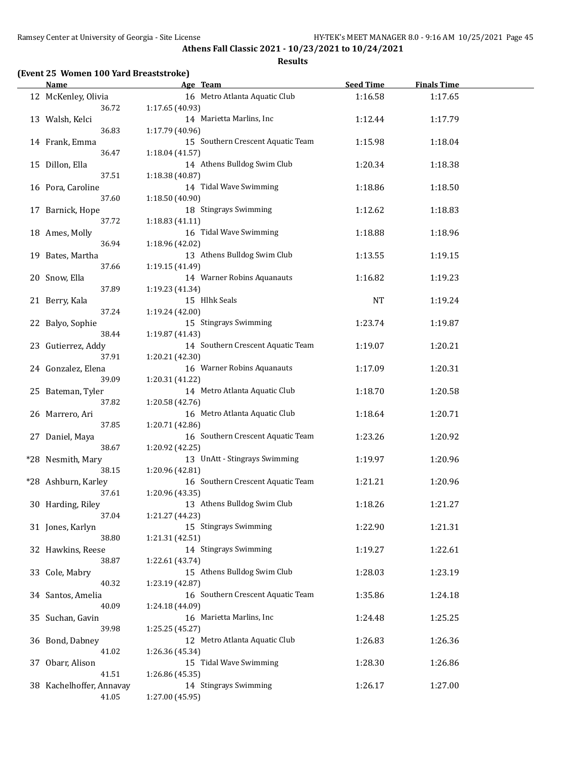#### **Results**

| <b>Name</b>                       |                 | Age Team                          | <b>Seed Time</b> | <b>Finals Time</b> |  |
|-----------------------------------|-----------------|-----------------------------------|------------------|--------------------|--|
| 12 McKenley, Olivia<br>36.72      | 1:17.65 (40.93) | 16 Metro Atlanta Aquatic Club     | 1:16.58          | 1:17.65            |  |
| 13 Walsh, Kelci                   |                 | 14 Marietta Marlins, Inc          | 1:12.44          | 1:17.79            |  |
| 36.83<br>14 Frank, Emma           | 1:17.79 (40.96) | 15 Southern Crescent Aquatic Team | 1:15.98          | 1:18.04            |  |
| 36.47<br>15 Dillon, Ella          | 1:18.04 (41.57) | 14 Athens Bulldog Swim Club       | 1:20.34          | 1:18.38            |  |
| 37.51                             | 1:18.38 (40.87) |                                   |                  |                    |  |
| 16 Pora, Caroline<br>37.60        | 1:18.50 (40.90) | 14 Tidal Wave Swimming            | 1:18.86          | 1:18.50            |  |
| 17 Barnick, Hope                  |                 | 18 Stingrays Swimming             | 1:12.62          | 1:18.83            |  |
| 37.72<br>18 Ames, Molly           | 1:18.83(41.11)  | 16 Tidal Wave Swimming            | 1:18.88          | 1:18.96            |  |
| 36.94                             | 1:18.96 (42.02) |                                   |                  |                    |  |
| 19 Bates, Martha                  |                 | 13 Athens Bulldog Swim Club       | 1:13.55          | 1:19.15            |  |
| 37.66                             | 1:19.15 (41.49) |                                   |                  |                    |  |
| 20 Snow, Ella                     |                 | 14 Warner Robins Aquanauts        | 1:16.82          | 1:19.23            |  |
| 37.89                             | 1:19.23 (41.34) |                                   |                  |                    |  |
| 21 Berry, Kala                    |                 | 15 Hlhk Seals                     | <b>NT</b>        | 1:19.24            |  |
| 37.24                             | 1:19.24 (42.00) |                                   |                  |                    |  |
| 22 Balyo, Sophie                  |                 | 15 Stingrays Swimming             | 1:23.74          | 1:19.87            |  |
| 38.44                             | 1:19.87 (41.43) |                                   |                  |                    |  |
| 23 Gutierrez, Addy                |                 | 14 Southern Crescent Aquatic Team | 1:19.07          | 1:20.21            |  |
| 37.91                             | 1:20.21 (42.30) | 16 Warner Robins Aquanauts        |                  |                    |  |
| 24 Gonzalez, Elena<br>39.09       | 1:20.31 (41.22) |                                   | 1:17.09          | 1:20.31            |  |
| 25 Bateman, Tyler                 |                 | 14 Metro Atlanta Aquatic Club     | 1:18.70          | 1:20.58            |  |
| 37.82                             | 1:20.58 (42.76) |                                   |                  |                    |  |
| 26 Marrero, Ari                   |                 | 16 Metro Atlanta Aquatic Club     | 1:18.64          | 1:20.71            |  |
| 37.85                             | 1:20.71 (42.86) |                                   |                  |                    |  |
| 27 Daniel, Maya                   |                 | 16 Southern Crescent Aquatic Team | 1:23.26          | 1:20.92            |  |
| 38.67                             | 1:20.92 (42.25) |                                   |                  |                    |  |
| *28 Nesmith, Mary                 |                 | 13 UnAtt - Stingrays Swimming     | 1:19.97          | 1:20.96            |  |
| 38.15                             | 1:20.96 (42.81) |                                   |                  |                    |  |
| *28 Ashburn, Karley               |                 | 16 Southern Crescent Aquatic Team | 1:21.21          | 1:20.96            |  |
| 37.61                             | 1:20.96 (43.35) |                                   |                  |                    |  |
| 30 Harding, Riley<br>37.04        |                 | 13 Athens Bulldog Swim Club       | 1:18.26          | 1:21.27            |  |
| 31 Jones, Karlyn                  | 1:21.27 (44.23) | 15 Stingrays Swimming             | 1:22.90          | 1:21.31            |  |
| 38.80                             | 1:21.31 (42.51) |                                   |                  |                    |  |
| 32 Hawkins, Reese                 |                 | 14 Stingrays Swimming             | 1:19.27          | 1:22.61            |  |
| 38.87                             | 1:22.61 (43.74) |                                   |                  |                    |  |
| 33 Cole, Mabry                    |                 | 15 Athens Bulldog Swim Club       | 1:28.03          | 1:23.19            |  |
| 40.32                             | 1:23.19 (42.87) |                                   |                  |                    |  |
| 34 Santos, Amelia                 |                 | 16 Southern Crescent Aquatic Team | 1:35.86          | 1:24.18            |  |
| 40.09                             | 1:24.18 (44.09) |                                   |                  |                    |  |
| 35 Suchan, Gavin                  |                 | 16 Marietta Marlins, Inc          | 1:24.48          | 1:25.25            |  |
| 39.98                             | 1:25.25 (45.27) |                                   |                  |                    |  |
| 36 Bond, Dabney                   |                 | 12 Metro Atlanta Aquatic Club     | 1:26.83          | 1:26.36            |  |
| 41.02                             | 1:26.36 (45.34) |                                   |                  |                    |  |
| 37 Obarr, Alison                  |                 | 15 Tidal Wave Swimming            | 1:28.30          | 1:26.86            |  |
| 41.51<br>38 Kachelhoffer, Annavay | 1:26.86 (45.35) | 14 Stingrays Swimming             | 1:26.17          | 1:27.00            |  |
| 41.05                             | 1:27.00 (45.95) |                                   |                  |                    |  |
|                                   |                 |                                   |                  |                    |  |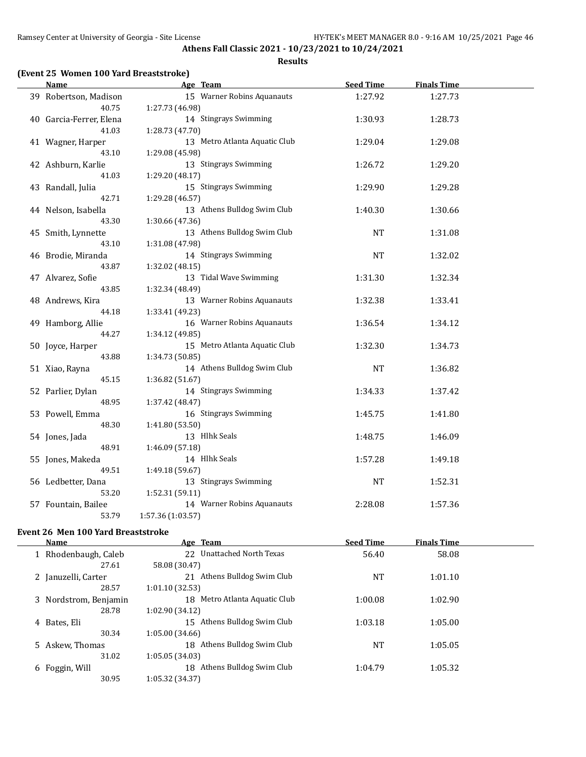## **(Event 25 Women 100 Yard Breaststroke)**

| Name                                  | Age Team                                                           | <b>Seed Time</b> | <b>Finals Time</b> |  |
|---------------------------------------|--------------------------------------------------------------------|------------------|--------------------|--|
| 39 Robertson, Madison<br>40.75        | 15 Warner Robins Aquanauts<br>1:27.73 (46.98)                      | 1:27.92          | 1:27.73            |  |
| 40 Garcia-Ferrer, Elena<br>41.03      | 14 Stingrays Swimming<br>1:28.73 (47.70)                           | 1:30.93          | 1:28.73            |  |
| 41 Wagner, Harper<br>43.10            | 13 Metro Atlanta Aquatic Club<br>1:29.08 (45.98)                   | 1:29.04          | 1:29.08            |  |
| 42 Ashburn, Karlie<br>41.03           | 13 Stingrays Swimming<br>1:29.20 (48.17)                           | 1:26.72          | 1:29.20            |  |
| 43 Randall, Julia                     | 15 Stingrays Swimming                                              | 1:29.90          | 1:29.28            |  |
| 42.71<br>44 Nelson, Isabella<br>43.30 | 1:29.28 (46.57)<br>13 Athens Bulldog Swim Club<br>1:30.66 (47.36)  | 1:40.30          | 1:30.66            |  |
| 45 Smith, Lynnette<br>43.10           | 13 Athens Bulldog Swim Club<br>1:31.08 (47.98)                     | <b>NT</b>        | 1:31.08            |  |
| 46 Brodie, Miranda<br>43.87           | 14 Stingrays Swimming<br>1:32.02 (48.15)                           | <b>NT</b>        | 1:32.02            |  |
| 47 Alvarez, Sofie<br>43.85            | 13 Tidal Wave Swimming<br>1:32.34 (48.49)                          | 1:31.30          | 1:32.34            |  |
| 48 Andrews, Kira<br>44.18             | 13 Warner Robins Aquanauts<br>1:33.41 (49.23)                      | 1:32.38          | 1:33.41            |  |
| 49 Hamborg, Allie<br>44.27            | 16 Warner Robins Aquanauts<br>1:34.12 (49.85)                      | 1:36.54          | 1:34.12            |  |
| 50 Joyce, Harper<br>43.88             | 15 Metro Atlanta Aquatic Club<br>1:34.73 (50.85)                   | 1:32.30          | 1:34.73            |  |
| 51 Xiao, Rayna<br>45.15               | 14 Athens Bulldog Swim Club<br>1:36.82 (51.67)                     | <b>NT</b>        | 1:36.82            |  |
| 52 Parlier, Dylan<br>48.95            | 14 Stingrays Swimming<br>1:37.42 (48.47)                           | 1:34.33          | 1:37.42            |  |
| 53 Powell, Emma<br>48.30              | 16 Stingrays Swimming<br>1:41.80 (53.50)                           | 1:45.75          | 1:41.80            |  |
| 54 Jones, Jada<br>48.91               | 13 Hlhk Seals<br>1:46.09 (57.18)                                   | 1:48.75          | 1:46.09            |  |
| 55 Jones, Makeda<br>49.51             | 14 Hlhk Seals<br>1:49.18 (59.67)                                   | 1:57.28          | 1:49.18            |  |
| 56 Ledbetter, Dana                    | 13 Stingrays Swimming                                              | <b>NT</b>        | 1:52.31            |  |
| 53.20<br>57 Fountain, Bailee<br>53.79 | 1:52.31 (59.11)<br>14 Warner Robins Aquanauts<br>1:57.36 (1:03.57) | 2:28.08          | 1:57.36            |  |

### **Event 26 Men 100 Yard Breaststroke**

| <b>Name</b>           |       |                 | Age Team                   | <b>Seed Time</b> | <b>Finals Time</b> |  |
|-----------------------|-------|-----------------|----------------------------|------------------|--------------------|--|
| 1 Rhodenbaugh, Caleb  |       | 22.             | Unattached North Texas     | 56.40            | 58.08              |  |
|                       | 27.61 | 58.08 (30.47)   |                            |                  |                    |  |
| 2 Januzelli, Carter   |       | 21              | Athens Bulldog Swim Club   | <b>NT</b>        | 1:01.10            |  |
|                       | 28.57 | 1:01.10(32.53)  |                            |                  |                    |  |
| 3 Nordstrom, Benjamin |       | 18              | Metro Atlanta Aquatic Club | 1:00.08          | 1:02.90            |  |
|                       | 28.78 | 1:02.90 (34.12) |                            |                  |                    |  |
| 4 Bates, Eli          |       | 15              | Athens Bulldog Swim Club   | 1:03.18          | 1:05.00            |  |
|                       | 30.34 | 1:05.00(34.66)  |                            |                  |                    |  |
| 5 Askew, Thomas       |       | 18              | Athens Bulldog Swim Club   | <b>NT</b>        | 1:05.05            |  |
|                       | 31.02 | 1:05.05 (34.03) |                            |                  |                    |  |
| 6 Foggin, Will        |       | 18              | Athens Bulldog Swim Club   | 1:04.79          | 1:05.32            |  |
|                       | 30.95 | 1:05.32 (34.37) |                            |                  |                    |  |
|                       |       |                 |                            |                  |                    |  |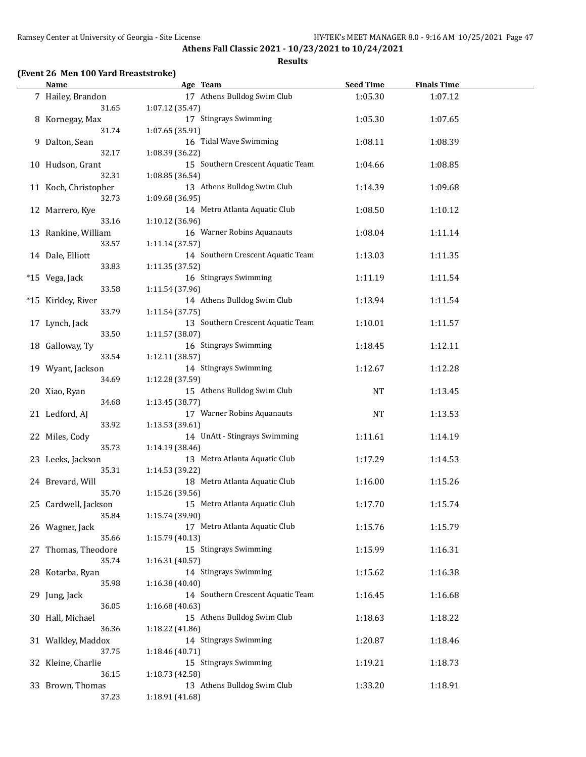#### **Results**

### **(Event 26 Men 100 Yard Breaststroke)**

| <b>Name</b>          | Age Team                                       | <b>Seed Time</b> | <b>Finals Time</b> |  |
|----------------------|------------------------------------------------|------------------|--------------------|--|
| 7 Hailey, Brandon    | 17 Athens Bulldog Swim Club                    | 1:05.30          | 1:07.12            |  |
| 31.65                | 1:07.12 (35.47)                                |                  |                    |  |
| 8 Kornegay, Max      | 17 Stingrays Swimming                          | 1:05.30          | 1:07.65            |  |
| 31.74                | 1:07.65 (35.91)                                |                  |                    |  |
| 9 Dalton, Sean       | 16 Tidal Wave Swimming                         | 1:08.11          | 1:08.39            |  |
| 32.17                | 1:08.39 (36.22)                                |                  |                    |  |
| 10 Hudson, Grant     | 15 Southern Crescent Aquatic Team              | 1:04.66          | 1:08.85            |  |
| 32.31                | 1:08.85 (36.54)                                |                  |                    |  |
|                      |                                                |                  |                    |  |
| 11 Koch, Christopher | 13 Athens Bulldog Swim Club                    | 1:14.39          | 1:09.68            |  |
| 32.73                | 1:09.68 (36.95)                                |                  |                    |  |
| 12 Marrero, Kye      | 14 Metro Atlanta Aquatic Club                  | 1:08.50          | 1:10.12            |  |
| 33.16                | 1:10.12 (36.96)                                |                  |                    |  |
| 13 Rankine, William  | 16 Warner Robins Aquanauts                     | 1:08.04          | 1:11.14            |  |
| 33.57                | 1:11.14 (37.57)                                |                  |                    |  |
| 14 Dale, Elliott     | 14 Southern Crescent Aquatic Team              | 1:13.03          | 1:11.35            |  |
| 33.83                | 1:11.35 (37.52)                                |                  |                    |  |
| *15 Vega, Jack       | 16 Stingrays Swimming                          | 1:11.19          | 1:11.54            |  |
| 33.58                | 1:11.54 (37.96)                                |                  |                    |  |
| *15 Kirkley, River   | 14 Athens Bulldog Swim Club                    | 1:13.94          | 1:11.54            |  |
| 33.79                | 1:11.54 (37.75)                                |                  |                    |  |
| 17 Lynch, Jack       | 13 Southern Crescent Aquatic Team              | 1:10.01          | 1:11.57            |  |
| 33.50                | 1:11.57 (38.07)                                |                  |                    |  |
| 18 Galloway, Ty      | 16 Stingrays Swimming                          | 1:18.45          | 1:12.11            |  |
| 33.54                | 1:12.11 (38.57)                                |                  |                    |  |
| 19 Wyant, Jackson    | 14 Stingrays Swimming                          | 1:12.67          | 1:12.28            |  |
| 34.69                | 1:12.28 (37.59)                                |                  |                    |  |
| 20 Xiao, Ryan        | 15 Athens Bulldog Swim Club                    | <b>NT</b>        | 1:13.45            |  |
| 34.68                | 1:13.45 (38.77)                                |                  |                    |  |
|                      | 17 Warner Robins Aquanauts                     | <b>NT</b>        | 1:13.53            |  |
| 21 Ledford, AJ       |                                                |                  |                    |  |
| 33.92                | 1:13.53 (39.61)                                |                  |                    |  |
| 22 Miles, Cody       | 14 UnAtt - Stingrays Swimming                  | 1:11.61          | 1:14.19            |  |
| 35.73                | 1:14.19 (38.46)                                |                  |                    |  |
| 23 Leeks, Jackson    | 13 Metro Atlanta Aquatic Club                  | 1:17.29          | 1:14.53            |  |
| 35.31                | 1:14.53 (39.22)                                |                  |                    |  |
| 24 Brevard, Will     | 18 Metro Atlanta Aquatic Club                  | 1:16.00          | 1:15.26            |  |
| 35.70                | 1:15.26 (39.56)                                |                  |                    |  |
| 25 Cardwell, Jackson | 15 Metro Atlanta Aquatic Club                  | 1:17.70          | 1:15.74            |  |
| 35.84                | 1:15.74 (39.90)                                |                  |                    |  |
| 26 Wagner, Jack      | 17 Metro Atlanta Aquatic Club                  | 1:15.76          | 1:15.79            |  |
| 35.66                | 1:15.79(40.13)                                 |                  |                    |  |
| 27 Thomas, Theodore  | 15 Stingrays Swimming                          | 1:15.99          | 1:16.31            |  |
| 35.74                | 1:16.31 (40.57)                                |                  |                    |  |
| 28 Kotarba, Ryan     | 14 Stingrays Swimming                          | 1:15.62          | 1:16.38            |  |
| 35.98                | 1:16.38 (40.40)                                |                  |                    |  |
| 29 Jung, Jack        | 14 Southern Crescent Aquatic Team              | 1:16.45          | 1:16.68            |  |
| 36.05                | 1:16.68 (40.63)                                |                  |                    |  |
| 30 Hall, Michael     | 15 Athens Bulldog Swim Club                    | 1:18.63          | 1:18.22            |  |
| 36.36                | 1:18.22 (41.86)                                |                  |                    |  |
| 31 Walkley, Maddox   | 14 Stingrays Swimming                          | 1:20.87          | 1:18.46            |  |
| 37.75                | 1:18.46 (40.71)                                |                  |                    |  |
| 32 Kleine, Charlie   | 15 Stingrays Swimming                          | 1:19.21          | 1:18.73            |  |
| 36.15                |                                                |                  |                    |  |
|                      | 1:18.73 (42.58)<br>13 Athens Bulldog Swim Club |                  |                    |  |
| 33 Brown, Thomas     |                                                | 1:33.20          | 1:18.91            |  |
| 37.23                | 1:18.91 (41.68)                                |                  |                    |  |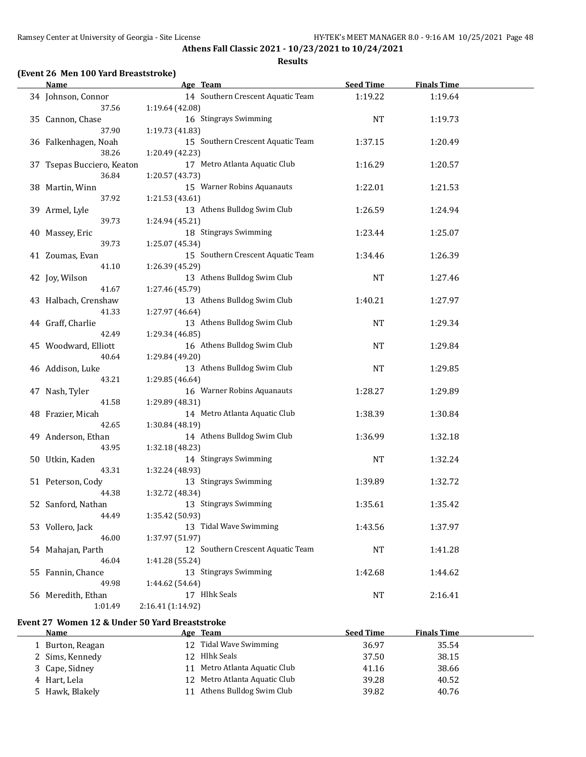#### **Results**

| 14 Southern Crescent Aquatic Team<br>1:19.22<br>34 Johnson, Connor<br>1:19.64<br>37.56<br>1:19.64 (42.08)<br>16 Stingrays Swimming<br>35 Cannon, Chase<br><b>NT</b><br>1:19.73<br>37.90<br>1:19.73 (41.83)<br>15 Southern Crescent Aquatic Team<br>36 Falkenhagen, Noah<br>1:37.15<br>1:20.49<br>38.26<br>1:20.49 (42.23)<br>17 Metro Atlanta Aquatic Club<br>37 Tsepas Bucciero, Keaton<br>1:16.29<br>1:20.57<br>36.84<br>1:20.57 (43.73)<br>15 Warner Robins Aquanauts<br>38 Martin, Winn<br>1:22.01<br>1:21.53<br>37.92<br>1:21.53 (43.61)<br>13 Athens Bulldog Swim Club<br>39 Armel, Lyle<br>1:26.59<br>1:24.94<br>39.73<br>1:24.94 (45.21)<br>18 Stingrays Swimming<br>1:23.44<br>40 Massey, Eric<br>1:25.07<br>39.73<br>1:25.07 (45.34)<br>15 Southern Crescent Aquatic Team<br>1:34.46<br>41 Zoumas, Evan<br>1:26.39<br>41.10<br>1:26.39 (45.29)<br>13 Athens Bulldog Swim Club<br>42 Joy, Wilson<br>NT<br>1:27.46<br>41.67<br>1:27.46 (45.79)<br>13 Athens Bulldog Swim Club<br>43 Halbach, Crenshaw<br>1:40.21<br>1:27.97<br>41.33<br>1:27.97 (46.64)<br>13 Athens Bulldog Swim Club<br>44 Graff, Charlie<br><b>NT</b><br>1:29.34<br>1:29.34 (46.85)<br>42.49<br>16 Athens Bulldog Swim Club<br>45 Woodward, Elliott<br><b>NT</b><br>1:29.84<br>40.64<br>1:29.84 (49.20)<br>13 Athens Bulldog Swim Club<br>46 Addison, Luke<br><b>NT</b><br>1:29.85<br>43.21<br>1:29.85 (46.64)<br>16 Warner Robins Aquanauts<br>47 Nash, Tyler<br>1:28.27<br>1:29.89<br>41.58<br>1:29.89 (48.31)<br>14 Metro Atlanta Aquatic Club<br>48 Frazier, Micah<br>1:38.39<br>1:30.84<br>42.65<br>1:30.84 (48.19)<br>14 Athens Bulldog Swim Club<br>49 Anderson, Ethan<br>1:36.99<br>1:32.18<br>43.95<br>1:32.18 (48.23)<br>14 Stingrays Swimming<br><b>NT</b><br>1:32.24<br>50 Utkin, Kaden<br>43.31<br>1:32.24 (48.93)<br>13 Stingrays Swimming<br>1:32.72<br>51 Peterson, Cody<br>1:39.89<br>44.38<br>1:32.72 (48.34)<br>13 Stingrays Swimming<br>1:35.61<br>1:35.42<br>52 Sanford, Nathan<br>44.49<br>1:35.42 (50.93)<br>53 Vollero, Jack<br>13 Tidal Wave Swimming<br>1:43.56<br>1:37.97<br>46.00<br>1:37.97 (51.97)<br>12 Southern Crescent Aquatic Team<br>54 Mahajan, Parth<br>NT<br>1:41.28<br>46.04<br>1:41.28 (55.24)<br>13 Stingrays Swimming<br>55 Fannin, Chance<br>1:42.68<br>1:44.62<br>49.98<br>1:44.62 (54.64)<br>17 Hlhk Seals<br>56 Meredith, Ethan<br>2:16.41<br>NT<br>2:16.41 (1:14.92)<br>1:01.49 | <b>Name</b> | Age Team | <b>Seed Time</b> | <b>Finals Time</b> |  |
|------------------------------------------------------------------------------------------------------------------------------------------------------------------------------------------------------------------------------------------------------------------------------------------------------------------------------------------------------------------------------------------------------------------------------------------------------------------------------------------------------------------------------------------------------------------------------------------------------------------------------------------------------------------------------------------------------------------------------------------------------------------------------------------------------------------------------------------------------------------------------------------------------------------------------------------------------------------------------------------------------------------------------------------------------------------------------------------------------------------------------------------------------------------------------------------------------------------------------------------------------------------------------------------------------------------------------------------------------------------------------------------------------------------------------------------------------------------------------------------------------------------------------------------------------------------------------------------------------------------------------------------------------------------------------------------------------------------------------------------------------------------------------------------------------------------------------------------------------------------------------------------------------------------------------------------------------------------------------------------------------------------------------------------------------------------------------------------------------------------------------------------------------------------------------------------------------------------------------------------------------------------------------------------------------------------------------------------------------------------------------------------------------------|-------------|----------|------------------|--------------------|--|
|                                                                                                                                                                                                                                                                                                                                                                                                                                                                                                                                                                                                                                                                                                                                                                                                                                                                                                                                                                                                                                                                                                                                                                                                                                                                                                                                                                                                                                                                                                                                                                                                                                                                                                                                                                                                                                                                                                                                                                                                                                                                                                                                                                                                                                                                                                                                                                                                            |             |          |                  |                    |  |
|                                                                                                                                                                                                                                                                                                                                                                                                                                                                                                                                                                                                                                                                                                                                                                                                                                                                                                                                                                                                                                                                                                                                                                                                                                                                                                                                                                                                                                                                                                                                                                                                                                                                                                                                                                                                                                                                                                                                                                                                                                                                                                                                                                                                                                                                                                                                                                                                            |             |          |                  |                    |  |
|                                                                                                                                                                                                                                                                                                                                                                                                                                                                                                                                                                                                                                                                                                                                                                                                                                                                                                                                                                                                                                                                                                                                                                                                                                                                                                                                                                                                                                                                                                                                                                                                                                                                                                                                                                                                                                                                                                                                                                                                                                                                                                                                                                                                                                                                                                                                                                                                            |             |          |                  |                    |  |
|                                                                                                                                                                                                                                                                                                                                                                                                                                                                                                                                                                                                                                                                                                                                                                                                                                                                                                                                                                                                                                                                                                                                                                                                                                                                                                                                                                                                                                                                                                                                                                                                                                                                                                                                                                                                                                                                                                                                                                                                                                                                                                                                                                                                                                                                                                                                                                                                            |             |          |                  |                    |  |
|                                                                                                                                                                                                                                                                                                                                                                                                                                                                                                                                                                                                                                                                                                                                                                                                                                                                                                                                                                                                                                                                                                                                                                                                                                                                                                                                                                                                                                                                                                                                                                                                                                                                                                                                                                                                                                                                                                                                                                                                                                                                                                                                                                                                                                                                                                                                                                                                            |             |          |                  |                    |  |
|                                                                                                                                                                                                                                                                                                                                                                                                                                                                                                                                                                                                                                                                                                                                                                                                                                                                                                                                                                                                                                                                                                                                                                                                                                                                                                                                                                                                                                                                                                                                                                                                                                                                                                                                                                                                                                                                                                                                                                                                                                                                                                                                                                                                                                                                                                                                                                                                            |             |          |                  |                    |  |
|                                                                                                                                                                                                                                                                                                                                                                                                                                                                                                                                                                                                                                                                                                                                                                                                                                                                                                                                                                                                                                                                                                                                                                                                                                                                                                                                                                                                                                                                                                                                                                                                                                                                                                                                                                                                                                                                                                                                                                                                                                                                                                                                                                                                                                                                                                                                                                                                            |             |          |                  |                    |  |
|                                                                                                                                                                                                                                                                                                                                                                                                                                                                                                                                                                                                                                                                                                                                                                                                                                                                                                                                                                                                                                                                                                                                                                                                                                                                                                                                                                                                                                                                                                                                                                                                                                                                                                                                                                                                                                                                                                                                                                                                                                                                                                                                                                                                                                                                                                                                                                                                            |             |          |                  |                    |  |
|                                                                                                                                                                                                                                                                                                                                                                                                                                                                                                                                                                                                                                                                                                                                                                                                                                                                                                                                                                                                                                                                                                                                                                                                                                                                                                                                                                                                                                                                                                                                                                                                                                                                                                                                                                                                                                                                                                                                                                                                                                                                                                                                                                                                                                                                                                                                                                                                            |             |          |                  |                    |  |
|                                                                                                                                                                                                                                                                                                                                                                                                                                                                                                                                                                                                                                                                                                                                                                                                                                                                                                                                                                                                                                                                                                                                                                                                                                                                                                                                                                                                                                                                                                                                                                                                                                                                                                                                                                                                                                                                                                                                                                                                                                                                                                                                                                                                                                                                                                                                                                                                            |             |          |                  |                    |  |
|                                                                                                                                                                                                                                                                                                                                                                                                                                                                                                                                                                                                                                                                                                                                                                                                                                                                                                                                                                                                                                                                                                                                                                                                                                                                                                                                                                                                                                                                                                                                                                                                                                                                                                                                                                                                                                                                                                                                                                                                                                                                                                                                                                                                                                                                                                                                                                                                            |             |          |                  |                    |  |
|                                                                                                                                                                                                                                                                                                                                                                                                                                                                                                                                                                                                                                                                                                                                                                                                                                                                                                                                                                                                                                                                                                                                                                                                                                                                                                                                                                                                                                                                                                                                                                                                                                                                                                                                                                                                                                                                                                                                                                                                                                                                                                                                                                                                                                                                                                                                                                                                            |             |          |                  |                    |  |
|                                                                                                                                                                                                                                                                                                                                                                                                                                                                                                                                                                                                                                                                                                                                                                                                                                                                                                                                                                                                                                                                                                                                                                                                                                                                                                                                                                                                                                                                                                                                                                                                                                                                                                                                                                                                                                                                                                                                                                                                                                                                                                                                                                                                                                                                                                                                                                                                            |             |          |                  |                    |  |
|                                                                                                                                                                                                                                                                                                                                                                                                                                                                                                                                                                                                                                                                                                                                                                                                                                                                                                                                                                                                                                                                                                                                                                                                                                                                                                                                                                                                                                                                                                                                                                                                                                                                                                                                                                                                                                                                                                                                                                                                                                                                                                                                                                                                                                                                                                                                                                                                            |             |          |                  |                    |  |
|                                                                                                                                                                                                                                                                                                                                                                                                                                                                                                                                                                                                                                                                                                                                                                                                                                                                                                                                                                                                                                                                                                                                                                                                                                                                                                                                                                                                                                                                                                                                                                                                                                                                                                                                                                                                                                                                                                                                                                                                                                                                                                                                                                                                                                                                                                                                                                                                            |             |          |                  |                    |  |
|                                                                                                                                                                                                                                                                                                                                                                                                                                                                                                                                                                                                                                                                                                                                                                                                                                                                                                                                                                                                                                                                                                                                                                                                                                                                                                                                                                                                                                                                                                                                                                                                                                                                                                                                                                                                                                                                                                                                                                                                                                                                                                                                                                                                                                                                                                                                                                                                            |             |          |                  |                    |  |
|                                                                                                                                                                                                                                                                                                                                                                                                                                                                                                                                                                                                                                                                                                                                                                                                                                                                                                                                                                                                                                                                                                                                                                                                                                                                                                                                                                                                                                                                                                                                                                                                                                                                                                                                                                                                                                                                                                                                                                                                                                                                                                                                                                                                                                                                                                                                                                                                            |             |          |                  |                    |  |
|                                                                                                                                                                                                                                                                                                                                                                                                                                                                                                                                                                                                                                                                                                                                                                                                                                                                                                                                                                                                                                                                                                                                                                                                                                                                                                                                                                                                                                                                                                                                                                                                                                                                                                                                                                                                                                                                                                                                                                                                                                                                                                                                                                                                                                                                                                                                                                                                            |             |          |                  |                    |  |
|                                                                                                                                                                                                                                                                                                                                                                                                                                                                                                                                                                                                                                                                                                                                                                                                                                                                                                                                                                                                                                                                                                                                                                                                                                                                                                                                                                                                                                                                                                                                                                                                                                                                                                                                                                                                                                                                                                                                                                                                                                                                                                                                                                                                                                                                                                                                                                                                            |             |          |                  |                    |  |
|                                                                                                                                                                                                                                                                                                                                                                                                                                                                                                                                                                                                                                                                                                                                                                                                                                                                                                                                                                                                                                                                                                                                                                                                                                                                                                                                                                                                                                                                                                                                                                                                                                                                                                                                                                                                                                                                                                                                                                                                                                                                                                                                                                                                                                                                                                                                                                                                            |             |          |                  |                    |  |
|                                                                                                                                                                                                                                                                                                                                                                                                                                                                                                                                                                                                                                                                                                                                                                                                                                                                                                                                                                                                                                                                                                                                                                                                                                                                                                                                                                                                                                                                                                                                                                                                                                                                                                                                                                                                                                                                                                                                                                                                                                                                                                                                                                                                                                                                                                                                                                                                            |             |          |                  |                    |  |
|                                                                                                                                                                                                                                                                                                                                                                                                                                                                                                                                                                                                                                                                                                                                                                                                                                                                                                                                                                                                                                                                                                                                                                                                                                                                                                                                                                                                                                                                                                                                                                                                                                                                                                                                                                                                                                                                                                                                                                                                                                                                                                                                                                                                                                                                                                                                                                                                            |             |          |                  |                    |  |
|                                                                                                                                                                                                                                                                                                                                                                                                                                                                                                                                                                                                                                                                                                                                                                                                                                                                                                                                                                                                                                                                                                                                                                                                                                                                                                                                                                                                                                                                                                                                                                                                                                                                                                                                                                                                                                                                                                                                                                                                                                                                                                                                                                                                                                                                                                                                                                                                            |             |          |                  |                    |  |
|                                                                                                                                                                                                                                                                                                                                                                                                                                                                                                                                                                                                                                                                                                                                                                                                                                                                                                                                                                                                                                                                                                                                                                                                                                                                                                                                                                                                                                                                                                                                                                                                                                                                                                                                                                                                                                                                                                                                                                                                                                                                                                                                                                                                                                                                                                                                                                                                            |             |          |                  |                    |  |
|                                                                                                                                                                                                                                                                                                                                                                                                                                                                                                                                                                                                                                                                                                                                                                                                                                                                                                                                                                                                                                                                                                                                                                                                                                                                                                                                                                                                                                                                                                                                                                                                                                                                                                                                                                                                                                                                                                                                                                                                                                                                                                                                                                                                                                                                                                                                                                                                            |             |          |                  |                    |  |
|                                                                                                                                                                                                                                                                                                                                                                                                                                                                                                                                                                                                                                                                                                                                                                                                                                                                                                                                                                                                                                                                                                                                                                                                                                                                                                                                                                                                                                                                                                                                                                                                                                                                                                                                                                                                                                                                                                                                                                                                                                                                                                                                                                                                                                                                                                                                                                                                            |             |          |                  |                    |  |
|                                                                                                                                                                                                                                                                                                                                                                                                                                                                                                                                                                                                                                                                                                                                                                                                                                                                                                                                                                                                                                                                                                                                                                                                                                                                                                                                                                                                                                                                                                                                                                                                                                                                                                                                                                                                                                                                                                                                                                                                                                                                                                                                                                                                                                                                                                                                                                                                            |             |          |                  |                    |  |
|                                                                                                                                                                                                                                                                                                                                                                                                                                                                                                                                                                                                                                                                                                                                                                                                                                                                                                                                                                                                                                                                                                                                                                                                                                                                                                                                                                                                                                                                                                                                                                                                                                                                                                                                                                                                                                                                                                                                                                                                                                                                                                                                                                                                                                                                                                                                                                                                            |             |          |                  |                    |  |
|                                                                                                                                                                                                                                                                                                                                                                                                                                                                                                                                                                                                                                                                                                                                                                                                                                                                                                                                                                                                                                                                                                                                                                                                                                                                                                                                                                                                                                                                                                                                                                                                                                                                                                                                                                                                                                                                                                                                                                                                                                                                                                                                                                                                                                                                                                                                                                                                            |             |          |                  |                    |  |
|                                                                                                                                                                                                                                                                                                                                                                                                                                                                                                                                                                                                                                                                                                                                                                                                                                                                                                                                                                                                                                                                                                                                                                                                                                                                                                                                                                                                                                                                                                                                                                                                                                                                                                                                                                                                                                                                                                                                                                                                                                                                                                                                                                                                                                                                                                                                                                                                            |             |          |                  |                    |  |
|                                                                                                                                                                                                                                                                                                                                                                                                                                                                                                                                                                                                                                                                                                                                                                                                                                                                                                                                                                                                                                                                                                                                                                                                                                                                                                                                                                                                                                                                                                                                                                                                                                                                                                                                                                                                                                                                                                                                                                                                                                                                                                                                                                                                                                                                                                                                                                                                            |             |          |                  |                    |  |
|                                                                                                                                                                                                                                                                                                                                                                                                                                                                                                                                                                                                                                                                                                                                                                                                                                                                                                                                                                                                                                                                                                                                                                                                                                                                                                                                                                                                                                                                                                                                                                                                                                                                                                                                                                                                                                                                                                                                                                                                                                                                                                                                                                                                                                                                                                                                                                                                            |             |          |                  |                    |  |
|                                                                                                                                                                                                                                                                                                                                                                                                                                                                                                                                                                                                                                                                                                                                                                                                                                                                                                                                                                                                                                                                                                                                                                                                                                                                                                                                                                                                                                                                                                                                                                                                                                                                                                                                                                                                                                                                                                                                                                                                                                                                                                                                                                                                                                                                                                                                                                                                            |             |          |                  |                    |  |
|                                                                                                                                                                                                                                                                                                                                                                                                                                                                                                                                                                                                                                                                                                                                                                                                                                                                                                                                                                                                                                                                                                                                                                                                                                                                                                                                                                                                                                                                                                                                                                                                                                                                                                                                                                                                                                                                                                                                                                                                                                                                                                                                                                                                                                                                                                                                                                                                            |             |          |                  |                    |  |
|                                                                                                                                                                                                                                                                                                                                                                                                                                                                                                                                                                                                                                                                                                                                                                                                                                                                                                                                                                                                                                                                                                                                                                                                                                                                                                                                                                                                                                                                                                                                                                                                                                                                                                                                                                                                                                                                                                                                                                                                                                                                                                                                                                                                                                                                                                                                                                                                            |             |          |                  |                    |  |
|                                                                                                                                                                                                                                                                                                                                                                                                                                                                                                                                                                                                                                                                                                                                                                                                                                                                                                                                                                                                                                                                                                                                                                                                                                                                                                                                                                                                                                                                                                                                                                                                                                                                                                                                                                                                                                                                                                                                                                                                                                                                                                                                                                                                                                                                                                                                                                                                            |             |          |                  |                    |  |
|                                                                                                                                                                                                                                                                                                                                                                                                                                                                                                                                                                                                                                                                                                                                                                                                                                                                                                                                                                                                                                                                                                                                                                                                                                                                                                                                                                                                                                                                                                                                                                                                                                                                                                                                                                                                                                                                                                                                                                                                                                                                                                                                                                                                                                                                                                                                                                                                            |             |          |                  |                    |  |
|                                                                                                                                                                                                                                                                                                                                                                                                                                                                                                                                                                                                                                                                                                                                                                                                                                                                                                                                                                                                                                                                                                                                                                                                                                                                                                                                                                                                                                                                                                                                                                                                                                                                                                                                                                                                                                                                                                                                                                                                                                                                                                                                                                                                                                                                                                                                                                                                            |             |          |                  |                    |  |
|                                                                                                                                                                                                                                                                                                                                                                                                                                                                                                                                                                                                                                                                                                                                                                                                                                                                                                                                                                                                                                                                                                                                                                                                                                                                                                                                                                                                                                                                                                                                                                                                                                                                                                                                                                                                                                                                                                                                                                                                                                                                                                                                                                                                                                                                                                                                                                                                            |             |          |                  |                    |  |
|                                                                                                                                                                                                                                                                                                                                                                                                                                                                                                                                                                                                                                                                                                                                                                                                                                                                                                                                                                                                                                                                                                                                                                                                                                                                                                                                                                                                                                                                                                                                                                                                                                                                                                                                                                                                                                                                                                                                                                                                                                                                                                                                                                                                                                                                                                                                                                                                            |             |          |                  |                    |  |
|                                                                                                                                                                                                                                                                                                                                                                                                                                                                                                                                                                                                                                                                                                                                                                                                                                                                                                                                                                                                                                                                                                                                                                                                                                                                                                                                                                                                                                                                                                                                                                                                                                                                                                                                                                                                                                                                                                                                                                                                                                                                                                                                                                                                                                                                                                                                                                                                            |             |          |                  |                    |  |
|                                                                                                                                                                                                                                                                                                                                                                                                                                                                                                                                                                                                                                                                                                                                                                                                                                                                                                                                                                                                                                                                                                                                                                                                                                                                                                                                                                                                                                                                                                                                                                                                                                                                                                                                                                                                                                                                                                                                                                                                                                                                                                                                                                                                                                                                                                                                                                                                            |             |          |                  |                    |  |
|                                                                                                                                                                                                                                                                                                                                                                                                                                                                                                                                                                                                                                                                                                                                                                                                                                                                                                                                                                                                                                                                                                                                                                                                                                                                                                                                                                                                                                                                                                                                                                                                                                                                                                                                                                                                                                                                                                                                                                                                                                                                                                                                                                                                                                                                                                                                                                                                            |             |          |                  |                    |  |
|                                                                                                                                                                                                                                                                                                                                                                                                                                                                                                                                                                                                                                                                                                                                                                                                                                                                                                                                                                                                                                                                                                                                                                                                                                                                                                                                                                                                                                                                                                                                                                                                                                                                                                                                                                                                                                                                                                                                                                                                                                                                                                                                                                                                                                                                                                                                                                                                            |             |          |                  |                    |  |
|                                                                                                                                                                                                                                                                                                                                                                                                                                                                                                                                                                                                                                                                                                                                                                                                                                                                                                                                                                                                                                                                                                                                                                                                                                                                                                                                                                                                                                                                                                                                                                                                                                                                                                                                                                                                                                                                                                                                                                                                                                                                                                                                                                                                                                                                                                                                                                                                            |             |          |                  |                    |  |
|                                                                                                                                                                                                                                                                                                                                                                                                                                                                                                                                                                                                                                                                                                                                                                                                                                                                                                                                                                                                                                                                                                                                                                                                                                                                                                                                                                                                                                                                                                                                                                                                                                                                                                                                                                                                                                                                                                                                                                                                                                                                                                                                                                                                                                                                                                                                                                                                            |             |          |                  |                    |  |
|                                                                                                                                                                                                                                                                                                                                                                                                                                                                                                                                                                                                                                                                                                                                                                                                                                                                                                                                                                                                                                                                                                                                                                                                                                                                                                                                                                                                                                                                                                                                                                                                                                                                                                                                                                                                                                                                                                                                                                                                                                                                                                                                                                                                                                                                                                                                                                                                            |             |          |                  |                    |  |
|                                                                                                                                                                                                                                                                                                                                                                                                                                                                                                                                                                                                                                                                                                                                                                                                                                                                                                                                                                                                                                                                                                                                                                                                                                                                                                                                                                                                                                                                                                                                                                                                                                                                                                                                                                                                                                                                                                                                                                                                                                                                                                                                                                                                                                                                                                                                                                                                            |             |          |                  |                    |  |
|                                                                                                                                                                                                                                                                                                                                                                                                                                                                                                                                                                                                                                                                                                                                                                                                                                                                                                                                                                                                                                                                                                                                                                                                                                                                                                                                                                                                                                                                                                                                                                                                                                                                                                                                                                                                                                                                                                                                                                                                                                                                                                                                                                                                                                                                                                                                                                                                            |             |          |                  |                    |  |

### **Event 27 Women 12 & Under 50 Yard Breaststroke**

| Name             |    | Age Team                      | <b>Seed Time</b> | <b>Finals Time</b> |
|------------------|----|-------------------------------|------------------|--------------------|
| 1 Burton, Reagan |    | 12 Tidal Wave Swimming        | 36.97            | 35.54              |
| 2 Sims, Kennedy  |    | Hlhk Seals                    | 37.50            | 38.15              |
| 3 Cape, Sidney   | 11 | Metro Atlanta Aquatic Club    | 41.16            | 38.66              |
| 4 Hart, Lela     |    | 12 Metro Atlanta Aquatic Club | 39.28            | 40.52              |
| 5 Hawk, Blakely  | 11 | Athens Bulldog Swim Club      | 39.82            | 40.76              |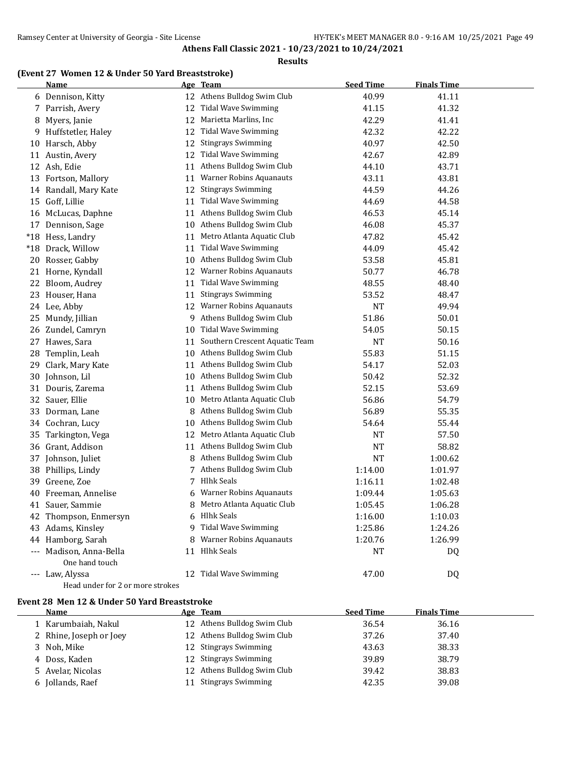#### **Results**

### **(Event 27 Women 12 & Under 50 Yard Breaststroke)**

|       | <b>Name</b>                               |    | Age Team                       | <b>Seed Time</b> | <b>Finals Time</b> |
|-------|-------------------------------------------|----|--------------------------------|------------------|--------------------|
|       | 6 Dennison, Kitty                         |    | 12 Athens Bulldog Swim Club    | 40.99            | 41.11              |
|       | 7 Parrish, Avery                          | 12 | <b>Tidal Wave Swimming</b>     | 41.15            | 41.32              |
|       | 8 Myers, Janie                            | 12 | Marietta Marlins, Inc          | 42.29            | 41.41              |
| 9.    | Huffstetler, Haley                        | 12 | Tidal Wave Swimming            | 42.32            | 42.22              |
| 10    | Harsch, Abby                              | 12 | <b>Stingrays Swimming</b>      | 40.97            | 42.50              |
|       | 11 Austin, Avery                          | 12 | <b>Tidal Wave Swimming</b>     | 42.67            | 42.89              |
|       | 12 Ash, Edie                              | 11 | Athens Bulldog Swim Club       | 44.10            | 43.71              |
| 13    | Fortson, Mallory                          | 11 | <b>Warner Robins Aquanauts</b> | 43.11            | 43.81              |
|       | 14 Randall, Mary Kate                     | 12 | <b>Stingrays Swimming</b>      | 44.59            | 44.26              |
| 15    | Goff, Lillie                              | 11 | <b>Tidal Wave Swimming</b>     | 44.69            | 44.58              |
|       | 16 McLucas, Daphne                        | 11 | Athens Bulldog Swim Club       | 46.53            | 45.14              |
| 17    | Dennison, Sage                            | 10 | Athens Bulldog Swim Club       | 46.08            | 45.37              |
|       | *18 Hess, Landry                          | 11 | Metro Atlanta Aquatic Club     | 47.82            | 45.42              |
| $*18$ | Drack, Willow                             | 11 | <b>Tidal Wave Swimming</b>     | 44.09            | 45.42              |
| 20    | Rosser, Gabby                             | 10 | Athens Bulldog Swim Club       | 53.58            | 45.81              |
|       | 21 Horne, Kyndall                         | 12 | <b>Warner Robins Aquanauts</b> | 50.77            | 46.78              |
| 22    | Bloom, Audrey                             | 11 | <b>Tidal Wave Swimming</b>     | 48.55            | 48.40              |
|       | 23 Houser, Hana                           | 11 | <b>Stingrays Swimming</b>      | 53.52            | 48.47              |
|       | 24 Lee, Abby                              | 12 | <b>Warner Robins Aquanauts</b> | <b>NT</b>        | 49.94              |
| 25    | Mundy, Jillian                            | 9. | Athens Bulldog Swim Club       | 51.86            | 50.01              |
| 26    | Zundel, Camryn                            | 10 | <b>Tidal Wave Swimming</b>     | 54.05            | 50.15              |
|       | 27 Hawes, Sara                            | 11 | Southern Crescent Aquatic Team | <b>NT</b>        | 50.16              |
| 28    | Templin, Leah                             | 10 | Athens Bulldog Swim Club       | 55.83            | 51.15              |
| 29    | Clark, Mary Kate                          | 11 | Athens Bulldog Swim Club       | 54.17            | 52.03              |
| 30    | Johnson, Lil                              | 10 | Athens Bulldog Swim Club       | 50.42            | 52.32              |
| 31    | Douris, Zarema                            | 11 | Athens Bulldog Swim Club       | 52.15            | 53.69              |
| 32    | Sauer, Ellie                              | 10 | Metro Atlanta Aquatic Club     | 56.86            | 54.79              |
| 33    | Dorman, Lane                              | 8  | Athens Bulldog Swim Club       | 56.89            | 55.35              |
|       | 34 Cochran, Lucy                          | 10 | Athens Bulldog Swim Club       | 54.64            | 55.44              |
| 35    | Tarkington, Vega                          | 12 | Metro Atlanta Aquatic Club     | <b>NT</b>        | 57.50              |
|       | 36 Grant, Addison                         | 11 | Athens Bulldog Swim Club       | NT               | 58.82              |
|       | 37 Johnson, Juliet                        | 8  | Athens Bulldog Swim Club       | <b>NT</b>        | 1:00.62            |
| 38    | Phillips, Lindy                           | 7  | Athens Bulldog Swim Club       | 1:14.00          | 1:01.97            |
|       | 39 Greene, Zoe                            | 7  | <b>Hlhk Seals</b>              | 1:16.11          | 1:02.48            |
| 40    | Freeman, Annelise                         |    | Warner Robins Aquanauts        | 1:09.44          | 1:05.63            |
|       | 41 Sauer, Sammie                          | 8  | Metro Atlanta Aquatic Club     | 1:05.45          | 1:06.28            |
|       | 42 Thompson, Enmersyn                     |    | 6 Hlhk Seals                   | 1:16.00          | 1:10.03            |
|       | 43 Adams, Kinsley                         |    | 9 Tidal Wave Swimming          | 1:25.86          | 1:24.26            |
|       | 44 Hamborg, Sarah                         |    | 8 Warner Robins Aquanauts      | 1:20.76          | 1:26.99            |
|       | --- Madison, Anna-Bella<br>One hand touch |    | 11 Hlhk Seals                  | <b>NT</b>        | DQ                 |
|       | --- Law, Alyssa                           |    | 12 Tidal Wave Swimming         | 47.00            | DQ                 |
|       | Head under for 2 or more strokes          |    |                                |                  |                    |

### **Event 28 Men 12 & Under 50 Yard Breaststroke**

| <b>Name</b> |                                                                                                                         | <b>Seed Time</b>                                                                                                                                                                 | <b>Finals Time</b> |
|-------------|-------------------------------------------------------------------------------------------------------------------------|----------------------------------------------------------------------------------------------------------------------------------------------------------------------------------|--------------------|
|             |                                                                                                                         | 36.54                                                                                                                                                                            | 36.16              |
|             |                                                                                                                         | 37.26                                                                                                                                                                            | 37.40              |
|             |                                                                                                                         | 43.63                                                                                                                                                                            | 38.33              |
|             |                                                                                                                         | 39.89                                                                                                                                                                            | 38.79              |
|             |                                                                                                                         | 39.42                                                                                                                                                                            | 38.83              |
|             |                                                                                                                         | 42.35                                                                                                                                                                            | 39.08              |
|             | 1 Karumbaiah, Nakul<br>2 Rhine, Joseph or Joey<br>3 Noh, Mike<br>4 Doss, Kaden<br>5 Avelar, Nicolas<br>6 Jollands, Raef | Age Team<br>12 Athens Bulldog Swim Club<br>12 Athens Bulldog Swim Club<br>12 Stingrays Swimming<br>12 Stingrays Swimming<br>12 Athens Bulldog Swim Club<br>11 Stingrays Swimming |                    |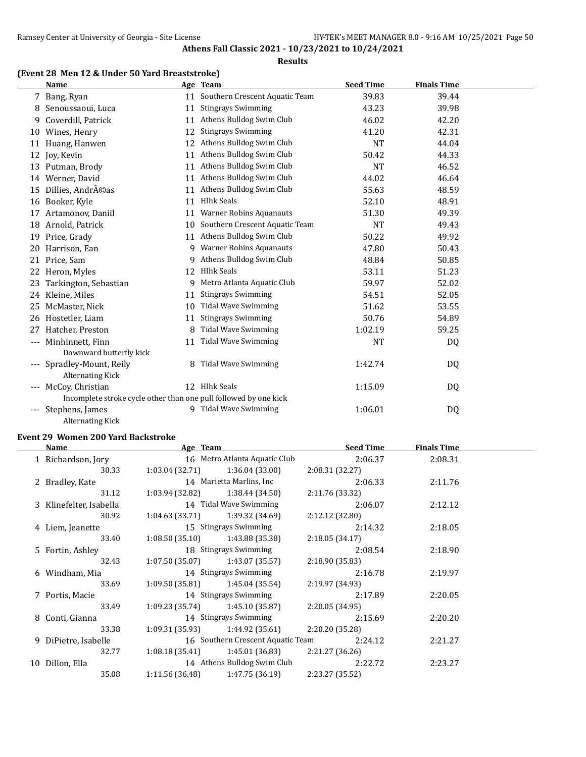#### **Results**

### **(Event 28 Men 12 & Under 50 Yard Breaststroke)**

|                     | <b>Name</b>                                                      |    | Age Team                       | <b>Seed Time</b> | <b>Finals Time</b> |  |
|---------------------|------------------------------------------------------------------|----|--------------------------------|------------------|--------------------|--|
|                     | 7 Bang, Ryan                                                     | 11 | Southern Crescent Aquatic Team | 39.83            | 39.44              |  |
| 8                   | Senoussaoui, Luca                                                | 11 | <b>Stingrays Swimming</b>      | 43.23            | 39.98              |  |
| 9                   | Coverdill, Patrick                                               | 11 | Athens Bulldog Swim Club       | 46.02            | 42.20              |  |
| 10                  | Wines, Henry                                                     | 12 | <b>Stingrays Swimming</b>      | 41.20            | 42.31              |  |
| 11                  | Huang, Hanwen                                                    | 12 | Athens Bulldog Swim Club       | <b>NT</b>        | 44.04              |  |
| 12                  | Joy, Kevin                                                       |    | 11 Athens Bulldog Swim Club    | 50.42            | 44.33              |  |
| 13                  | Putman, Brody                                                    | 11 | Athens Bulldog Swim Club       | <b>NT</b>        | 46.52              |  |
|                     | 14 Werner, David                                                 |    | 11 Athens Bulldog Swim Club    | 44.02            | 46.64              |  |
| 15                  | Dillies, Andréas                                                 | 11 | Athens Bulldog Swim Club       | 55.63            | 48.59              |  |
| 16                  | Booker, Kyle                                                     | 11 | <b>Hlhk Seals</b>              | 52.10            | 48.91              |  |
| 17                  | Artamonov, Daniil                                                | 11 | <b>Warner Robins Aquanauts</b> | 51.30            | 49.39              |  |
| 18                  | Arnold, Patrick                                                  | 10 | Southern Crescent Aquatic Team | <b>NT</b>        | 49.43              |  |
| 19                  | Price, Grady                                                     | 11 | Athens Bulldog Swim Club       | 50.22            | 49.92              |  |
| 20                  | Harrison, Ean                                                    |    | 9 Warner Robins Aquanauts      | 47.80            | 50.43              |  |
|                     | 21 Price, Sam                                                    | 9  | Athens Bulldog Swim Club       | 48.84            | 50.85              |  |
|                     | 22 Heron, Myles                                                  | 12 | <b>Hlhk Seals</b>              | 53.11            | 51.23              |  |
| 23                  | Tarkington, Sebastian                                            | 9  | Metro Atlanta Aquatic Club     | 59.97            | 52.02              |  |
|                     | 24 Kleine, Miles                                                 | 11 | <b>Stingrays Swimming</b>      | 54.51            | 52.05              |  |
| 25                  | McMaster, Nick                                                   | 10 | <b>Tidal Wave Swimming</b>     | 51.62            | 53.55              |  |
| 26                  | Hostetler, Liam                                                  | 11 | <b>Stingrays Swimming</b>      | 50.76            | 54.89              |  |
| 27                  | Hatcher, Preston                                                 | 8  | <b>Tidal Wave Swimming</b>     | 1:02.19          | 59.25              |  |
| $\qquad \qquad - -$ | Minhinnett, Finn                                                 | 11 | <b>Tidal Wave Swimming</b>     | <b>NT</b>        | DQ                 |  |
|                     | Downward butterfly kick                                          |    |                                |                  |                    |  |
| $---$               | Spradley-Mount, Reily                                            | 8  | Tidal Wave Swimming            | 1:42.74          | DQ                 |  |
|                     | <b>Alternating Kick</b>                                          |    |                                |                  |                    |  |
| $\qquad \qquad - -$ | McCoy, Christian                                                 |    | 12 Hlhk Seals                  | 1:15.09          | DQ                 |  |
|                     | Incomplete stroke cycle other than one pull followed by one kick |    |                                |                  |                    |  |
| $---$               | Stephens, James                                                  |    | 9 Tidal Wave Swimming          | 1:06.01          | DQ                 |  |
|                     | <b>Alternating Kick</b>                                          |    |                                |                  |                    |  |

#### **Event 29 Women 200 Yard Backstroke**

 $\overline{a}$ 

| Name                    | Age Team        |                                   | <b>Seed Time</b> | <b>Finals Time</b> |  |
|-------------------------|-----------------|-----------------------------------|------------------|--------------------|--|
| 1 Richardson, Jory      |                 | 16 Metro Atlanta Aquatic Club     | 2:06.37          | 2:08.31            |  |
| 30.33                   |                 | $1:03.04(32.71)$ $1:36.04(33.00)$ | 2:08.31(32.27)   |                    |  |
| 2 Bradley, Kate         |                 | 14 Marietta Marlins, Inc          | 2:06.33          | 2:11.76            |  |
| 31.12                   |                 | $1:03.94(32.82)$ $1:38.44(34.50)$ | 2:11.76 (33.32)  |                    |  |
| 3 Klinefelter, Isabella |                 | 14 Tidal Wave Swimming            | 2:06.07          | 2:12.12            |  |
| 30.92                   |                 | $1:04.63(33.71)$ $1:39.32(34.69)$ | 2:12.12 (32.80)  |                    |  |
| 4 Liem, Jeanette        |                 | 15 Stingrays Swimming             | 2:14.32          | 2:18.05            |  |
| 33.40                   |                 | $1:08.50(35.10)$ $1:43.88(35.38)$ | 2:18.05(34.17)   |                    |  |
| 5 Fortin, Ashley        |                 | 18 Stingrays Swimming             | 2:08.54          | 2:18.90            |  |
| 32.43                   |                 | $1:07.50(35.07)$ $1:43.07(35.57)$ | 2:18.90(35.83)   |                    |  |
| 6 Windham, Mia          |                 | 14 Stingrays Swimming             | 2:16.78          | 2:19.97            |  |
| 33.69                   |                 | $1:09.50(35.81)$ $1:45.04(35.54)$ | 2:19.97 (34.93)  |                    |  |
| 7 Portis, Macie         |                 | 14 Stingrays Swimming             | 2:17.89          | 2:20.05            |  |
| 33.49                   |                 | $1:09.23(35.74)$ $1:45.10(35.87)$ | 2:20.05(34.95)   |                    |  |
| 8 Conti, Gianna         |                 | 14 Stingrays Swimming             | 2:15.69          | 2:20.20            |  |
| 33.38                   |                 | $1:09.31(35.93)$ $1:44.92(35.61)$ | 2:20.20 (35.28)  |                    |  |
| 9 DiPietre, Isabelle    |                 | 16 Southern Crescent Aquatic Team | 2:24.12          | 2:21.27            |  |
| 32.77                   |                 | $1:08.18(35.41)$ $1:45.01(36.83)$ | 2:21.27 (36.26)  |                    |  |
| 10 Dillon, Ella         |                 | 14 Athens Bulldog Swim Club       | 2:22.72          | 2:23.27            |  |
| 35.08                   | 1:11.56 (36.48) | 1:47.75 (36.19)                   | 2:23.27 (35.52)  |                    |  |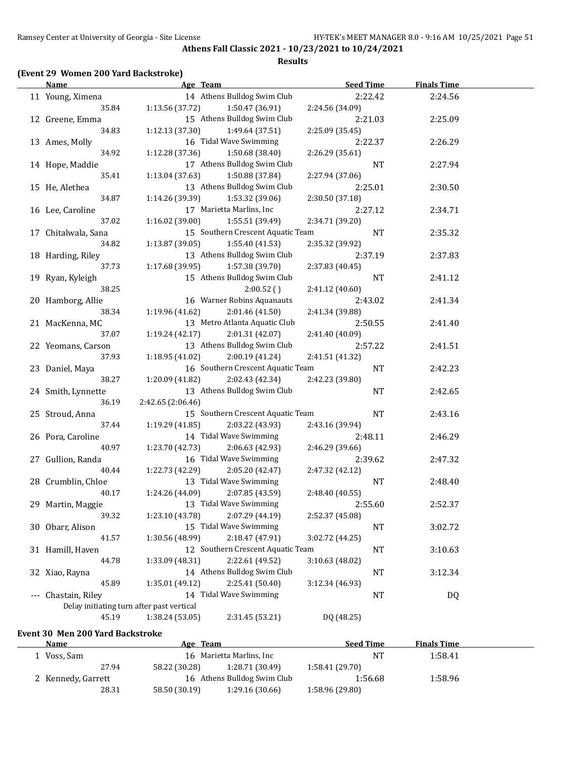#### **Results**

### **(Event 29 Women 200 Yard Backstroke)**

|       | <b>Name</b>                               | Age Team                           | <b>Seed Time</b> | <b>Finals Time</b> |  |
|-------|-------------------------------------------|------------------------------------|------------------|--------------------|--|
|       | 11 Young, Ximena                          | 14 Athens Bulldog Swim Club        | 2:22.42          | 2:24.56            |  |
|       | 35.84                                     | 1:13.56 (37.72)<br>1:50.47 (36.91) | 2:24.56 (34.09)  |                    |  |
|       | 12 Greene, Emma                           | 15 Athens Bulldog Swim Club        | 2:21.03          | 2:25.09            |  |
|       | 34.83                                     | 1:12.13(37.30)<br>1:49.64 (37.51)  | 2:25.09 (35.45)  |                    |  |
|       | 13 Ames, Molly                            | 16 Tidal Wave Swimming             | 2:22.37          | 2:26.29            |  |
|       | 34.92                                     | 1:12.28 (37.36)<br>1:50.68 (38.40) | 2:26.29 (35.61)  |                    |  |
|       | 14 Hope, Maddie                           | 17 Athens Bulldog Swim Club        | NT               | 2:27.94            |  |
|       | 35.41                                     | 1:13.04(37.63)<br>1:50.88 (37.84)  | 2:27.94 (37.06)  |                    |  |
|       | 15 He, Alethea                            | 13 Athens Bulldog Swim Club        | 2:25.01          | 2:30.50            |  |
|       | 34.87                                     | 1:14.26 (39.39)<br>1:53.32 (39.06) | 2:30.50 (37.18)  |                    |  |
|       | 16 Lee, Caroline                          | 17 Marietta Marlins, Inc           | 2:27.12          | 2:34.71            |  |
|       | 37.02                                     | 1:16.02(39.00)<br>1:55.51 (39.49)  | 2:34.71 (39.20)  |                    |  |
|       | 17 Chitalwala, Sana                       | 15 Southern Crescent Aquatic Team  | <b>NT</b>        | 2:35.32            |  |
|       | 34.82                                     | 1:13.87(39.05)<br>1:55.40 (41.53)  | 2:35.32 (39.92)  |                    |  |
|       | 18 Harding, Riley                         | 13 Athens Bulldog Swim Club        | 2:37.19          | 2:37.83            |  |
|       | 37.73                                     | 1:17.68(39.95)<br>1:57.38 (39.70)  | 2:37.83 (40.45)  |                    |  |
|       | 19 Ryan, Kyleigh                          | 15 Athens Bulldog Swim Club        | <b>NT</b>        | 2:41.12            |  |
|       | 38.25                                     | 2:00.52()                          | 2:41.12 (40.60)  |                    |  |
|       | 20 Hamborg, Allie                         | 16 Warner Robins Aquanauts         | 2:43.02          | 2:41.34            |  |
|       | 38.34                                     | 1:19.96(41.62)<br>2:01.46 (41.50)  | 2:41.34 (39.88)  |                    |  |
|       | 21 MacKenna, MC                           | 13 Metro Atlanta Aquatic Club      | 2:50.55          | 2:41.40            |  |
|       | 37.07                                     | 2:01.31 (42.07)<br>1:19.24(42.17)  | 2:41.40 (40.09)  |                    |  |
|       | 22 Yeomans, Carson                        | 13 Athens Bulldog Swim Club        | 2:57.22          | 2:41.51            |  |
|       | 37.93                                     | 1:18.95(41.02)<br>2:00.19 (41.24)  | 2:41.51 (41.32)  |                    |  |
|       | 23 Daniel, Maya                           | 16 Southern Crescent Aquatic Team  | NT               | 2:42.23            |  |
|       | 38.27                                     | 1:20.09(41.82)<br>2:02.43 (42.34)  | 2:42.23 (39.80)  |                    |  |
|       | 24 Smith, Lynnette                        | 13 Athens Bulldog Swim Club        | NT               | 2:42.65            |  |
|       | 36.19                                     | 2:42.65 (2:06.46)                  |                  |                    |  |
|       | 25 Stroud, Anna                           | 15 Southern Crescent Aquatic Team  | $\rm{NT}$        | 2:43.16            |  |
|       | 37.44                                     | 1:19.29 (41.85)<br>2:03.22 (43.93) | 2:43.16 (39.94)  |                    |  |
|       | 26 Pora, Caroline                         | 14 Tidal Wave Swimming             | 2:48.11          | 2:46.29            |  |
|       | 40.97                                     | 1:23.70 (42.73)<br>2:06.63 (42.93) | 2:46.29 (39.66)  |                    |  |
|       | 27 Gullion, Randa                         | 16 Tidal Wave Swimming             | 2:39.62          | 2:47.32            |  |
|       | 40.44                                     | 1:22.73 (42.29)<br>2:05.20 (42.47) | 2:47.32 (42.12)  |                    |  |
|       | 28 Crumblin, Chloe                        | 13 Tidal Wave Swimming             | NT               | 2:48.40            |  |
|       | 40.17                                     | 1:24.26 (44.09)<br>2:07.85 (43.59) | 2:48.40 (40.55)  |                    |  |
|       | 29 Martin, Maggie                         | 13 Tidal Wave Swimming             | 2:55.60          | 2:52.37            |  |
|       | 39.32                                     | 1:23.10 (43.78)<br>2:07.29 (44.19) | 2:52.37 (45.08)  |                    |  |
|       | 30 Obarr, Alison                          | 15 Tidal Wave Swimming             | <b>NT</b>        | 3:02.72            |  |
|       | 41.57                                     | 1:30.56 (48.99)<br>2:18.47 (47.91) | 3:02.72 (44.25)  |                    |  |
|       | 31 Hamill, Haven                          | 12 Southern Crescent Aquatic Team  | <b>NT</b>        | 3:10.63            |  |
|       | 44.78                                     | 2:22.61 (49.52)<br>1:33.09 (48.31) | 3:10.63 (48.02)  |                    |  |
|       | 32 Xiao, Rayna                            | 14 Athens Bulldog Swim Club        | <b>NT</b>        | 3:12.34            |  |
|       | 45.89                                     | 1:35.01 (49.12)<br>2:25.41 (50.40) | 3:12.34 (46.93)  |                    |  |
| $---$ | Chastain, Riley                           | 14 Tidal Wave Swimming             | <b>NT</b>        | <b>DQ</b>          |  |
|       | Delay initiating turn after past vertical |                                    |                  |                    |  |
|       | 45.19                                     | 1:38.24 (53.05)<br>2:31.45 (53.21) | DQ (48.25)       |                    |  |

#### **Event 30 Men 200 Yard Backstroke**

| <b>Name</b>        | Age Team      |                             | <b>Seed Time</b> | <b>Finals Time</b> |  |
|--------------------|---------------|-----------------------------|------------------|--------------------|--|
| Voss, Sam          |               | 16 Marietta Marlins, Inc.   | NT               | 1:58.41            |  |
| 27.94              | 58.22 (30.28) | 1:28.71 (30.49)             | 1:58.41(29.70)   |                    |  |
| 2 Kennedy, Garrett |               | 16 Athens Bulldog Swim Club | 1:56.68          | 1:58.96            |  |
| 28.31              | 58.50 (30.19) | 1:29.16(30.66)              | 1:58.96 (29.80)  |                    |  |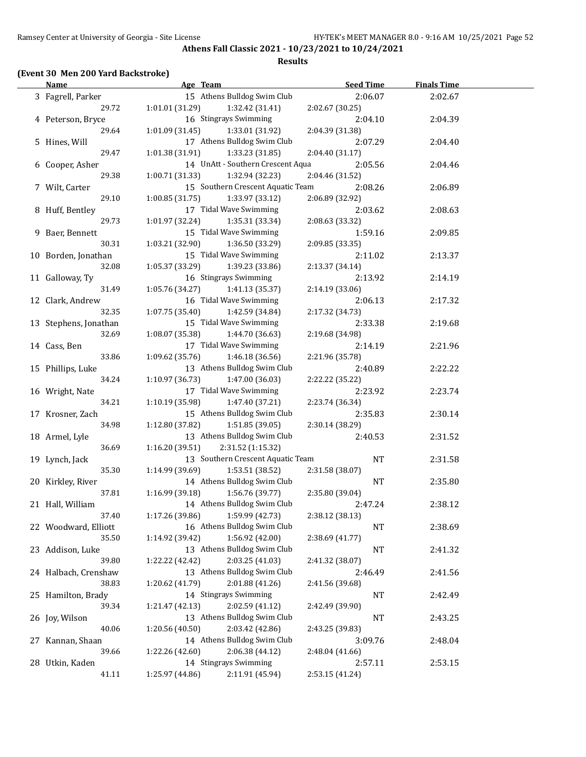#### **Results**

### **(Event 30 Men 200 Yard Backstroke)**

| <b>Name</b>           | Age Team                            | <b>Seed Time</b> | <b>Finals Time</b> |  |
|-----------------------|-------------------------------------|------------------|--------------------|--|
| 3 Fagrell, Parker     | 15 Athens Bulldog Swim Club         | 2:06.07          | 2:02.67            |  |
| 29.72                 | 1:01.01 (31.29)<br>1:32.42 (31.41)  | 2:02.67 (30.25)  |                    |  |
| 4 Peterson, Bryce     | 16 Stingrays Swimming               | 2:04.10          | 2:04.39            |  |
| 29.64                 | 1:33.01 (31.92)<br>1:01.09 (31.45)  | 2:04.39 (31.38)  |                    |  |
| 5 Hines, Will         | 17 Athens Bulldog Swim Club         | 2:07.29          | 2:04.40            |  |
| 29.47                 | 1:01.38(31.91)<br>1:33.23 (31.85)   | 2:04.40 (31.17)  |                    |  |
| 6 Cooper, Asher       | 14 UnAtt - Southern Crescent Aqua   | 2:05.56          | 2:04.46            |  |
| 29.38                 | 1:00.71 (31.33)<br>1:32.94 (32.23)  | 2:04.46 (31.52)  |                    |  |
| 7 Wilt, Carter        | 15 Southern Crescent Aquatic Team   | 2:08.26          | 2:06.89            |  |
| 29.10                 | 1:00.85(31.75)<br>1:33.97 (33.12)   | 2:06.89 (32.92)  |                    |  |
|                       | 17 Tidal Wave Swimming              |                  |                    |  |
| 8 Huff, Bentley       |                                     | 2:03.62          | 2:08.63            |  |
| 29.73                 | 1:01.97(32.24)<br>1:35.31 (33.34)   | 2:08.63 (33.32)  |                    |  |
| 9 Baer, Bennett       | 15 Tidal Wave Swimming              | 1:59.16          | 2:09.85            |  |
| 30.31                 | 1:03.21 (32.90)<br>1:36.50 (33.29)  | 2:09.85 (33.35)  |                    |  |
| 10 Borden, Jonathan   | 15 Tidal Wave Swimming              | 2:11.02          | 2:13.37            |  |
| 32.08                 | 1:05.37(33.29)<br>1:39.23 (33.86)   | 2:13.37 (34.14)  |                    |  |
| 11 Galloway, Ty       | 16 Stingrays Swimming               | 2:13.92          | 2:14.19            |  |
| 31.49                 | 1:05.76(34.27)<br>1:41.13 (35.37)   | 2:14.19 (33.06)  |                    |  |
| 12 Clark, Andrew      | 16 Tidal Wave Swimming              | 2:06.13          | 2:17.32            |  |
| 32.35                 | 1:07.75(35.40)<br>1:42.59 (34.84)   | 2:17.32 (34.73)  |                    |  |
| 13 Stephens, Jonathan | 15 Tidal Wave Swimming              | 2:33.38          | 2:19.68            |  |
| 32.69                 | 1:08.07 (35.38)<br>1:44.70 (36.63)  | 2:19.68 (34.98)  |                    |  |
| 14 Cass, Ben          | 17 Tidal Wave Swimming              | 2:14.19          | 2:21.96            |  |
| 33.86                 | 1:09.62 (35.76)<br>1:46.18 (36.56)  | 2:21.96 (35.78)  |                    |  |
| 15 Phillips, Luke     | 13 Athens Bulldog Swim Club         | 2:40.89          | 2:22.22            |  |
| 34.24                 | 1:10.97(36.73)<br>1:47.00 (36.03)   | 2:22.22 (35.22)  |                    |  |
| 16 Wright, Nate       | 17 Tidal Wave Swimming              | 2:23.92          | 2:23.74            |  |
| 34.21                 | 1:10.19 (35.98)<br>1:47.40 (37.21)  | 2:23.74 (36.34)  |                    |  |
| 17 Krosner, Zach      | 15 Athens Bulldog Swim Club         | 2:35.83          | 2:30.14            |  |
| 34.98                 | 1:12.80 (37.82)<br>1:51.85 (39.05)  | 2:30.14 (38.29)  |                    |  |
| 18 Armel, Lyle        | 13 Athens Bulldog Swim Club         | 2:40.53          |                    |  |
|                       |                                     |                  | 2:31.52            |  |
| 36.69                 | 1:16.20(39.51)<br>2:31.52 (1:15.32) |                  |                    |  |
| 19 Lynch, Jack        | 13 Southern Crescent Aquatic Team   | NT               | 2:31.58            |  |
| 35.30                 | 1:14.99 (39.69)<br>1:53.51 (38.52)  | 2:31.58 (38.07)  |                    |  |
| 20 Kirkley, River     | 14 Athens Bulldog Swim Club         | <b>NT</b>        | 2:35.80            |  |
| 37.81                 | 1:16.99(39.18)<br>1:56.76 (39.77)   | 2:35.80 (39.04)  |                    |  |
| 21 Hall, William      | 14 Athens Bulldog Swim Club         | 2:47.24          | 2:38.12            |  |
| 37.40                 | 1:17.26 (39.86)<br>1:59.99 (42.73)  | 2:38.12 (38.13)  |                    |  |
| 22 Woodward, Elliott  | 16 Athens Bulldog Swim Club         | NT               | 2:38.69            |  |
| 35.50                 | 1:14.92 (39.42)<br>1:56.92 (42.00)  | 2:38.69 (41.77)  |                    |  |
| 23 Addison, Luke      | 13 Athens Bulldog Swim Club         | NT               | 2:41.32            |  |
| 39.80                 | 2:03.25 (41.03)<br>1:22.22 (42.42)  | 2:41.32 (38.07)  |                    |  |
| 24 Halbach, Crenshaw  | 13 Athens Bulldog Swim Club         | 2:46.49          | 2:41.56            |  |
| 38.83                 | 2:01.88 (41.26)<br>1:20.62 (41.79)  | 2:41.56 (39.68)  |                    |  |
| 25 Hamilton, Brady    | 14 Stingrays Swimming               | NT               | 2:42.49            |  |
| 39.34                 | 2:02.59 (41.12)<br>1:21.47 (42.13)  | 2:42.49 (39.90)  |                    |  |
| 26 Joy, Wilson        | 13 Athens Bulldog Swim Club         | NT               | 2:43.25            |  |
| 40.06                 | 2:03.42 (42.86)<br>1:20.56 (40.50)  | 2:43.25 (39.83)  |                    |  |
| 27 Kannan, Shaan      | 14 Athens Bulldog Swim Club         | 3:09.76          | 2:48.04            |  |
| 39.66                 | 2:06.38 (44.12)<br>1:22.26 (42.60)  | 2:48.04 (41.66)  |                    |  |
| 28 Utkin, Kaden       | 14 Stingrays Swimming               | 2:57.11          | 2:53.15            |  |
| 41.11                 | 1:25.97 (44.86)<br>2:11.91 (45.94)  | 2:53.15 (41.24)  |                    |  |
|                       |                                     |                  |                    |  |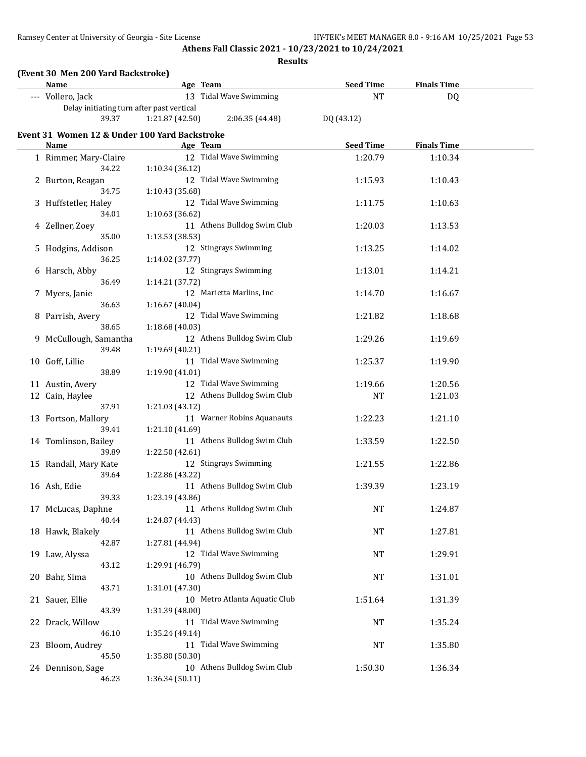**Results**

|    | (Event 30 Men 200 Yard Backstroke)<br>Name    |                 | Age Team                      | <b>Seed Time</b> | <b>Finals Time</b> |  |
|----|-----------------------------------------------|-----------------|-------------------------------|------------------|--------------------|--|
|    | --- Vollero, Jack                             |                 | 13 Tidal Wave Swimming        | <b>NT</b>        | DQ                 |  |
|    | Delay initiating turn after past vertical     |                 |                               |                  |                    |  |
|    | 39.37                                         | 1:21.87 (42.50) | 2:06.35 (44.48)               | DQ (43.12)       |                    |  |
|    | Event 31 Women 12 & Under 100 Yard Backstroke |                 |                               |                  |                    |  |
|    | <u>Name</u>                                   |                 | Age Team                      | <b>Seed Time</b> | <b>Finals Time</b> |  |
|    | 1 Rimmer, Mary-Claire                         |                 | 12 Tidal Wave Swimming        | 1:20.79          | 1:10.34            |  |
|    | 34.22                                         | 1:10.34 (36.12) |                               |                  |                    |  |
|    | 2 Burton, Reagan                              |                 | 12 Tidal Wave Swimming        | 1:15.93          | 1:10.43            |  |
|    | 34.75                                         | 1:10.43 (35.68) |                               |                  |                    |  |
|    | 3 Huffstetler, Haley                          |                 | 12 Tidal Wave Swimming        | 1:11.75          | 1:10.63            |  |
|    | 34.01                                         | 1:10.63 (36.62) |                               |                  |                    |  |
|    | 4 Zellner, Zoey                               |                 | 11 Athens Bulldog Swim Club   | 1:20.03          | 1:13.53            |  |
|    | 35.00                                         | 1:13.53 (38.53) |                               |                  |                    |  |
| 5. | Hodgins, Addison                              |                 | 12 Stingrays Swimming         | 1:13.25          | 1:14.02            |  |
|    | 36.25                                         | 1:14.02 (37.77) |                               |                  |                    |  |
|    | 6 Harsch, Abby                                |                 | 12 Stingrays Swimming         | 1:13.01          | 1:14.21            |  |
|    | 36.49                                         | 1:14.21 (37.72) |                               |                  |                    |  |
|    | Myers, Janie                                  |                 | 12 Marietta Marlins, Inc      | 1:14.70          | 1:16.67            |  |
|    | 36.63                                         | 1:16.67 (40.04) |                               |                  |                    |  |
|    | 8 Parrish, Avery                              |                 | 12 Tidal Wave Swimming        | 1:21.82          | 1:18.68            |  |
|    | 38.65                                         | 1:18.68 (40.03) |                               |                  |                    |  |
|    | 9 McCullough, Samantha                        |                 | 12 Athens Bulldog Swim Club   | 1:29.26          | 1:19.69            |  |
|    | 39.48                                         | 1:19.69 (40.21) |                               |                  |                    |  |
|    | 10 Goff, Lillie                               |                 | 11 Tidal Wave Swimming        | 1:25.37          | 1:19.90            |  |
|    | 38.89                                         | 1:19.90 (41.01) |                               |                  |                    |  |
|    | 11 Austin, Avery                              |                 | 12 Tidal Wave Swimming        | 1:19.66          | 1:20.56            |  |
|    | 12 Cain, Haylee                               |                 | 12 Athens Bulldog Swim Club   | NT               | 1:21.03            |  |
|    | 37.91                                         | 1:21.03 (43.12) |                               |                  |                    |  |
|    | 13 Fortson, Mallory                           |                 | 11 Warner Robins Aquanauts    | 1:22.23          | 1:21.10            |  |
|    | 39.41                                         | 1:21.10 (41.69) |                               |                  |                    |  |
|    | 14 Tomlinson, Bailey<br>39.89                 | 1:22.50 (42.61) | 11 Athens Bulldog Swim Club   | 1:33.59          | 1:22.50            |  |
|    | 15 Randall, Mary Kate                         |                 | 12 Stingrays Swimming         | 1:21.55          | 1:22.86            |  |
|    | 39.64                                         | 1:22.86 (43.22) |                               |                  |                    |  |
|    | 16 Ash, Edie                                  |                 | 11 Athens Bulldog Swim Club   | 1:39.39          | 1:23.19            |  |
|    | 39.33                                         | 1:23.19 (43.86) |                               |                  |                    |  |
|    | 17 McLucas, Daphne                            |                 | 11 Athens Bulldog Swim Club   | NT               | 1:24.87            |  |
|    | 40.44                                         | 1:24.87 (44.43) |                               |                  |                    |  |
|    | 18 Hawk, Blakely                              |                 | 11 Athens Bulldog Swim Club   | <b>NT</b>        | 1:27.81            |  |
|    | 42.87                                         | 1:27.81 (44.94) |                               |                  |                    |  |
|    | 19 Law, Alyssa                                |                 | 12 Tidal Wave Swimming        | NT               | 1:29.91            |  |
|    | 43.12                                         | 1:29.91 (46.79) |                               |                  |                    |  |
|    | 20 Bahr, Sima                                 |                 | 10 Athens Bulldog Swim Club   | <b>NT</b>        | 1:31.01            |  |
|    | 43.71                                         | 1:31.01 (47.30) |                               |                  |                    |  |
|    | 21 Sauer, Ellie                               |                 | 10 Metro Atlanta Aquatic Club | 1:51.64          | 1:31.39            |  |
|    | 43.39                                         | 1:31.39 (48.00) |                               |                  |                    |  |
|    | 22 Drack, Willow                              |                 | 11 Tidal Wave Swimming        | <b>NT</b>        | 1:35.24            |  |
|    | 46.10                                         | 1:35.24 (49.14) |                               |                  |                    |  |
|    | 23 Bloom, Audrey                              |                 | 11 Tidal Wave Swimming        | <b>NT</b>        | 1:35.80            |  |
|    | 45.50                                         | 1:35.80 (50.30) |                               |                  |                    |  |
|    | 24 Dennison, Sage                             |                 | 10 Athens Bulldog Swim Club   | 1:50.30          | 1:36.34            |  |
|    | 46.23                                         | 1:36.34 (50.11) |                               |                  |                    |  |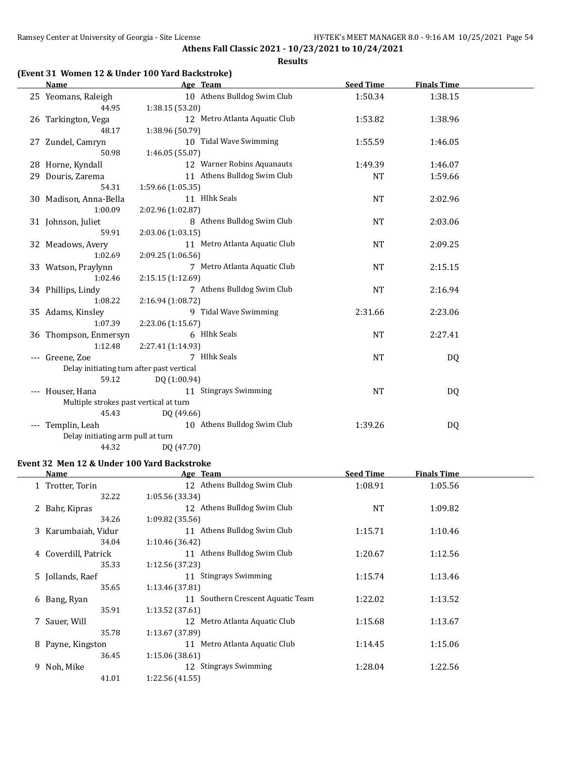#### **Results**

### **(Event 31 Women 12 & Under 100 Yard Backstroke)**

| <b>Name</b>                               | Age Team                      | <b>Seed Time</b> | <b>Finals Time</b> |  |
|-------------------------------------------|-------------------------------|------------------|--------------------|--|
| 25 Yeomans, Raleigh                       | 10 Athens Bulldog Swim Club   | 1:50.34          | 1:38.15            |  |
| 44.95                                     | 1:38.15 (53.20)               |                  |                    |  |
| 26 Tarkington, Vega                       | 12 Metro Atlanta Aquatic Club | 1:53.82          | 1:38.96            |  |
| 48.17                                     | 1:38.96 (50.79)               |                  |                    |  |
| 27 Zundel, Camryn                         | 10 Tidal Wave Swimming        | 1:55.59          | 1:46.05            |  |
| 50.98                                     | 1:46.05 (55.07)               |                  |                    |  |
| 28 Horne, Kyndall                         | 12 Warner Robins Aquanauts    | 1:49.39          | 1:46.07            |  |
| 29 Douris, Zarema                         | 11 Athens Bulldog Swim Club   | <b>NT</b>        | 1:59.66            |  |
| 54.31                                     | 1:59.66 (1:05.35)             |                  |                    |  |
| 30 Madison, Anna-Bella                    | 11 Hlhk Seals                 | <b>NT</b>        | 2:02.96            |  |
| 1:00.09                                   | 2:02.96 (1:02.87)             |                  |                    |  |
| 31 Johnson, Juliet                        | 8 Athens Bulldog Swim Club    | <b>NT</b>        | 2:03.06            |  |
| 59.91                                     | 2:03.06 (1:03.15)             |                  |                    |  |
| 32 Meadows, Avery                         | 11 Metro Atlanta Aquatic Club | <b>NT</b>        | 2:09.25            |  |
| 1:02.69                                   | 2:09.25 (1:06.56)             |                  |                    |  |
| 33 Watson, Praylynn                       | 7 Metro Atlanta Aquatic Club  | <b>NT</b>        | 2:15.15            |  |
| 1:02.46                                   | 2:15.15 (1:12.69)             |                  |                    |  |
| 34 Phillips, Lindy                        | 7 Athens Bulldog Swim Club    | <b>NT</b>        | 2:16.94            |  |
| 1:08.22                                   | 2:16.94 (1:08.72)             |                  |                    |  |
| 35 Adams, Kinsley                         | 9 Tidal Wave Swimming         | 2:31.66          | 2:23.06            |  |
| 1:07.39                                   | 2:23.06 (1:15.67)             |                  |                    |  |
| 36 Thompson, Enmersyn                     | 6 Hlhk Seals                  | <b>NT</b>        | 2:27.41            |  |
| 1:12.48                                   | 2:27.41 (1:14.93)             |                  |                    |  |
| --- Greene, Zoe                           | 7 Hlhk Seals                  | <b>NT</b>        | DQ                 |  |
| Delay initiating turn after past vertical |                               |                  |                    |  |
| 59.12                                     | DQ (1:00.94)                  |                  |                    |  |
| --- Houser, Hana                          | 11 Stingrays Swimming         | <b>NT</b>        | DQ                 |  |
| Multiple strokes past vertical at turn    |                               |                  |                    |  |
| 45.43                                     | DQ (49.66)                    |                  |                    |  |
| Templin, Leah                             | 10 Athens Bulldog Swim Club   | 1:39.26          | DQ                 |  |
| Delay initiating arm pull at turn         |                               |                  |                    |  |
| 44.32                                     | DQ (47.70)                    |                  |                    |  |

### **Event 32 Men 12 & Under 100 Yard Backstroke**

| Name                 | Age Team                          | <b>Seed Time</b> | <b>Finals Time</b> |  |
|----------------------|-----------------------------------|------------------|--------------------|--|
| 1 Trotter, Torin     | 12 Athens Bulldog Swim Club       | 1:08.91          | 1:05.56            |  |
| 32.22                | 1:05.56(33.34)                    |                  |                    |  |
| 2 Bahr, Kipras       | 12 Athens Bulldog Swim Club       | <b>NT</b>        | 1:09.82            |  |
| 34.26                | 1:09.82(35.56)                    |                  |                    |  |
| 3 Karumbaiah, Vidur  | 11 Athens Bulldog Swim Club       | 1:15.71          | 1:10.46            |  |
| 34.04                | 1:10.46 (36.42)                   |                  |                    |  |
| 4 Coverdill, Patrick | 11 Athens Bulldog Swim Club       | 1:20.67          | 1:12.56            |  |
| 35.33                | 1:12.56(37.23)                    |                  |                    |  |
| 5 Jollands, Raef     | <b>Stingrays Swimming</b><br>11   | 1:15.74          | 1:13.46            |  |
| 35.65                | 1:13.46 (37.81)                   |                  |                    |  |
| 6 Bang, Ryan         | 11 Southern Crescent Aquatic Team | 1:22.02          | 1:13.52            |  |
| 35.91                | 1:13.52(37.61)                    |                  |                    |  |
| 7 Sauer, Will        | Metro Atlanta Aquatic Club<br>12  | 1:15.68          | 1:13.67            |  |
| 35.78                | 1:13.67 (37.89)                   |                  |                    |  |
| Payne, Kingston<br>8 | Metro Atlanta Aquatic Club<br>11  | 1:14.45          | 1:15.06            |  |
| 36.45                | 1:15.06(38.61)                    |                  |                    |  |
| 9 Noh, Mike          | 12 Stingrays Swimming             | 1:28.04          | 1:22.56            |  |
| 41.01                | 1:22.56(41.55)                    |                  |                    |  |
|                      |                                   |                  |                    |  |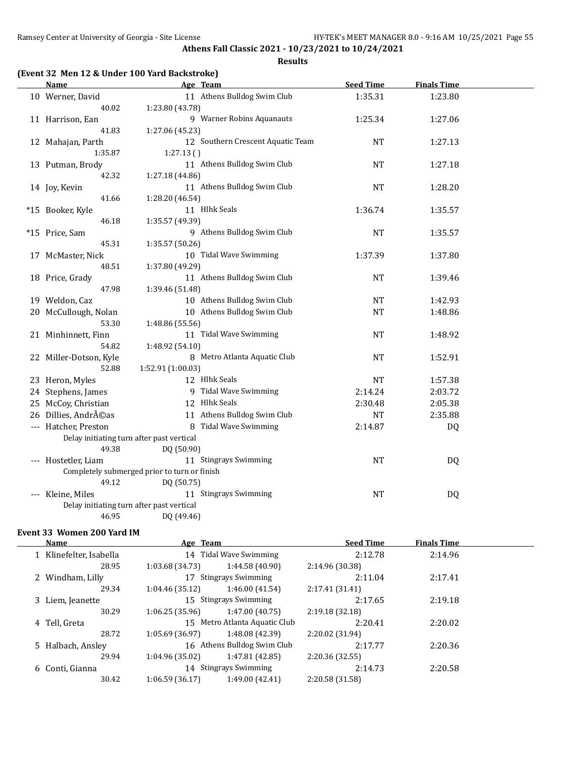#### **Results**

### **(Event 32 Men 12 & Under 100 Yard Backstroke)**

| <b>Name</b>                                | Age Team                                     | <b>Seed Time</b> | <b>Finals Time</b> |  |
|--------------------------------------------|----------------------------------------------|------------------|--------------------|--|
| 10 Werner, David                           | 11 Athens Bulldog Swim Club                  | 1:35.31          | 1:23.80            |  |
| 40.02                                      | 1:23.80 (43.78)                              |                  |                    |  |
| 11 Harrison, Ean                           | 9 Warner Robins Aquanauts                    | 1:25.34          | 1:27.06            |  |
| 41.83                                      | 1:27.06 (45.23)                              |                  |                    |  |
| 12 Mahajan, Parth                          | 12 Southern Crescent Aquatic Team            | <b>NT</b>        | 1:27.13            |  |
| 1:35.87                                    | 1:27.13()                                    |                  |                    |  |
| 13 Putman, Brody                           | 11 Athens Bulldog Swim Club                  | <b>NT</b>        | 1:27.18            |  |
| 42.32                                      | 1:27.18 (44.86)                              |                  |                    |  |
| 14 Joy, Kevin                              | 11 Athens Bulldog Swim Club                  | <b>NT</b>        | 1:28.20            |  |
| 41.66                                      | 1:28.20 (46.54)                              |                  |                    |  |
| *15 Booker, Kyle                           | 11 Hlhk Seals                                | 1:36.74          | 1:35.57            |  |
| 46.18                                      | 1:35.57 (49.39)                              |                  |                    |  |
| *15 Price, Sam                             | 9 Athens Bulldog Swim Club                   | <b>NT</b>        | 1:35.57            |  |
| 45.31                                      | 1:35.57 (50.26)                              |                  |                    |  |
| 17 McMaster, Nick                          | 10 Tidal Wave Swimming                       | 1:37.39          | 1:37.80            |  |
| 48.51                                      | 1:37.80 (49.29)                              |                  |                    |  |
| 18 Price, Grady                            | 11 Athens Bulldog Swim Club                  | <b>NT</b>        | 1:39.46            |  |
| 47.98                                      | 1:39.46 (51.48)                              |                  |                    |  |
| 19 Weldon, Caz                             | 10 Athens Bulldog Swim Club                  | NT               | 1:42.93            |  |
| 20 McCullough, Nolan                       | 10 Athens Bulldog Swim Club                  | <b>NT</b>        | 1:48.86            |  |
| 53.30                                      | 1:48.86 (55.56)                              |                  |                    |  |
| 21 Minhinnett, Finn                        | 11 Tidal Wave Swimming                       | NT               | 1:48.92            |  |
| 54.82                                      | 1:48.92 (54.10)                              |                  |                    |  |
| 22 Miller-Dotson, Kyle                     | 8 Metro Atlanta Aquatic Club                 | <b>NT</b>        | 1:52.91            |  |
| 52.88                                      | 1:52.91 (1:00.03)<br>12 Hlhk Seals           | <b>NT</b>        |                    |  |
| 23 Heron, Myles                            | 9 Tidal Wave Swimming                        |                  | 1:57.38            |  |
| 24 Stephens, James                         | 12 Hlhk Seals                                | 2:14.24          | 2:03.72            |  |
| 25 McCoy, Christian<br>26 Dillies, Andréas | 11 Athens Bulldog Swim Club                  | 2:30.48          | 2:05.38            |  |
|                                            | 8 Tidal Wave Swimming                        | <b>NT</b>        | 2:35.88            |  |
| --- Hatcher, Preston                       | Delay initiating turn after past vertical    | 2:14.87          | DQ                 |  |
| 49.38                                      | DQ (50.90)                                   |                  |                    |  |
| --- Hostetler, Liam                        | 11 Stingrays Swimming                        | <b>NT</b>        | DQ                 |  |
|                                            | Completely submerged prior to turn or finish |                  |                    |  |
| 49.12                                      | DQ (50.75)                                   |                  |                    |  |
| --- Kleine, Miles                          | 11 Stingrays Swimming                        | <b>NT</b>        | <b>DQ</b>          |  |
|                                            | Delay initiating turn after past vertical    |                  |                    |  |
| 46.95                                      | DQ (49.46)                                   |                  |                    |  |

#### **Event 33 Women 200 Yard IM**

| <b>Name</b>             | Age Team        |                               | <b>Seed Time</b> | <b>Finals Time</b> |  |
|-------------------------|-----------------|-------------------------------|------------------|--------------------|--|
| 1 Klinefelter, Isabella |                 | 14 Tidal Wave Swimming        | 2:12.78          | 2:14.96            |  |
| 28.95                   | 1:03.68 (34.73) | 1:44.58 (40.90)               | 2:14.96 (30.38)  |                    |  |
| 2 Windham, Lilly        |                 | <b>Stingrays Swimming</b>     | 2:11.04          | 2:17.41            |  |
| 29.34                   | 1:04.46 (35.12) | 1:46.00 (41.54)               | 2:17.41 (31.41)  |                    |  |
| 3 Liem, Jeanette        |                 | 15 Stingrays Swimming         | 2:17.65          | 2:19.18            |  |
| 30.29                   | 1:06.25(35.96)  | 1:47.00 (40.75)               | 2:19.18 (32.18)  |                    |  |
| 4 Tell, Greta           |                 | 15 Metro Atlanta Aquatic Club | 2:20.41          | 2:20.02            |  |
| 28.72                   | 1:05.69(36.97)  | 1:48.08 (42.39)               | 2:20.02 (31.94)  |                    |  |
| 5 Halbach, Ansley       |                 | 16 Athens Bulldog Swim Club   | 2:17.77          | 2:20.36            |  |
| 29.94                   | 1:04.96 (35.02) | 1:47.81 (42.85)               | 2:20.36 (32.55)  |                    |  |
| 6 Conti, Gianna         |                 | 14 Stingrays Swimming         | 2:14.73          | 2:20.58            |  |
| 30.42                   | 1:06.59(36.17)  | 1:49.00 (42.41)               | 2:20.58 (31.58)  |                    |  |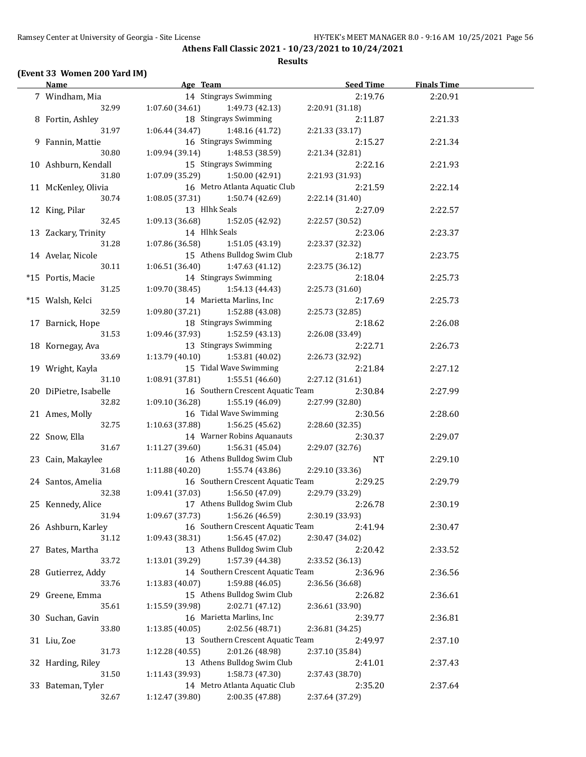## **(Event 33 Women 200 Yard IM)**

| <u>Name</u>           | Age Team                           | <b>Seed Time</b> | <b>Finals Time</b> |  |
|-----------------------|------------------------------------|------------------|--------------------|--|
| 7 Windham, Mia        | 14 Stingrays Swimming              | 2:19.76          | 2:20.91            |  |
| 32.99                 | 1:07.60(34.61)<br>1:49.73 (42.13)  | 2:20.91 (31.18)  |                    |  |
| 8 Fortin, Ashley      | 18 Stingrays Swimming              | 2:11.87          | 2:21.33            |  |
| 31.97                 | 1:06.44(34.47)<br>1:48.16 (41.72)  | 2:21.33 (33.17)  |                    |  |
| 9 Fannin, Mattie      | 16 Stingrays Swimming              | 2:15.27          | 2:21.34            |  |
| 30.80                 | 1:09.94(39.14)<br>1:48.53 (38.59)  | 2:21.34 (32.81)  |                    |  |
| 10 Ashburn, Kendall   | 15 Stingrays Swimming              | 2:22.16          | 2:21.93            |  |
| 31.80                 | 1:07.09 (35.29)<br>1:50.00 (42.91) | 2:21.93 (31.93)  |                    |  |
| 11 McKenley, Olivia   | 16 Metro Atlanta Aquatic Club      | 2:21.59          | 2:22.14            |  |
| 30.74                 | 1:08.05(37.31)<br>1:50.74 (42.69)  | 2:22.14 (31.40)  |                    |  |
| 12 King, Pilar        | 13 Hlhk Seals                      | 2:27.09          | 2:22.57            |  |
| 32.45                 | 1:09.13 (36.68)<br>1:52.05 (42.92) | 2:22.57 (30.52)  |                    |  |
| 13 Zackary, Trinity   | 14 Hlhk Seals                      | 2:23.06          | 2:23.37            |  |
| 31.28                 | 1:07.86 (36.58)<br>1:51.05 (43.19) | 2:23.37 (32.32)  |                    |  |
| 14 Avelar, Nicole     | 15 Athens Bulldog Swim Club        | 2:18.77          | 2:23.75            |  |
| 30.11                 | 1:06.51(36.40)<br>1:47.63 (41.12)  | 2:23.75 (36.12)  |                    |  |
| *15 Portis, Macie     | 14 Stingrays Swimming              | 2:18.04          | 2:25.73            |  |
| 31.25                 | 1:09.70 (38.45)<br>1:54.13 (44.43) | 2:25.73 (31.60)  |                    |  |
| *15 Walsh, Kelci      | 14 Marietta Marlins, Inc           |                  | 2:25.73            |  |
|                       |                                    | 2:17.69          |                    |  |
| 32.59                 | 1:09.80 (37.21)<br>1:52.88 (43.08) | 2:25.73 (32.85)  |                    |  |
| 17 Barnick, Hope      | 18 Stingrays Swimming              | 2:18.62          | 2:26.08            |  |
| 31.53                 | 1:09.46 (37.93)<br>1:52.59 (43.13) | 2:26.08 (33.49)  |                    |  |
| 18 Kornegay, Ava      | 13 Stingrays Swimming              | 2:22.71          | 2:26.73            |  |
| 33.69                 | 1:13.79(40.10)<br>1:53.81 (40.02)  | 2:26.73 (32.92)  |                    |  |
| 19 Wright, Kayla      | 15 Tidal Wave Swimming             | 2:21.84          | 2:27.12            |  |
| 31.10                 | 1:08.91(37.81)<br>1:55.51 (46.60)  | 2:27.12 (31.61)  |                    |  |
| 20 DiPietre, Isabelle | 16 Southern Crescent Aquatic Team  | 2:30.84          | 2:27.99            |  |
| 32.82                 | 1:09.10(36.28)<br>1:55.19 (46.09)  | 2:27.99 (32.80)  |                    |  |
| 21 Ames, Molly        | 16 Tidal Wave Swimming             | 2:30.56          | 2:28.60            |  |
| 32.75                 | 1:10.63(37.88)<br>1:56.25 (45.62)  | 2:28.60 (32.35)  |                    |  |
| 22 Snow, Ella         | 14 Warner Robins Aquanauts         | 2:30.37          | 2:29.07            |  |
| 31.67                 | 1:11.27(39.60)<br>1:56.31(45.04)   | 2:29.07 (32.76)  |                    |  |
| 23 Cain, Makaylee     | 16 Athens Bulldog Swim Club        | NT               | 2:29.10            |  |
| 31.68                 | 1:11.88(40.20)<br>1:55.74 (43.86)  | 2:29.10 (33.36)  |                    |  |
| 24 Santos, Amelia     | 16 Southern Crescent Aquatic Team  | 2:29.25          | 2:29.79            |  |
| 32.38                 | 1:56.50 (47.09)<br>1:09.41(37.03)  | 2:29.79 (33.29)  |                    |  |
| 25 Kennedy, Alice     | 17 Athens Bulldog Swim Club        | 2:26.78          | 2:30.19            |  |
| 31.94                 | 1:09.67 (37.73)<br>1:56.26 (46.59) | 2:30.19 (33.93)  |                    |  |
| 26 Ashburn, Karley    | 16 Southern Crescent Aquatic Team  | 2:41.94          | 2:30.47            |  |
| 31.12                 | 1:09.43 (38.31)<br>1:56.45 (47.02) | 2:30.47 (34.02)  |                    |  |
| 27 Bates, Martha      | 13 Athens Bulldog Swim Club        | 2:20.42          | 2:33.52            |  |
| 33.72                 | 1:57.39 (44.38)<br>1:13.01 (39.29) | 2:33.52 (36.13)  |                    |  |
| 28 Gutierrez, Addy    | 14 Southern Crescent Aquatic Team  | 2:36.96          | 2:36.56            |  |
| 33.76                 | 1:59.88 (46.05)<br>1:13.83 (40.07) | 2:36.56 (36.68)  |                    |  |
| 29 Greene, Emma       | 15 Athens Bulldog Swim Club        | 2:26.82          | 2:36.61            |  |
| 35.61                 | 1:15.59 (39.98)<br>2:02.71 (47.12) | 2:36.61 (33.90)  |                    |  |
| 30 Suchan, Gavin      | 16 Marietta Marlins, Inc           | 2:39.77          | 2:36.81            |  |
| 33.80                 | 2:02.56 (48.71)<br>1:13.85 (40.05) | 2:36.81 (34.25)  |                    |  |
| 31 Liu, Zoe           | 13 Southern Crescent Aquatic Team  | 2:49.97          | 2:37.10            |  |
| 31.73                 | 2:01.26 (48.98)<br>1:12.28 (40.55) | 2:37.10 (35.84)  |                    |  |
| 32 Harding, Riley     | 13 Athens Bulldog Swim Club        | 2:41.01          | 2:37.43            |  |
| 31.50                 | 1:11.43 (39.93)<br>1:58.73 (47.30) | 2:37.43 (38.70)  |                    |  |
| 33 Bateman, Tyler     | 14 Metro Atlanta Aquatic Club      | 2:35.20          | 2:37.64            |  |
| 32.67                 | 1:12.47 (39.80)<br>2:00.35 (47.88) | 2:37.64 (37.29)  |                    |  |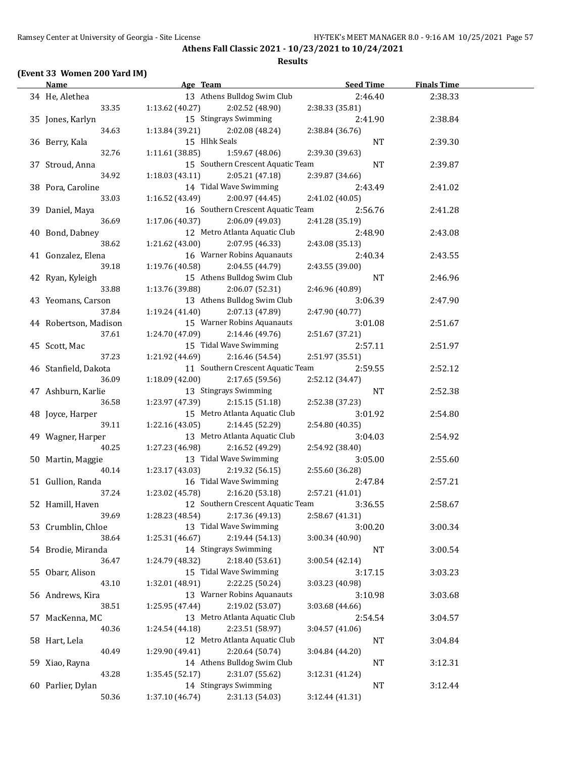#### **(Event 33 Women 200 Yard IM)**

#### **Age Team Seed Time Finals Time** 34 He, Alethea 13 Athens Bulldog Swim Club 2:46.40 2:38.33 33.35 1:13.62 (40.27) 2:02.52 (48.90) 2:38.33 (35.81) 35 Jones, Karlyn 15 Stingrays Swimming 2:41.90 2:38.84 34.63 1:13.84 (39.21) 2:02.08 (48.24) 2:38.84 (36.76) 36 Berry, Kala 15 Hlhk Seals NT 2:39.30 32.76 1:11.61 (38.85) 1:59.67 (48.06) 2:39.30 (39.63) 37 Stroud, Anna 15 Southern Crescent Aquatic Team NT 2:39.87 34.92 1:18.03 (43.11) 2:05.21 (47.18) 2:39.87 (34.66) 38 Pora, Caroline 14 Tidal Wave Swimming 2:43.49 2:41.02 33.03 1:16.52 (43.49) 2:00.97 (44.45) 2:41.02 (40.05) 39 Daniel, Maya 16 Southern Crescent Aquatic Team 2:56.76 2:41.28 36.69 1:17.06 (40.37) 2:06.09 (49.03) 2:41.28 (35.19) 40 Bond, Dabney 12 Metro Atlanta Aquatic Club 2:48.90 2:43.08 38.62 1:21.62 (43.00) 2:07.95 (46.33) 2:43.08 (35.13) 41 Gonzalez, Elena 16 Warner Robins Aquanauts 2:40.34 2:43.55 39.18 1:19.76 (40.58) 2:04.55 (44.79) 2:43.55 (39.00) 42 Ryan, Kyleigh 15 Athens Bulldog Swim Club NT 2:46.96 33.88 1:13.76 (39.88) 2:06.07 (52.31) 2:46.96 (40.89) 43 Yeomans, Carson 13 Athens Bulldog Swim Club 3:06.39 2:47.90 37.84 1:19.24 (41.40) 2:07.13 (47.89) 2:47.90 (40.77) 44 Robertson, Madison 15 Warner Robins Aquanauts 3:01.08 2:51.67 37.61 1:24.70 (47.09) 2:14.46 (49.76) 2:51.67 (37.21) 45 Scott, Mac 15 Tidal Wave Swimming 2:57.11 2:51.97 37.23 1:21.92 (44.69) 2:16.46 (54.54) 2:51.97 (35.51) 46 Stanfield, Dakota 11 Southern Crescent Aquatic Team 2:59.55 2:52.12 36.09 1:18.09 (42.00) 2:17.65 (59.56) 2:52.12 (34.47) 47 Ashburn, Karlie 13 Stingrays Swimming NT 2:52.38 36.58 1:23.97 (47.39) 2:15.15 (51.18) 2:52.38 (37.23) 48 Joyce, Harper 15 Metro Atlanta Aquatic Club 3:01.92 2:54.80 39.11 1:22.16 (43.05) 2:14.45 (52.29) 2:54.80 (40.35) 49 Wagner, Harper 13 Metro Atlanta Aquatic Club 3:04.03 2:54.92 40.25 1:27.23 (46.98) 2:16.52 (49.29) 2:54.92 (38.40) 50 Martin, Maggie 13 Tidal Wave Swimming 3:05.00 2:55.60 40.14 1:23.17 (43.03) 2:19.32 (56.15) 2:55.60 (36.28) 51 Gullion, Randa 16 Tidal Wave Swimming 2:47.84 2:57.21 37.24 1:23.02 (45.78) 2:16.20 (53.18) 2:57.21 (41.01) 52 Hamill, Haven 12 Southern Crescent Aquatic Team 3:36.55 2:58.67 39.69 1:28.23 (48.54) 2:17.36 (49.13) 2:58.67 (41.31) 53 Crumblin, Chloe 13 Tidal Wave Swimming 3:00.20 3:00.34 38.64 1:25.31 (46.67) 2:19.44 (54.13) 3:00.34 (40.90) 54 Brodie, Miranda 14 Stingrays Swimming NT 3:00.54 36.47 1:24.79 (48.32) 2:18.40 (53.61) 3:00.54 (42.14) 55 Obarr, Alison 15 Tidal Wave Swimming 3:17.15 3:03.23 43.10 1:32.01 (48.91) 2:22.25 (50.24) 3:03.23 (40.98) 56 Andrews, Kira 13 Warner Robins Aquanauts 3:10.98 3:03.68 38.51 1:25.95 (47.44) 2:19.02 (53.07) 3:03.68 (44.66) 57 MacKenna, MC 13 Metro Atlanta Aquatic Club 2:54.54 3:04.57 40.36 1:24.54 (44.18) 2:23.51 (58.97) 3:04.57 (41.06) 58 Hart, Lela 12 Metro Atlanta Aquatic Club NT 3:04.84 40.49 1:29.90 (49.41) 2:20.64 (50.74) 3:04.84 (44.20) 59 Xiao, Rayna 14 Athens Bulldog Swim Club NT 3:12.31 43.28 1:35.45 (52.17) 2:31.07 (55.62) 3:12.31 (41.24) 60 Parlier, Dylan 14 Stingrays Swimming NT 3:12.44 50.36 1:37.10 (46.74) 2:31.13 (54.03) 3:12.44 (41.31)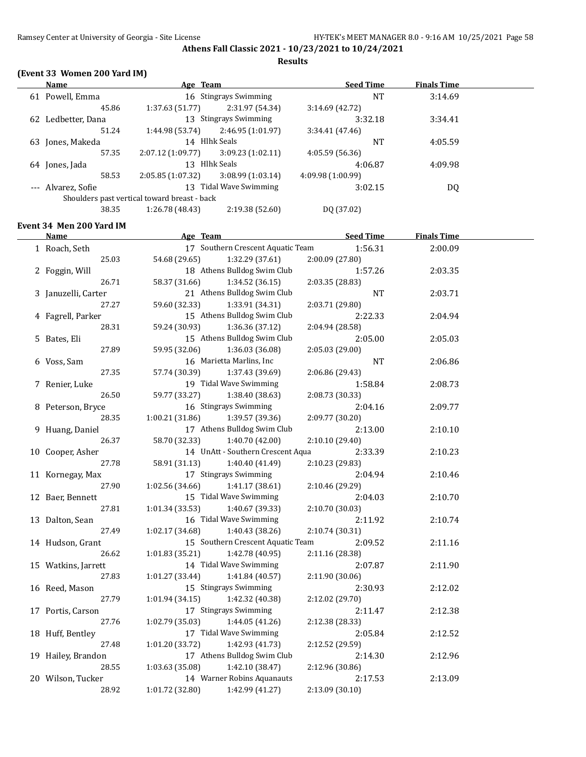**Results**

### **(Event 33 Women 200 Yard IM)**

|    | Name               | Age Team                                     |                       | <b>Seed Time</b>  | <b>Finals Time</b> |  |
|----|--------------------|----------------------------------------------|-----------------------|-------------------|--------------------|--|
| 61 | Powell, Emma       |                                              | 16 Stingrays Swimming | NT                | 3:14.69            |  |
|    | 45.86              | 1:37.63(51.77)                               | 2:31.97 (54.34)       | 3:14.69(42.72)    |                    |  |
| 62 | Ledbetter, Dana    |                                              | 13 Stingrays Swimming | 3:32.18           | 3:34.41            |  |
|    | 51.24              | 1:44.98 (53.74)                              | 2:46.95 (1:01.97)     | 3:34.41(47.46)    |                    |  |
| 63 | Jones, Makeda      |                                              | 14 Hlhk Seals         | NT                | 4:05.59            |  |
|    | 57.35              | 2:07.12(1:09.77)                             | 3:09.23(1:02.11)      | 4:05.59(56.36)    |                    |  |
|    | 64 Jones, Jada     | 13                                           | Hlhk Seals            | 4:06.87           | 4:09.98            |  |
|    | 58.53              | 2:05.85(1:07.32)                             | 3:08.99(1:03.14)      | 4:09.98 (1:00.99) |                    |  |
|    | --- Alvarez, Sofie | 13                                           | Tidal Wave Swimming   | 3:02.15           | DQ                 |  |
|    |                    | Shoulders past vertical toward breast - back |                       |                   |                    |  |
|    | 38.35              | 1:26.78 (48.43)                              | 2:19.38 (52.60)       | DO (37.02)        |                    |  |

### **Event 34 Men 200 Yard IM**

| <b>Name</b>                 | Age Team                                                   | <b>Seed Time</b>           | <b>Finals Time</b> |  |
|-----------------------------|------------------------------------------------------------|----------------------------|--------------------|--|
| 1 Roach, Seth               | 17 Southern Crescent Aquatic Team                          | 1:56.31                    | 2:00.09            |  |
| 25.03                       | 54.68 (29.65)<br>1:32.29 (37.61)                           | 2:00.09 (27.80)            |                    |  |
| 2 Foggin, Will              | 18 Athens Bulldog Swim Club                                | 1:57.26                    | 2:03.35            |  |
| 26.71                       | 58.37 (31.66)<br>1:34.52 (36.15)                           | 2:03.35 (28.83)            |                    |  |
| 3 Januzelli, Carter         | 21 Athens Bulldog Swim Club                                | <b>NT</b>                  | 2:03.71            |  |
| 27.27                       | 59.60 (32.33)<br>1:33.91 (34.31)                           | 2:03.71 (29.80)            |                    |  |
| 4 Fagrell, Parker           | 15 Athens Bulldog Swim Club                                | 2:22.33                    | 2:04.94            |  |
| 28.31                       | 59.24 (30.93)<br>1:36.36 (37.12)                           | 2:04.94 (28.58)            |                    |  |
| 5 Bates, Eli                | 15 Athens Bulldog Swim Club                                | 2:05.00                    | 2:05.03            |  |
| 27.89                       | 59.95 (32.06)<br>1:36.03 (36.08)                           | 2:05.03 (29.00)            |                    |  |
| 6 Voss, Sam                 | 16 Marietta Marlins, Inc                                   | NT                         | 2:06.86            |  |
| 27.35                       | 57.74 (30.39)<br>1:37.43 (39.69)                           | 2:06.86 (29.43)            |                    |  |
| 7 Renier, Luke              | 19 Tidal Wave Swimming                                     | 1:58.84                    | 2:08.73            |  |
| 26.50                       | 59.77 (33.27)<br>1:38.40 (38.63)                           | 2:08.73 (30.33)            |                    |  |
| 8 Peterson, Bryce           | 16 Stingrays Swimming                                      | 2:04.16                    | 2:09.77            |  |
| 28.35                       | 1:00.21(31.86)<br>1:39.57 (39.36)                          | 2:09.77 (30.20)            |                    |  |
| 9 Huang, Daniel             | 17 Athens Bulldog Swim Club                                | 2:13.00                    | 2:10.10            |  |
| 26.37                       | 58.70 (32.33)<br>1:40.70 (42.00)                           | 2:10.10 (29.40)            |                    |  |
| 10 Cooper, Asher            | 14 UnAtt - Southern Crescent Aqua                          | 2:33.39                    | 2:10.23            |  |
| 27.78                       | 58.91 (31.13)<br>1:40.40 (41.49)                           | 2:10.23 (29.83)            |                    |  |
| 11 Kornegay, Max            | 17 Stingrays Swimming                                      | 2:04.94                    | 2:10.46            |  |
| 27.90                       | 1:02.56(34.66)<br>1:41.17 (38.61)                          | 2:10.46 (29.29)            |                    |  |
| 12 Baer, Bennett            | 15 Tidal Wave Swimming                                     | 2:04.03                    | 2:10.70            |  |
| 27.81                       | 1:01.34(33.53)<br>1:40.67 (39.33)                          | 2:10.70 (30.03)            |                    |  |
| 13 Dalton, Sean             | 16 Tidal Wave Swimming                                     | 2:11.92                    | 2:10.74            |  |
| 27.49                       | 1:02.17(34.68)<br>1:40.43 (38.26)                          | 2:10.74 (30.31)            |                    |  |
| 14 Hudson, Grant            | 15 Southern Crescent Aquatic Team                          | 2:09.52                    | 2:11.16            |  |
| 26.62                       | 1:42.78 (40.95)<br>1:01.83(35.21)                          | 2:11.16 (28.38)            |                    |  |
| 15 Watkins, Jarrett         | 14 Tidal Wave Swimming                                     | 2:07.87                    | 2:11.90            |  |
| 27.83                       | 1:01.27(33.44)<br>1:41.84 (40.57)<br>15 Stingrays Swimming | 2:11.90 (30.06)            |                    |  |
| 16 Reed, Mason<br>27.79     | 1:01.94 (34.15)<br>1:42.32 (40.38)                         | 2:30.93                    | 2:12.02            |  |
| 17 Portis, Carson           | 17 Stingrays Swimming                                      | 2:12.02 (29.70)<br>2:11.47 | 2:12.38            |  |
| 27.76                       | 1:02.79(35.03)<br>1:44.05 (41.26)                          | 2:12.38 (28.33)            |                    |  |
| 18 Huff, Bentley            | 17 Tidal Wave Swimming                                     |                            | 2:12.52            |  |
|                             | 1:01.20(33.72)                                             | 2:05.84                    |                    |  |
| 27.48<br>19 Hailey, Brandon | 1:42.93 (41.73)<br>17 Athens Bulldog Swim Club             | 2:12.52 (29.59)<br>2:14.30 | 2:12.96            |  |
| 28.55                       | 1:03.63(35.08)<br>1:42.10 (38.47)                          | 2:12.96 (30.86)            |                    |  |
| 20 Wilson, Tucker           | 14 Warner Robins Aquanauts                                 | 2:17.53                    | 2:13.09            |  |
| 28.92                       | 1:01.72 (32.80)<br>1:42.99 (41.27)                         | 2:13.09 (30.10)            |                    |  |
|                             |                                                            |                            |                    |  |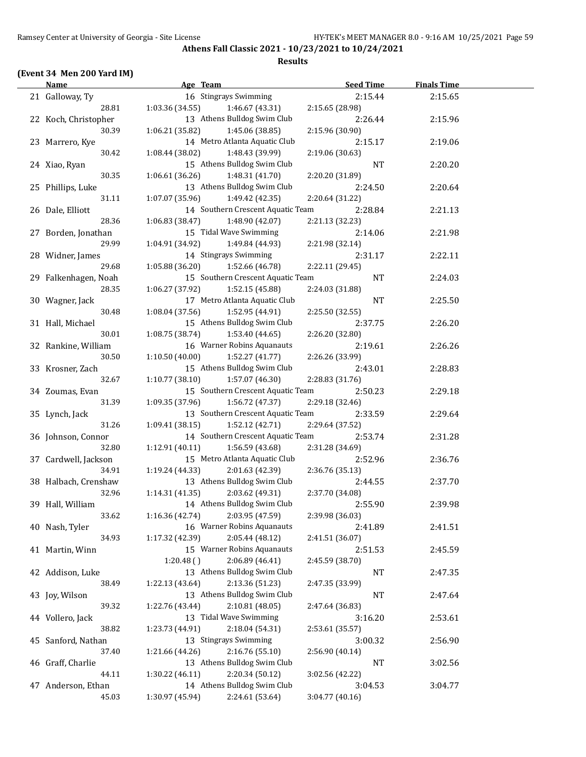#### **(Event 34 Men 200 Yard IM)**

#### **Age Team Age Communicate Seed Time Finals Time** 21 Galloway, Ty 16 Stingrays Swimming 2:15.44 2:15.65 28.81 1:03.36 (34.55) 1:46.67 (43.31) 2:15.65 (28.98) 22 Koch, Christopher 13 Athens Bulldog Swim Club 2:26.44 2:15.96 30.39 1:06.21 (35.82) 1:45.06 (38.85) 2:15.96 (30.90) 23 Marrero, Kye 14 Metro Atlanta Aquatic Club 2:15.17 2:19.06 30.42 1:08.44 (38.02) 1:48.43 (39.99) 2:19.06 (30.63) 24 Xiao, Ryan 15 Athens Bulldog Swim Club NT 2:20.20 30.35 1:06.61 (36.26) 1:48.31 (41.70) 2:20.20 (31.89) 25 Phillips, Luke 13 Athens Bulldog Swim Club 2:24.50 2:20.64 31.11 1:07.07 (35.96) 1:49.42 (42.35) 2:20.64 (31.22) 26 Dale, Elliott 14 Southern Crescent Aquatic Team 2:28.84 2:21.13 28.36 1:06.83 (38.47) 1:48.90 (42.07) 2:21.13 (32.23) 27 Borden, Jonathan 15 Tidal Wave Swimming 2:14.06 2:21.98 29.99 1:04.91 (34.92) 1:49.84 (44.93) 2:21.98 (32.14) 28 Widner, James 14 Stingrays Swimming 2:31.17 2:22.11 29.68 1:05.88 (36.20) 1:52.66 (46.78) 2:22.11 (29.45) 29 Falkenhagen, Noah 15 Southern Crescent Aquatic Team NT 2:24.03 28.35 1:06.27 (37.92) 1:52.15 (45.88) 2:24.03 (31.88) 30 Wagner, Jack 17 Metro Atlanta Aquatic Club NT 2:25.50 30.48 1:08.04 (37.56) 1:52.95 (44.91) 2:25.50 (32.55) 31 Hall, Michael 15 Athens Bulldog Swim Club 2:37.75 2:26.20 30.01 1:08.75 (38.74) 1:53.40 (44.65) 2:26.20 (32.80) 32 Rankine, William 16 Warner Robins Aquanauts 2:19.61 2:26.26 30.50 1:10.50 (40.00) 1:52.27 (41.77) 2:26.26 (33.99) 33 Krosner, Zach 15 Athens Bulldog Swim Club 2:43.01 2:28.83 32.67 1:10.77 (38.10) 1:57.07 (46.30) 2:28.83 (31.76) 34 Zoumas, Evan 15 Southern Crescent Aquatic Team 2:50.23 2:29.18 31.39 1:09.35 (37.96) 1:56.72 (47.37) 2:29.18 (32.46) 35 Lynch, Jack 13 Southern Crescent Aquatic Team 2:33.59 2:29.64 31.26 1:09.41 (38.15) 1:52.12 (42.71) 2:29.64 (37.52) 36 Johnson, Connor 14 Southern Crescent Aquatic Team 2:53.74 2:31.28 32.80 1:12.91 (40.11) 1:56.59 (43.68) 2:31.28 (34.69) 37 Cardwell, Jackson 15 Metro Atlanta Aquatic Club 2:52.96 2:36.76 34.91 1:19.24 (44.33) 2:01.63 (42.39) 2:36.76 (35.13) 38 Halbach, Crenshaw 13 Athens Bulldog Swim Club 2:44.55 2:37.70 32.96 1:14.31 (41.35) 2:03.62 (49.31) 2:37.70 (34.08) 39 Hall, William 14 Athens Bulldog Swim Club 2:55.90 2:39.98 33.62 1:16.36 (42.74) 2:03.95 (47.59) 2:39.98 (36.03) 40 Nash, Tyler 16 Warner Robins Aquanauts 2:41.89 2:41.51 34.93 1:17.32 (42.39) 2:05.44 (48.12) 2:41.51 (36.07) 41 Martin, Winn 15 Warner Robins Aquanauts 2:51.53 2:45.59 1:20.48 ( ) 2:06.89 (46.41) 2:45.59 (38.70) 42 Addison, Luke 13 Athens Bulldog Swim Club NT 2:47.35 38.49 1:22.13 (43.64) 2:13.36 (51.23) 2:47.35 (33.99) 43 Joy, Wilson 13 Athens Bulldog Swim Club NT 2:47.64 39.32 1:22.76 (43.44) 2:10.81 (48.05) 2:47.64 (36.83) 44 Vollero, Jack 13 Tidal Wave Swimming 3:16.20 2:53.61 38.82 1:23.73 (44.91) 2:18.04 (54.31) 2:53.61 (35.57) 45 Sanford, Nathan 13 Stingrays Swimming 3:00.32 2:56.90 37.40 1:21.66 (44.26) 2:16.76 (55.10) 2:56.90 (40.14) 46 Graff, Charlie 13 Athens Bulldog Swim Club NT 3:02.56 44.11 1:30.22 (46.11) 2:20.34 (50.12) 3:02.56 (42.22) 47 Anderson, Ethan 14 Athens Bulldog Swim Club 3:04.53 3:04.77 45.03 1:30.97 (45.94) 2:24.61 (53.64) 3:04.77 (40.16)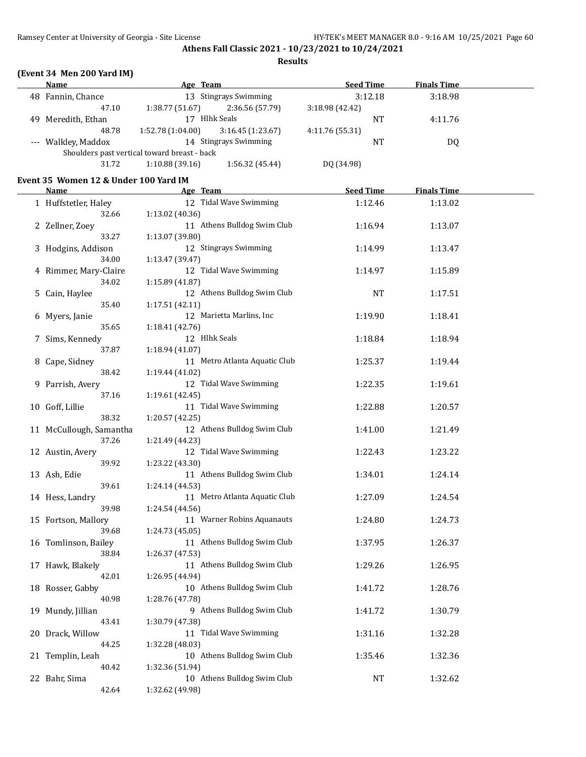#### **Results**

### **(Event 34 Men 200 Yard IM)**

| Name<br>Age Team      |                                              | <b>Seed Time</b>      |                       | <b>Finals Time</b> |         |         |  |
|-----------------------|----------------------------------------------|-----------------------|-----------------------|--------------------|---------|---------|--|
| 48 Fannin, Chance     |                                              | 13 Stingrays Swimming |                       |                    | 3:12.18 | 3:18.98 |  |
|                       | 47.10                                        | 1:38.77 (51.67)       | 2:36.56 (57.79)       | 3:18.98(42.42)     |         |         |  |
| Meredith, Ethan<br>49 |                                              | Hlhk Seals            |                       |                    | NT      | 4:11.76 |  |
|                       | 48.78                                        | 1:52.78(1:04.00)      | 3:16.45(1:23.67)      | 4:11.76 (55.31)    |         |         |  |
| --- Walkley, Maddox   |                                              |                       | 14 Stingrays Swimming |                    | NT      | DQ      |  |
|                       | Shoulders past vertical toward breast - back |                       |                       |                    |         |         |  |
|                       | 31.72                                        | 1:10.88(39.16)        | DQ (34.98)            |                    |         |         |  |
|                       |                                              |                       |                       |                    |         |         |  |

#### **Event 35 Women 12 & Under 100 Yard IM**

| Name                    | Age Team                      | <b>Seed Time</b> | <b>Finals Time</b> |  |
|-------------------------|-------------------------------|------------------|--------------------|--|
| 1 Huffstetler, Haley    | 12 Tidal Wave Swimming        | 1:12.46          | 1:13.02            |  |
| 32.66                   | 1:13.02 (40.36)               |                  |                    |  |
| 2 Zellner, Zoey         | 11 Athens Bulldog Swim Club   | 1:16.94          | 1:13.07            |  |
| 33.27                   | 1:13.07 (39.80)               |                  |                    |  |
| 3 Hodgins, Addison      | 12 Stingrays Swimming         | 1:14.99          | 1:13.47            |  |
| 34.00                   | 1:13.47 (39.47)               |                  |                    |  |
| 4 Rimmer, Mary-Claire   | 12 Tidal Wave Swimming        | 1:14.97          | 1:15.89            |  |
| 34.02                   | 1:15.89 (41.87)               |                  |                    |  |
| 5 Cain, Haylee          | 12 Athens Bulldog Swim Club   | <b>NT</b>        | 1:17.51            |  |
| 35.40                   | 1:17.51 (42.11)               |                  |                    |  |
| 6 Myers, Janie          | 12 Marietta Marlins, Inc      | 1:19.90          | 1:18.41            |  |
| 35.65                   | 1:18.41 (42.76)               |                  |                    |  |
| 7 Sims, Kennedy         | 12 Hlhk Seals                 | 1:18.84          | 1:18.94            |  |
| 37.87                   | 1:18.94 (41.07)               |                  |                    |  |
| 8 Cape, Sidney          | 11 Metro Atlanta Aquatic Club | 1:25.37          | 1:19.44            |  |
| 38.42                   | 1:19.44 (41.02)               |                  |                    |  |
| 9 Parrish, Avery        | 12 Tidal Wave Swimming        | 1:22.35          | 1:19.61            |  |
| 37.16                   | 1:19.61 (42.45)               |                  |                    |  |
| 10 Goff, Lillie         | 11 Tidal Wave Swimming        | 1:22.88          | 1:20.57            |  |
| 38.32                   | 1:20.57 (42.25)               |                  |                    |  |
| 11 McCullough, Samantha | 12 Athens Bulldog Swim Club   | 1:41.00          | 1:21.49            |  |
| 37.26                   | 1:21.49 (44.23)               |                  |                    |  |
| 12 Austin, Avery        | 12 Tidal Wave Swimming        | 1:22.43          | 1:23.22            |  |
| 39.92                   | 1:23.22 (43.30)               |                  |                    |  |
| 13 Ash, Edie            | 11 Athens Bulldog Swim Club   | 1:34.01          | 1:24.14            |  |
| 39.61                   | 1:24.14 (44.53)               |                  |                    |  |
| 14 Hess, Landry         | 11 Metro Atlanta Aquatic Club | 1:27.09          | 1:24.54            |  |
| 39.98                   | 1:24.54 (44.56)               |                  |                    |  |
| 15 Fortson, Mallory     | 11 Warner Robins Aquanauts    | 1:24.80          | 1:24.73            |  |
| 39.68                   | 1:24.73 (45.05)               |                  |                    |  |
| 16 Tomlinson, Bailey    | 11 Athens Bulldog Swim Club   | 1:37.95          | 1:26.37            |  |
| 38.84                   | 1:26.37 (47.53)               |                  |                    |  |
| 17 Hawk, Blakely        | 11 Athens Bulldog Swim Club   | 1:29.26          | 1:26.95            |  |
| 42.01                   | 1:26.95 (44.94)               |                  |                    |  |
| 18 Rosser, Gabby        | 10 Athens Bulldog Swim Club   | 1:41.72          | 1:28.76            |  |
| 40.98                   | 1:28.76 (47.78)               |                  |                    |  |
| 19 Mundy, Jillian       | 9 Athens Bulldog Swim Club    | 1:41.72          | 1:30.79            |  |
| 43.41                   | 1:30.79 (47.38)               |                  |                    |  |
| 20 Drack, Willow        | 11 Tidal Wave Swimming        | 1:31.16          | 1:32.28            |  |
| 44.25                   | 1:32.28 (48.03)               |                  |                    |  |
| 21 Templin, Leah        | 10 Athens Bulldog Swim Club   | 1:35.46          | 1:32.36            |  |
| 40.42                   | 1:32.36 (51.94)               |                  |                    |  |
| 22 Bahr, Sima           | 10 Athens Bulldog Swim Club   | NT               | 1:32.62            |  |
| 42.64                   | 1:32.62 (49.98)               |                  |                    |  |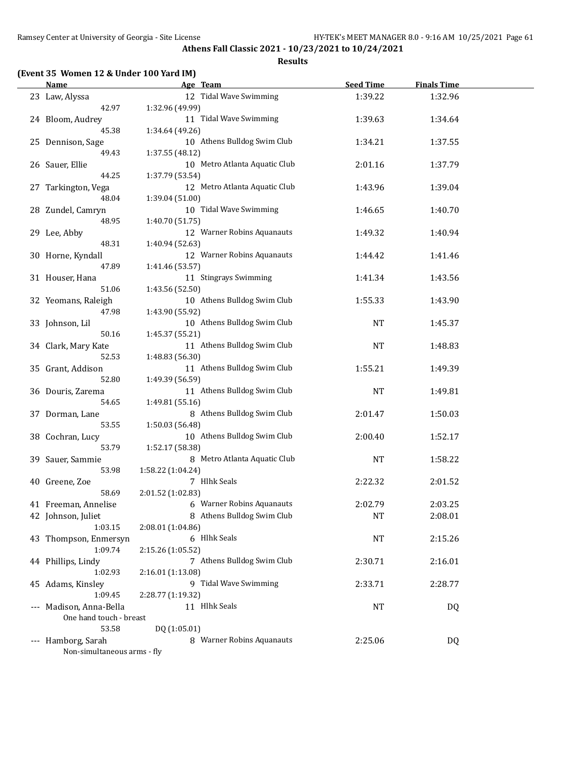#### **Results**

### **(Event 35 Women 12 & Under 100 Yard IM)**

| <b>Name</b>                 | Age Team                      | <b>Seed Time</b> | <b>Finals Time</b> |  |
|-----------------------------|-------------------------------|------------------|--------------------|--|
| 23 Law, Alyssa              | 12 Tidal Wave Swimming        | 1:39.22          | 1:32.96            |  |
| 42.97                       | 1:32.96 (49.99)               |                  |                    |  |
| 24 Bloom, Audrey            | 11 Tidal Wave Swimming        | 1:39.63          | 1:34.64            |  |
| 45.38                       | 1:34.64 (49.26)               |                  |                    |  |
| 25 Dennison, Sage           | 10 Athens Bulldog Swim Club   | 1:34.21          | 1:37.55            |  |
| 49.43                       | 1:37.55 (48.12)               |                  |                    |  |
| 26 Sauer, Ellie             | 10 Metro Atlanta Aquatic Club | 2:01.16          | 1:37.79            |  |
| 44.25                       | 1:37.79 (53.54)               |                  |                    |  |
| 27 Tarkington, Vega         | 12 Metro Atlanta Aquatic Club | 1:43.96          | 1:39.04            |  |
| 48.04                       | 1:39.04 (51.00)               |                  |                    |  |
| 28 Zundel, Camryn           | 10 Tidal Wave Swimming        | 1:46.65          | 1:40.70            |  |
| 48.95                       | 1:40.70 (51.75)               |                  |                    |  |
| 29 Lee, Abby                | 12 Warner Robins Aquanauts    | 1:49.32          | 1:40.94            |  |
| 48.31                       | 1:40.94 (52.63)               |                  |                    |  |
| 30 Horne, Kyndall           | 12 Warner Robins Aquanauts    | 1:44.42          | 1:41.46            |  |
| 47.89                       | 1:41.46 (53.57)               |                  |                    |  |
| 31 Houser, Hana             | 11 Stingrays Swimming         | 1:41.34          | 1:43.56            |  |
| 51.06                       | 1:43.56 (52.50)               |                  |                    |  |
| 32 Yeomans, Raleigh         | 10 Athens Bulldog Swim Club   | 1:55.33          | 1:43.90            |  |
| 47.98                       | 1:43.90 (55.92)               |                  |                    |  |
| 33 Johnson, Lil             | 10 Athens Bulldog Swim Club   | <b>NT</b>        | 1:45.37            |  |
| 50.16                       | 1:45.37 (55.21)               |                  |                    |  |
| 34 Clark, Mary Kate         | 11 Athens Bulldog Swim Club   | NT               | 1:48.83            |  |
| 52.53                       | 1:48.83 (56.30)               |                  |                    |  |
| 35 Grant, Addison           | 11 Athens Bulldog Swim Club   | 1:55.21          | 1:49.39            |  |
| 52.80                       | 1:49.39 (56.59)               |                  |                    |  |
| 36 Douris, Zarema           | 11 Athens Bulldog Swim Club   | NT               | 1:49.81            |  |
| 54.65                       | 1:49.81 (55.16)               |                  |                    |  |
| 37 Dorman, Lane             | 8 Athens Bulldog Swim Club    | 2:01.47          | 1:50.03            |  |
| 53.55                       | 1:50.03 (56.48)               |                  |                    |  |
| 38 Cochran, Lucy            | 10 Athens Bulldog Swim Club   | 2:00.40          | 1:52.17            |  |
| 53.79                       | 1:52.17 (58.38)               |                  |                    |  |
| 39 Sauer, Sammie            | 8 Metro Atlanta Aquatic Club  | <b>NT</b>        | 1:58.22            |  |
| 53.98                       | 1:58.22 (1:04.24)             |                  |                    |  |
| 40 Greene, Zoe              | 7 Hlhk Seals                  | 2:22.32          | 2:01.52            |  |
| 58.69                       | 2:01.52 (1:02.83)             |                  |                    |  |
| 41 Freeman, Annelise        | 6 Warner Robins Aquanauts     | 2:02.79          | 2:03.25            |  |
| 42 Johnson, Juliet          | 8 Athens Bulldog Swim Club    | <b>NT</b>        | 2:08.01            |  |
| 1:03.15                     | 2:08.01 (1:04.86)             |                  |                    |  |
| 43 Thompson, Enmersyn       | 6 Hlhk Seals                  | NT               | 2:15.26            |  |
| 1:09.74                     | 2:15.26 (1:05.52)             |                  |                    |  |
| 44 Phillips, Lindy          | 7 Athens Bulldog Swim Club    | 2:30.71          | 2:16.01            |  |
| 1:02.93                     | 2:16.01 (1:13.08)             |                  |                    |  |
| 45 Adams, Kinsley           | 9 Tidal Wave Swimming         | 2:33.71          | 2:28.77            |  |
| 1:09.45                     | 2:28.77 (1:19.32)             |                  |                    |  |
| --- Madison, Anna-Bella     | 11 Hlhk Seals                 | NT               | DQ                 |  |
| One hand touch - breast     |                               |                  |                    |  |
| 53.58                       | DQ (1:05.01)                  |                  |                    |  |
| --- Hamborg, Sarah          | 8 Warner Robins Aquanauts     | 2:25.06          | <b>DQ</b>          |  |
| Non-simultaneous arms - fly |                               |                  |                    |  |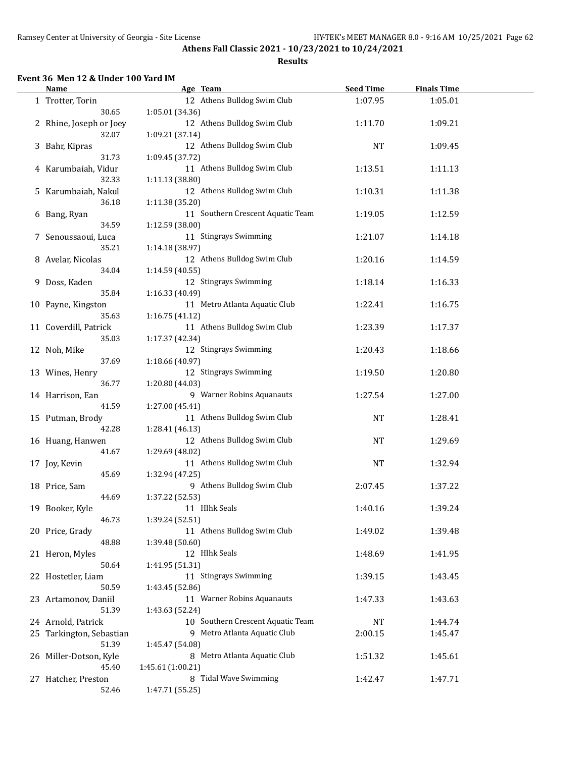#### **Results**

#### **Event 36 Men 12 & Under 100 Yard IM**

| <b>Name</b>              | Age Team                          | <b>Seed Time</b> | <b>Finals Time</b> |  |
|--------------------------|-----------------------------------|------------------|--------------------|--|
| 1 Trotter, Torin         | 12 Athens Bulldog Swim Club       | 1:07.95          | 1:05.01            |  |
| 30.65                    | 1:05.01 (34.36)                   |                  |                    |  |
| 2 Rhine, Joseph or Joey  | 12 Athens Bulldog Swim Club       | 1:11.70          | 1:09.21            |  |
| 32.07                    | 1:09.21 (37.14)                   |                  |                    |  |
|                          |                                   |                  |                    |  |
| 3 Bahr, Kipras           | 12 Athens Bulldog Swim Club       | NT               | 1:09.45            |  |
| 31.73                    | 1:09.45 (37.72)                   |                  |                    |  |
| 4 Karumbaiah, Vidur      | 11 Athens Bulldog Swim Club       | 1:13.51          | 1:11.13            |  |
| 32.33                    | 1:11.13 (38.80)                   |                  |                    |  |
| 5 Karumbaiah, Nakul      | 12 Athens Bulldog Swim Club       | 1:10.31          | 1:11.38            |  |
| 36.18                    | 1:11.38 (35.20)                   |                  |                    |  |
| 6 Bang, Ryan             | 11 Southern Crescent Aquatic Team | 1:19.05          | 1:12.59            |  |
| 34.59                    | 1:12.59 (38.00)                   |                  |                    |  |
| 7 Senoussaoui, Luca      | 11 Stingrays Swimming             | 1:21.07          | 1:14.18            |  |
| 35.21                    | 1:14.18 (38.97)                   |                  |                    |  |
|                          |                                   |                  |                    |  |
| 8 Avelar, Nicolas        | 12 Athens Bulldog Swim Club       | 1:20.16          | 1:14.59            |  |
| 34.04                    | 1:14.59 (40.55)                   |                  |                    |  |
| 9 Doss, Kaden            | 12 Stingrays Swimming             | 1:18.14          | 1:16.33            |  |
| 35.84                    | 1:16.33 (40.49)                   |                  |                    |  |
| 10 Payne, Kingston       | 11 Metro Atlanta Aquatic Club     | 1:22.41          | 1:16.75            |  |
| 35.63                    | 1:16.75(41.12)                    |                  |                    |  |
| 11 Coverdill, Patrick    | 11 Athens Bulldog Swim Club       | 1:23.39          | 1:17.37            |  |
| 35.03                    | 1:17.37 (42.34)                   |                  |                    |  |
| 12 Noh, Mike             | 12 Stingrays Swimming             | 1:20.43          | 1:18.66            |  |
|                          |                                   |                  |                    |  |
| 37.69                    | 1:18.66 (40.97)                   |                  |                    |  |
| 13 Wines, Henry          | 12 Stingrays Swimming             | 1:19.50          | 1:20.80            |  |
| 36.77                    | 1:20.80 (44.03)                   |                  |                    |  |
| 14 Harrison, Ean         | 9 Warner Robins Aquanauts         | 1:27.54          | 1:27.00            |  |
| 41.59                    | 1:27.00 (45.41)                   |                  |                    |  |
| 15 Putman, Brody         | 11 Athens Bulldog Swim Club       | <b>NT</b>        | 1:28.41            |  |
| 42.28                    | 1:28.41 (46.13)                   |                  |                    |  |
| 16 Huang, Hanwen         | 12 Athens Bulldog Swim Club       | NT               | 1:29.69            |  |
| 41.67                    | 1:29.69 (48.02)                   |                  |                    |  |
|                          | 11 Athens Bulldog Swim Club       |                  | 1:32.94            |  |
| 17 Joy, Kevin            |                                   | <b>NT</b>        |                    |  |
| 45.69                    | 1:32.94 (47.25)                   |                  |                    |  |
| 18 Price, Sam            | 9 Athens Bulldog Swim Club        | 2:07.45          | 1:37.22            |  |
| 44.69                    | 1:37.22 (52.53)                   |                  |                    |  |
| 19 Booker, Kyle          | 11 Hlhk Seals                     | 1:40.16          | 1:39.24            |  |
| 46.73                    | 1:39.24 (52.51)                   |                  |                    |  |
| 20 Price, Grady          | 11 Athens Bulldog Swim Club       | 1:49.02          | 1:39.48            |  |
| 48.88                    | 1:39.48 (50.60)                   |                  |                    |  |
| 21 Heron, Myles          | 12 Hlhk Seals                     | 1:48.69          | 1:41.95            |  |
| 50.64                    | 1:41.95 (51.31)                   |                  |                    |  |
|                          | 11 Stingrays Swimming             |                  |                    |  |
| 22 Hostetler, Liam       |                                   | 1:39.15          | 1:43.45            |  |
| 50.59                    | 1:43.45 (52.86)                   |                  |                    |  |
| 23 Artamonov, Daniil     | 11 Warner Robins Aquanauts        | 1:47.33          | 1:43.63            |  |
| 51.39                    | 1:43.63 (52.24)                   |                  |                    |  |
| 24 Arnold, Patrick       | 10 Southern Crescent Aquatic Team | NT               | 1:44.74            |  |
| 25 Tarkington, Sebastian | 9 Metro Atlanta Aquatic Club      | 2:00.15          | 1:45.47            |  |
| 51.39                    | 1:45.47 (54.08)                   |                  |                    |  |
| 26 Miller-Dotson, Kyle   | 8 Metro Atlanta Aquatic Club      | 1:51.32          | 1:45.61            |  |
| 45.40                    |                                   |                  |                    |  |
|                          | 1:45.61 (1:00.21)                 |                  |                    |  |
| 27 Hatcher, Preston      | 8 Tidal Wave Swimming             | 1:42.47          | 1:47.71            |  |
| 52.46                    | 1:47.71 (55.25)                   |                  |                    |  |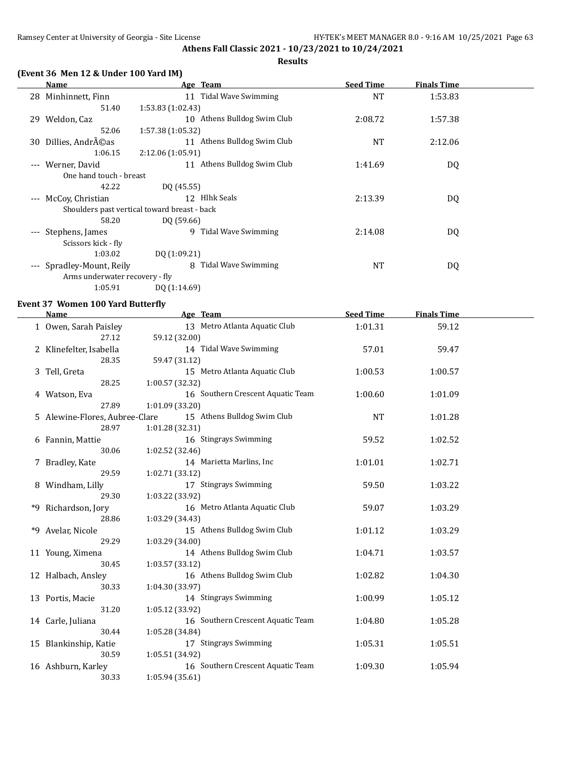### **Results**

| (Event 36 Men 12 & Under 100 Yard IM) |
|---------------------------------------|
|---------------------------------------|

|                                          | Name                           | Age Team                                     | <b>Seed Time</b> | <b>Finals Time</b> |  |
|------------------------------------------|--------------------------------|----------------------------------------------|------------------|--------------------|--|
| 28                                       | Minhinnett, Finn               | Tidal Wave Swimming<br>11                    | <b>NT</b>        | 1:53.83            |  |
|                                          | 51.40                          | 1:53.83(1:02.43)                             |                  |                    |  |
| 29                                       | Weldon, Caz                    | 10 Athens Bulldog Swim Club                  | 2:08.72          | 1:57.38            |  |
|                                          | 52.06                          | 1:57.38(1:05.32)                             |                  |                    |  |
| 30                                       | Dillies, Andréas               | 11 Athens Bulldog Swim Club                  | <b>NT</b>        | 2:12.06            |  |
|                                          | 1:06.15                        | 2:12.06(1:05.91)                             |                  |                    |  |
| $---$                                    | Werner, David                  | 11 Athens Bulldog Swim Club                  | 1:41.69          | DQ                 |  |
|                                          | One hand touch - breast        |                                              |                  |                    |  |
|                                          | 42.22                          | DQ (45.55)                                   |                  |                    |  |
| $---$                                    | McCoy, Christian               | 12 Hlhk Seals                                | 2:13.39          | DQ                 |  |
|                                          |                                | Shoulders past vertical toward breast - back |                  |                    |  |
|                                          | 58.20                          | DQ (59.66)                                   |                  |                    |  |
| $---$                                    | Stephens, James                | Tidal Wave Swimming<br>9                     | 2:14.08          | DQ                 |  |
|                                          | Scissors kick - fly            |                                              |                  |                    |  |
|                                          | 1:03.02                        | DQ (1:09.21)                                 |                  |                    |  |
| $\hspace{0.05cm} \ldots \hspace{0.05cm}$ | Spradley-Mount, Reily          | Tidal Wave Swimming<br>8                     | NT               | DQ                 |  |
|                                          | Arms underwater recovery - fly |                                              |                  |                    |  |
|                                          | 1:05.91                        | DQ (1:14.69)                                 |                  |                    |  |
|                                          |                                |                                              |                  |                    |  |

### **Event 37 Women 100 Yard Butterfly**

|    | Name                           | Age Team                          | <b>Seed Time</b> | <b>Finals Time</b> |  |
|----|--------------------------------|-----------------------------------|------------------|--------------------|--|
|    | 1 Owen, Sarah Paisley          | 13 Metro Atlanta Aquatic Club     | 1:01.31          | 59.12              |  |
|    | 27.12                          | 59.12 (32.00)                     |                  |                    |  |
|    | 2 Klinefelter, Isabella        | 14 Tidal Wave Swimming            | 57.01            | 59.47              |  |
|    | 28.35                          | 59.47 (31.12)                     |                  |                    |  |
|    | 3 Tell, Greta                  | 15 Metro Atlanta Aquatic Club     | 1:00.53          | 1:00.57            |  |
|    | 28.25                          | 1:00.57 (32.32)                   |                  |                    |  |
|    | 4 Watson, Eva                  | 16 Southern Crescent Aquatic Team | 1:00.60          | 1:01.09            |  |
|    | 27.89                          | 1:01.09 (33.20)                   |                  |                    |  |
|    | 5 Alewine-Flores, Aubree-Clare | 15 Athens Bulldog Swim Club       | <b>NT</b>        | 1:01.28            |  |
|    | 28.97                          | 1:01.28 (32.31)                   |                  |                    |  |
|    | 6 Fannin, Mattie               | 16 Stingrays Swimming             | 59.52            | 1:02.52            |  |
|    | 30.06                          | 1:02.52 (32.46)                   |                  |                    |  |
|    | 7 Bradley, Kate                | 14 Marietta Marlins, Inc          | 1:01.01          | 1:02.71            |  |
|    | 29.59                          | 1:02.71 (33.12)                   |                  |                    |  |
|    | 8 Windham, Lilly               | 17 Stingrays Swimming             | 59.50            | 1:03.22            |  |
|    | 29.30                          | 1:03.22 (33.92)                   |                  |                    |  |
|    | *9 Richardson, Jory            | 16 Metro Atlanta Aquatic Club     | 59.07            | 1:03.29            |  |
|    | 28.86                          | 1:03.29 (34.43)                   |                  |                    |  |
| *9 | Avelar, Nicole                 | 15 Athens Bulldog Swim Club       | 1:01.12          | 1:03.29            |  |
|    | 29.29                          | 1:03.29 (34.00)                   |                  |                    |  |
|    | 11 Young, Ximena               | 14 Athens Bulldog Swim Club       | 1:04.71          | 1:03.57            |  |
|    | 30.45                          | 1:03.57(33.12)                    |                  |                    |  |
|    | 12 Halbach, Ansley             | 16 Athens Bulldog Swim Club       | 1:02.82          | 1:04.30            |  |
|    | 30.33                          | 1:04.30 (33.97)                   |                  |                    |  |
|    | 13 Portis, Macie               | 14 Stingrays Swimming             | 1:00.99          | 1:05.12            |  |
|    | 31.20                          | 1:05.12 (33.92)                   |                  |                    |  |
|    | 14 Carle, Juliana              | 16 Southern Crescent Aquatic Team | 1:04.80          | 1:05.28            |  |
|    | 30.44                          | 1:05.28 (34.84)                   |                  |                    |  |
|    | 15 Blankinship, Katie          | 17 Stingrays Swimming             | 1:05.31          | 1:05.51            |  |
|    | 30.59                          | 1:05.51 (34.92)                   |                  |                    |  |
|    | 16 Ashburn, Karley             | 16 Southern Crescent Aquatic Team | 1:09.30          | 1:05.94            |  |
|    | 30.33                          | 1:05.94(35.61)                    |                  |                    |  |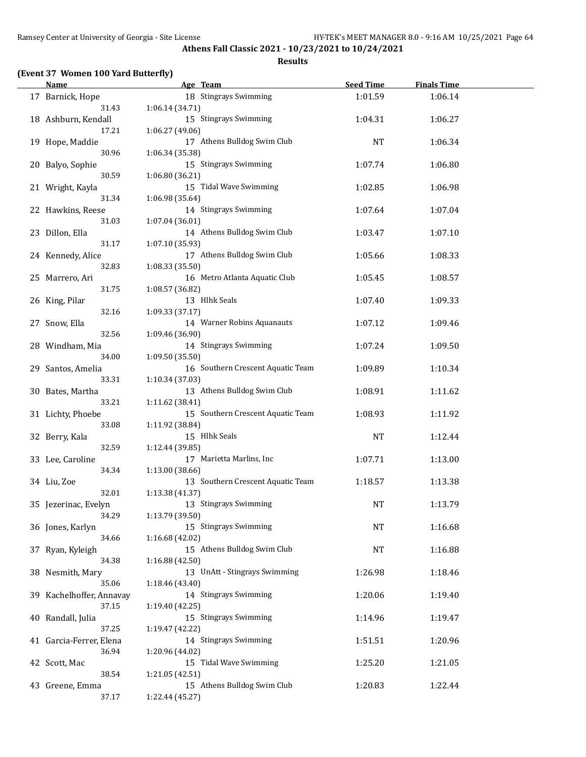#### **Results**

### **(Event 37 Women 100 Yard Butterfly)**

| <b>Name</b>              | Age Team                          | <b>Seed Time</b> | <b>Finals Time</b> |  |
|--------------------------|-----------------------------------|------------------|--------------------|--|
| 17 Barnick, Hope         | 18 Stingrays Swimming             | 1:01.59          | 1:06.14            |  |
| 31.43                    | 1:06.14 (34.71)                   |                  |                    |  |
| 18 Ashburn, Kendall      | 15 Stingrays Swimming             | 1:04.31          | 1:06.27            |  |
| 17.21                    | 1:06.27 (49.06)                   |                  |                    |  |
| 19 Hope, Maddie          | 17 Athens Bulldog Swim Club       | <b>NT</b>        | 1:06.34            |  |
| 30.96                    | 1:06.34 (35.38)                   |                  |                    |  |
|                          | 15 Stingrays Swimming             |                  |                    |  |
| 20 Balyo, Sophie         |                                   | 1:07.74          | 1:06.80            |  |
| 30.59                    | 1:06.80(36.21)                    |                  |                    |  |
| 21 Wright, Kayla         | 15 Tidal Wave Swimming            | 1:02.85          | 1:06.98            |  |
| 31.34                    | 1:06.98 (35.64)                   |                  |                    |  |
| 22 Hawkins, Reese        | 14 Stingrays Swimming             | 1:07.64          | 1:07.04            |  |
| 31.03                    | 1:07.04 (36.01)                   |                  |                    |  |
| 23 Dillon, Ella          | 14 Athens Bulldog Swim Club       | 1:03.47          | 1:07.10            |  |
| 31.17                    | 1:07.10 (35.93)                   |                  |                    |  |
| 24 Kennedy, Alice        | 17 Athens Bulldog Swim Club       | 1:05.66          | 1:08.33            |  |
| 32.83                    | 1:08.33(35.50)                    |                  |                    |  |
| 25 Marrero, Ari          | 16 Metro Atlanta Aquatic Club     | 1:05.45          | 1:08.57            |  |
| 31.75                    | 1:08.57 (36.82)                   |                  |                    |  |
| 26 King, Pilar           | 13 Hlhk Seals                     | 1:07.40          | 1:09.33            |  |
| 32.16                    | 1:09.33 (37.17)                   |                  |                    |  |
| 27 Snow, Ella            | 14 Warner Robins Aquanauts        | 1:07.12          | 1:09.46            |  |
| 32.56                    | 1:09.46 (36.90)                   |                  |                    |  |
|                          | 14 Stingrays Swimming             |                  |                    |  |
| 28 Windham, Mia          |                                   | 1:07.24          | 1:09.50            |  |
| 34.00                    | 1:09.50 (35.50)                   |                  |                    |  |
| 29 Santos, Amelia        | 16 Southern Crescent Aquatic Team | 1:09.89          | 1:10.34            |  |
| 33.31                    | 1:10.34 (37.03)                   |                  |                    |  |
| 30 Bates, Martha         | 13 Athens Bulldog Swim Club       | 1:08.91          | 1:11.62            |  |
| 33.21                    | 1:11.62 (38.41)                   |                  |                    |  |
| 31 Lichty, Phoebe        | 15 Southern Crescent Aquatic Team | 1:08.93          | 1:11.92            |  |
| 33.08                    | 1:11.92 (38.84)                   |                  |                    |  |
| 32 Berry, Kala           | 15 Hlhk Seals                     | <b>NT</b>        | 1:12.44            |  |
| 32.59                    | 1:12.44 (39.85)                   |                  |                    |  |
| 33 Lee, Caroline         | 17 Marietta Marlins, Inc          | 1:07.71          | 1:13.00            |  |
| 34.34                    | 1:13.00 (38.66)                   |                  |                    |  |
| 34 Liu, Zoe              | 13 Southern Crescent Aquatic Team | 1:18.57          | 1:13.38            |  |
| 32.01                    | 1:13.38 (41.37)                   |                  |                    |  |
| 35 Jezerinac, Evelyn     | 13 Stingrays Swimming             | <b>NT</b>        | 1:13.79            |  |
| 34.29                    | 1:13.79 (39.50)                   |                  |                    |  |
| 36 Jones, Karlyn         | 15 Stingrays Swimming             | NT               | 1:16.68            |  |
| 34.66                    | 1:16.68 (42.02)                   |                  |                    |  |
|                          |                                   |                  |                    |  |
| 37 Ryan, Kyleigh         | 15 Athens Bulldog Swim Club       | <b>NT</b>        | 1:16.88            |  |
| 34.38                    | 1:16.88 (42.50)                   |                  |                    |  |
| 38 Nesmith, Mary         | 13 UnAtt - Stingrays Swimming     | 1:26.98          | 1:18.46            |  |
| 35.06                    | 1:18.46 (43.40)                   |                  |                    |  |
| 39 Kachelhoffer, Annavay | 14 Stingrays Swimming             | 1:20.06          | 1:19.40            |  |
| 37.15                    | 1:19.40 (42.25)                   |                  |                    |  |
| 40 Randall, Julia        | 15 Stingrays Swimming             | 1:14.96          | 1:19.47            |  |
| 37.25                    | 1:19.47 (42.22)                   |                  |                    |  |
| 41 Garcia-Ferrer, Elena  | 14 Stingrays Swimming             | 1:51.51          | 1:20.96            |  |
| 36.94                    | 1:20.96 (44.02)                   |                  |                    |  |
| 42 Scott, Mac            | 15 Tidal Wave Swimming            | 1:25.20          | 1:21.05            |  |
| 38.54                    | 1:21.05 (42.51)                   |                  |                    |  |
| 43 Greene, Emma          | 15 Athens Bulldog Swim Club       | 1:20.83          | 1:22.44            |  |
| 37.17                    | 1:22.44 (45.27)                   |                  |                    |  |
|                          |                                   |                  |                    |  |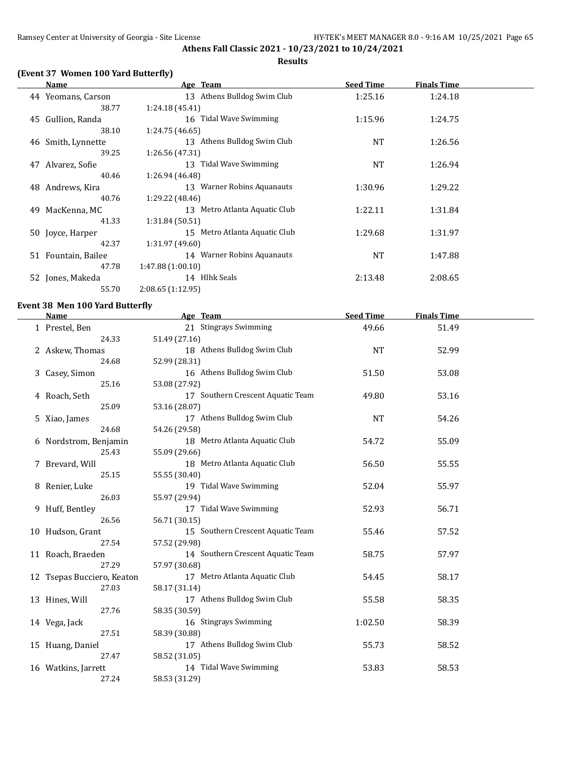### **(Event 37 Women 100 Yard Butterfly)**

|     | Name                | Age Team                      | <b>Seed Time</b> | <b>Finals Time</b> |  |
|-----|---------------------|-------------------------------|------------------|--------------------|--|
|     | 44 Yeomans, Carson  | 13 Athens Bulldog Swim Club   | 1:25.16          | 1:24.18            |  |
|     | 38.77               | 1:24.18 (45.41)               |                  |                    |  |
| 45  | Gullion, Randa      | 16 Tidal Wave Swimming        | 1:15.96          | 1:24.75            |  |
|     | 38.10               | 1:24.75 (46.65)               |                  |                    |  |
|     | 46 Smith, Lynnette  | 13 Athens Bulldog Swim Club   | <b>NT</b>        | 1:26.56            |  |
|     | 39.25               | 1:26.56 (47.31)               |                  |                    |  |
| 47  | Alvarez, Sofie      | 13 Tidal Wave Swimming        | <b>NT</b>        | 1:26.94            |  |
|     | 40.46               | 1:26.94 (46.48)               |                  |                    |  |
|     | 48 Andrews, Kira    | 13 Warner Robins Aquanauts    | 1:30.96          | 1:29.22            |  |
|     | 40.76               | 1:29.22 (48.46)               |                  |                    |  |
| 49. | MacKenna, MC        | 13 Metro Atlanta Aquatic Club | 1:22.11          | 1:31.84            |  |
|     | 41.33               | 1:31.84(50.51)                |                  |                    |  |
|     | 50 Joyce, Harper    | 15 Metro Atlanta Aquatic Club | 1:29.68          | 1:31.97            |  |
|     | 42.37               | 1:31.97 (49.60)               |                  |                    |  |
|     | 51 Fountain, Bailee | 14 Warner Robins Aquanauts    | <b>NT</b>        | 1:47.88            |  |
|     | 47.78               | 1:47.88(1:00.10)              |                  |                    |  |
|     | 52 Jones, Makeda    | 14 Hlhk Seals                 | 2:13.48          | 2:08.65            |  |
|     | 55.70               | 2:08.65(1:12.95)              |                  |                    |  |

#### **Event 38 Men 100 Yard Butterfly**

| Name                       | Age Team                          | <b>Seed Time</b> | <b>Finals Time</b> |  |
|----------------------------|-----------------------------------|------------------|--------------------|--|
| 1 Prestel, Ben             | 21 Stingrays Swimming             | 49.66            | 51.49              |  |
| 24.33                      | 51.49 (27.16)                     |                  |                    |  |
| 2 Askew, Thomas            | 18 Athens Bulldog Swim Club       | <b>NT</b>        | 52.99              |  |
| 24.68                      | 52.99 (28.31)                     |                  |                    |  |
| 3 Casey, Simon             | 16 Athens Bulldog Swim Club       | 51.50            | 53.08              |  |
| 25.16                      | 53.08 (27.92)                     |                  |                    |  |
| 4 Roach, Seth              | 17 Southern Crescent Aquatic Team | 49.80            | 53.16              |  |
| 25.09                      | 53.16 (28.07)                     |                  |                    |  |
| 5 Xiao, James              | 17 Athens Bulldog Swim Club       | <b>NT</b>        | 54.26              |  |
| 24.68                      | 54.26 (29.58)                     |                  |                    |  |
| 6 Nordstrom, Benjamin      | 18 Metro Atlanta Aquatic Club     | 54.72            | 55.09              |  |
| 25.43                      | 55.09 (29.66)                     |                  |                    |  |
| 7 Brevard, Will            | 18 Metro Atlanta Aquatic Club     | 56.50            | 55.55              |  |
| 25.15                      | 55.55 (30.40)                     |                  |                    |  |
| 8 Renier, Luke             | 19 Tidal Wave Swimming            | 52.04            | 55.97              |  |
| 26.03                      | 55.97 (29.94)                     |                  |                    |  |
| 9 Huff, Bentley            | 17 Tidal Wave Swimming            | 52.93            | 56.71              |  |
| 26.56                      | 56.71 (30.15)                     |                  |                    |  |
| 10 Hudson, Grant           | 15 Southern Crescent Aquatic Team | 55.46            | 57.52              |  |
| 27.54                      | 57.52 (29.98)                     |                  |                    |  |
| 11 Roach, Braeden          | 14 Southern Crescent Aquatic Team | 58.75            | 57.97              |  |
| 27.29                      | 57.97 (30.68)                     |                  |                    |  |
| 12 Tsepas Bucciero, Keaton | 17 Metro Atlanta Aquatic Club     | 54.45            | 58.17              |  |
| 27.03                      | 58.17 (31.14)                     |                  |                    |  |
| 13 Hines, Will             | 17 Athens Bulldog Swim Club       | 55.58            | 58.35              |  |
| 27.76                      | 58.35 (30.59)                     |                  |                    |  |
| 14 Vega, Jack              | 16 Stingrays Swimming             | 1:02.50          | 58.39              |  |
| 27.51                      | 58.39 (30.88)                     |                  |                    |  |
| 15 Huang, Daniel           | 17 Athens Bulldog Swim Club       | 55.73            | 58.52              |  |
| 27.47                      | 58.52 (31.05)                     |                  |                    |  |
| 16 Watkins, Jarrett        | 14 Tidal Wave Swimming            | 53.83            | 58.53              |  |
| 27.24                      | 58.53 (31.29)                     |                  |                    |  |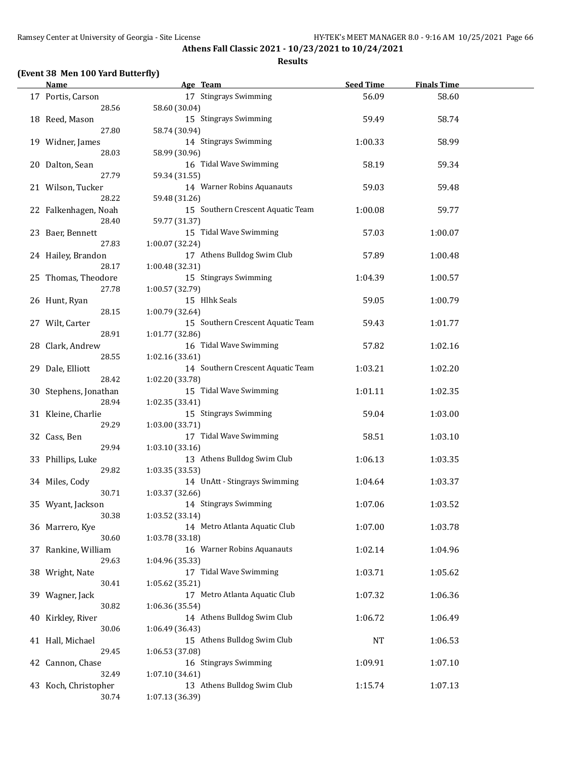### **(Event 38 Men 100 Yard Butterfly)**

| <b>Name</b>           | Age Team                                         | <b>Seed Time</b> | <b>Finals Time</b> |  |
|-----------------------|--------------------------------------------------|------------------|--------------------|--|
| 17 Portis, Carson     | 17 Stingrays Swimming                            | 56.09            | 58.60              |  |
| 28.56                 | 58.60 (30.04)                                    |                  |                    |  |
| 18 Reed, Mason        | 15 Stingrays Swimming                            | 59.49            | 58.74              |  |
| 27.80                 | 58.74 (30.94)                                    |                  |                    |  |
| 19 Widner, James      | 14 Stingrays Swimming                            | 1:00.33          | 58.99              |  |
| 28.03                 | 58.99 (30.96)                                    |                  |                    |  |
| 20 Dalton, Sean       | 16 Tidal Wave Swimming                           | 58.19            | 59.34              |  |
| 27.79                 |                                                  |                  |                    |  |
|                       | 59.34 (31.55)                                    |                  |                    |  |
| 21 Wilson, Tucker     | 14 Warner Robins Aquanauts                       | 59.03            | 59.48              |  |
| 28.22                 | 59.48 (31.26)                                    |                  |                    |  |
| 22 Falkenhagen, Noah  | 15 Southern Crescent Aquatic Team                | 1:00.08          | 59.77              |  |
| 28.40                 | 59.77 (31.37)                                    |                  |                    |  |
| 23 Baer, Bennett      | 15 Tidal Wave Swimming                           | 57.03            | 1:00.07            |  |
| 27.83                 | 1:00.07 (32.24)                                  |                  |                    |  |
| 24 Hailey, Brandon    | 17 Athens Bulldog Swim Club                      | 57.89            | 1:00.48            |  |
| 28.17                 | 1:00.48 (32.31)                                  |                  |                    |  |
| 25 Thomas, Theodore   | 15 Stingrays Swimming                            | 1:04.39          | 1:00.57            |  |
| 27.78                 | 1:00.57 (32.79)                                  |                  |                    |  |
| 26 Hunt, Ryan         | 15 Hlhk Seals                                    | 59.05            | 1:00.79            |  |
| 28.15                 | 1:00.79 (32.64)                                  |                  |                    |  |
| 27 Wilt, Carter       | 15 Southern Crescent Aquatic Team                | 59.43            | 1:01.77            |  |
| 28.91                 | 1:01.77 (32.86)                                  |                  |                    |  |
| 28 Clark, Andrew      | 16 Tidal Wave Swimming                           | 57.82            | 1:02.16            |  |
| 28.55                 | 1:02.16(33.61)                                   |                  |                    |  |
| 29 Dale, Elliott      | 14 Southern Crescent Aquatic Team                | 1:03.21          | 1:02.20            |  |
| 28.42                 | 1:02.20 (33.78)                                  |                  |                    |  |
| 30 Stephens, Jonathan | 15 Tidal Wave Swimming                           | 1:01.11          | 1:02.35            |  |
| 28.94                 | 1:02.35 (33.41)                                  |                  |                    |  |
| 31 Kleine, Charlie    | 15 Stingrays Swimming                            | 59.04            | 1:03.00            |  |
| 29.29                 | 1:03.00 (33.71)                                  |                  |                    |  |
| 32 Cass, Ben          | 17 Tidal Wave Swimming                           | 58.51            | 1:03.10            |  |
| 29.94                 | 1:03.10 (33.16)                                  |                  |                    |  |
| 33 Phillips, Luke     | 13 Athens Bulldog Swim Club                      | 1:06.13          | 1:03.35            |  |
| 29.82                 | 1:03.35 (33.53)                                  |                  |                    |  |
| 34 Miles, Cody        | 14 UnAtt - Stingrays Swimming                    | 1:04.64          | 1:03.37            |  |
| 30.71                 | 1:03.37 (32.66)                                  |                  |                    |  |
| 35 Wyant, Jackson     | 14 Stingrays Swimming                            | 1:07.06          | 1:03.52            |  |
| 30.38                 | 1:03.52(33.14)                                   |                  |                    |  |
| 36 Marrero, Kye       | 14 Metro Atlanta Aquatic Club                    | 1:07.00          | 1:03.78            |  |
| 30.60                 | 1:03.78 (33.18)                                  |                  |                    |  |
| 37 Rankine, William   | 16 Warner Robins Aquanauts                       | 1:02.14          | 1:04.96            |  |
| 29.63                 | 1:04.96 (35.33)                                  |                  |                    |  |
|                       | 17 Tidal Wave Swimming                           |                  | 1:05.62            |  |
| 38 Wright, Nate       |                                                  | 1:03.71          |                    |  |
| 30.41                 | 1:05.62 (35.21)<br>17 Metro Atlanta Aquatic Club |                  |                    |  |
| 39 Wagner, Jack       |                                                  | 1:07.32          | 1:06.36            |  |
| 30.82                 | 1:06.36 (35.54)                                  |                  |                    |  |
| 40 Kirkley, River     | 14 Athens Bulldog Swim Club                      | 1:06.72          | 1:06.49            |  |
| 30.06                 | 1:06.49 (36.43)                                  |                  |                    |  |
| 41 Hall, Michael      | 15 Athens Bulldog Swim Club                      | NT               | 1:06.53            |  |
| 29.45                 | 1:06.53 (37.08)                                  |                  |                    |  |
| 42 Cannon, Chase      | 16 Stingrays Swimming                            | 1:09.91          | 1:07.10            |  |
| 32.49                 | 1:07.10 (34.61)                                  |                  |                    |  |
| 43 Koch, Christopher  | 13 Athens Bulldog Swim Club                      | 1:15.74          | 1:07.13            |  |
| 30.74                 | 1:07.13 (36.39)                                  |                  |                    |  |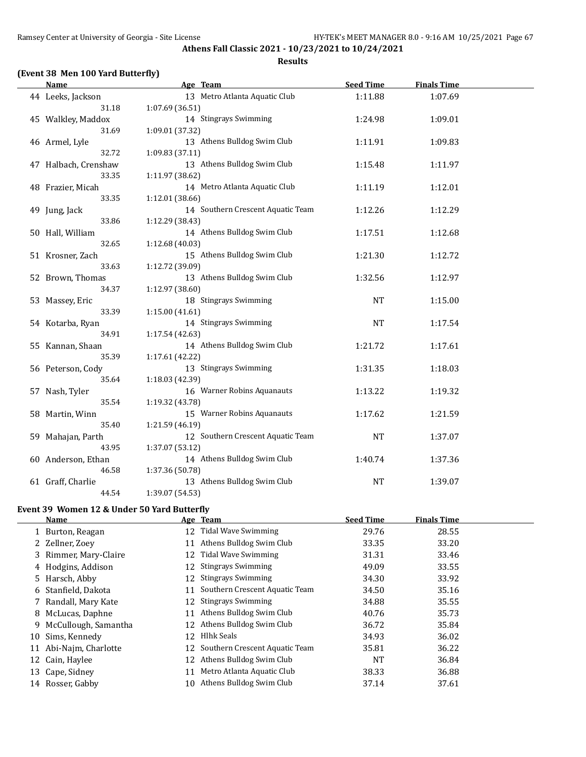#### **(Event 38 Men 100 Yard Butterfly)**

#### **Age Team Age Communicate Seed Time Finals Time** 44 Leeks, Jackson 13 Metro Atlanta Aquatic Club 1:11.88 1:07.69 31.18 1:07.69 (36.51) 45 Walkley, Maddox 14 Stingrays Swimming 1:24.98 1:09.01 31.69 1:09.01 (37.32) 46 Armel, Lyle 13 Athens Bulldog Swim Club 1:11.91 1:09.83 32.72 1:09.83 (37.11) 47 Halbach, Crenshaw 13 Athens Bulldog Swim Club 1:15.48 1:11.97 33.35 1:11.97 (38.62) 48 Frazier, Micah 14 Metro Atlanta Aquatic Club 1:11.19 1:12.01 33.35 1:12.01 (38.66) 49 Jung, Jack 1:12.29 14 Southern Crescent Aquatic Team 1:12.26 1:12.29 33.86 1:12.29 (38.43) 50 Hall, William 14 Athens Bulldog Swim Club 1:17.51 1:12.68 32.65 1:12.68 (40.03) 51 Krosner, Zach 15 Athens Bulldog Swim Club 1:21.30 1:12.72 33.63 1:12.72 (39.09) 52 Brown, Thomas 13 Athens Bulldog Swim Club 1:32.56 1:12.97 34.37 1:12.97 (38.60) 53 Massey, Eric **18 Stingrays Swimming** NT 1:15.00 33.39 1:15.00 (41.61) 54 Kotarba, Ryan 1:17.54 Stingrays Swimming 1:17.54 NT 1:17.54 34.91 1:17.54 (42.63) 55 Kannan, Shaan 14 Athens Bulldog Swim Club 1:21.72 1:17.61 35.39 1:17.61 (42.22) 56 Peterson, Cody 13 Stingrays Swimming 1:31.35 1:18.03 35.64 1:18.03 (42.39) 57 Nash, Tyler 16 Warner Robins Aquanauts 1:13.22 1:19.32 35.54 1:19.32 (43.78) 58 Martin, Winn 15 Warner Robins Aquanauts 1:17.62 1:21.59 35.40 1:21.59 (46.19) 59 Mahajan, Parth 12 Southern Crescent Aquatic Team NT 1:37.07 43.95 1:37.07 (53.12) 60 Anderson, Ethan 14 Athens Bulldog Swim Club 1:40.74 1:37.36 46.58 1:37.36 (50.78) 61 Graff, Charlie 13 Athens Bulldog Swim Club NT 1:39.07 44.54 1:39.07 (54.53)

#### **Event 39 Women 12 & Under 50 Yard Butterfly**

|    | <b>Name</b>           |    | Age Team                       | <b>Seed Time</b> | <b>Finals Time</b> |
|----|-----------------------|----|--------------------------------|------------------|--------------------|
|    | 1 Burton, Reagan      | 12 | Tidal Wave Swimming            | 29.76            | 28.55              |
|    | 2 Zellner, Zoev       | 11 | Athens Bulldog Swim Club       | 33.35            | 33.20              |
|    | 3 Rimmer, Mary-Claire | 12 | Tidal Wave Swimming            | 31.31            | 33.46              |
|    | 4 Hodgins, Addison    | 12 | <b>Stingrays Swimming</b>      | 49.09            | 33.55              |
|    | 5 Harsch, Abby        | 12 | <b>Stingrays Swimming</b>      | 34.30            | 33.92              |
|    | 6 Stanfield, Dakota   | 11 | Southern Crescent Aquatic Team | 34.50            | 35.16              |
|    | 7 Randall, Mary Kate  | 12 | <b>Stingrays Swimming</b>      | 34.88            | 35.55              |
| 8  | McLucas, Daphne       | 11 | Athens Bulldog Swim Club       | 40.76            | 35.73              |
| 9  | McCullough, Samantha  | 12 | Athens Bulldog Swim Club       | 36.72            | 35.84              |
|    | 10 Sims, Kennedy      | 12 | Hlhk Seals                     | 34.93            | 36.02              |
| 11 | Abi-Najm, Charlotte   | 12 | Southern Crescent Aquatic Team | 35.81            | 36.22              |
|    | 12 Cain, Haylee       | 12 | Athens Bulldog Swim Club       | NT               | 36.84              |
|    | 13 Cape, Sidney       | 11 | Metro Atlanta Aquatic Club     | 38.33            | 36.88              |
|    | 14 Rosser, Gabby      | 10 | Athens Bulldog Swim Club       | 37.14            | 37.61              |
|    |                       |    |                                |                  |                    |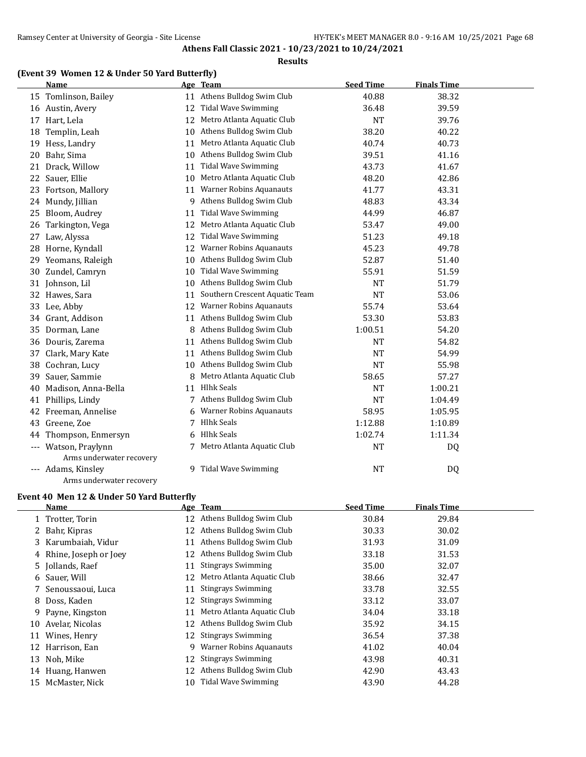#### **Results**

### **(Event 39 Women 12 & Under 50 Yard Butterfly)**

|          | <b>Name</b>              |    | Age Team                       | <b>Seed Time</b> | <b>Finals Time</b> |  |
|----------|--------------------------|----|--------------------------------|------------------|--------------------|--|
|          | 15 Tomlinson, Bailey     |    | 11 Athens Bulldog Swim Club    | 40.88            | 38.32              |  |
|          | 16 Austin, Avery         | 12 | <b>Tidal Wave Swimming</b>     | 36.48            | 39.59              |  |
|          | 17 Hart, Lela            | 12 | Metro Atlanta Aquatic Club     | <b>NT</b>        | 39.76              |  |
| 18       | Templin, Leah            | 10 | Athens Bulldog Swim Club       | 38.20            | 40.22              |  |
|          | 19 Hess, Landry          | 11 | Metro Atlanta Aquatic Club     | 40.74            | 40.73              |  |
| 20       | Bahr, Sima               | 10 | Athens Bulldog Swim Club       | 39.51            | 41.16              |  |
| 21       | Drack, Willow            | 11 | <b>Tidal Wave Swimming</b>     | 43.73            | 41.67              |  |
| 22       | Sauer, Ellie             | 10 | Metro Atlanta Aquatic Club     | 48.20            | 42.86              |  |
| 23       | Fortson, Mallory         | 11 | Warner Robins Aquanauts        | 41.77            | 43.31              |  |
| 24       | Mundy, Jillian           | 9  | Athens Bulldog Swim Club       | 48.83            | 43.34              |  |
| 25       | Bloom, Audrey            | 11 | <b>Tidal Wave Swimming</b>     | 44.99            | 46.87              |  |
| 26       | Tarkington, Vega         | 12 | Metro Atlanta Aquatic Club     | 53.47            | 49.00              |  |
| 27       | Law, Alyssa              | 12 | <b>Tidal Wave Swimming</b>     | 51.23            | 49.18              |  |
| 28       | Horne, Kyndall           | 12 | <b>Warner Robins Aquanauts</b> | 45.23            | 49.78              |  |
| 29       | Yeomans, Raleigh         | 10 | Athens Bulldog Swim Club       | 52.87            | 51.40              |  |
|          | 30 Zundel, Camryn        | 10 | <b>Tidal Wave Swimming</b>     | 55.91            | 51.59              |  |
|          | 31 Johnson, Lil          | 10 | Athens Bulldog Swim Club       | <b>NT</b>        | 51.79              |  |
|          | 32 Hawes, Sara           | 11 | Southern Crescent Aquatic Team | <b>NT</b>        | 53.06              |  |
|          | 33 Lee, Abby             | 12 | <b>Warner Robins Aquanauts</b> | 55.74            | 53.64              |  |
| 34       | Grant, Addison           | 11 | Athens Bulldog Swim Club       | 53.30            | 53.83              |  |
| 35       | Dorman, Lane             | 8  | Athens Bulldog Swim Club       | 1:00.51          | 54.20              |  |
| 36       | Douris, Zarema           | 11 | Athens Bulldog Swim Club       | <b>NT</b>        | 54.82              |  |
| 37       | Clark, Mary Kate         | 11 | Athens Bulldog Swim Club       | <b>NT</b>        | 54.99              |  |
| 38       | Cochran, Lucy            | 10 | Athens Bulldog Swim Club       | <b>NT</b>        | 55.98              |  |
| 39       | Sauer, Sammie            | 8  | Metro Atlanta Aquatic Club     | 58.65            | 57.27              |  |
| 40       | Madison, Anna-Bella      | 11 | <b>Hlhk Seals</b>              | <b>NT</b>        | 1:00.21            |  |
| 41       | Phillips, Lindy          | 7  | Athens Bulldog Swim Club       | <b>NT</b>        | 1:04.49            |  |
| 42       | Freeman, Annelise        |    | <b>Warner Robins Aquanauts</b> | 58.95            | 1:05.95            |  |
| 43       | Greene, Zoe              | 7  | <b>Hlhk Seals</b>              | 1:12.88          | 1:10.89            |  |
| 44       | Thompson, Enmersyn       | 6  | <b>Hlhk Seals</b>              | 1:02.74          | 1:11.34            |  |
| $\cdots$ | Watson, Praylynn         | 7  | Metro Atlanta Aquatic Club     | <b>NT</b>        | DQ                 |  |
|          | Arms underwater recovery |    |                                |                  |                    |  |
|          | --- Adams, Kinsley       | 9  | <b>Tidal Wave Swimming</b>     | <b>NT</b>        | DQ                 |  |
|          | Arms underwater recovery |    |                                |                  |                    |  |

#### **Event 40 Men 12 & Under 50 Yard Butterfly**

|    | Name                    |    | Age Team                   | <b>Seed Time</b> | <b>Finals Time</b> |
|----|-------------------------|----|----------------------------|------------------|--------------------|
|    | 1 Trotter, Torin        | 12 | Athens Bulldog Swim Club   | 30.84            | 29.84              |
|    | 2 Bahr, Kipras          | 12 | Athens Bulldog Swim Club   | 30.33            | 30.02              |
|    | 3 Karumbaiah, Vidur     | 11 | Athens Bulldog Swim Club   | 31.93            | 31.09              |
|    | 4 Rhine, Joseph or Joey | 12 | Athens Bulldog Swim Club   | 33.18            | 31.53              |
|    | 5 Jollands, Raef        | 11 | <b>Stingrays Swimming</b>  | 35.00            | 32.07              |
|    | 6 Sauer, Will           | 12 | Metro Atlanta Aquatic Club | 38.66            | 32.47              |
|    | 7 Senoussaoui, Luca     | 11 | <b>Stingrays Swimming</b>  | 33.78            | 32.55              |
|    | 8 Doss, Kaden           | 12 | <b>Stingrays Swimming</b>  | 33.12            | 33.07              |
|    | 9 Payne, Kingston       | 11 | Metro Atlanta Aquatic Club | 34.04            | 33.18              |
| 10 | Avelar, Nicolas         | 12 | Athens Bulldog Swim Club   | 35.92            | 34.15              |
| 11 | Wines, Henry            | 12 | <b>Stingrays Swimming</b>  | 36.54            | 37.38              |
| 12 | Harrison, Ean           | 9  | Warner Robins Aquanauts    | 41.02            | 40.04              |
| 13 | Noh, Mike               | 12 | <b>Stingrays Swimming</b>  | 43.98            | 40.31              |
| 14 | Huang, Hanwen           | 12 | Athens Bulldog Swim Club   | 42.90            | 43.43              |
| 15 | McMaster, Nick          | 10 | Tidal Wave Swimming        | 43.90            | 44.28              |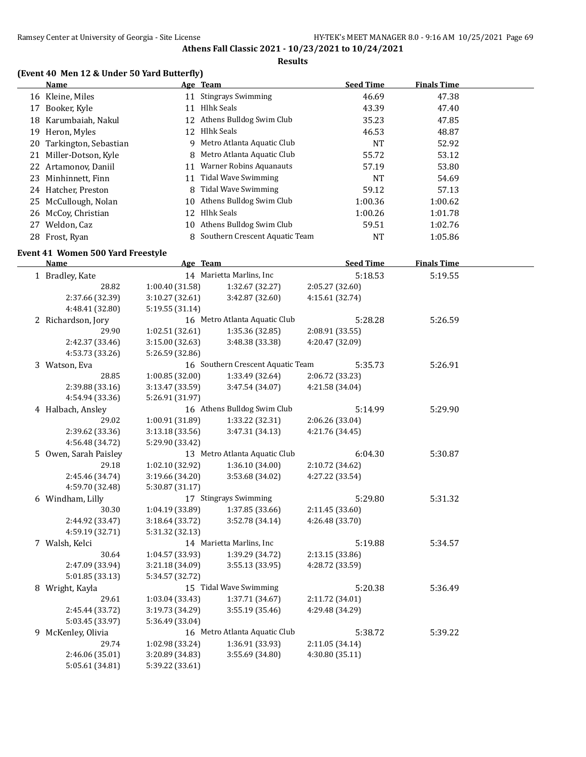#### **Results**

### **(Event 40 Men 12 & Under 50 Yard Butterfly)**

|    | Name                     |    | Age Team                         | <b>Seed Time</b> | <b>Finals Time</b> |  |
|----|--------------------------|----|----------------------------------|------------------|--------------------|--|
|    | 16 Kleine, Miles         | 11 | <b>Stingrays Swimming</b>        | 46.69            | 47.38              |  |
| 17 | Booker, Kyle             | 11 | Hlhk Seals                       | 43.39            | 47.40              |  |
| 18 | Karumbaiah, Nakul        |    | 12 Athens Bulldog Swim Club      | 35.23            | 47.85              |  |
| 19 | Heron, Myles             | 12 | Hlhk Seals                       | 46.53            | 48.87              |  |
|    | 20 Tarkington, Sebastian |    | 9 Metro Atlanta Aquatic Club     | NT               | 52.92              |  |
| 21 | Miller-Dotson, Kyle      |    | 8 Metro Atlanta Aquatic Club     | 55.72            | 53.12              |  |
|    | 22 Artamonov, Daniil     | 11 | Warner Robins Aquanauts          | 57.19            | 53.80              |  |
|    | 23 Minhinnett, Finn      | 11 | Tidal Wave Swimming              | NT               | 54.69              |  |
|    | 24 Hatcher, Preston      | 8  | Tidal Wave Swimming              | 59.12            | 57.13              |  |
|    | 25 McCullough, Nolan     |    | 10 Athens Bulldog Swim Club      | 1:00.36          | 1:00.62            |  |
|    | 26 McCoy, Christian      | 12 | Hlhk Seals                       | 1:00.26          | 1:01.78            |  |
| 27 | Weldon, Caz              |    | 10 Athens Bulldog Swim Club      | 59.51            | 1:02.76            |  |
|    | 28 Frost, Ryan           |    | 8 Southern Crescent Aquatic Team | NT               | 1:05.86            |  |

#### **Event 41 Women 500 Yard Freestyle**

 $\frac{1}{1}$ 

| <b>Name</b>           | Age Team        |                                   | <b>Seed Time</b> | <b>Finals Time</b> |  |
|-----------------------|-----------------|-----------------------------------|------------------|--------------------|--|
| 1 Bradley, Kate       |                 | 14 Marietta Marlins, Inc          | 5:18.53          | 5:19.55            |  |
| 28.82                 | 1:00.40 (31.58) | 1:32.67 (32.27)                   | 2:05.27 (32.60)  |                    |  |
| 2:37.66 (32.39)       | 3:10.27 (32.61) | 3:42.87 (32.60)                   | 4:15.61 (32.74)  |                    |  |
| 4:48.41 (32.80)       | 5:19.55 (31.14) |                                   |                  |                    |  |
| 2 Richardson, Jory    |                 | 16 Metro Atlanta Aquatic Club     | 5:28.28          | 5:26.59            |  |
| 29.90                 | 1:02.51(32.61)  | 1:35.36 (32.85)                   | 2:08.91 (33.55)  |                    |  |
| 2:42.37 (33.46)       | 3:15.00 (32.63) | 3:48.38 (33.38)                   | 4:20.47 (32.09)  |                    |  |
| 4:53.73 (33.26)       | 5:26.59 (32.86) |                                   |                  |                    |  |
| 3 Watson, Eva         |                 | 16 Southern Crescent Aquatic Team | 5:35.73          | 5:26.91            |  |
| 28.85                 | 1:00.85(32.00)  | 1:33.49 (32.64)                   | 2:06.72 (33.23)  |                    |  |
| 2:39.88 (33.16)       | 3:13.47 (33.59) | 3:47.54 (34.07)                   | 4:21.58 (34.04)  |                    |  |
| 4:54.94 (33.36)       | 5:26.91 (31.97) |                                   |                  |                    |  |
| 4 Halbach, Ansley     |                 | 16 Athens Bulldog Swim Club       | 5:14.99          | 5:29.90            |  |
| 29.02                 | 1:00.91 (31.89) | 1:33.22 (32.31)                   | 2:06.26 (33.04)  |                    |  |
| 2:39.62 (33.36)       | 3:13.18(33.56)  | 3:47.31 (34.13)                   | 4:21.76 (34.45)  |                    |  |
| 4:56.48 (34.72)       | 5:29.90 (33.42) |                                   |                  |                    |  |
| 5 Owen, Sarah Paisley |                 | 13 Metro Atlanta Aquatic Club     | 6:04.30          | 5:30.87            |  |
| 29.18                 | 1:02.10 (32.92) | 1:36.10 (34.00)                   | 2:10.72 (34.62)  |                    |  |
| 2:45.46 (34.74)       | 3:19.66 (34.20) | 3:53.68 (34.02)                   | 4:27.22 (33.54)  |                    |  |
| 4:59.70 (32.48)       | 5:30.87 (31.17) |                                   |                  |                    |  |
| 6 Windham, Lilly      |                 | 17 Stingrays Swimming             | 5:29.80          | 5:31.32            |  |
| 30.30                 | 1:04.19 (33.89) | 1:37.85 (33.66)                   | 2:11.45 (33.60)  |                    |  |
| 2:44.92 (33.47)       | 3:18.64 (33.72) | 3:52.78 (34.14)                   | 4:26.48 (33.70)  |                    |  |
| 4:59.19 (32.71)       | 5:31.32 (32.13) |                                   |                  |                    |  |
| 7 Walsh, Kelci        |                 | 14 Marietta Marlins, Inc.         | 5:19.88          | 5:34.57            |  |
| 30.64                 | 1:04.57 (33.93) | 1:39.29 (34.72)                   | 2:13.15 (33.86)  |                    |  |
| 2:47.09 (33.94)       | 3:21.18 (34.09) | 3:55.13 (33.95)                   | 4:28.72 (33.59)  |                    |  |
| 5:01.85 (33.13)       | 5:34.57 (32.72) |                                   |                  |                    |  |
| 8 Wright, Kayla       |                 | 15 Tidal Wave Swimming            | 5:20.38          | 5:36.49            |  |
| 29.61                 | 1:03.04 (33.43) | 1:37.71 (34.67)                   | 2:11.72 (34.01)  |                    |  |
| 2:45.44 (33.72)       | 3:19.73 (34.29) | 3:55.19 (35.46)                   | 4:29.48 (34.29)  |                    |  |
| 5:03.45 (33.97)       | 5:36.49 (33.04) |                                   |                  |                    |  |
| 9 McKenley, Olivia    |                 | 16 Metro Atlanta Aquatic Club     | 5:38.72          | 5:39.22            |  |
| 29.74                 | 1:02.98 (33.24) | 1:36.91 (33.93)                   | 2:11.05 (34.14)  |                    |  |
| 2:46.06 (35.01)       | 3:20.89 (34.83) | 3:55.69 (34.80)                   | 4:30.80 (35.11)  |                    |  |
| 5:05.61 (34.81)       | 5:39.22 (33.61) |                                   |                  |                    |  |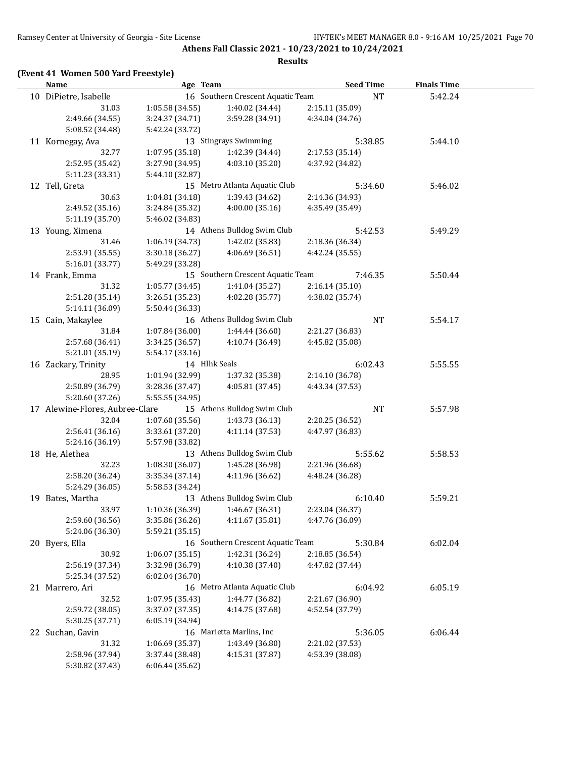### **(Event 41 Women 500 Yard Freestyle)**

| 16 Southern Crescent Aquatic Team<br>10 DiPietre, Isabelle<br>$\rm{NT}$<br>5:42.24<br>1:05.58 (34.55)<br>2:15.11 (35.09)<br>31.03<br>1:40.02 (34.44)<br>2:49.66 (34.55)<br>3:24.37 (34.71)<br>3:59.28 (34.91)<br>4:34.04 (34.76)<br>5:08.52 (34.48)<br>5:42.24 (33.72)<br>13 Stingrays Swimming<br>5:44.10<br>11 Kornegay, Ava<br>5:38.85<br>32.77<br>1:07.95 (35.18)<br>2:17.53 (35.14)<br>1:42.39 (34.44)<br>2:52.95 (35.42)<br>4:37.92 (34.82)<br>3:27.90 (34.95)<br>4:03.10 (35.20)<br>5:11.23 (33.31)<br>5:44.10 (32.87)<br>15 Metro Atlanta Aquatic Club<br>12 Tell, Greta<br>5:34.60<br>5:46.02<br>30.63<br>1:04.81 (34.18)<br>1:39.43 (34.62)<br>2:14.36 (34.93)<br>4:00.00 (35.16)<br>2:49.52 (35.16)<br>3:24.84 (35.32)<br>4:35.49 (35.49)<br>5:11.19 (35.70)<br>5:46.02 (34.83)<br>14 Athens Bulldog Swim Club<br>13 Young, Ximena<br>5:49.29<br>5:42.53<br>1:42.02 (35.83)<br>31.46<br>1:06.19 (34.73)<br>2:18.36 (36.34)<br>4:06.69(36.51)<br>4:42.24 (35.55)<br>2:53.91 (35.55)<br>3:30.18(36.27)<br>5:16.01 (33.77)<br>5:49.29 (33.28)<br>15 Southern Crescent Aquatic Team<br>14 Frank, Emma<br>7:46.35<br>5:50.44<br>31.32<br>1:05.77(34.45)<br>1:41.04 (35.27)<br>2:16.14(35.10)<br>2:51.28 (35.14)<br>3:26.51 (35.23)<br>4:02.28 (35.77)<br>4:38.02 (35.74)<br>5:14.11 (36.09)<br>5:50.44 (36.33)<br>16 Athens Bulldog Swim Club<br>15 Cain, Makaylee<br>NT<br>5:54.17<br>31.84<br>1:44.44 (36.60)<br>2:21.27 (36.83)<br>1:07.84(36.00)<br>2:57.68 (36.41)<br>4:10.74 (36.49)<br>4:45.82 (35.08)<br>3:34.25 (36.57)<br>5:54.17 (33.16)<br>5:21.01 (35.19)<br>14 Hlhk Seals<br>6:02.43<br>5:55.55<br>16 Zackary, Trinity<br>28.95<br>1:01.94 (32.99)<br>2:14.10 (36.78)<br>1:37.32 (35.38)<br>2:50.89 (36.79)<br>3:28.36 (37.47)<br>4:05.81 (37.45)<br>4:43.34 (37.53)<br>5:20.60 (37.26)<br>5:55.55 (34.95)<br>17 Alewine-Flores, Aubree-Clare<br>15 Athens Bulldog Swim Club<br>NT<br>5:57.98<br>32.04<br>1:07.60(35.56)<br>1:43.73 (36.13)<br>2:20.25 (36.52)<br>4:11.14(37.53)<br>2:56.41 (36.16)<br>3:33.61 (37.20)<br>4:47.97 (36.83)<br>5:24.16 (36.19)<br>5:57.98 (33.82)<br>13 Athens Bulldog Swim Club<br>18 He, Alethea<br>5:55.62<br>5:58.53<br>32.23<br>1:08.30 (36.07)<br>1:45.28 (36.98)<br>2:21.96 (36.68)<br>2:58.20 (36.24)<br>4:11.96 (36.62)<br>3:35.34 (37.14)<br>4:48.24 (36.28)<br>5:24.29 (36.05)<br>5:58.53 (34.24)<br>13 Athens Bulldog Swim Club<br>19 Bates, Martha<br>5:59.21<br>6:10.40<br>$1:10.36(36.39)$ $1:46.67(36.31)$<br>2:23.04 (36.37)<br>33.97<br>4:47.76 (36.09)<br>2:59.60 (36.56)<br>3:35.86 (36.26)<br>4:11.67 (35.81)<br>5:24.06 (36.30)<br>5:59.21 (35.15)<br>16 Southern Crescent Aquatic Team<br>5:30.84<br>6:02.04<br>20 Byers, Ella<br>30.92<br>1:06.07(35.15)<br>1:42.31 (36.24)<br>2:18.85 (36.54)<br>2:56.19 (37.34)<br>3:32.98 (36.79)<br>4:10.38 (37.40)<br>4:47.82 (37.44)<br>5:25.34 (37.52)<br>6:02.04(36.70)<br>16 Metro Atlanta Aquatic Club<br>6:04.92<br>6:05.19<br>21 Marrero, Ari<br>32.52<br>1:44.77 (36.82)<br>1:07.95 (35.43)<br>2:21.67 (36.90)<br>4:14.75 (37.68)<br>2:59.72 (38.05)<br>3:37.07 (37.35)<br>4:52.54 (37.79)<br>5:30.25 (37.71)<br>6:05.19 (34.94)<br>16 Marietta Marlins, Inc<br>5:36.05<br>6:06.44<br>22 Suchan, Gavin<br>31.32<br>1:43.49 (36.80)<br>1:06.69 (35.37)<br>2:21.02 (37.53)<br>2:58.96 (37.94)<br>3:37.44 (38.48)<br>4:15.31 (37.87)<br>4:53.39 (38.08)<br>5:30.82 (37.43)<br>6:06.44 (35.62) | <b>Name</b> | Age Team | <b>Seed Time</b> | <b>Finals Time</b> |  |
|-------------------------------------------------------------------------------------------------------------------------------------------------------------------------------------------------------------------------------------------------------------------------------------------------------------------------------------------------------------------------------------------------------------------------------------------------------------------------------------------------------------------------------------------------------------------------------------------------------------------------------------------------------------------------------------------------------------------------------------------------------------------------------------------------------------------------------------------------------------------------------------------------------------------------------------------------------------------------------------------------------------------------------------------------------------------------------------------------------------------------------------------------------------------------------------------------------------------------------------------------------------------------------------------------------------------------------------------------------------------------------------------------------------------------------------------------------------------------------------------------------------------------------------------------------------------------------------------------------------------------------------------------------------------------------------------------------------------------------------------------------------------------------------------------------------------------------------------------------------------------------------------------------------------------------------------------------------------------------------------------------------------------------------------------------------------------------------------------------------------------------------------------------------------------------------------------------------------------------------------------------------------------------------------------------------------------------------------------------------------------------------------------------------------------------------------------------------------------------------------------------------------------------------------------------------------------------------------------------------------------------------------------------------------------------------------------------------------------------------------------------------------------------------------------------------------------------------------------------------------------------------------------------------------------------------------------------------------------------------------------------------------------------------------------------------------------------------------------------------------------------------------------------------------------------------------------------------------------------------------------------------------------------------------------------------------------------------------------------------------------------------------------------------------|-------------|----------|------------------|--------------------|--|
|                                                                                                                                                                                                                                                                                                                                                                                                                                                                                                                                                                                                                                                                                                                                                                                                                                                                                                                                                                                                                                                                                                                                                                                                                                                                                                                                                                                                                                                                                                                                                                                                                                                                                                                                                                                                                                                                                                                                                                                                                                                                                                                                                                                                                                                                                                                                                                                                                                                                                                                                                                                                                                                                                                                                                                                                                                                                                                                                                                                                                                                                                                                                                                                                                                                                                                                                                                                                                   |             |          |                  |                    |  |
|                                                                                                                                                                                                                                                                                                                                                                                                                                                                                                                                                                                                                                                                                                                                                                                                                                                                                                                                                                                                                                                                                                                                                                                                                                                                                                                                                                                                                                                                                                                                                                                                                                                                                                                                                                                                                                                                                                                                                                                                                                                                                                                                                                                                                                                                                                                                                                                                                                                                                                                                                                                                                                                                                                                                                                                                                                                                                                                                                                                                                                                                                                                                                                                                                                                                                                                                                                                                                   |             |          |                  |                    |  |
|                                                                                                                                                                                                                                                                                                                                                                                                                                                                                                                                                                                                                                                                                                                                                                                                                                                                                                                                                                                                                                                                                                                                                                                                                                                                                                                                                                                                                                                                                                                                                                                                                                                                                                                                                                                                                                                                                                                                                                                                                                                                                                                                                                                                                                                                                                                                                                                                                                                                                                                                                                                                                                                                                                                                                                                                                                                                                                                                                                                                                                                                                                                                                                                                                                                                                                                                                                                                                   |             |          |                  |                    |  |
|                                                                                                                                                                                                                                                                                                                                                                                                                                                                                                                                                                                                                                                                                                                                                                                                                                                                                                                                                                                                                                                                                                                                                                                                                                                                                                                                                                                                                                                                                                                                                                                                                                                                                                                                                                                                                                                                                                                                                                                                                                                                                                                                                                                                                                                                                                                                                                                                                                                                                                                                                                                                                                                                                                                                                                                                                                                                                                                                                                                                                                                                                                                                                                                                                                                                                                                                                                                                                   |             |          |                  |                    |  |
|                                                                                                                                                                                                                                                                                                                                                                                                                                                                                                                                                                                                                                                                                                                                                                                                                                                                                                                                                                                                                                                                                                                                                                                                                                                                                                                                                                                                                                                                                                                                                                                                                                                                                                                                                                                                                                                                                                                                                                                                                                                                                                                                                                                                                                                                                                                                                                                                                                                                                                                                                                                                                                                                                                                                                                                                                                                                                                                                                                                                                                                                                                                                                                                                                                                                                                                                                                                                                   |             |          |                  |                    |  |
|                                                                                                                                                                                                                                                                                                                                                                                                                                                                                                                                                                                                                                                                                                                                                                                                                                                                                                                                                                                                                                                                                                                                                                                                                                                                                                                                                                                                                                                                                                                                                                                                                                                                                                                                                                                                                                                                                                                                                                                                                                                                                                                                                                                                                                                                                                                                                                                                                                                                                                                                                                                                                                                                                                                                                                                                                                                                                                                                                                                                                                                                                                                                                                                                                                                                                                                                                                                                                   |             |          |                  |                    |  |
|                                                                                                                                                                                                                                                                                                                                                                                                                                                                                                                                                                                                                                                                                                                                                                                                                                                                                                                                                                                                                                                                                                                                                                                                                                                                                                                                                                                                                                                                                                                                                                                                                                                                                                                                                                                                                                                                                                                                                                                                                                                                                                                                                                                                                                                                                                                                                                                                                                                                                                                                                                                                                                                                                                                                                                                                                                                                                                                                                                                                                                                                                                                                                                                                                                                                                                                                                                                                                   |             |          |                  |                    |  |
|                                                                                                                                                                                                                                                                                                                                                                                                                                                                                                                                                                                                                                                                                                                                                                                                                                                                                                                                                                                                                                                                                                                                                                                                                                                                                                                                                                                                                                                                                                                                                                                                                                                                                                                                                                                                                                                                                                                                                                                                                                                                                                                                                                                                                                                                                                                                                                                                                                                                                                                                                                                                                                                                                                                                                                                                                                                                                                                                                                                                                                                                                                                                                                                                                                                                                                                                                                                                                   |             |          |                  |                    |  |
|                                                                                                                                                                                                                                                                                                                                                                                                                                                                                                                                                                                                                                                                                                                                                                                                                                                                                                                                                                                                                                                                                                                                                                                                                                                                                                                                                                                                                                                                                                                                                                                                                                                                                                                                                                                                                                                                                                                                                                                                                                                                                                                                                                                                                                                                                                                                                                                                                                                                                                                                                                                                                                                                                                                                                                                                                                                                                                                                                                                                                                                                                                                                                                                                                                                                                                                                                                                                                   |             |          |                  |                    |  |
|                                                                                                                                                                                                                                                                                                                                                                                                                                                                                                                                                                                                                                                                                                                                                                                                                                                                                                                                                                                                                                                                                                                                                                                                                                                                                                                                                                                                                                                                                                                                                                                                                                                                                                                                                                                                                                                                                                                                                                                                                                                                                                                                                                                                                                                                                                                                                                                                                                                                                                                                                                                                                                                                                                                                                                                                                                                                                                                                                                                                                                                                                                                                                                                                                                                                                                                                                                                                                   |             |          |                  |                    |  |
|                                                                                                                                                                                                                                                                                                                                                                                                                                                                                                                                                                                                                                                                                                                                                                                                                                                                                                                                                                                                                                                                                                                                                                                                                                                                                                                                                                                                                                                                                                                                                                                                                                                                                                                                                                                                                                                                                                                                                                                                                                                                                                                                                                                                                                                                                                                                                                                                                                                                                                                                                                                                                                                                                                                                                                                                                                                                                                                                                                                                                                                                                                                                                                                                                                                                                                                                                                                                                   |             |          |                  |                    |  |
|                                                                                                                                                                                                                                                                                                                                                                                                                                                                                                                                                                                                                                                                                                                                                                                                                                                                                                                                                                                                                                                                                                                                                                                                                                                                                                                                                                                                                                                                                                                                                                                                                                                                                                                                                                                                                                                                                                                                                                                                                                                                                                                                                                                                                                                                                                                                                                                                                                                                                                                                                                                                                                                                                                                                                                                                                                                                                                                                                                                                                                                                                                                                                                                                                                                                                                                                                                                                                   |             |          |                  |                    |  |
|                                                                                                                                                                                                                                                                                                                                                                                                                                                                                                                                                                                                                                                                                                                                                                                                                                                                                                                                                                                                                                                                                                                                                                                                                                                                                                                                                                                                                                                                                                                                                                                                                                                                                                                                                                                                                                                                                                                                                                                                                                                                                                                                                                                                                                                                                                                                                                                                                                                                                                                                                                                                                                                                                                                                                                                                                                                                                                                                                                                                                                                                                                                                                                                                                                                                                                                                                                                                                   |             |          |                  |                    |  |
|                                                                                                                                                                                                                                                                                                                                                                                                                                                                                                                                                                                                                                                                                                                                                                                                                                                                                                                                                                                                                                                                                                                                                                                                                                                                                                                                                                                                                                                                                                                                                                                                                                                                                                                                                                                                                                                                                                                                                                                                                                                                                                                                                                                                                                                                                                                                                                                                                                                                                                                                                                                                                                                                                                                                                                                                                                                                                                                                                                                                                                                                                                                                                                                                                                                                                                                                                                                                                   |             |          |                  |                    |  |
|                                                                                                                                                                                                                                                                                                                                                                                                                                                                                                                                                                                                                                                                                                                                                                                                                                                                                                                                                                                                                                                                                                                                                                                                                                                                                                                                                                                                                                                                                                                                                                                                                                                                                                                                                                                                                                                                                                                                                                                                                                                                                                                                                                                                                                                                                                                                                                                                                                                                                                                                                                                                                                                                                                                                                                                                                                                                                                                                                                                                                                                                                                                                                                                                                                                                                                                                                                                                                   |             |          |                  |                    |  |
|                                                                                                                                                                                                                                                                                                                                                                                                                                                                                                                                                                                                                                                                                                                                                                                                                                                                                                                                                                                                                                                                                                                                                                                                                                                                                                                                                                                                                                                                                                                                                                                                                                                                                                                                                                                                                                                                                                                                                                                                                                                                                                                                                                                                                                                                                                                                                                                                                                                                                                                                                                                                                                                                                                                                                                                                                                                                                                                                                                                                                                                                                                                                                                                                                                                                                                                                                                                                                   |             |          |                  |                    |  |
|                                                                                                                                                                                                                                                                                                                                                                                                                                                                                                                                                                                                                                                                                                                                                                                                                                                                                                                                                                                                                                                                                                                                                                                                                                                                                                                                                                                                                                                                                                                                                                                                                                                                                                                                                                                                                                                                                                                                                                                                                                                                                                                                                                                                                                                                                                                                                                                                                                                                                                                                                                                                                                                                                                                                                                                                                                                                                                                                                                                                                                                                                                                                                                                                                                                                                                                                                                                                                   |             |          |                  |                    |  |
|                                                                                                                                                                                                                                                                                                                                                                                                                                                                                                                                                                                                                                                                                                                                                                                                                                                                                                                                                                                                                                                                                                                                                                                                                                                                                                                                                                                                                                                                                                                                                                                                                                                                                                                                                                                                                                                                                                                                                                                                                                                                                                                                                                                                                                                                                                                                                                                                                                                                                                                                                                                                                                                                                                                                                                                                                                                                                                                                                                                                                                                                                                                                                                                                                                                                                                                                                                                                                   |             |          |                  |                    |  |
|                                                                                                                                                                                                                                                                                                                                                                                                                                                                                                                                                                                                                                                                                                                                                                                                                                                                                                                                                                                                                                                                                                                                                                                                                                                                                                                                                                                                                                                                                                                                                                                                                                                                                                                                                                                                                                                                                                                                                                                                                                                                                                                                                                                                                                                                                                                                                                                                                                                                                                                                                                                                                                                                                                                                                                                                                                                                                                                                                                                                                                                                                                                                                                                                                                                                                                                                                                                                                   |             |          |                  |                    |  |
|                                                                                                                                                                                                                                                                                                                                                                                                                                                                                                                                                                                                                                                                                                                                                                                                                                                                                                                                                                                                                                                                                                                                                                                                                                                                                                                                                                                                                                                                                                                                                                                                                                                                                                                                                                                                                                                                                                                                                                                                                                                                                                                                                                                                                                                                                                                                                                                                                                                                                                                                                                                                                                                                                                                                                                                                                                                                                                                                                                                                                                                                                                                                                                                                                                                                                                                                                                                                                   |             |          |                  |                    |  |
|                                                                                                                                                                                                                                                                                                                                                                                                                                                                                                                                                                                                                                                                                                                                                                                                                                                                                                                                                                                                                                                                                                                                                                                                                                                                                                                                                                                                                                                                                                                                                                                                                                                                                                                                                                                                                                                                                                                                                                                                                                                                                                                                                                                                                                                                                                                                                                                                                                                                                                                                                                                                                                                                                                                                                                                                                                                                                                                                                                                                                                                                                                                                                                                                                                                                                                                                                                                                                   |             |          |                  |                    |  |
|                                                                                                                                                                                                                                                                                                                                                                                                                                                                                                                                                                                                                                                                                                                                                                                                                                                                                                                                                                                                                                                                                                                                                                                                                                                                                                                                                                                                                                                                                                                                                                                                                                                                                                                                                                                                                                                                                                                                                                                                                                                                                                                                                                                                                                                                                                                                                                                                                                                                                                                                                                                                                                                                                                                                                                                                                                                                                                                                                                                                                                                                                                                                                                                                                                                                                                                                                                                                                   |             |          |                  |                    |  |
|                                                                                                                                                                                                                                                                                                                                                                                                                                                                                                                                                                                                                                                                                                                                                                                                                                                                                                                                                                                                                                                                                                                                                                                                                                                                                                                                                                                                                                                                                                                                                                                                                                                                                                                                                                                                                                                                                                                                                                                                                                                                                                                                                                                                                                                                                                                                                                                                                                                                                                                                                                                                                                                                                                                                                                                                                                                                                                                                                                                                                                                                                                                                                                                                                                                                                                                                                                                                                   |             |          |                  |                    |  |
|                                                                                                                                                                                                                                                                                                                                                                                                                                                                                                                                                                                                                                                                                                                                                                                                                                                                                                                                                                                                                                                                                                                                                                                                                                                                                                                                                                                                                                                                                                                                                                                                                                                                                                                                                                                                                                                                                                                                                                                                                                                                                                                                                                                                                                                                                                                                                                                                                                                                                                                                                                                                                                                                                                                                                                                                                                                                                                                                                                                                                                                                                                                                                                                                                                                                                                                                                                                                                   |             |          |                  |                    |  |
|                                                                                                                                                                                                                                                                                                                                                                                                                                                                                                                                                                                                                                                                                                                                                                                                                                                                                                                                                                                                                                                                                                                                                                                                                                                                                                                                                                                                                                                                                                                                                                                                                                                                                                                                                                                                                                                                                                                                                                                                                                                                                                                                                                                                                                                                                                                                                                                                                                                                                                                                                                                                                                                                                                                                                                                                                                                                                                                                                                                                                                                                                                                                                                                                                                                                                                                                                                                                                   |             |          |                  |                    |  |
|                                                                                                                                                                                                                                                                                                                                                                                                                                                                                                                                                                                                                                                                                                                                                                                                                                                                                                                                                                                                                                                                                                                                                                                                                                                                                                                                                                                                                                                                                                                                                                                                                                                                                                                                                                                                                                                                                                                                                                                                                                                                                                                                                                                                                                                                                                                                                                                                                                                                                                                                                                                                                                                                                                                                                                                                                                                                                                                                                                                                                                                                                                                                                                                                                                                                                                                                                                                                                   |             |          |                  |                    |  |
|                                                                                                                                                                                                                                                                                                                                                                                                                                                                                                                                                                                                                                                                                                                                                                                                                                                                                                                                                                                                                                                                                                                                                                                                                                                                                                                                                                                                                                                                                                                                                                                                                                                                                                                                                                                                                                                                                                                                                                                                                                                                                                                                                                                                                                                                                                                                                                                                                                                                                                                                                                                                                                                                                                                                                                                                                                                                                                                                                                                                                                                                                                                                                                                                                                                                                                                                                                                                                   |             |          |                  |                    |  |
|                                                                                                                                                                                                                                                                                                                                                                                                                                                                                                                                                                                                                                                                                                                                                                                                                                                                                                                                                                                                                                                                                                                                                                                                                                                                                                                                                                                                                                                                                                                                                                                                                                                                                                                                                                                                                                                                                                                                                                                                                                                                                                                                                                                                                                                                                                                                                                                                                                                                                                                                                                                                                                                                                                                                                                                                                                                                                                                                                                                                                                                                                                                                                                                                                                                                                                                                                                                                                   |             |          |                  |                    |  |
|                                                                                                                                                                                                                                                                                                                                                                                                                                                                                                                                                                                                                                                                                                                                                                                                                                                                                                                                                                                                                                                                                                                                                                                                                                                                                                                                                                                                                                                                                                                                                                                                                                                                                                                                                                                                                                                                                                                                                                                                                                                                                                                                                                                                                                                                                                                                                                                                                                                                                                                                                                                                                                                                                                                                                                                                                                                                                                                                                                                                                                                                                                                                                                                                                                                                                                                                                                                                                   |             |          |                  |                    |  |
|                                                                                                                                                                                                                                                                                                                                                                                                                                                                                                                                                                                                                                                                                                                                                                                                                                                                                                                                                                                                                                                                                                                                                                                                                                                                                                                                                                                                                                                                                                                                                                                                                                                                                                                                                                                                                                                                                                                                                                                                                                                                                                                                                                                                                                                                                                                                                                                                                                                                                                                                                                                                                                                                                                                                                                                                                                                                                                                                                                                                                                                                                                                                                                                                                                                                                                                                                                                                                   |             |          |                  |                    |  |
|                                                                                                                                                                                                                                                                                                                                                                                                                                                                                                                                                                                                                                                                                                                                                                                                                                                                                                                                                                                                                                                                                                                                                                                                                                                                                                                                                                                                                                                                                                                                                                                                                                                                                                                                                                                                                                                                                                                                                                                                                                                                                                                                                                                                                                                                                                                                                                                                                                                                                                                                                                                                                                                                                                                                                                                                                                                                                                                                                                                                                                                                                                                                                                                                                                                                                                                                                                                                                   |             |          |                  |                    |  |
|                                                                                                                                                                                                                                                                                                                                                                                                                                                                                                                                                                                                                                                                                                                                                                                                                                                                                                                                                                                                                                                                                                                                                                                                                                                                                                                                                                                                                                                                                                                                                                                                                                                                                                                                                                                                                                                                                                                                                                                                                                                                                                                                                                                                                                                                                                                                                                                                                                                                                                                                                                                                                                                                                                                                                                                                                                                                                                                                                                                                                                                                                                                                                                                                                                                                                                                                                                                                                   |             |          |                  |                    |  |
|                                                                                                                                                                                                                                                                                                                                                                                                                                                                                                                                                                                                                                                                                                                                                                                                                                                                                                                                                                                                                                                                                                                                                                                                                                                                                                                                                                                                                                                                                                                                                                                                                                                                                                                                                                                                                                                                                                                                                                                                                                                                                                                                                                                                                                                                                                                                                                                                                                                                                                                                                                                                                                                                                                                                                                                                                                                                                                                                                                                                                                                                                                                                                                                                                                                                                                                                                                                                                   |             |          |                  |                    |  |
|                                                                                                                                                                                                                                                                                                                                                                                                                                                                                                                                                                                                                                                                                                                                                                                                                                                                                                                                                                                                                                                                                                                                                                                                                                                                                                                                                                                                                                                                                                                                                                                                                                                                                                                                                                                                                                                                                                                                                                                                                                                                                                                                                                                                                                                                                                                                                                                                                                                                                                                                                                                                                                                                                                                                                                                                                                                                                                                                                                                                                                                                                                                                                                                                                                                                                                                                                                                                                   |             |          |                  |                    |  |
|                                                                                                                                                                                                                                                                                                                                                                                                                                                                                                                                                                                                                                                                                                                                                                                                                                                                                                                                                                                                                                                                                                                                                                                                                                                                                                                                                                                                                                                                                                                                                                                                                                                                                                                                                                                                                                                                                                                                                                                                                                                                                                                                                                                                                                                                                                                                                                                                                                                                                                                                                                                                                                                                                                                                                                                                                                                                                                                                                                                                                                                                                                                                                                                                                                                                                                                                                                                                                   |             |          |                  |                    |  |
|                                                                                                                                                                                                                                                                                                                                                                                                                                                                                                                                                                                                                                                                                                                                                                                                                                                                                                                                                                                                                                                                                                                                                                                                                                                                                                                                                                                                                                                                                                                                                                                                                                                                                                                                                                                                                                                                                                                                                                                                                                                                                                                                                                                                                                                                                                                                                                                                                                                                                                                                                                                                                                                                                                                                                                                                                                                                                                                                                                                                                                                                                                                                                                                                                                                                                                                                                                                                                   |             |          |                  |                    |  |
|                                                                                                                                                                                                                                                                                                                                                                                                                                                                                                                                                                                                                                                                                                                                                                                                                                                                                                                                                                                                                                                                                                                                                                                                                                                                                                                                                                                                                                                                                                                                                                                                                                                                                                                                                                                                                                                                                                                                                                                                                                                                                                                                                                                                                                                                                                                                                                                                                                                                                                                                                                                                                                                                                                                                                                                                                                                                                                                                                                                                                                                                                                                                                                                                                                                                                                                                                                                                                   |             |          |                  |                    |  |
|                                                                                                                                                                                                                                                                                                                                                                                                                                                                                                                                                                                                                                                                                                                                                                                                                                                                                                                                                                                                                                                                                                                                                                                                                                                                                                                                                                                                                                                                                                                                                                                                                                                                                                                                                                                                                                                                                                                                                                                                                                                                                                                                                                                                                                                                                                                                                                                                                                                                                                                                                                                                                                                                                                                                                                                                                                                                                                                                                                                                                                                                                                                                                                                                                                                                                                                                                                                                                   |             |          |                  |                    |  |
|                                                                                                                                                                                                                                                                                                                                                                                                                                                                                                                                                                                                                                                                                                                                                                                                                                                                                                                                                                                                                                                                                                                                                                                                                                                                                                                                                                                                                                                                                                                                                                                                                                                                                                                                                                                                                                                                                                                                                                                                                                                                                                                                                                                                                                                                                                                                                                                                                                                                                                                                                                                                                                                                                                                                                                                                                                                                                                                                                                                                                                                                                                                                                                                                                                                                                                                                                                                                                   |             |          |                  |                    |  |
|                                                                                                                                                                                                                                                                                                                                                                                                                                                                                                                                                                                                                                                                                                                                                                                                                                                                                                                                                                                                                                                                                                                                                                                                                                                                                                                                                                                                                                                                                                                                                                                                                                                                                                                                                                                                                                                                                                                                                                                                                                                                                                                                                                                                                                                                                                                                                                                                                                                                                                                                                                                                                                                                                                                                                                                                                                                                                                                                                                                                                                                                                                                                                                                                                                                                                                                                                                                                                   |             |          |                  |                    |  |
|                                                                                                                                                                                                                                                                                                                                                                                                                                                                                                                                                                                                                                                                                                                                                                                                                                                                                                                                                                                                                                                                                                                                                                                                                                                                                                                                                                                                                                                                                                                                                                                                                                                                                                                                                                                                                                                                                                                                                                                                                                                                                                                                                                                                                                                                                                                                                                                                                                                                                                                                                                                                                                                                                                                                                                                                                                                                                                                                                                                                                                                                                                                                                                                                                                                                                                                                                                                                                   |             |          |                  |                    |  |
|                                                                                                                                                                                                                                                                                                                                                                                                                                                                                                                                                                                                                                                                                                                                                                                                                                                                                                                                                                                                                                                                                                                                                                                                                                                                                                                                                                                                                                                                                                                                                                                                                                                                                                                                                                                                                                                                                                                                                                                                                                                                                                                                                                                                                                                                                                                                                                                                                                                                                                                                                                                                                                                                                                                                                                                                                                                                                                                                                                                                                                                                                                                                                                                                                                                                                                                                                                                                                   |             |          |                  |                    |  |
|                                                                                                                                                                                                                                                                                                                                                                                                                                                                                                                                                                                                                                                                                                                                                                                                                                                                                                                                                                                                                                                                                                                                                                                                                                                                                                                                                                                                                                                                                                                                                                                                                                                                                                                                                                                                                                                                                                                                                                                                                                                                                                                                                                                                                                                                                                                                                                                                                                                                                                                                                                                                                                                                                                                                                                                                                                                                                                                                                                                                                                                                                                                                                                                                                                                                                                                                                                                                                   |             |          |                  |                    |  |
|                                                                                                                                                                                                                                                                                                                                                                                                                                                                                                                                                                                                                                                                                                                                                                                                                                                                                                                                                                                                                                                                                                                                                                                                                                                                                                                                                                                                                                                                                                                                                                                                                                                                                                                                                                                                                                                                                                                                                                                                                                                                                                                                                                                                                                                                                                                                                                                                                                                                                                                                                                                                                                                                                                                                                                                                                                                                                                                                                                                                                                                                                                                                                                                                                                                                                                                                                                                                                   |             |          |                  |                    |  |
|                                                                                                                                                                                                                                                                                                                                                                                                                                                                                                                                                                                                                                                                                                                                                                                                                                                                                                                                                                                                                                                                                                                                                                                                                                                                                                                                                                                                                                                                                                                                                                                                                                                                                                                                                                                                                                                                                                                                                                                                                                                                                                                                                                                                                                                                                                                                                                                                                                                                                                                                                                                                                                                                                                                                                                                                                                                                                                                                                                                                                                                                                                                                                                                                                                                                                                                                                                                                                   |             |          |                  |                    |  |
|                                                                                                                                                                                                                                                                                                                                                                                                                                                                                                                                                                                                                                                                                                                                                                                                                                                                                                                                                                                                                                                                                                                                                                                                                                                                                                                                                                                                                                                                                                                                                                                                                                                                                                                                                                                                                                                                                                                                                                                                                                                                                                                                                                                                                                                                                                                                                                                                                                                                                                                                                                                                                                                                                                                                                                                                                                                                                                                                                                                                                                                                                                                                                                                                                                                                                                                                                                                                                   |             |          |                  |                    |  |
|                                                                                                                                                                                                                                                                                                                                                                                                                                                                                                                                                                                                                                                                                                                                                                                                                                                                                                                                                                                                                                                                                                                                                                                                                                                                                                                                                                                                                                                                                                                                                                                                                                                                                                                                                                                                                                                                                                                                                                                                                                                                                                                                                                                                                                                                                                                                                                                                                                                                                                                                                                                                                                                                                                                                                                                                                                                                                                                                                                                                                                                                                                                                                                                                                                                                                                                                                                                                                   |             |          |                  |                    |  |
|                                                                                                                                                                                                                                                                                                                                                                                                                                                                                                                                                                                                                                                                                                                                                                                                                                                                                                                                                                                                                                                                                                                                                                                                                                                                                                                                                                                                                                                                                                                                                                                                                                                                                                                                                                                                                                                                                                                                                                                                                                                                                                                                                                                                                                                                                                                                                                                                                                                                                                                                                                                                                                                                                                                                                                                                                                                                                                                                                                                                                                                                                                                                                                                                                                                                                                                                                                                                                   |             |          |                  |                    |  |
|                                                                                                                                                                                                                                                                                                                                                                                                                                                                                                                                                                                                                                                                                                                                                                                                                                                                                                                                                                                                                                                                                                                                                                                                                                                                                                                                                                                                                                                                                                                                                                                                                                                                                                                                                                                                                                                                                                                                                                                                                                                                                                                                                                                                                                                                                                                                                                                                                                                                                                                                                                                                                                                                                                                                                                                                                                                                                                                                                                                                                                                                                                                                                                                                                                                                                                                                                                                                                   |             |          |                  |                    |  |
|                                                                                                                                                                                                                                                                                                                                                                                                                                                                                                                                                                                                                                                                                                                                                                                                                                                                                                                                                                                                                                                                                                                                                                                                                                                                                                                                                                                                                                                                                                                                                                                                                                                                                                                                                                                                                                                                                                                                                                                                                                                                                                                                                                                                                                                                                                                                                                                                                                                                                                                                                                                                                                                                                                                                                                                                                                                                                                                                                                                                                                                                                                                                                                                                                                                                                                                                                                                                                   |             |          |                  |                    |  |
|                                                                                                                                                                                                                                                                                                                                                                                                                                                                                                                                                                                                                                                                                                                                                                                                                                                                                                                                                                                                                                                                                                                                                                                                                                                                                                                                                                                                                                                                                                                                                                                                                                                                                                                                                                                                                                                                                                                                                                                                                                                                                                                                                                                                                                                                                                                                                                                                                                                                                                                                                                                                                                                                                                                                                                                                                                                                                                                                                                                                                                                                                                                                                                                                                                                                                                                                                                                                                   |             |          |                  |                    |  |
|                                                                                                                                                                                                                                                                                                                                                                                                                                                                                                                                                                                                                                                                                                                                                                                                                                                                                                                                                                                                                                                                                                                                                                                                                                                                                                                                                                                                                                                                                                                                                                                                                                                                                                                                                                                                                                                                                                                                                                                                                                                                                                                                                                                                                                                                                                                                                                                                                                                                                                                                                                                                                                                                                                                                                                                                                                                                                                                                                                                                                                                                                                                                                                                                                                                                                                                                                                                                                   |             |          |                  |                    |  |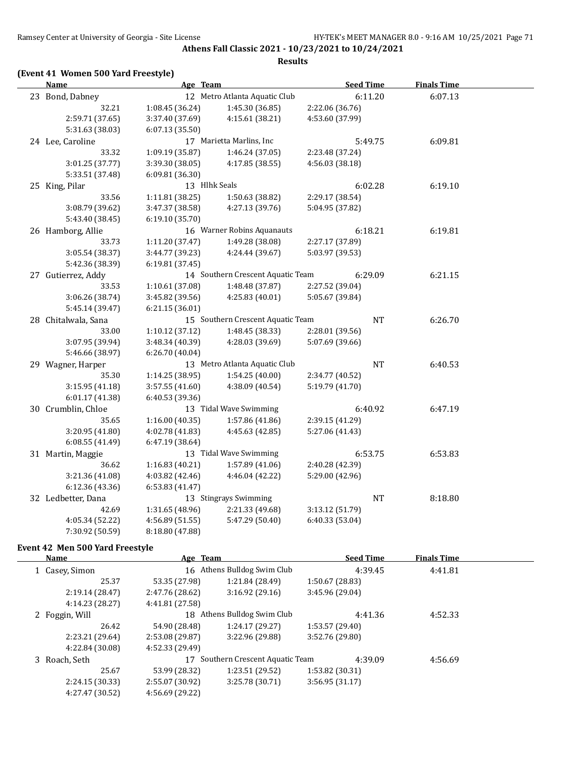### **(Event 41 Women 500 Yard Freestyle)**

| <b>Name</b>         | Age Team        |                                   | <b>Seed Time</b> | <b>Finals Time</b> |  |
|---------------------|-----------------|-----------------------------------|------------------|--------------------|--|
| 23 Bond, Dabney     |                 | 12 Metro Atlanta Aquatic Club     | 6:11.20          | 6:07.13            |  |
| 32.21               | 1:08.45(36.24)  | 1:45.30 (36.85)                   | 2:22.06 (36.76)  |                    |  |
| 2:59.71 (37.65)     | 3:37.40 (37.69) | 4:15.61 (38.21)                   | 4:53.60 (37.99)  |                    |  |
| 5:31.63 (38.03)     | 6:07.13(35.50)  |                                   |                  |                    |  |
| 24 Lee, Caroline    |                 | 17 Marietta Marlins, Inc          | 5:49.75          | 6:09.81            |  |
| 33.32               | 1:09.19 (35.87) | 1:46.24 (37.05)                   | 2:23.48 (37.24)  |                    |  |
| 3:01.25 (37.77)     | 3:39.30 (38.05) | 4:17.85 (38.55)                   | 4:56.03 (38.18)  |                    |  |
| 5:33.51 (37.48)     | 6:09.81 (36.30) |                                   |                  |                    |  |
| 25 King, Pilar      | 13 Hlhk Seals   |                                   | 6:02.28          | 6:19.10            |  |
| 33.56               | 1:11.81(38.25)  | 1:50.63 (38.82)                   | 2:29.17 (38.54)  |                    |  |
| 3:08.79 (39.62)     | 3:47.37 (38.58) | 4:27.13 (39.76)                   | 5:04.95 (37.82)  |                    |  |
| 5:43.40 (38.45)     | 6:19.10 (35.70) |                                   |                  |                    |  |
| 26 Hamborg, Allie   |                 | 16 Warner Robins Aquanauts        | 6:18.21          | 6:19.81            |  |
| 33.73               | 1:11.20 (37.47) | 1:49.28 (38.08)                   | 2:27.17 (37.89)  |                    |  |
| 3:05.54 (38.37)     | 3:44.77 (39.23) | 4:24.44 (39.67)                   | 5:03.97 (39.53)  |                    |  |
| 5:42.36 (38.39)     | 6:19.81 (37.45) |                                   |                  |                    |  |
| 27 Gutierrez, Addy  |                 | 14 Southern Crescent Aquatic Team | 6:29.09          | 6:21.15            |  |
| 33.53               | 1:10.61(37.08)  | 1:48.48(37.87)                    | 2:27.52 (39.04)  |                    |  |
| 3:06.26 (38.74)     | 3:45.82 (39.56) | 4:25.83 (40.01)                   | 5:05.67 (39.84)  |                    |  |
| 5:45.14 (39.47)     | 6:21.15 (36.01) |                                   |                  |                    |  |
| 28 Chitalwala, Sana |                 | 15 Southern Crescent Aquatic Team | NT               | 6:26.70            |  |
| 33.00               | 1:10.12 (37.12) | 1:48.45 (38.33)                   | 2:28.01 (39.56)  |                    |  |
| 3:07.95 (39.94)     | 3:48.34 (40.39) | 4:28.03 (39.69)                   | 5:07.69 (39.66)  |                    |  |
| 5:46.66 (38.97)     | 6:26.70 (40.04) |                                   |                  |                    |  |
| 29 Wagner, Harper   |                 | 13 Metro Atlanta Aquatic Club     | <b>NT</b>        | 6:40.53            |  |
| 35.30               | 1:14.25(38.95)  | 1:54.25(40.00)                    | 2:34.77 (40.52)  |                    |  |
| 3:15.95(41.18)      | 3:57.55 (41.60) | 4:38.09 (40.54)                   | 5:19.79 (41.70)  |                    |  |
| 6:01.17 (41.38)     | 6:40.53 (39.36) |                                   |                  |                    |  |
| 30 Crumblin, Chloe  |                 | 13 Tidal Wave Swimming            | 6:40.92          | 6:47.19            |  |
| 35.65               | 1:16.00(40.35)  | 1:57.86 (41.86)                   | 2:39.15 (41.29)  |                    |  |
| 3:20.95 (41.80)     | 4:02.78 (41.83) | 4:45.63 (42.85)                   | 5:27.06 (41.43)  |                    |  |
| 6:08.55(41.49)      | 6:47.19 (38.64) |                                   |                  |                    |  |
| 31 Martin, Maggie   |                 | 13 Tidal Wave Swimming            | 6:53.75          | 6:53.83            |  |
| 36.62               | 1:16.83(40.21)  | 1:57.89 (41.06)                   | 2:40.28 (42.39)  |                    |  |
| 3:21.36 (41.08)     | 4:03.82 (42.46) | 4:46.04 (42.22)                   | 5:29.00 (42.96)  |                    |  |
| 6:12.36 (43.36)     | 6:53.83(41.47)  |                                   |                  |                    |  |
| 32 Ledbetter, Dana  |                 | 13 Stingrays Swimming             | <b>NT</b>        | 8:18.80            |  |
| 42.69               | 1:31.65 (48.96) | 2:21.33 (49.68)                   | 3:13.12 (51.79)  |                    |  |
| 4:05.34 (52.22)     | 4:56.89 (51.55) | 5:47.29 (50.40)                   | 6:40.33 (53.04)  |                    |  |
| 7:30.92 (50.59)     | 8:18.80 (47.88) |                                   |                  |                    |  |

#### **Event 42 Men 500 Yard Freestyle**

| <b>Name</b>     | Age Team        |                                | <b>Seed Time</b> | <b>Finals Time</b> |  |
|-----------------|-----------------|--------------------------------|------------------|--------------------|--|
| 1 Casey, Simon  |                 | 16 Athens Bulldog Swim Club    | 4:39.45          | 4:41.81            |  |
| 25.37           | 53.35 (27.98)   | 1:21.84 (28.49)                | 1:50.67 (28.83)  |                    |  |
| 2:19.14 (28.47) | 2:47.76 (28.62) | 3:16.92(29.16)                 | 3:45.96 (29.04)  |                    |  |
| 4:14.23 (28.27) | 4:41.81 (27.58) |                                |                  |                    |  |
| 2 Foggin, Will  |                 | 18 Athens Bulldog Swim Club    | 4:41.36          | 4:52.33            |  |
| 26.42           | 54.90 (28.48)   | 1:24.17(29.27)                 | 1:53.57(29.40)   |                    |  |
| 2:23.21 (29.64) | 2:53.08 (29.87) | 3:22.96 (29.88)                | 3:52.76 (29.80)  |                    |  |
| 4:22.84 (30.08) | 4:52.33 (29.49) |                                |                  |                    |  |
| 3 Roach, Seth   | 17              | Southern Crescent Aquatic Team | 4:39.09          | 4:56.69            |  |
| 25.67           | 53.99 (28.32)   | 1:23.51(29.52)                 | 1:53.82 (30.31)  |                    |  |
| 2:24.15 (30.33) | 2:55.07 (30.92) | 3:25.78(30.71)                 | 3:56.95(31.17)   |                    |  |
| 4:27.47 (30.52) | 4:56.69 (29.22) |                                |                  |                    |  |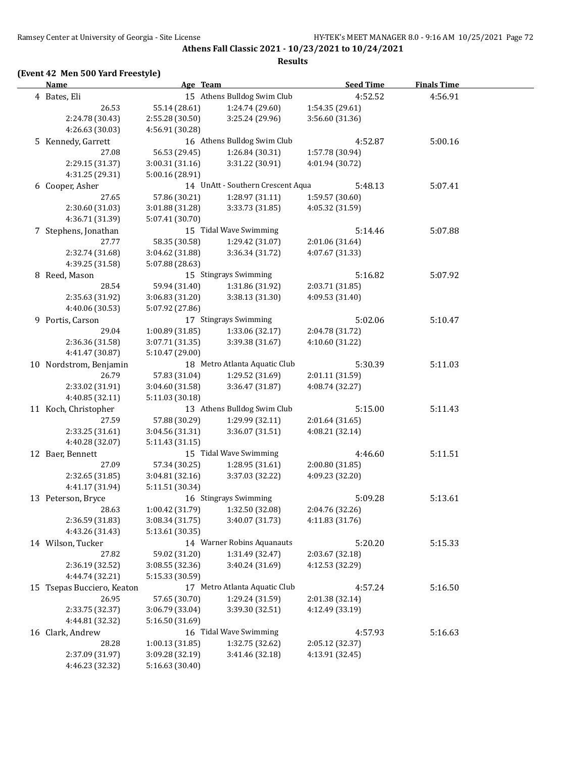### **(Event 42 Men 500 Yard Freestyle)**

| <b>Name</b>                | Age Team        |                                     | <b>Seed Time</b> | <b>Finals Time</b> |  |
|----------------------------|-----------------|-------------------------------------|------------------|--------------------|--|
| 4 Bates, Eli               |                 | 15 Athens Bulldog Swim Club         | 4:52.52          | 4:56.91            |  |
| 26.53                      | 55.14 (28.61)   | 1:24.74 (29.60)                     | 1:54.35 (29.61)  |                    |  |
| 2:24.78 (30.43)            | 2:55.28 (30.50) | 3:25.24 (29.96)                     | 3:56.60 (31.36)  |                    |  |
| 4:26.63 (30.03)            | 4:56.91 (30.28) |                                     |                  |                    |  |
| 5 Kennedy, Garrett         |                 | 16 Athens Bulldog Swim Club         | 4:52.87          | 5:00.16            |  |
| 27.08                      | 56.53 (29.45)   | 1:26.84 (30.31)                     | 1:57.78 (30.94)  |                    |  |
| 2:29.15 (31.37)            | 3:00.31 (31.16) | 3:31.22 (30.91)                     | 4:01.94 (30.72)  |                    |  |
| 4:31.25 (29.31)            | 5:00.16 (28.91) |                                     |                  |                    |  |
| 6 Cooper, Asher            |                 | 14 UnAtt - Southern Crescent Aqua   | 5:48.13          | 5:07.41            |  |
| 27.65                      | 57.86 (30.21)   | 1:28.97 (31.11)                     | 1:59.57 (30.60)  |                    |  |
| 2:30.60 (31.03)            | 3:01.88 (31.28) | 3:33.73 (31.85)                     | 4:05.32 (31.59)  |                    |  |
| 4:36.71 (31.39)            | 5:07.41 (30.70) |                                     |                  |                    |  |
| 7 Stephens, Jonathan       |                 | 15 Tidal Wave Swimming              | 5:14.46          | 5:07.88            |  |
| 27.77                      | 58.35 (30.58)   | 1:29.42 (31.07)                     | 2:01.06 (31.64)  |                    |  |
| 2:32.74 (31.68)            | 3:04.62 (31.88) | 3:36.34 (31.72)                     | 4:07.67 (31.33)  |                    |  |
| 4:39.25 (31.58)            | 5:07.88 (28.63) |                                     |                  |                    |  |
| 8 Reed, Mason              |                 | 15 Stingrays Swimming               | 5:16.82          | 5:07.92            |  |
| 28.54                      | 59.94 (31.40)   | 1:31.86 (31.92)                     | 2:03.71 (31.85)  |                    |  |
| 2:35.63 (31.92)            | 3:06.83 (31.20) | 3:38.13 (31.30)                     | 4:09.53 (31.40)  |                    |  |
| 4:40.06 (30.53)            | 5:07.92 (27.86) |                                     |                  |                    |  |
| 9 Portis, Carson           |                 | 17 Stingrays Swimming               | 5:02.06          | 5:10.47            |  |
| 29.04                      | 1:00.89 (31.85) | 1:33.06 (32.17)                     | 2:04.78 (31.72)  |                    |  |
| 2:36.36 (31.58)            | 3:07.71 (31.35) | 3:39.38 (31.67)                     | 4:10.60 (31.22)  |                    |  |
| 4:41.47 (30.87)            | 5:10.47 (29.00) |                                     |                  |                    |  |
| 10 Nordstrom, Benjamin     |                 | 18 Metro Atlanta Aquatic Club       | 5:30.39          | 5:11.03            |  |
| 26.79                      | 57.83 (31.04)   | 1:29.52 (31.69)                     | 2:01.11 (31.59)  |                    |  |
| 2:33.02 (31.91)            | 3:04.60 (31.58) | 3:36.47 (31.87)                     | 4:08.74 (32.27)  |                    |  |
| 4:40.85 (32.11)            | 5:11.03 (30.18) |                                     |                  |                    |  |
| 11 Koch, Christopher       |                 | 13 Athens Bulldog Swim Club         | 5:15.00          | 5:11.43            |  |
| 27.59                      | 57.88 (30.29)   | 1:29.99 (32.11)                     | 2:01.64 (31.65)  |                    |  |
| 2:33.25 (31.61)            | 3:04.56 (31.31) | 3:36.07 (31.51)                     | 4:08.21 (32.14)  |                    |  |
| 4:40.28 (32.07)            | 5:11.43 (31.15) |                                     |                  |                    |  |
| 12 Baer, Bennett           |                 | 15 Tidal Wave Swimming              | 4:46.60          | 5:11.51            |  |
| 27.09                      | 57.34 (30.25)   | 1:28.95(31.61)                      | 2:00.80 (31.85)  |                    |  |
| 2:32.65 (31.85)            | 3:04.81 (32.16) | 3:37.03 (32.22)                     | 4:09.23 (32.20)  |                    |  |
| 4:41.17 (31.94)            | 5:11.51 (30.34) |                                     |                  |                    |  |
| 13 Peterson, Bryce         |                 | 16 Stingrays Swimming               | 5:09.28          | 5:13.61            |  |
| 28.63                      |                 | $1:00.42$ (31.79) $1:32.50$ (32.08) | 2:04.76 (32.26)  |                    |  |
| 2:36.59 (31.83)            | 3:08.34 (31.75) | 3:40.07 (31.73)                     | 4:11.83 (31.76)  |                    |  |
| 4:43.26 (31.43)            | 5:13.61 (30.35) |                                     |                  |                    |  |
| 14 Wilson, Tucker          |                 | 14 Warner Robins Aquanauts          | 5:20.20          | 5:15.33            |  |
| 27.82                      | 59.02 (31.20)   | 1:31.49 (32.47)                     | 2:03.67 (32.18)  |                    |  |
| 2:36.19 (32.52)            | 3:08.55 (32.36) | 3:40.24 (31.69)                     | 4:12.53 (32.29)  |                    |  |
| 4:44.74 (32.21)            | 5:15.33 (30.59) |                                     |                  |                    |  |
| 15 Tsepas Bucciero, Keaton |                 | 17 Metro Atlanta Aquatic Club       | 4:57.24          | 5:16.50            |  |
| 26.95                      | 57.65 (30.70)   | 1:29.24 (31.59)                     | 2:01.38 (32.14)  |                    |  |
| 2:33.75 (32.37)            | 3:06.79 (33.04) | 3:39.30 (32.51)                     | 4:12.49 (33.19)  |                    |  |
| 4:44.81 (32.32)            | 5:16.50 (31.69) |                                     |                  |                    |  |
| 16 Clark, Andrew           |                 | 16 Tidal Wave Swimming              | 4:57.93          | 5:16.63            |  |
| 28.28                      | 1:00.13 (31.85) | 1:32.75 (32.62)                     | 2:05.12 (32.37)  |                    |  |
| 2:37.09 (31.97)            | 3:09.28 (32.19) | 3:41.46 (32.18)                     | 4:13.91 (32.45)  |                    |  |
| 4:46.23 (32.32)            | 5:16.63 (30.40) |                                     |                  |                    |  |
|                            |                 |                                     |                  |                    |  |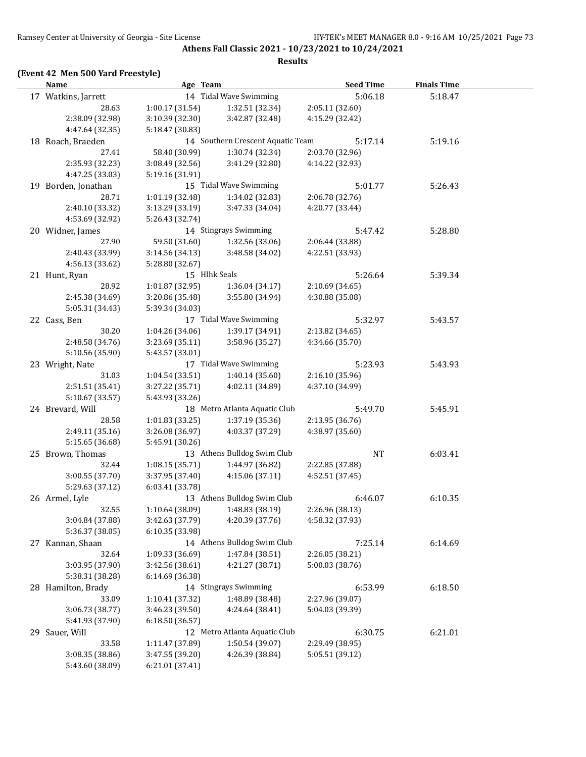**Athens Fall Classic 2021 - 10/23/2021 to 10/24/2021 Results**

## **(Event 42 Men 500 Yard Freestyle)**

| <b>Name</b>         | Age Team                    |                                   | <b>Seed Time</b> | <b>Finals Time</b> |  |
|---------------------|-----------------------------|-----------------------------------|------------------|--------------------|--|
| 17 Watkins, Jarrett |                             | 14 Tidal Wave Swimming            | 5:06.18          | 5:18.47            |  |
| 28.63               | 1:00.17(31.54)              | 1:32.51 (32.34)                   | 2:05.11 (32.60)  |                    |  |
| 2:38.09 (32.98)     | 3:10.39 (32.30)             | 3:42.87 (32.48)                   | 4:15.29 (32.42)  |                    |  |
| 4:47.64 (32.35)     | 5:18.47 (30.83)             |                                   |                  |                    |  |
| 18 Roach, Braeden   |                             | 14 Southern Crescent Aquatic Team | 5:17.14          | 5:19.16            |  |
| 27.41               | 58.40 (30.99)               | 1:30.74 (32.34)                   | 2:03.70 (32.96)  |                    |  |
| 2:35.93 (32.23)     | 3:08.49 (32.56)             | 3:41.29 (32.80)                   | 4:14.22 (32.93)  |                    |  |
| 4:47.25 (33.03)     | 5:19.16 (31.91)             |                                   |                  |                    |  |
| 19 Borden, Jonathan |                             | 15 Tidal Wave Swimming            | 5:01.77          | 5:26.43            |  |
| 28.71               | 1:01.19 (32.48)             | 1:34.02 (32.83)                   | 2:06.78 (32.76)  |                    |  |
| 2:40.10 (33.32)     | 3:13.29 (33.19)             | 3:47.33 (34.04)                   | 4:20.77 (33.44)  |                    |  |
| 4:53.69 (32.92)     | 5:26.43 (32.74)             |                                   |                  |                    |  |
| 20 Widner, James    |                             | 14 Stingrays Swimming             | 5:47.42          | 5:28.80            |  |
| 27.90               | 59.50 (31.60)               | 1:32.56 (33.06)                   | 2:06.44 (33.88)  |                    |  |
| 2:40.43 (33.99)     | 3:14.56 (34.13)             | 3:48.58 (34.02)                   | 4:22.51 (33.93)  |                    |  |
| 4:56.13 (33.62)     | 5:28.80 (32.67)             |                                   |                  |                    |  |
| 21 Hunt, Ryan       | 15 Hlhk Seals               |                                   | 5:26.64          | 5:39.34            |  |
| 28.92               | 1:01.87(32.95)              | 1:36.04 (34.17)                   | 2:10.69 (34.65)  |                    |  |
| 2:45.38 (34.69)     | 3:20.86 (35.48)             | 3:55.80 (34.94)                   | 4:30.88 (35.08)  |                    |  |
| 5:05.31 (34.43)     | 5:39.34 (34.03)             |                                   |                  |                    |  |
| 22 Cass, Ben        |                             | 17 Tidal Wave Swimming            | 5:32.97          | 5:43.57            |  |
| 30.20               | 1:04.26 (34.06)             | 1:39.17 (34.91)                   | 2:13.82 (34.65)  |                    |  |
| 2:48.58 (34.76)     | 3:23.69 (35.11)             | 3:58.96 (35.27)                   | 4:34.66 (35.70)  |                    |  |
| 5:10.56 (35.90)     | 5:43.57 (33.01)             |                                   |                  |                    |  |
| 23 Wright, Nate     |                             | 17 Tidal Wave Swimming            | 5:23.93          | 5:43.93            |  |
| 31.03               | 1:04.54(33.51)              | 1:40.14 (35.60)                   | 2:16.10 (35.96)  |                    |  |
| 2:51.51 (35.41)     | 3:27.22 (35.71)             | 4:02.11 (34.89)                   | 4:37.10 (34.99)  |                    |  |
| 5:10.67 (33.57)     | 5:43.93 (33.26)             |                                   |                  |                    |  |
| 24 Brevard, Will    |                             | 18 Metro Atlanta Aquatic Club     | 5:49.70          | 5:45.91            |  |
| 28.58               | 1:01.83 (33.25)             | 1:37.19 (35.36)                   | 2:13.95 (36.76)  |                    |  |
| 2:49.11 (35.16)     | 3:26.08 (36.97)             | 4:03.37 (37.29)                   | 4:38.97 (35.60)  |                    |  |
| 5:15.65 (36.68)     |                             | 5:45.91 (30.26)                   |                  |                    |  |
| 25 Brown, Thomas    |                             | 13 Athens Bulldog Swim Club       | NT               | 6:03.41            |  |
| 32.44               | 1:08.15(35.71)              | 1:44.97 (36.82)                   | 2:22.85 (37.88)  |                    |  |
| 3:00.55 (37.70)     | 3:37.95 (37.40)             | 4:15.06(37.11)                    | 4:52.51 (37.45)  |                    |  |
| 5:29.63 (37.12)     | 6:03.41 (33.78)             |                                   |                  |                    |  |
| 26 Armel, Lyle      | 13 Athens Bulldog Swim Club |                                   | 6:46.07          | 6:10.35            |  |
| 32.55               |                             | $1:10.64(38.09)$ $1:48.83(38.19)$ | 2:26.96 (38.13)  |                    |  |
| 3:04.84 (37.88)     | 3:42.63 (37.79)             | 4:20.39 (37.76)                   | 4:58.32 (37.93)  |                    |  |
| 5:36.37 (38.05)     | 6:10.35 (33.98)             |                                   |                  |                    |  |
| 27 Kannan, Shaan    |                             | 14 Athens Bulldog Swim Club       | 7:25.14          | 6:14.69            |  |
| 32.64               | 1:09.33 (36.69)             | 1:47.84 (38.51)                   | 2:26.05 (38.21)  |                    |  |
| 3:03.95 (37.90)     | 3:42.56 (38.61)             | 4:21.27 (38.71)                   | 5:00.03 (38.76)  |                    |  |
| 5:38.31 (38.28)     | 6:14.69 (36.38)             |                                   | 6:53.99          |                    |  |
| 28 Hamilton, Brady  |                             | 14 Stingrays Swimming             |                  | 6:18.50            |  |
| 33.09               | 1:10.41 (37.32)             | 1:48.89 (38.48)                   | 2:27.96 (39.07)  |                    |  |
| 3:06.73 (38.77)     | 3:46.23 (39.50)             | 4:24.64 (38.41)                   | 5:04.03 (39.39)  |                    |  |
| 5:41.93 (37.90)     | 6:18.50 (36.57)             |                                   |                  |                    |  |
| 29 Sauer, Will      |                             | 12 Metro Atlanta Aquatic Club     | 6:30.75          | 6:21.01            |  |
| 33.58               | 1:11.47 (37.89)             | 1:50.54 (39.07)                   | 2:29.49 (38.95)  |                    |  |
| 3:08.35 (38.86)     | 3:47.55 (39.20)             | 4:26.39 (38.84)                   | 5:05.51 (39.12)  |                    |  |
| 5:43.60 (38.09)     | 6:21.01 (37.41)             |                                   |                  |                    |  |